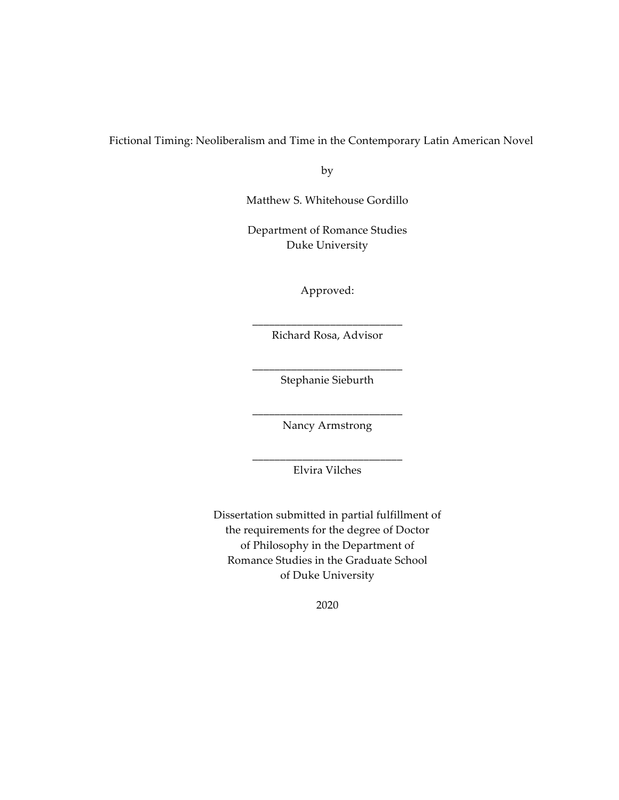Fictional Timing: Neoliberalism and Time in the Contemporary Latin American Novel

by

Matthew S. Whitehouse Gordillo

Department of Romance Studies Duke University

Approved:

\_\_\_\_\_\_\_\_\_\_\_\_\_\_\_\_\_\_\_\_\_\_\_\_\_\_\_ Richard Rosa, Advisor

\_\_\_\_\_\_\_\_\_\_\_\_\_\_\_\_\_\_\_\_\_\_\_\_\_\_\_ Stephanie Sieburth

\_\_\_\_\_\_\_\_\_\_\_\_\_\_\_\_\_\_\_\_\_\_\_\_\_\_\_ Nancy Armstrong

\_\_\_\_\_\_\_\_\_\_\_\_\_\_\_\_\_\_\_\_\_\_\_\_\_\_\_ Elvira Vilches

Dissertation submitted in partial fulfillment of the requirements for the degree of Doctor of Philosophy in the Department of Romance Studies in the Graduate School of Duke University

2020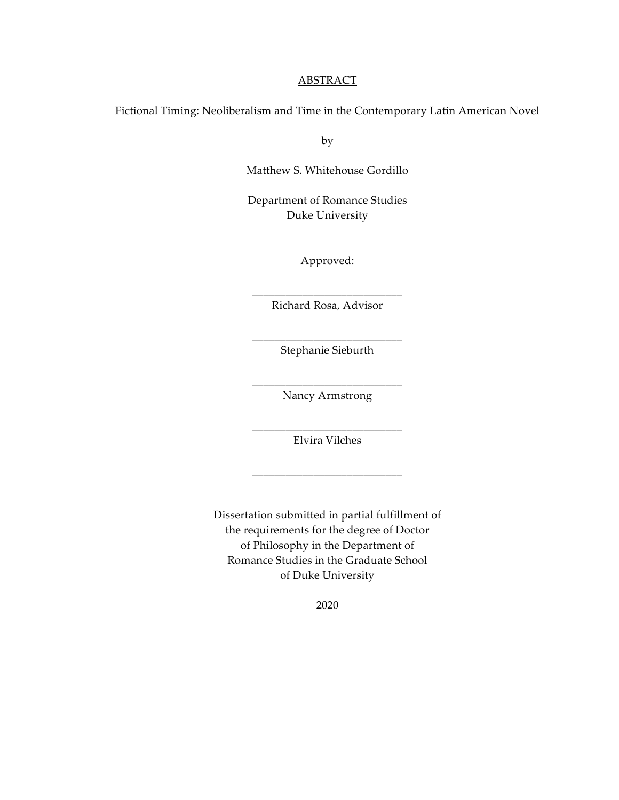# ABSTRACT

Fictional Timing: Neoliberalism and Time in the Contemporary Latin American Novel

by

Matthew S. Whitehouse Gordillo

Department of Romance Studies Duke University

Approved:

\_\_\_\_\_\_\_\_\_\_\_\_\_\_\_\_\_\_\_\_\_\_\_\_\_\_\_ Richard Rosa, Advisor

\_\_\_\_\_\_\_\_\_\_\_\_\_\_\_\_\_\_\_\_\_\_\_\_\_\_\_ Stephanie Sieburth

\_\_\_\_\_\_\_\_\_\_\_\_\_\_\_\_\_\_\_\_\_\_\_\_\_\_\_ Nancy Armstrong

\_\_\_\_\_\_\_\_\_\_\_\_\_\_\_\_\_\_\_\_\_\_\_\_\_\_\_ Elvira Vilches

\_\_\_\_\_\_\_\_\_\_\_\_\_\_\_\_\_\_\_\_\_\_\_\_\_\_\_

Dissertation submitted in partial fulfillment of the requirements for the degree of Doctor of Philosophy in the Department of Romance Studies in the Graduate School of Duke University

2020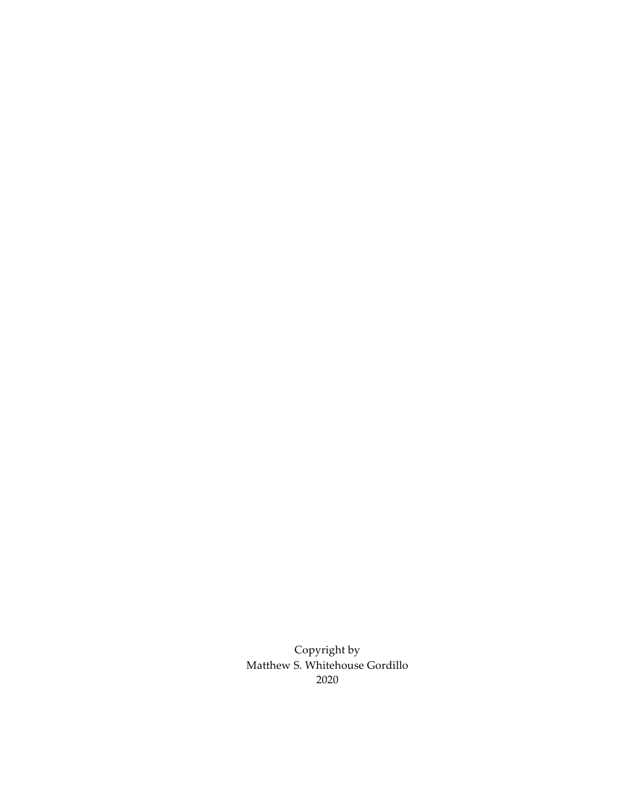Copyright by Matthew S. Whitehouse Gordillo 2020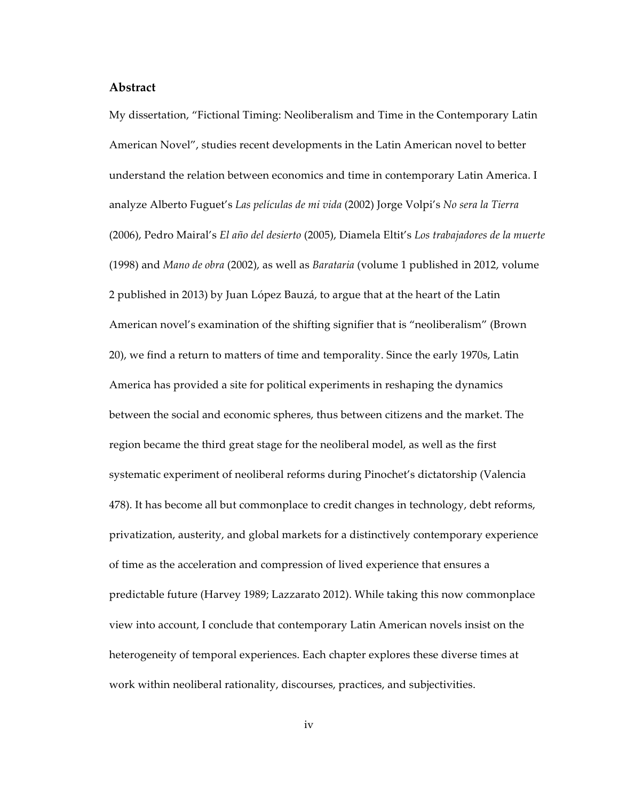#### **Abstract**

My dissertation, "Fictional Timing: Neoliberalism and Time in the Contemporary Latin American Novel", studies recent developments in the Latin American novel to better understand the relation between economics and time in contemporary Latin America. I analyze Alberto Fuguet's *Las películas de mi vida* (2002) Jorge Volpi's *No sera la Tierra*  (2006), Pedro Mairal's *El año del desierto* (2005), Diamela Eltit's *Los trabajadores de la muerte* (1998) and *Mano de obra* (2002), as well as *Barataria* (volume 1 published in 2012, volume 2 published in 2013) by Juan López Bauzá, to argue that at the heart of the Latin American novel's examination of the shifting signifier that is "neoliberalism" (Brown 20), we find a return to matters of time and temporality. Since the early 1970s, Latin America has provided a site for political experiments in reshaping the dynamics between the social and economic spheres, thus between citizens and the market. The region became the third great stage for the neoliberal model, as well as the first systematic experiment of neoliberal reforms during Pinochet's dictatorship (Valencia 478). It has become all but commonplace to credit changes in technology, debt reforms, privatization, austerity, and global markets for a distinctively contemporary experience of time as the acceleration and compression of lived experience that ensures a predictable future (Harvey 1989; Lazzarato 2012). While taking this now commonplace view into account, I conclude that contemporary Latin American novels insist on the heterogeneity of temporal experiences. Each chapter explores these diverse times at work within neoliberal rationality, discourses, practices, and subjectivities.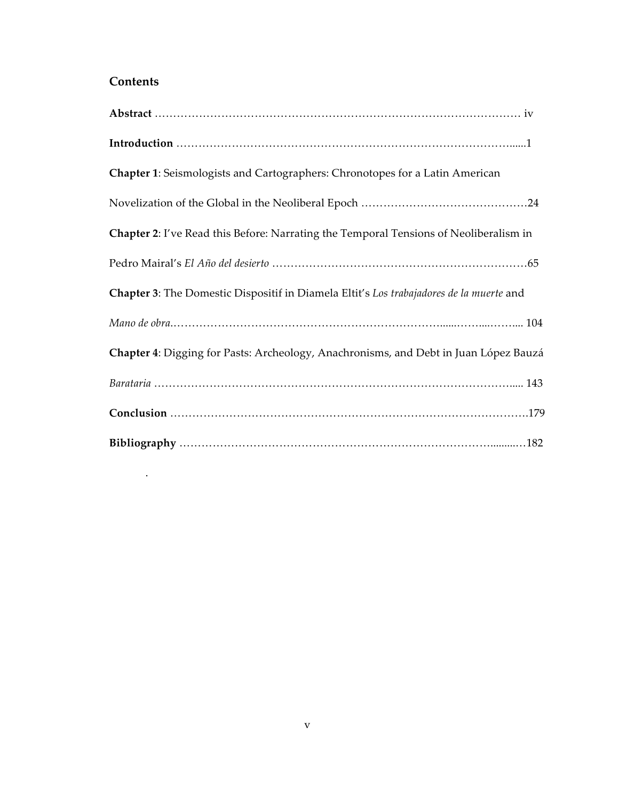# **Contents**

.

| Chapter 1: Seismologists and Cartographers: Chronotopes for a Latin American            |
|-----------------------------------------------------------------------------------------|
|                                                                                         |
| Chapter 2: I've Read this Before: Narrating the Temporal Tensions of Neoliberalism in   |
|                                                                                         |
| Chapter 3: The Domestic Dispositif in Diamela Eltit's Los trabajadores de la muerte and |
|                                                                                         |
| Chapter 4: Digging for Pasts: Archeology, Anachronisms, and Debt in Juan López Bauzá    |
|                                                                                         |
|                                                                                         |
|                                                                                         |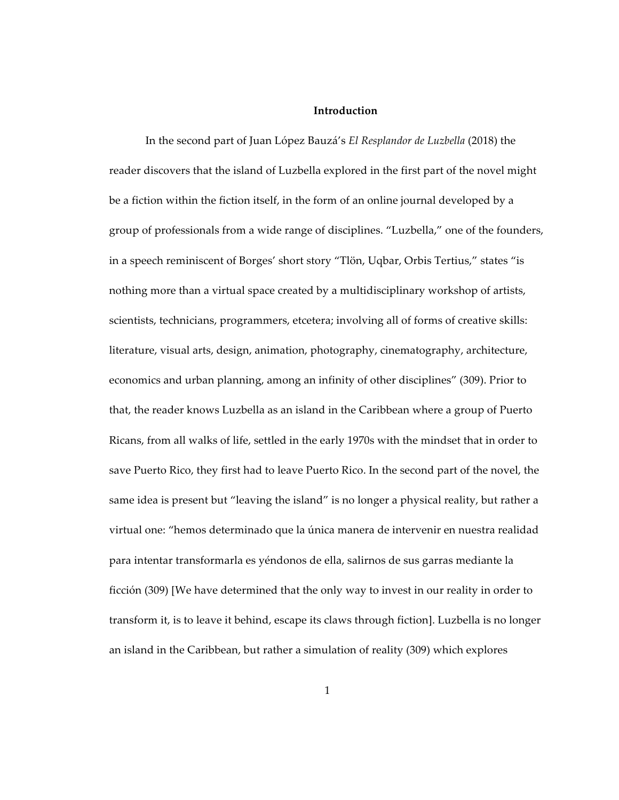# **Introduction**

In the second part of Juan López Bauzá's *El Resplandor de Luzbella* (2018) the reader discovers that the island of Luzbella explored in the first part of the novel might be a fiction within the fiction itself, in the form of an online journal developed by a group of professionals from a wide range of disciplines. "Luzbella," one of the founders, in a speech reminiscent of Borges' short story "Tlön, Uqbar, Orbis Tertius," states "is nothing more than a virtual space created by a multidisciplinary workshop of artists, scientists, technicians, programmers, etcetera; involving all of forms of creative skills: literature, visual arts, design, animation, photography, cinematography, architecture, economics and urban planning, among an infinity of other disciplines" (309). Prior to that, the reader knows Luzbella as an island in the Caribbean where a group of Puerto Ricans, from all walks of life, settled in the early 1970s with the mindset that in order to save Puerto Rico, they first had to leave Puerto Rico. In the second part of the novel, the same idea is present but "leaving the island" is no longer a physical reality, but rather a virtual one: "hemos determinado que la única manera de intervenir en nuestra realidad para intentar transformarla es yéndonos de ella, salirnos de sus garras mediante la ficción (309) [We have determined that the only way to invest in our reality in order to transform it, is to leave it behind, escape its claws through fiction]. Luzbella is no longer an island in the Caribbean, but rather a simulation of reality (309) which explores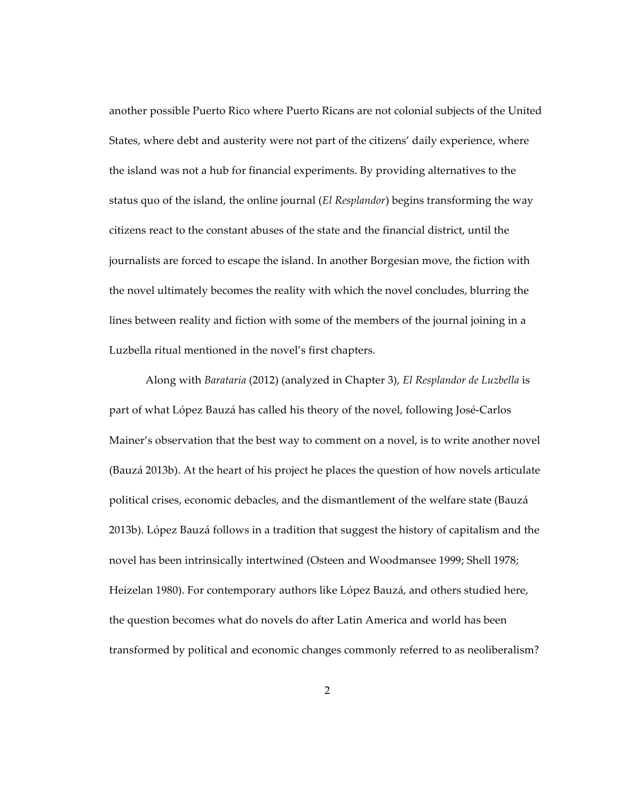another possible Puerto Rico where Puerto Ricans are not colonial subjects of the United States, where debt and austerity were not part of the citizens' daily experience, where the island was not a hub for financial experiments. By providing alternatives to the status quo of the island, the online journal (*El Resplandor*) begins transforming the way citizens react to the constant abuses of the state and the financial district, until the journalists are forced to escape the island. In another Borgesian move, the fiction with the novel ultimately becomes the reality with which the novel concludes, blurring the lines between reality and fiction with some of the members of the journal joining in a Luzbella ritual mentioned in the novel's first chapters.

Along with *Barataria* (2012) (analyzed in Chapter 3), *El Resplandor de Luzbella* is part of what López Bauzá has called his theory of the novel, following José-Carlos Mainer's observation that the best way to comment on a novel, is to write another novel (Bauzá 2013b). At the heart of his project he places the question of how novels articulate political crises, economic debacles, and the dismantlement of the welfare state (Bauzá 2013b). López Bauzá follows in a tradition that suggest the history of capitalism and the novel has been intrinsically intertwined (Osteen and Woodmansee 1999; Shell 1978; Heizelan 1980). For contemporary authors like López Bauzá, and others studied here, the question becomes what do novels do after Latin America and world has been transformed by political and economic changes commonly referred to as neoliberalism?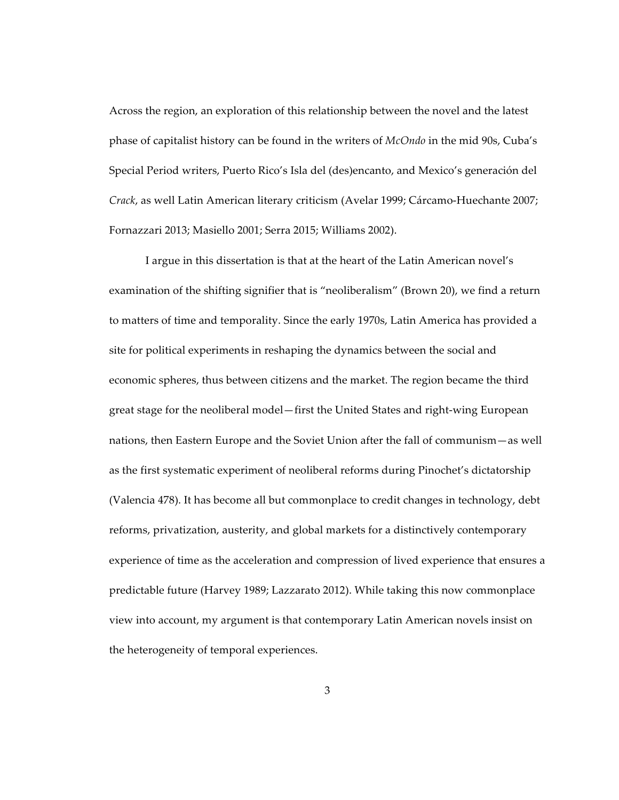Across the region, an exploration of this relationship between the novel and the latest phase of capitalist history can be found in the writers of *McOndo* in the mid 90s, Cuba's Special Period writers, Puerto Rico's Isla del (des)encanto, and Mexico's generación del *Crack*, as well Latin American literary criticism (Avelar 1999; Cárcamo-Huechante 2007; Fornazzari 2013; Masiello 2001; Serra 2015; Williams 2002).

I argue in this dissertation is that at the heart of the Latin American novel's examination of the shifting signifier that is "neoliberalism" (Brown 20), we find a return to matters of time and temporality. Since the early 1970s, Latin America has provided a site for political experiments in reshaping the dynamics between the social and economic spheres, thus between citizens and the market. The region became the third great stage for the neoliberal model—first the United States and right-wing European nations, then Eastern Europe and the Soviet Union after the fall of communism—as well as the first systematic experiment of neoliberal reforms during Pinochet's dictatorship (Valencia 478). It has become all but commonplace to credit changes in technology, debt reforms, privatization, austerity, and global markets for a distinctively contemporary experience of time as the acceleration and compression of lived experience that ensures a predictable future (Harvey 1989; Lazzarato 2012). While taking this now commonplace view into account, my argument is that contemporary Latin American novels insist on the heterogeneity of temporal experiences.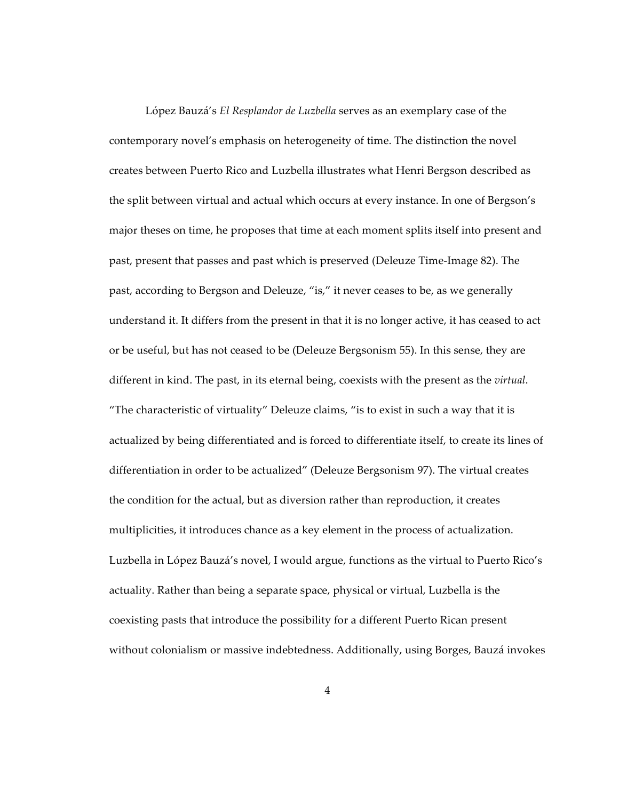López Bauzá's *El Resplandor de Luzbella* serves as an exemplary case of the contemporary novel's emphasis on heterogeneity of time. The distinction the novel creates between Puerto Rico and Luzbella illustrates what Henri Bergson described as the split between virtual and actual which occurs at every instance. In one of Bergson's major theses on time, he proposes that time at each moment splits itself into present and past, present that passes and past which is preserved (Deleuze Time-Image 82). The past, according to Bergson and Deleuze, "is," it never ceases to be, as we generally understand it. It differs from the present in that it is no longer active, it has ceased to act or be useful, but has not ceased to be (Deleuze Bergsonism 55). In this sense, they are different in kind. The past, in its eternal being, coexists with the present as the *virtual*. "The characteristic of virtuality" Deleuze claims, "is to exist in such a way that it is actualized by being differentiated and is forced to differentiate itself, to create its lines of differentiation in order to be actualized" (Deleuze Bergsonism 97). The virtual creates the condition for the actual, but as diversion rather than reproduction, it creates multiplicities, it introduces chance as a key element in the process of actualization. Luzbella in López Bauzá's novel, I would argue, functions as the virtual to Puerto Rico's actuality. Rather than being a separate space, physical or virtual, Luzbella is the coexisting pasts that introduce the possibility for a different Puerto Rican present without colonialism or massive indebtedness. Additionally, using Borges, Bauzá invokes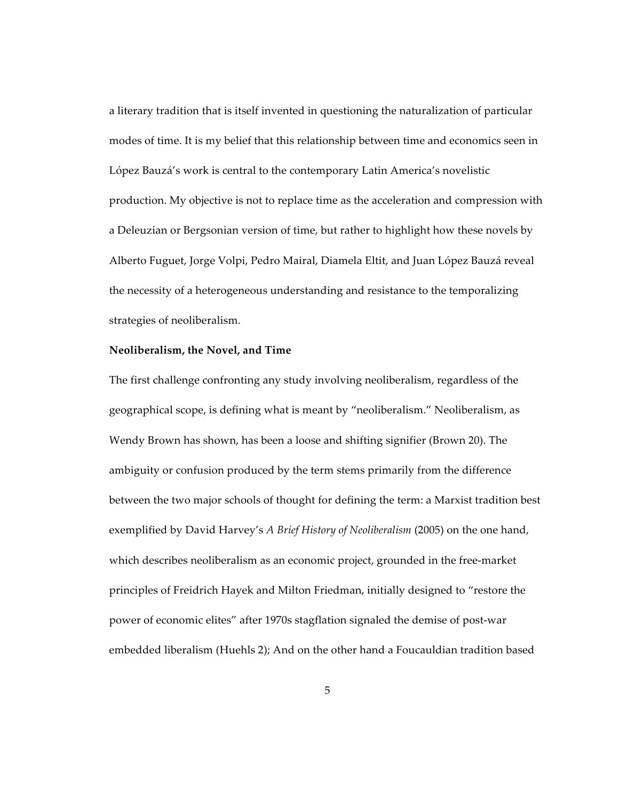a literary tradition that is itself invented in questioning the naturalization of particular modes of time. It is my belief that this relationship between time and economics seen in López Bauzá's work is central to the contemporary Latin America's novelistic production. My objective is not to replace time as the acceleration and compression with a Deleuzian or Bergsonian version of time, but rather to highlight how these novels by Alberto Fuguet, Jorge Volpi, Pedro Mairal, Diamela Eltit, and Juan López Bauzá reveal the necessity of a heterogeneous understanding and resistance to the temporalizing strategies of neoliberalism.

#### **Neoliberalism, the Novel, and Time**

The first challenge confronting any study involving neoliberalism, regardless of the geographical scope, is defining what is meant by "neoliberalism." Neoliberalism, as Wendy Brown has shown, has been a loose and shifting signifier (Brown 20). The ambiguity or confusion produced by the term stems primarily from the difference between the two major schools of thought for defining the term: a Marxist tradition best exemplified by David Harvey's *A Brief History of Neoliberalism* (2005) on the one hand, which describes neoliberalism as an economic project, grounded in the free-market principles of Freidrich Hayek and Milton Friedman, initially designed to "restore the power of economic elites" after 1970s stagflation signaled the demise of post-war embedded liberalism (Huehls 2); And on the other hand a Foucauldian tradition based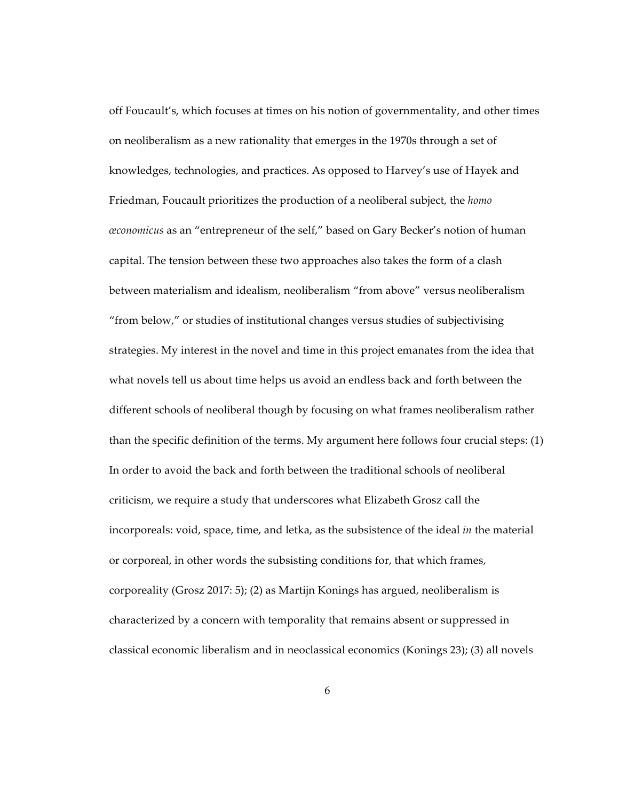off Foucault's, which focuses at times on his notion of governmentality, and other times on neoliberalism as a new rationality that emerges in the 1970s through a set of knowledges, technologies, and practices. As opposed to Harvey's use of Hayek and Friedman, Foucault prioritizes the production of a neoliberal subject, the *homo œconomicus* as an "entrepreneur of the self," based on Gary Becker's notion of human capital. The tension between these two approaches also takes the form of a clash between materialism and idealism, neoliberalism "from above" versus neoliberalism "from below," or studies of institutional changes versus studies of subjectivising strategies. My interest in the novel and time in this project emanates from the idea that what novels tell us about time helps us avoid an endless back and forth between the different schools of neoliberal though by focusing on what frames neoliberalism rather than the specific definition of the terms. My argument here follows four crucial steps: (1) In order to avoid the back and forth between the traditional schools of neoliberal criticism, we require a study that underscores what Elizabeth Grosz call the incorporeals: void, space, time, and letka, as the subsistence of the ideal *in* the material or corporeal, in other words the subsisting conditions for, that which frames, corporeality (Grosz 2017: 5); (2) as Martijn Konings has argued, neoliberalism is characterized by a concern with temporality that remains absent or suppressed in classical economic liberalism and in neoclassical economics (Konings 23); (3) all novels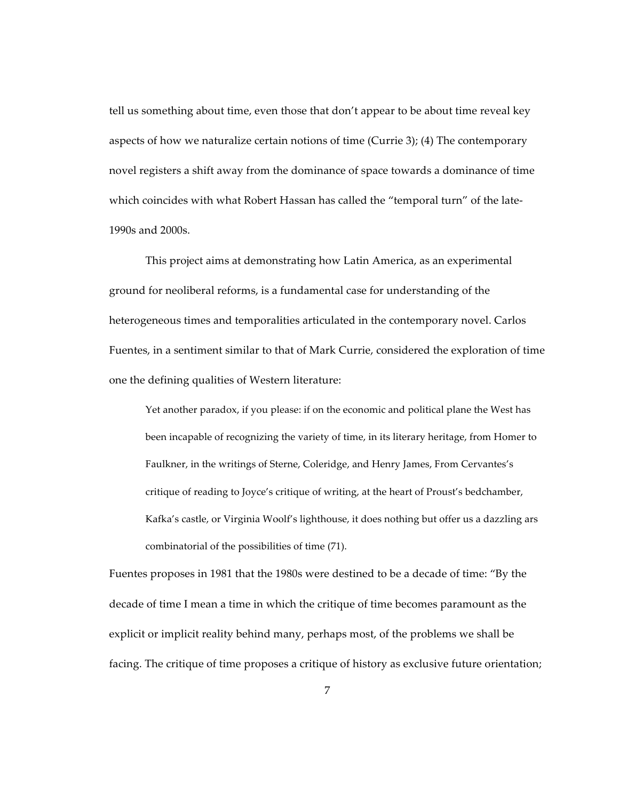tell us something about time, even those that don't appear to be about time reveal key aspects of how we naturalize certain notions of time (Currie 3); (4) The contemporary novel registers a shift away from the dominance of space towards a dominance of time which coincides with what Robert Hassan has called the "temporal turn" of the late-1990s and 2000s.

This project aims at demonstrating how Latin America, as an experimental ground for neoliberal reforms, is a fundamental case for understanding of the heterogeneous times and temporalities articulated in the contemporary novel. Carlos Fuentes, in a sentiment similar to that of Mark Currie, considered the exploration of time one the defining qualities of Western literature:

Yet another paradox, if you please: if on the economic and political plane the West has been incapable of recognizing the variety of time, in its literary heritage, from Homer to Faulkner, in the writings of Sterne, Coleridge, and Henry James, From Cervantes's critique of reading to Joyce's critique of writing, at the heart of Proust's bedchamber, Kafka's castle, or Virginia Woolf's lighthouse, it does nothing but offer us a dazzling ars combinatorial of the possibilities of time (71).

Fuentes proposes in 1981 that the 1980s were destined to be a decade of time: "By the decade of time I mean a time in which the critique of time becomes paramount as the explicit or implicit reality behind many, perhaps most, of the problems we shall be facing. The critique of time proposes a critique of history as exclusive future orientation;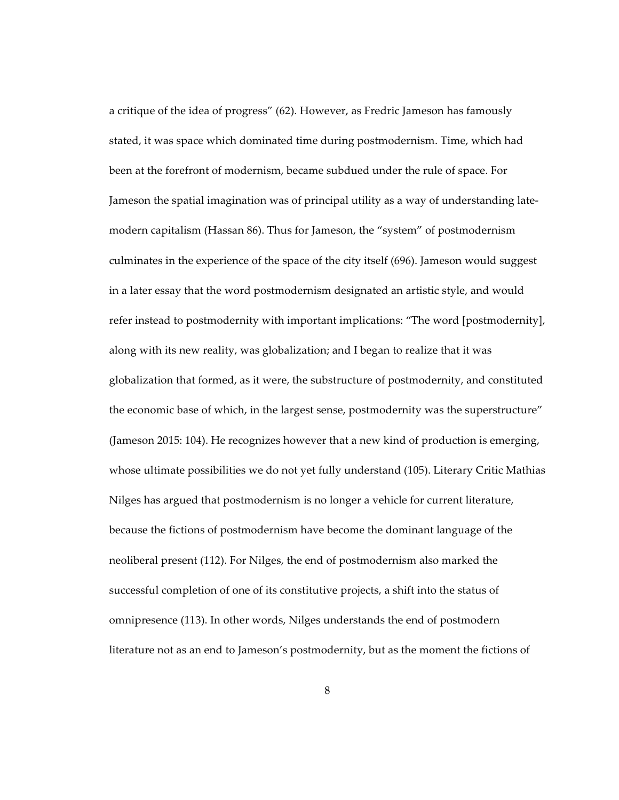a critique of the idea of progress" (62). However, as Fredric Jameson has famously stated, it was space which dominated time during postmodernism. Time, which had been at the forefront of modernism, became subdued under the rule of space. For Jameson the spatial imagination was of principal utility as a way of understanding latemodern capitalism (Hassan 86). Thus for Jameson, the "system" of postmodernism culminates in the experience of the space of the city itself (696). Jameson would suggest in a later essay that the word postmodernism designated an artistic style, and would refer instead to postmodernity with important implications: "The word [postmodernity], along with its new reality, was globalization; and I began to realize that it was globalization that formed, as it were, the substructure of postmodernity, and constituted the economic base of which, in the largest sense, postmodernity was the superstructure" (Jameson 2015: 104). He recognizes however that a new kind of production is emerging, whose ultimate possibilities we do not yet fully understand (105). Literary Critic Mathias Nilges has argued that postmodernism is no longer a vehicle for current literature, because the fictions of postmodernism have become the dominant language of the neoliberal present (112). For Nilges, the end of postmodernism also marked the successful completion of one of its constitutive projects, a shift into the status of omnipresence (113). In other words, Nilges understands the end of postmodern literature not as an end to Jameson's postmodernity, but as the moment the fictions of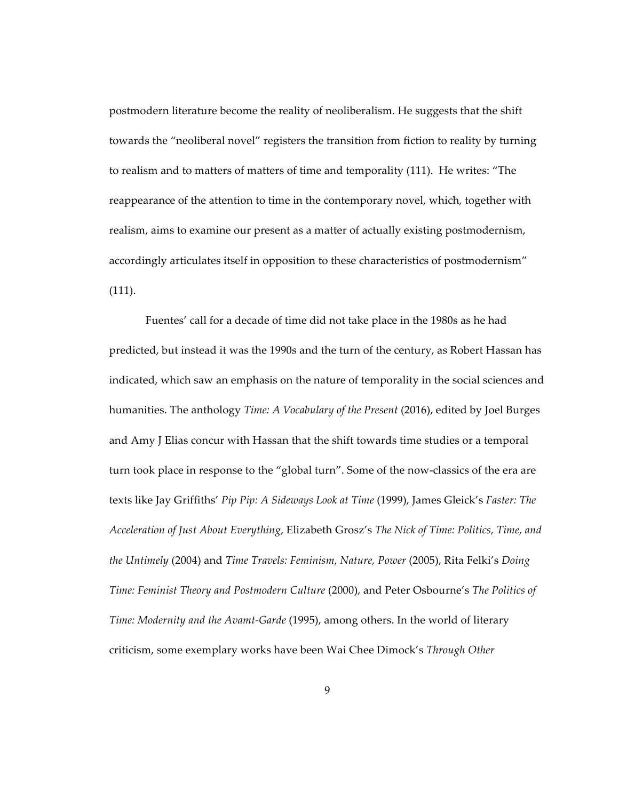postmodern literature become the reality of neoliberalism. He suggests that the shift towards the "neoliberal novel" registers the transition from fiction to reality by turning to realism and to matters of matters of time and temporality (111). He writes: "The reappearance of the attention to time in the contemporary novel, which, together with realism, aims to examine our present as a matter of actually existing postmodernism, accordingly articulates itself in opposition to these characteristics of postmodernism" (111).

Fuentes' call for a decade of time did not take place in the 1980s as he had predicted, but instead it was the 1990s and the turn of the century, as Robert Hassan has indicated, which saw an emphasis on the nature of temporality in the social sciences and humanities. The anthology *Time: A Vocabulary of the Present* (2016), edited by Joel Burges and Amy J Elias concur with Hassan that the shift towards time studies or a temporal turn took place in response to the "global turn". Some of the now-classics of the era are texts like Jay Griffiths' *Pip Pip: A Sideways Look at Time* (1999), James Gleick's *Faster: The Acceleration of Just About Everything*, Elizabeth Grosz's *The Nick of Time: Politics, Time, and the Untimely* (2004) and *Time Travels: Feminism, Nature, Power* (2005), Rita Felki's *Doing Time: Feminist Theory and Postmodern Culture* (2000), and Peter Osbourne's *The Politics of Time: Modernity and the Avamt-Garde* (1995), among others. In the world of literary criticism, some exemplary works have been Wai Chee Dimock's *Through Other*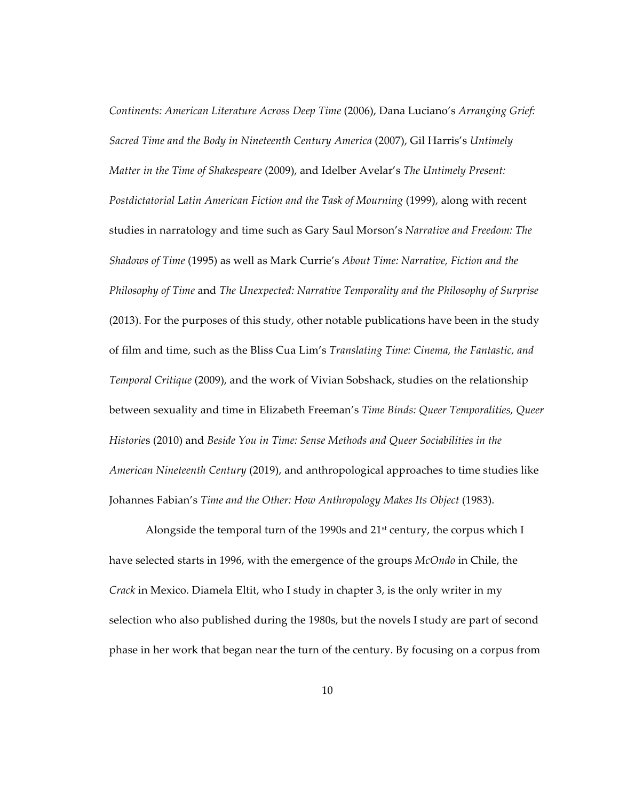*Continents: American Literature Across Deep Time* (2006), Dana Luciano's *Arranging Grief: Sacred Time and the Body in Nineteenth Century America* (2007), Gil Harris's *Untimely Matter in the Time of Shakespeare* (2009), and Idelber Avelar's *The Untimely Present: Postdictatorial Latin American Fiction and the Task of Mourning* (1999), along with recent studies in narratology and time such as Gary Saul Morson's *Narrative and Freedom: The Shadows of Time* (1995) as well as Mark Currie's *About Time: Narrative, Fiction and the Philosophy of Time* and *The Unexpected: Narrative Temporality and the Philosophy of Surprise*  (2013). For the purposes of this study, other notable publications have been in the study of film and time, such as the Bliss Cua Lim's *Translating Time: Cinema, the Fantastic, and Temporal Critique* (2009), and the work of Vivian Sobshack, studies on the relationship between sexuality and time in Elizabeth Freeman's *Time Binds: Queer Temporalities, Queer Historie*s (2010) and *Beside You in Time: Sense Methods and Queer Sociabilities in the American Nineteenth Century* (2019), and anthropological approaches to time studies like Johannes Fabian's *Time and the Other: How Anthropology Makes Its Object* (1983).

Alongside the temporal turn of the 1990s and  $21<sup>st</sup>$  century, the corpus which I have selected starts in 1996, with the emergence of the groups *McOndo* in Chile, the *Crack* in Mexico. Diamela Eltit, who I study in chapter 3, is the only writer in my selection who also published during the 1980s, but the novels I study are part of second phase in her work that began near the turn of the century. By focusing on a corpus from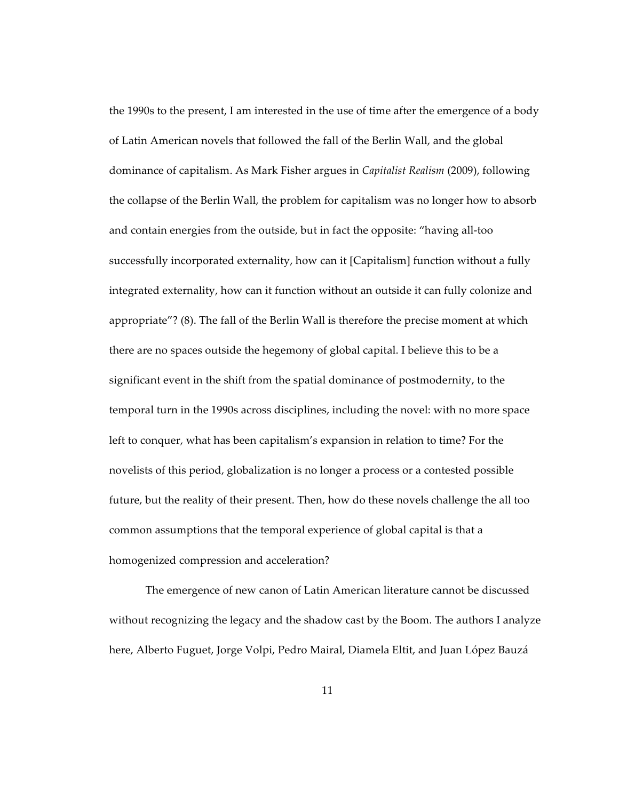the 1990s to the present, I am interested in the use of time after the emergence of a body of Latin American novels that followed the fall of the Berlin Wall, and the global dominance of capitalism. As Mark Fisher argues in *Capitalist Realism* (2009), following the collapse of the Berlin Wall, the problem for capitalism was no longer how to absorb and contain energies from the outside, but in fact the opposite: "having all-too successfully incorporated externality, how can it [Capitalism] function without a fully integrated externality, how can it function without an outside it can fully colonize and appropriate"? (8). The fall of the Berlin Wall is therefore the precise moment at which there are no spaces outside the hegemony of global capital. I believe this to be a significant event in the shift from the spatial dominance of postmodernity, to the temporal turn in the 1990s across disciplines, including the novel: with no more space left to conquer, what has been capitalism's expansion in relation to time? For the novelists of this period, globalization is no longer a process or a contested possible future, but the reality of their present. Then, how do these novels challenge the all too common assumptions that the temporal experience of global capital is that a homogenized compression and acceleration?

The emergence of new canon of Latin American literature cannot be discussed without recognizing the legacy and the shadow cast by the Boom. The authors I analyze here, Alberto Fuguet, Jorge Volpi, Pedro Mairal, Diamela Eltit, and Juan López Bauzá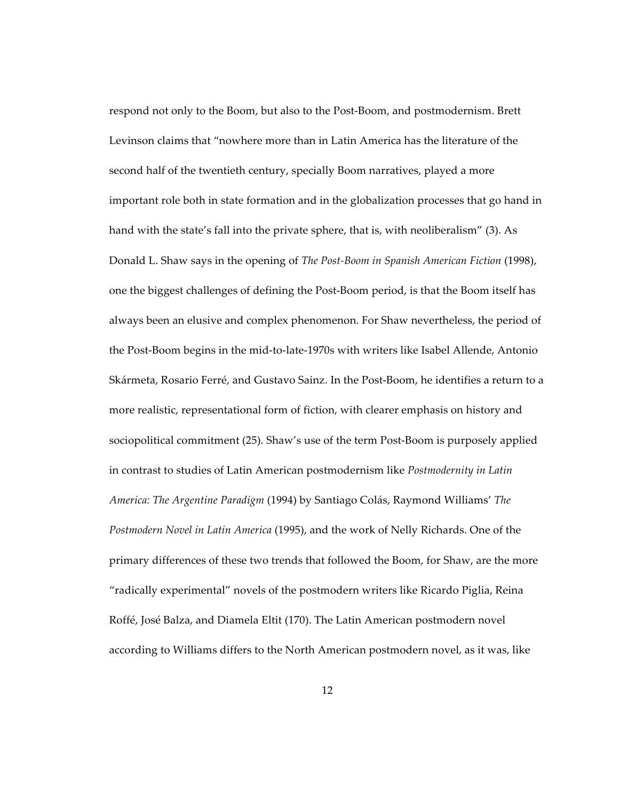respond not only to the Boom, but also to the Post-Boom, and postmodernism. Brett Levinson claims that "nowhere more than in Latin America has the literature of the second half of the twentieth century, specially Boom narratives, played a more important role both in state formation and in the globalization processes that go hand in hand with the state's fall into the private sphere, that is, with neoliberalism" (3). As Donald L. Shaw says in the opening of *The Post-Boom in Spanish American Fiction* (1998), one the biggest challenges of defining the Post-Boom period, is that the Boom itself has always been an elusive and complex phenomenon. For Shaw nevertheless, the period of the Post-Boom begins in the mid-to-late-1970s with writers like Isabel Allende, Antonio Skármeta, Rosario Ferré, and Gustavo Sainz. In the Post-Boom, he identifies a return to a more realistic, representational form of fiction, with clearer emphasis on history and sociopolitical commitment (25). Shaw's use of the term Post-Boom is purposely applied in contrast to studies of Latin American postmodernism like *Postmodernity in Latin America: The Argentine Paradigm* (1994) by Santiago Colás, Raymond Williams' *The Postmodern Novel in Latin America* (1995), and the work of Nelly Richards. One of the primary differences of these two trends that followed the Boom, for Shaw, are the more "radically experimental" novels of the postmodern writers like Ricardo Piglia, Reina Roffé, José Balza, and Diamela Eltit (170). The Latin American postmodern novel according to Williams differs to the North American postmodern novel, as it was, like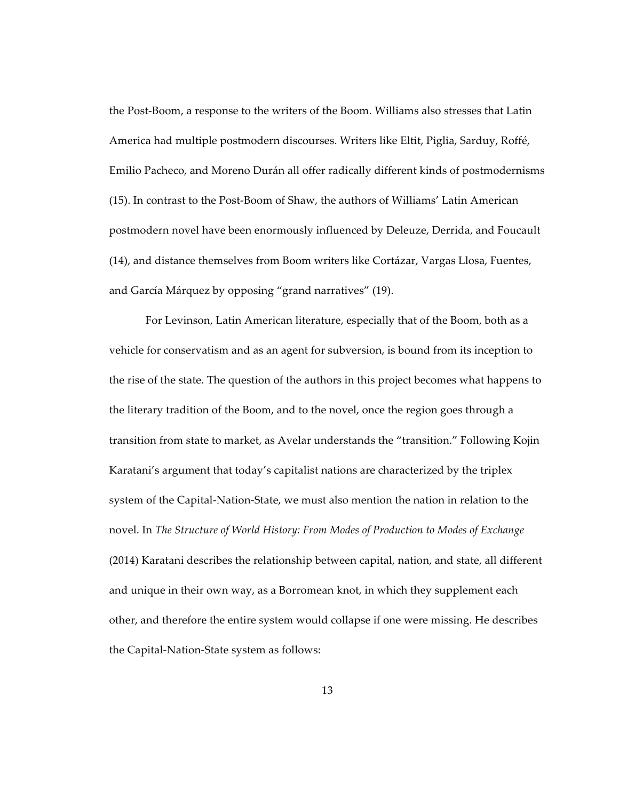the Post-Boom, a response to the writers of the Boom. Williams also stresses that Latin America had multiple postmodern discourses. Writers like Eltit, Piglia, Sarduy, Roffé, Emilio Pacheco, and Moreno Durán all offer radically different kinds of postmodernisms (15). In contrast to the Post-Boom of Shaw, the authors of Williams' Latin American postmodern novel have been enormously influenced by Deleuze, Derrida, and Foucault (14), and distance themselves from Boom writers like Cortázar, Vargas Llosa, Fuentes, and García Márquez by opposing "grand narratives" (19).

For Levinson, Latin American literature, especially that of the Boom, both as a vehicle for conservatism and as an agent for subversion, is bound from its inception to the rise of the state. The question of the authors in this project becomes what happens to the literary tradition of the Boom, and to the novel, once the region goes through a transition from state to market, as Avelar understands the "transition." Following Kojin Karatani's argument that today's capitalist nations are characterized by the triplex system of the Capital-Nation-State, we must also mention the nation in relation to the novel. In *The Structure of World History: From Modes of Production to Modes of Exchange* (2014) Karatani describes the relationship between capital, nation, and state, all different and unique in their own way, as a Borromean knot, in which they supplement each other, and therefore the entire system would collapse if one were missing. He describes the Capital-Nation-State system as follows: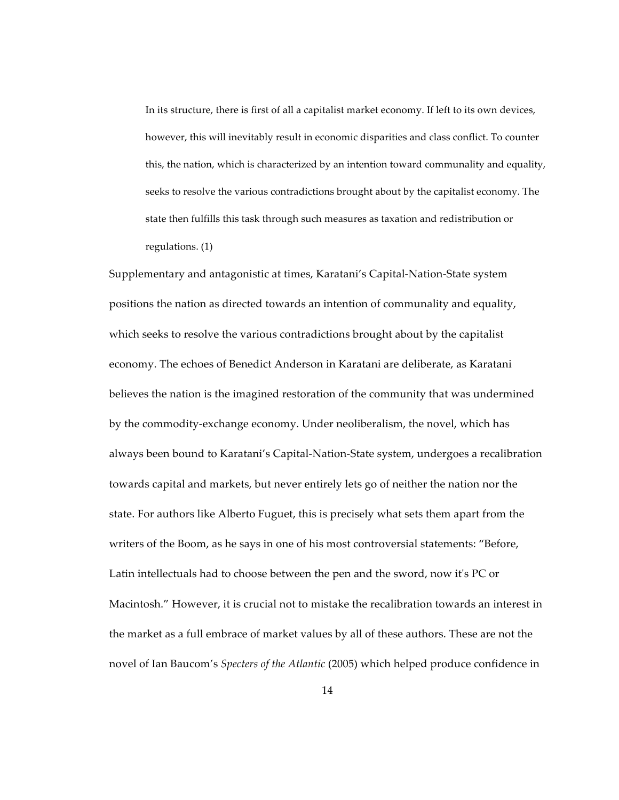In its structure, there is first of all a capitalist market economy. If left to its own devices, however, this will inevitably result in economic disparities and class conflict. To counter this, the nation, which is characterized by an intention toward communality and equality, seeks to resolve the various contradictions brought about by the capitalist economy. The state then fulfills this task through such measures as taxation and redistribution or regulations. (1)

Supplementary and antagonistic at times, Karatani's Capital-Nation-State system positions the nation as directed towards an intention of communality and equality, which seeks to resolve the various contradictions brought about by the capitalist economy. The echoes of Benedict Anderson in Karatani are deliberate, as Karatani believes the nation is the imagined restoration of the community that was undermined by the commodity-exchange economy. Under neoliberalism, the novel, which has always been bound to Karatani's Capital-Nation-State system, undergoes a recalibration towards capital and markets, but never entirely lets go of neither the nation nor the state. For authors like Alberto Fuguet, this is precisely what sets them apart from the writers of the Boom, as he says in one of his most controversial statements: "Before, Latin intellectuals had to choose between the pen and the sword, now it's PC or Macintosh." However, it is crucial not to mistake the recalibration towards an interest in the market as a full embrace of market values by all of these authors. These are not the novel of Ian Baucom's *Specters of the Atlantic* (2005) which helped produce confidence in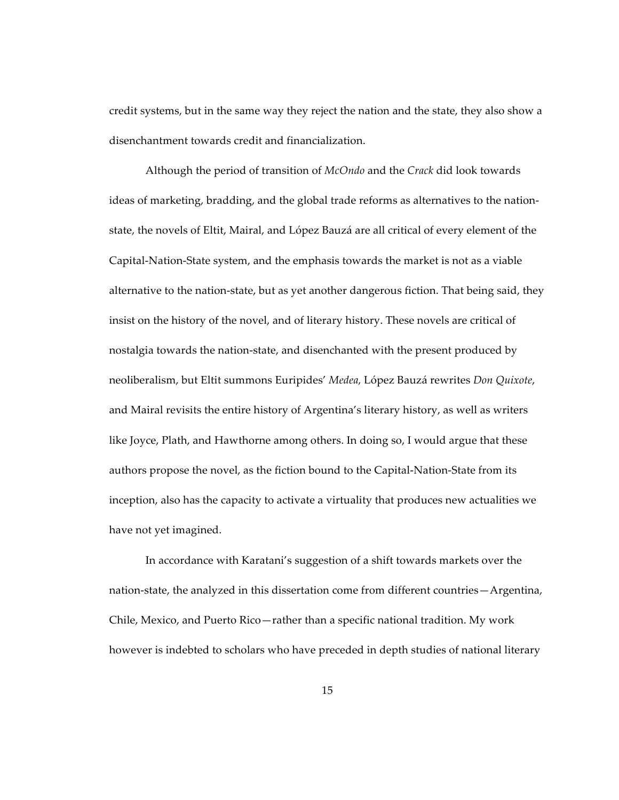credit systems, but in the same way they reject the nation and the state, they also show a disenchantment towards credit and financialization.

Although the period of transition of *McOndo* and the *Crack* did look towards ideas of marketing, bradding, and the global trade reforms as alternatives to the nationstate, the novels of Eltit, Mairal, and López Bauzá are all critical of every element of the Capital-Nation-State system, and the emphasis towards the market is not as a viable alternative to the nation-state, but as yet another dangerous fiction. That being said, they insist on the history of the novel, and of literary history. These novels are critical of nostalgia towards the nation-state, and disenchanted with the present produced by neoliberalism, but Eltit summons Euripides' *Medea,* López Bauzá rewrites *Don Quixote*, and Mairal revisits the entire history of Argentina's literary history, as well as writers like Joyce, Plath, and Hawthorne among others. In doing so, I would argue that these authors propose the novel, as the fiction bound to the Capital-Nation-State from its inception, also has the capacity to activate a virtuality that produces new actualities we have not yet imagined.

In accordance with Karatani's suggestion of a shift towards markets over the nation-state, the analyzed in this dissertation come from different countries—Argentina, Chile, Mexico, and Puerto Rico—rather than a specific national tradition. My work however is indebted to scholars who have preceded in depth studies of national literary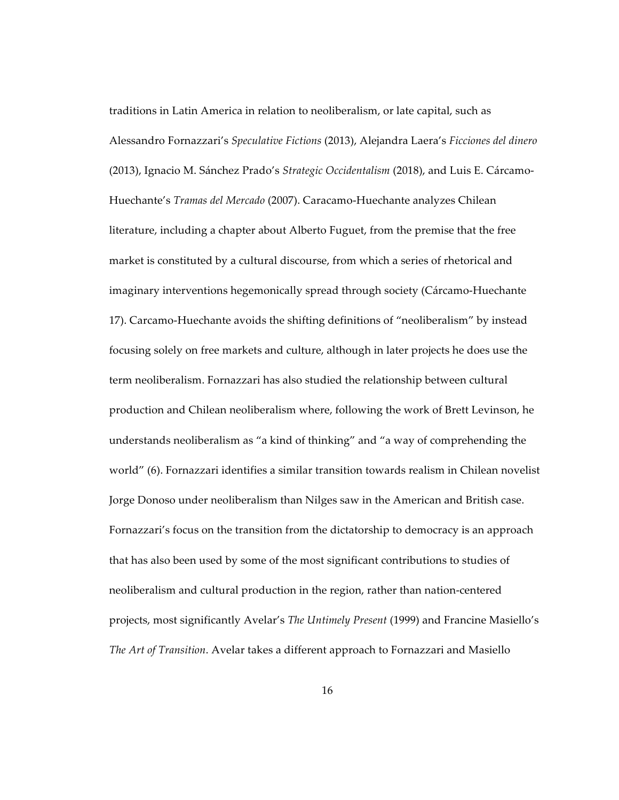traditions in Latin America in relation to neoliberalism, or late capital, such as Alessandro Fornazzari's *Speculative Fictions* (2013), Alejandra Laera's *Ficciones del dinero* (2013), Ignacio M. Sánchez Prado's *Strategic Occidentalism* (2018), and Luis E. Cárcamo-Huechante's *Tramas del Mercado* (2007). Caracamo-Huechante analyzes Chilean literature, including a chapter about Alberto Fuguet, from the premise that the free market is constituted by a cultural discourse, from which a series of rhetorical and imaginary interventions hegemonically spread through society (Cárcamo-Huechante 17). Carcamo-Huechante avoids the shifting definitions of "neoliberalism" by instead focusing solely on free markets and culture, although in later projects he does use the term neoliberalism. Fornazzari has also studied the relationship between cultural production and Chilean neoliberalism where, following the work of Brett Levinson, he understands neoliberalism as "a kind of thinking" and "a way of comprehending the world" (6). Fornazzari identifies a similar transition towards realism in Chilean novelist Jorge Donoso under neoliberalism than Nilges saw in the American and British case. Fornazzari's focus on the transition from the dictatorship to democracy is an approach that has also been used by some of the most significant contributions to studies of neoliberalism and cultural production in the region, rather than nation-centered projects, most significantly Avelar's *The Untimely Present* (1999) and Francine Masiello's *The Art of Transition*. Avelar takes a different approach to Fornazzari and Masiello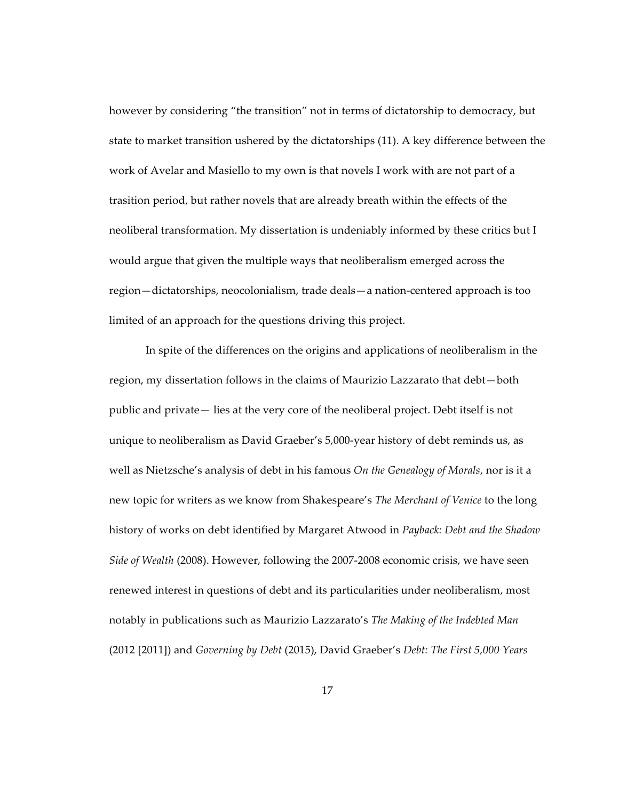however by considering "the transition" not in terms of dictatorship to democracy, but state to market transition ushered by the dictatorships (11). A key difference between the work of Avelar and Masiello to my own is that novels I work with are not part of a trasition period, but rather novels that are already breath within the effects of the neoliberal transformation. My dissertation is undeniably informed by these critics but I would argue that given the multiple ways that neoliberalism emerged across the region—dictatorships, neocolonialism, trade deals—a nation-centered approach is too limited of an approach for the questions driving this project.

In spite of the differences on the origins and applications of neoliberalism in the region, my dissertation follows in the claims of Maurizio Lazzarato that debt—both public and private— lies at the very core of the neoliberal project. Debt itself is not unique to neoliberalism as David Graeber's 5,000-year history of debt reminds us, as well as Nietzsche's analysis of debt in his famous *On the Genealogy of Morals*, nor is it a new topic for writers as we know from Shakespeare's *The Merchant of Venice* to the long history of works on debt identified by Margaret Atwood in *Payback: Debt and the Shadow Side of Wealth* (2008). However, following the 2007-2008 economic crisis, we have seen renewed interest in questions of debt and its particularities under neoliberalism, most notably in publications such as Maurizio Lazzarato's *The Making of the Indebted Man*  (2012 [2011]) and *Governing by Debt* (2015), David Graeber's *Debt: The First 5,000 Years*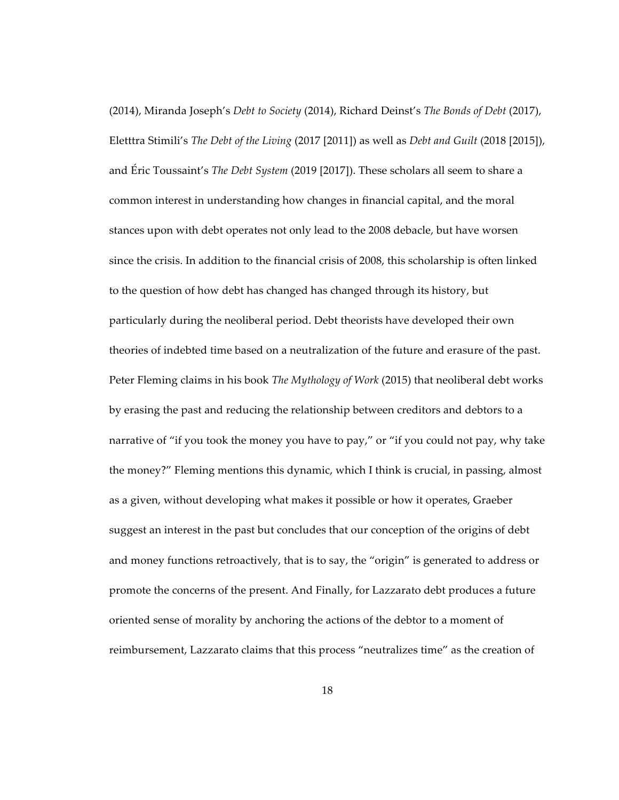(2014), Miranda Joseph's *Debt to Society* (2014), Richard Deinst's *The Bonds of Debt* (2017), Eletttra Stimili's *The Debt of the Living* (2017 [2011]) as well as *Debt and Guilt* (2018 [2015]), and Éric Toussaint's *The Debt System* (2019 [2017]). These scholars all seem to share a common interest in understanding how changes in financial capital, and the moral stances upon with debt operates not only lead to the 2008 debacle, but have worsen since the crisis. In addition to the financial crisis of 2008, this scholarship is often linked to the question of how debt has changed has changed through its history, but particularly during the neoliberal period. Debt theorists have developed their own theories of indebted time based on a neutralization of the future and erasure of the past. Peter Fleming claims in his book *The Mythology of Work* (2015) that neoliberal debt works by erasing the past and reducing the relationship between creditors and debtors to a narrative of "if you took the money you have to pay," or "if you could not pay, why take the money?" Fleming mentions this dynamic, which I think is crucial, in passing, almost as a given, without developing what makes it possible or how it operates, Graeber suggest an interest in the past but concludes that our conception of the origins of debt and money functions retroactively, that is to say, the "origin" is generated to address or promote the concerns of the present. And Finally, for Lazzarato debt produces a future oriented sense of morality by anchoring the actions of the debtor to a moment of reimbursement, Lazzarato claims that this process "neutralizes time" as the creation of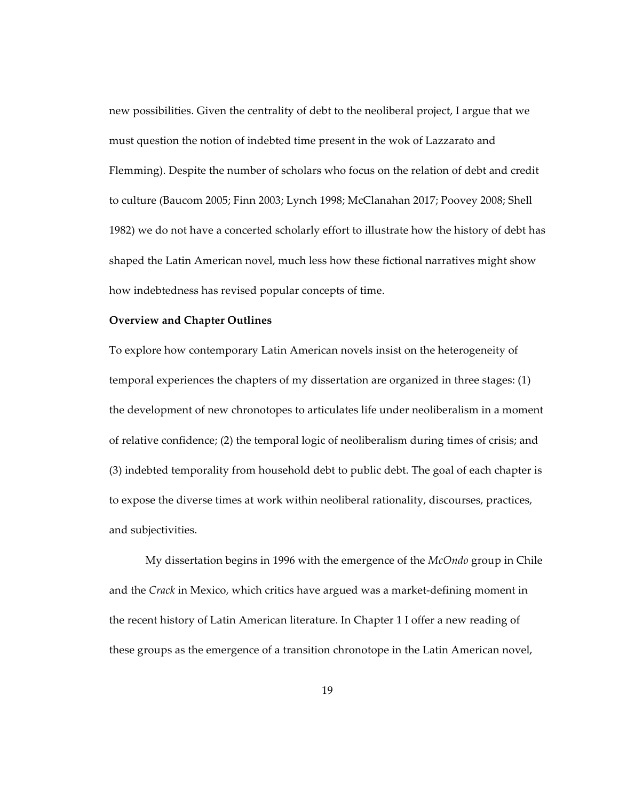new possibilities. Given the centrality of debt to the neoliberal project, I argue that we must question the notion of indebted time present in the wok of Lazzarato and Flemming). Despite the number of scholars who focus on the relation of debt and credit to culture (Baucom 2005; Finn 2003; Lynch 1998; McClanahan 2017; Poovey 2008; Shell 1982) we do not have a concerted scholarly effort to illustrate how the history of debt has shaped the Latin American novel, much less how these fictional narratives might show how indebtedness has revised popular concepts of time.

### **Overview and Chapter Outlines**

To explore how contemporary Latin American novels insist on the heterogeneity of temporal experiences the chapters of my dissertation are organized in three stages: (1) the development of new chronotopes to articulates life under neoliberalism in a moment of relative confidence; (2) the temporal logic of neoliberalism during times of crisis; and (3) indebted temporality from household debt to public debt. The goal of each chapter is to expose the diverse times at work within neoliberal rationality, discourses, practices, and subjectivities.

My dissertation begins in 1996 with the emergence of the *McOndo* group in Chile and the *Crack* in Mexico, which critics have argued was a market-defining moment in the recent history of Latin American literature. In Chapter 1 I offer a new reading of these groups as the emergence of a transition chronotope in the Latin American novel,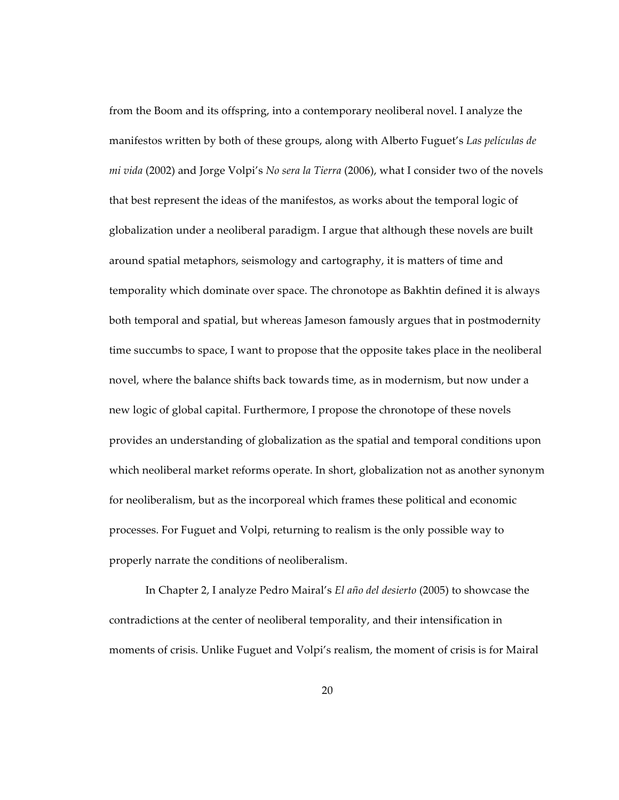from the Boom and its offspring, into a contemporary neoliberal novel. I analyze the manifestos written by both of these groups, along with Alberto Fuguet's *Las películas de mi vida* (2002) and Jorge Volpi's *No sera la Tierra* (2006), what I consider two of the novels that best represent the ideas of the manifestos, as works about the temporal logic of globalization under a neoliberal paradigm. I argue that although these novels are built around spatial metaphors, seismology and cartography, it is matters of time and temporality which dominate over space. The chronotope as Bakhtin defined it is always both temporal and spatial, but whereas Jameson famously argues that in postmodernity time succumbs to space, I want to propose that the opposite takes place in the neoliberal novel, where the balance shifts back towards time, as in modernism, but now under a new logic of global capital. Furthermore, I propose the chronotope of these novels provides an understanding of globalization as the spatial and temporal conditions upon which neoliberal market reforms operate. In short, globalization not as another synonym for neoliberalism, but as the incorporeal which frames these political and economic processes. For Fuguet and Volpi, returning to realism is the only possible way to properly narrate the conditions of neoliberalism.

In Chapter 2, I analyze Pedro Mairal's *El año del desierto* (2005) to showcase the contradictions at the center of neoliberal temporality, and their intensification in moments of crisis. Unlike Fuguet and Volpi's realism, the moment of crisis is for Mairal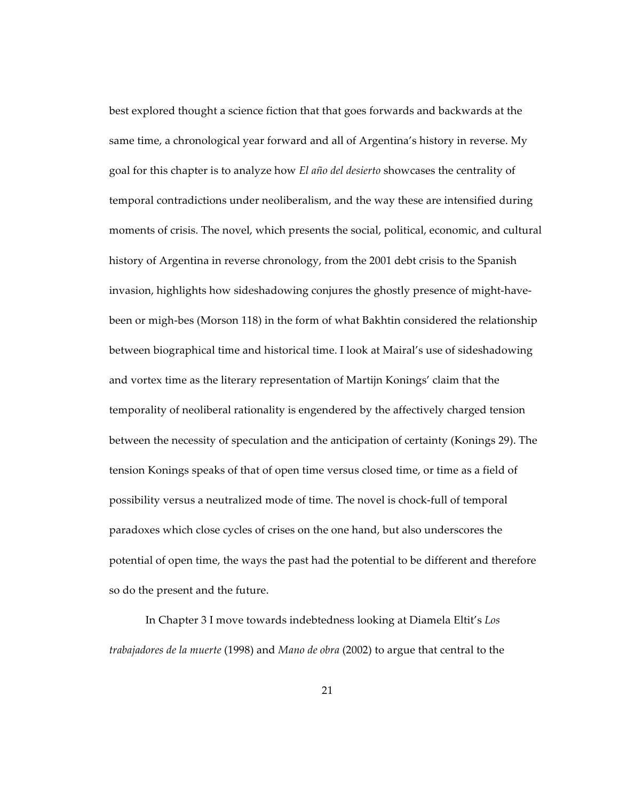best explored thought a science fiction that that goes forwards and backwards at the same time, a chronological year forward and all of Argentina's history in reverse. My goal for this chapter is to analyze how *El año del desierto* showcases the centrality of temporal contradictions under neoliberalism, and the way these are intensified during moments of crisis. The novel, which presents the social, political, economic, and cultural history of Argentina in reverse chronology, from the 2001 debt crisis to the Spanish invasion, highlights how sideshadowing conjures the ghostly presence of might-havebeen or migh-bes (Morson 118) in the form of what Bakhtin considered the relationship between biographical time and historical time. I look at Mairal's use of sideshadowing and vortex time as the literary representation of Martijn Konings' claim that the temporality of neoliberal rationality is engendered by the affectively charged tension between the necessity of speculation and the anticipation of certainty (Konings 29). The tension Konings speaks of that of open time versus closed time, or time as a field of possibility versus a neutralized mode of time. The novel is chock-full of temporal paradoxes which close cycles of crises on the one hand, but also underscores the potential of open time, the ways the past had the potential to be different and therefore so do the present and the future.

In Chapter 3 I move towards indebtedness looking at Diamela Eltit's *Los trabajadores de la muerte* (1998) and *Mano de obra* (2002) to argue that central to the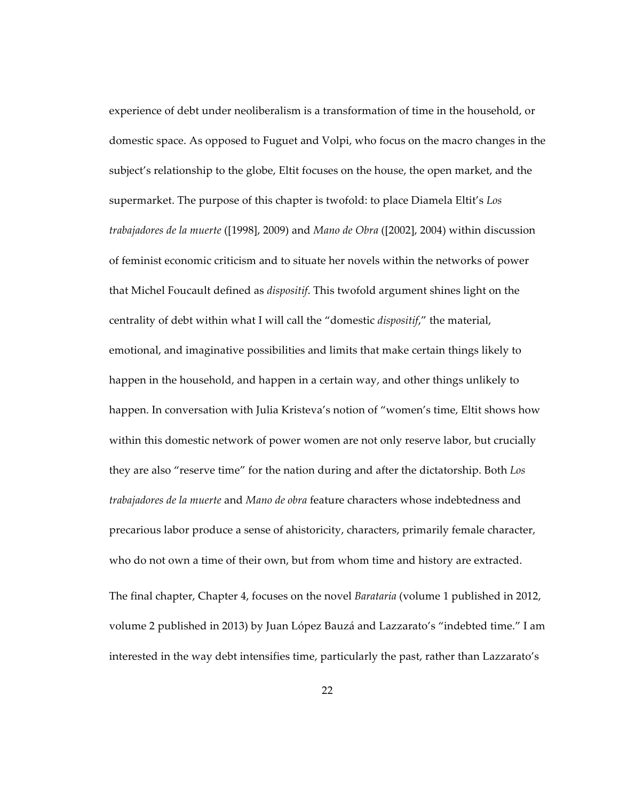experience of debt under neoliberalism is a transformation of time in the household, or domestic space. As opposed to Fuguet and Volpi, who focus on the macro changes in the subject's relationship to the globe, Eltit focuses on the house, the open market, and the supermarket. The purpose of this chapter is twofold: to place Diamela Eltit's *Los trabajadores de la muerte* ([1998], 2009) and *Mano de Obra* ([2002], 2004) within discussion of feminist economic criticism and to situate her novels within the networks of power that Michel Foucault defined as *dispositif*. This twofold argument shines light on the centrality of debt within what I will call the "domestic *dispositif*," the material, emotional, and imaginative possibilities and limits that make certain things likely to happen in the household, and happen in a certain way, and other things unlikely to happen. In conversation with Julia Kristeva's notion of "women's time, Eltit shows how within this domestic network of power women are not only reserve labor, but crucially they are also "reserve time" for the nation during and after the dictatorship. Both *Los trabajadores de la muerte* and *Mano de obra* feature characters whose indebtedness and precarious labor produce a sense of ahistoricity, characters, primarily female character, who do not own a time of their own, but from whom time and history are extracted. The final chapter, Chapter 4, focuses on the novel *Barataria* (volume 1 published in 2012, volume 2 published in 2013) by Juan López Bauzá and Lazzarato's "indebted time." I am interested in the way debt intensifies time, particularly the past, rather than Lazzarato's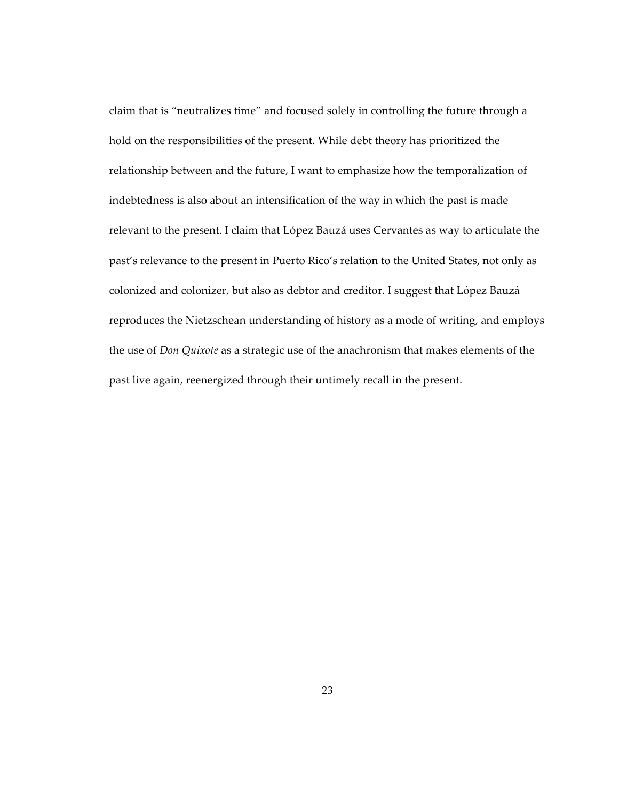claim that is "neutralizes time" and focused solely in controlling the future through a hold on the responsibilities of the present. While debt theory has prioritized the relationship between and the future, I want to emphasize how the temporalization of indebtedness is also about an intensification of the way in which the past is made relevant to the present. I claim that López Bauzá uses Cervantes as way to articulate the past's relevance to the present in Puerto Rico's relation to the United States, not only as colonized and colonizer, but also as debtor and creditor. I suggest that López Bauzá reproduces the Nietzschean understanding of history as a mode of writing, and employs the use of *Don Quixote* as a strategic use of the anachronism that makes elements of the past live again, reenergized through their untimely recall in the present.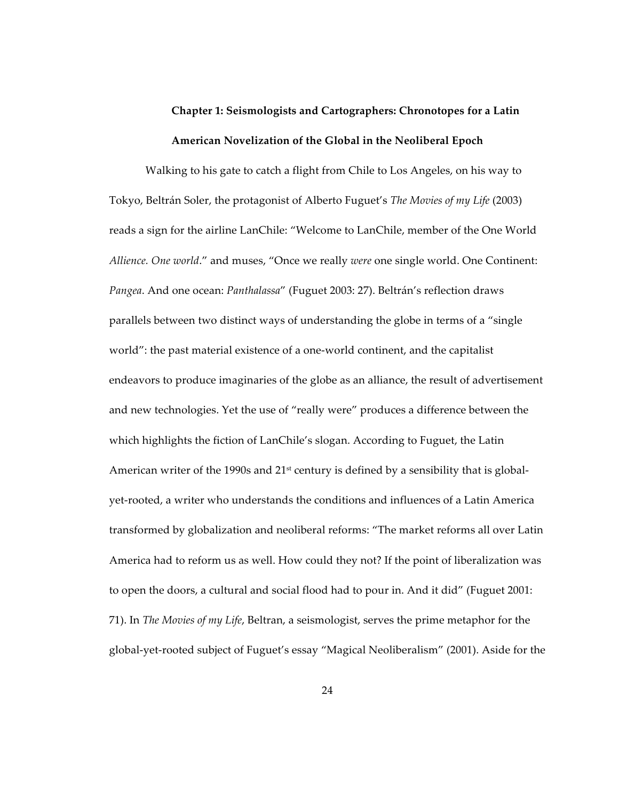# **Chapter 1: Seismologists and Cartographers: Chronotopes for a Latin American Novelization of the Global in the Neoliberal Epoch**

Walking to his gate to catch a flight from Chile to Los Angeles, on his way to Tokyo, Beltrán Soler, the protagonist of Alberto Fuguet's *The Movies of my Life* (2003) reads a sign for the airline LanChile: "Welcome to LanChile, member of the One World *Allience. One world*." and muses, "Once we really *were* one single world. One Continent: *Pangea*. And one ocean: *Panthalassa*" (Fuguet 2003: 27). Beltrán's reflection draws parallels between two distinct ways of understanding the globe in terms of a "single world": the past material existence of a one-world continent, and the capitalist endeavors to produce imaginaries of the globe as an alliance, the result of advertisement and new technologies. Yet the use of "really were" produces a difference between the which highlights the fiction of LanChile's slogan. According to Fuguet, the Latin American writer of the 1990s and  $21<sup>st</sup>$  century is defined by a sensibility that is globalyet-rooted, a writer who understands the conditions and influences of a Latin America transformed by globalization and neoliberal reforms: "The market reforms all over Latin America had to reform us as well. How could they not? If the point of liberalization was to open the doors, a cultural and social flood had to pour in. And it did" (Fuguet 2001: 71). In *The Movies of my Life*, Beltran, a seismologist, serves the prime metaphor for the global-yet-rooted subject of Fuguet's essay "Magical Neoliberalism" (2001). Aside for the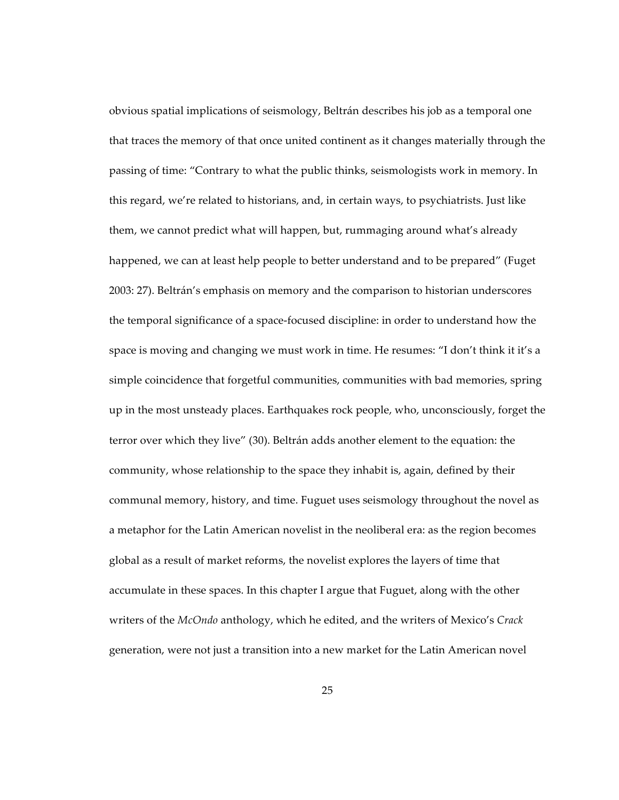obvious spatial implications of seismology, Beltrán describes his job as a temporal one that traces the memory of that once united continent as it changes materially through the passing of time: "Contrary to what the public thinks, seismologists work in memory. In this regard, we're related to historians, and, in certain ways, to psychiatrists. Just like them, we cannot predict what will happen, but, rummaging around what's already happened, we can at least help people to better understand and to be prepared" (Fuget 2003: 27). Beltrán's emphasis on memory and the comparison to historian underscores the temporal significance of a space-focused discipline: in order to understand how the space is moving and changing we must work in time. He resumes: "I don't think it it's a simple coincidence that forgetful communities, communities with bad memories, spring up in the most unsteady places. Earthquakes rock people, who, unconsciously, forget the terror over which they live" (30). Beltrán adds another element to the equation: the community, whose relationship to the space they inhabit is, again, defined by their communal memory, history, and time. Fuguet uses seismology throughout the novel as a metaphor for the Latin American novelist in the neoliberal era: as the region becomes global as a result of market reforms, the novelist explores the layers of time that accumulate in these spaces. In this chapter I argue that Fuguet, along with the other writers of the *McOndo* anthology, which he edited, and the writers of Mexico's *Crack* generation, were not just a transition into a new market for the Latin American novel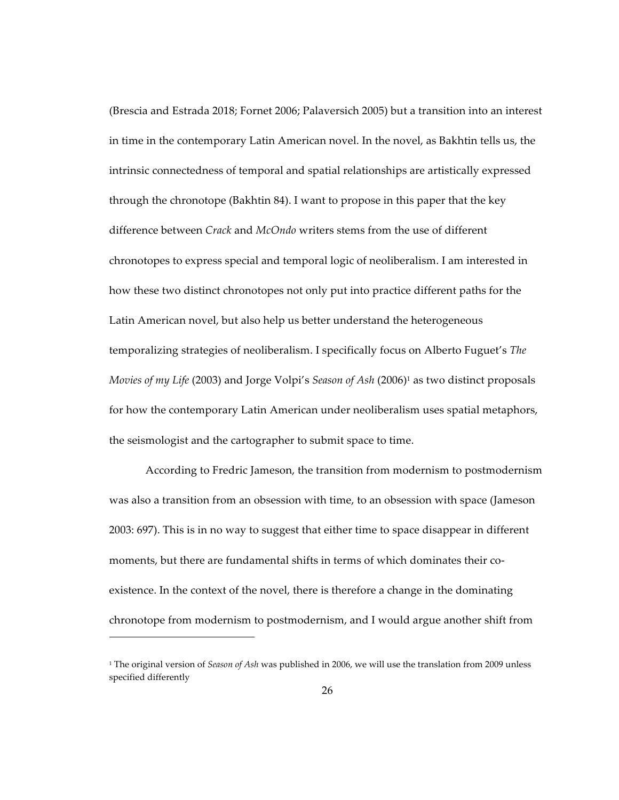(Brescia and Estrada 2018; Fornet 2006; Palaversich 2005) but a transition into an interest in time in the contemporary Latin American novel. In the novel, as Bakhtin tells us, the intrinsic connectedness of temporal and spatial relationships are artistically expressed through the chronotope (Bakhtin 84). I want to propose in this paper that the key difference between *Crack* and *McOndo* writers stems from the use of different chronotopes to express special and temporal logic of neoliberalism. I am interested in how these two distinct chronotopes not only put into practice different paths for the Latin American novel, but also help us better understand the heterogeneous temporalizing strategies of neoliberalism. I specifically focus on Alberto Fuguet's *The Movies of my Life (2003) and Jorge Volpi's Season of Ash (2006)<sup>1</sup> as two distinct proposals* for how the contemporary Latin American under neoliberalism uses spatial metaphors, the seismologist and the cartographer to submit space to time.

According to Fredric Jameson, the transition from modernism to postmodernism was also a transition from an obsession with time, to an obsession with space (Jameson 2003: 697). This is in no way to suggest that either time to space disappear in different moments, but there are fundamental shifts in terms of which dominates their coexistence. In the context of the novel, there is therefore a change in the dominating chronotope from modernism to postmodernism, and I would argue another shift from

 $\overline{a}$ 

<sup>1</sup> The original version of *Season of Ash* was published in 2006, we will use the translation from 2009 unless specified differently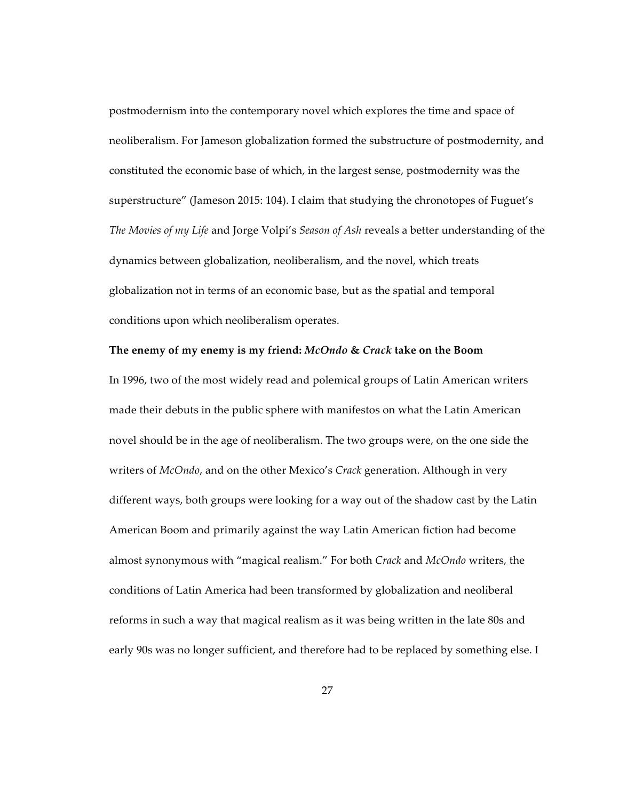postmodernism into the contemporary novel which explores the time and space of neoliberalism. For Jameson globalization formed the substructure of postmodernity, and constituted the economic base of which, in the largest sense, postmodernity was the superstructure" (Jameson 2015: 104). I claim that studying the chronotopes of Fuguet's *The Movies of my Life* and Jorge Volpi's *Season of Ash* reveals a better understanding of the dynamics between globalization, neoliberalism, and the novel, which treats globalization not in terms of an economic base, but as the spatial and temporal conditions upon which neoliberalism operates.

# **The enemy of my enemy is my friend:** *McOndo* **&** *Crack* **take on the Boom**

In 1996, two of the most widely read and polemical groups of Latin American writers made their debuts in the public sphere with manifestos on what the Latin American novel should be in the age of neoliberalism. The two groups were, on the one side the writers of *McOndo*, and on the other Mexico's *Crack* generation. Although in very different ways, both groups were looking for a way out of the shadow cast by the Latin American Boom and primarily against the way Latin American fiction had become almost synonymous with "magical realism." For both *Crack* and *McOndo* writers, the conditions of Latin America had been transformed by globalization and neoliberal reforms in such a way that magical realism as it was being written in the late 80s and early 90s was no longer sufficient, and therefore had to be replaced by something else. I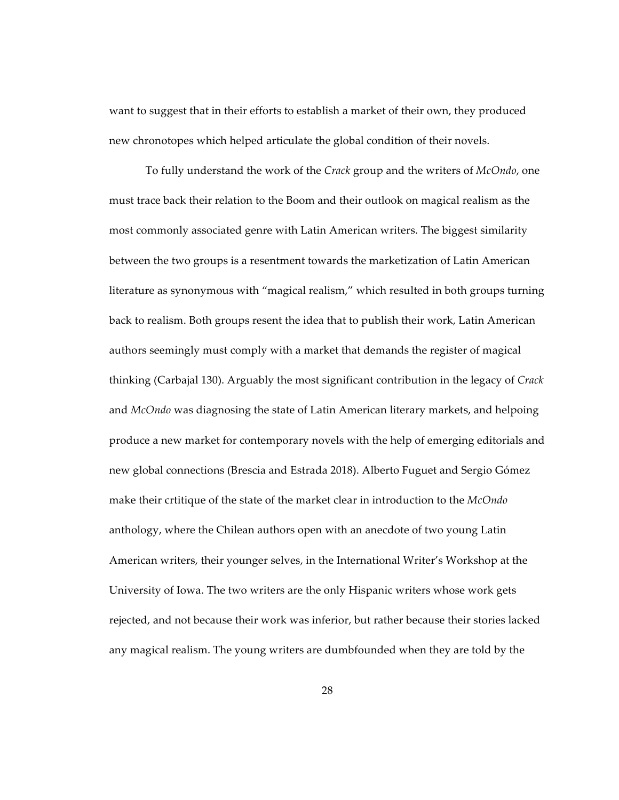want to suggest that in their efforts to establish a market of their own, they produced new chronotopes which helped articulate the global condition of their novels.

To fully understand the work of the *Crack* group and the writers of *McOndo*, one must trace back their relation to the Boom and their outlook on magical realism as the most commonly associated genre with Latin American writers. The biggest similarity between the two groups is a resentment towards the marketization of Latin American literature as synonymous with "magical realism," which resulted in both groups turning back to realism. Both groups resent the idea that to publish their work, Latin American authors seemingly must comply with a market that demands the register of magical thinking (Carbajal 130). Arguably the most significant contribution in the legacy of *Crack*  and *McOndo* was diagnosing the state of Latin American literary markets, and helpoing produce a new market for contemporary novels with the help of emerging editorials and new global connections (Brescia and Estrada 2018). Alberto Fuguet and Sergio Gómez make their crtitique of the state of the market clear in introduction to the *McOndo*  anthology, where the Chilean authors open with an anecdote of two young Latin American writers, their younger selves, in the International Writer's Workshop at the University of Iowa. The two writers are the only Hispanic writers whose work gets rejected, and not because their work was inferior, but rather because their stories lacked any magical realism. The young writers are dumbfounded when they are told by the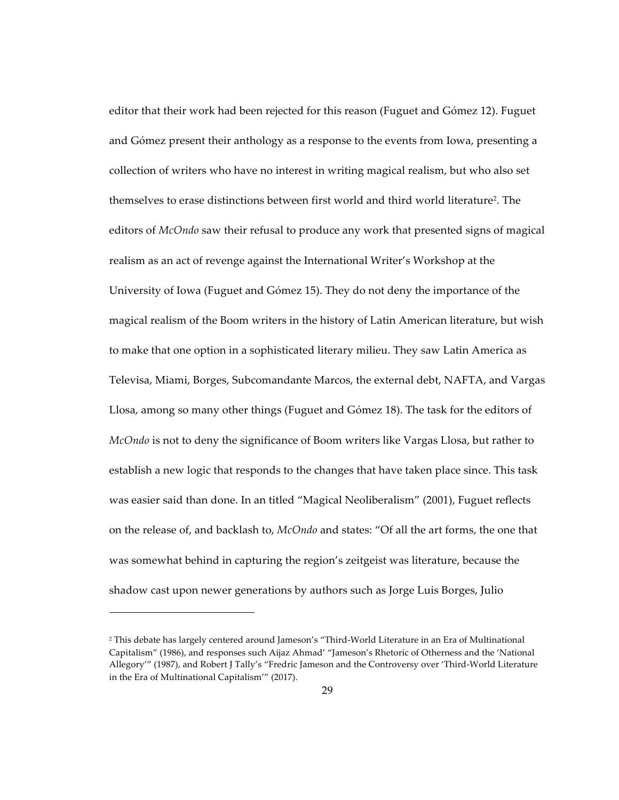editor that their work had been rejected for this reason (Fuguet and Gómez 12). Fuguet and Gómez present their anthology as a response to the events from Iowa, presenting a collection of writers who have no interest in writing magical realism, but who also set themselves to erase distinctions between first world and third world literature<sup>2</sup>. The editors of *McOndo* saw their refusal to produce any work that presented signs of magical realism as an act of revenge against the International Writer's Workshop at the University of Iowa (Fuguet and Gómez 15). They do not deny the importance of the magical realism of the Boom writers in the history of Latin American literature, but wish to make that one option in a sophisticated literary milieu. They saw Latin America as Televisa, Miami, Borges, Subcomandante Marcos, the external debt, NAFTA, and Vargas Llosa, among so many other things (Fuguet and Gómez 18). The task for the editors of *McOndo* is not to deny the significance of Boom writers like Vargas Llosa, but rather to establish a new logic that responds to the changes that have taken place since. This task was easier said than done. In an titled "Magical Neoliberalism" (2001), Fuguet reflects on the release of, and backlash to, *McOndo* and states: "Of all the art forms, the one that was somewhat behind in capturing the region's zeitgeist was literature, because the shadow cast upon newer generations by authors such as Jorge Luis Borges, Julio

 $\overline{a}$ 

<sup>2</sup> This debate has largely centered around Jameson's "Third-World Literature in an Era of Multinational Capitalism" (1986), and responses such Aijaz Ahmad' "Jameson's Rhetoric of Otherness and the 'National Allegory'" (1987), and Robert J Tally's "Fredric Jameson and the Controversy over 'Third-World Literature in the Era of Multinational Capitalism'" (2017).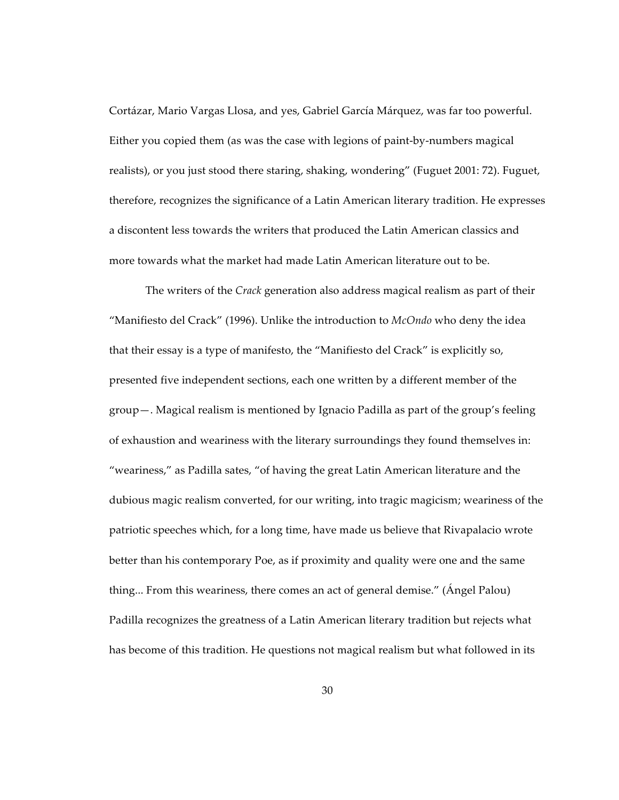Cortázar, Mario Vargas Llosa, and yes, Gabriel García Márquez, was far too powerful. Either you copied them (as was the case with legions of paint-by-numbers magical realists), or you just stood there staring, shaking, wondering" (Fuguet 2001: 72). Fuguet, therefore, recognizes the significance of a Latin American literary tradition. He expresses a discontent less towards the writers that produced the Latin American classics and more towards what the market had made Latin American literature out to be.

The writers of the *Crack* generation also address magical realism as part of their "Manifiesto del Crack" (1996). Unlike the introduction to *McOndo* who deny the idea that their essay is a type of manifesto, the "Manifiesto del Crack" is explicitly so, presented five independent sections, each one written by a different member of the group—. Magical realism is mentioned by Ignacio Padilla as part of the group's feeling of exhaustion and weariness with the literary surroundings they found themselves in: "weariness," as Padilla sates, "of having the great Latin American literature and the dubious magic realism converted, for our writing, into tragic magicism; weariness of the patriotic speeches which, for a long time, have made us believe that Rivapalacio wrote better than his contemporary Poe, as if proximity and quality were one and the same thing... From this weariness, there comes an act of general demise." (Ángel Palou) Padilla recognizes the greatness of a Latin American literary tradition but rejects what has become of this tradition. He questions not magical realism but what followed in its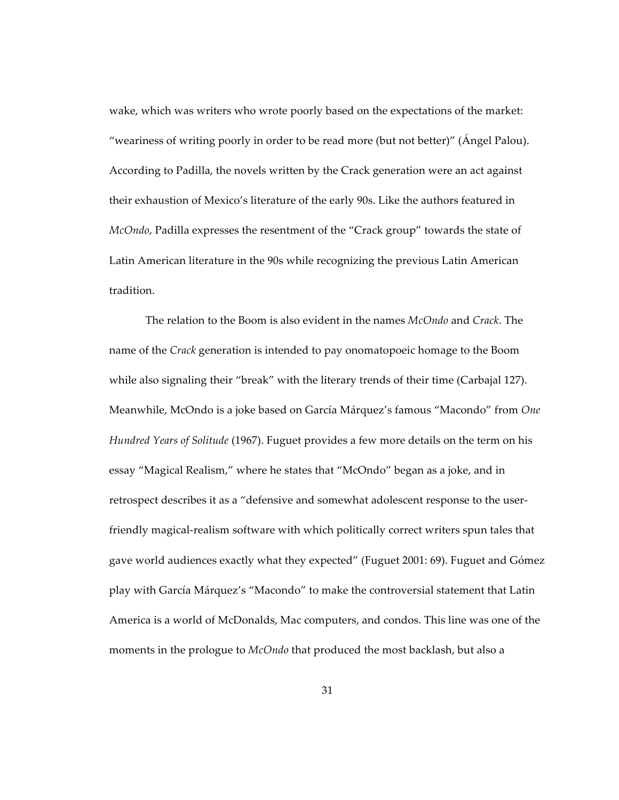wake, which was writers who wrote poorly based on the expectations of the market: "weariness of writing poorly in order to be read more (but not better)" (Ángel Palou). According to Padilla, the novels written by the Crack generation were an act against their exhaustion of Mexico's literature of the early 90s. Like the authors featured in *McOndo*, Padilla expresses the resentment of the "Crack group" towards the state of Latin American literature in the 90s while recognizing the previous Latin American tradition.

The relation to the Boom is also evident in the names *McOndo* and *Crack*. The name of the *Crack* generation is intended to pay onomatopoeic homage to the Boom while also signaling their "break" with the literary trends of their time (Carbajal 127). Meanwhile, McOndo is a joke based on García Márquez's famous "Macondo" from *One Hundred Years of Solitude* (1967). Fuguet provides a few more details on the term on his essay "Magical Realism," where he states that "McOndo" began as a joke, and in retrospect describes it as a "defensive and somewhat adolescent response to the userfriendly magical-realism software with which politically correct writers spun tales that gave world audiences exactly what they expected" (Fuguet 2001: 69). Fuguet and Gómez play with García Márquez's "Macondo" to make the controversial statement that Latin America is a world of McDonalds, Mac computers, and condos. This line was one of the moments in the prologue to *McOndo* that produced the most backlash, but also a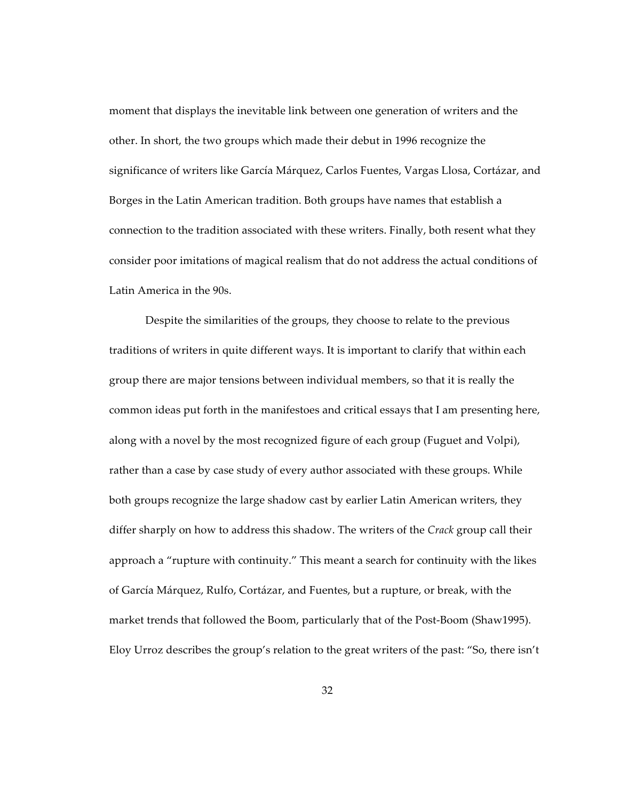moment that displays the inevitable link between one generation of writers and the other. In short, the two groups which made their debut in 1996 recognize the significance of writers like García Márquez, Carlos Fuentes, Vargas Llosa, Cortázar, and Borges in the Latin American tradition. Both groups have names that establish a connection to the tradition associated with these writers. Finally, both resent what they consider poor imitations of magical realism that do not address the actual conditions of Latin America in the 90s.

Despite the similarities of the groups, they choose to relate to the previous traditions of writers in quite different ways. It is important to clarify that within each group there are major tensions between individual members, so that it is really the common ideas put forth in the manifestoes and critical essays that I am presenting here, along with a novel by the most recognized figure of each group (Fuguet and Volpi), rather than a case by case study of every author associated with these groups. While both groups recognize the large shadow cast by earlier Latin American writers, they differ sharply on how to address this shadow. The writers of the *Crack* group call their approach a "rupture with continuity." This meant a search for continuity with the likes of García Márquez, Rulfo, Cortázar, and Fuentes, but a rupture, or break, with the market trends that followed the Boom, particularly that of the Post-Boom (Shaw1995). Eloy Urroz describes the group's relation to the great writers of the past: "So, there isn't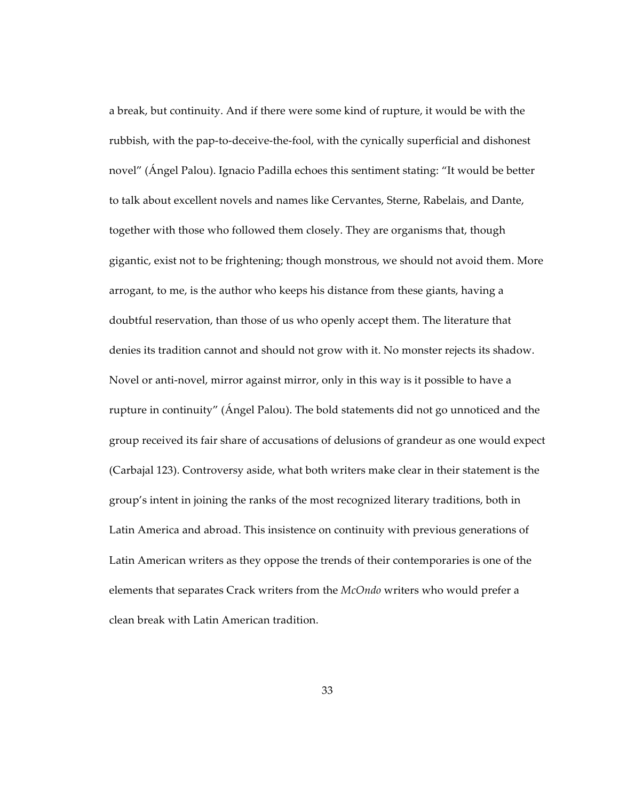a break, but continuity. And if there were some kind of rupture, it would be with the rubbish, with the pap-to-deceive-the-fool, with the cynically superficial and dishonest novel" (Ángel Palou). Ignacio Padilla echoes this sentiment stating: "It would be better to talk about excellent novels and names like Cervantes, Sterne, Rabelais, and Dante, together with those who followed them closely. They are organisms that, though gigantic, exist not to be frightening; though monstrous, we should not avoid them. More arrogant, to me, is the author who keeps his distance from these giants, having a doubtful reservation, than those of us who openly accept them. The literature that denies its tradition cannot and should not grow with it. No monster rejects its shadow. Novel or anti-novel, mirror against mirror, only in this way is it possible to have a rupture in continuity" (Ángel Palou). The bold statements did not go unnoticed and the group received its fair share of accusations of delusions of grandeur as one would expect (Carbajal 123). Controversy aside, what both writers make clear in their statement is the group's intent in joining the ranks of the most recognized literary traditions, both in Latin America and abroad. This insistence on continuity with previous generations of Latin American writers as they oppose the trends of their contemporaries is one of the elements that separates Crack writers from the *McOndo* writers who would prefer a clean break with Latin American tradition.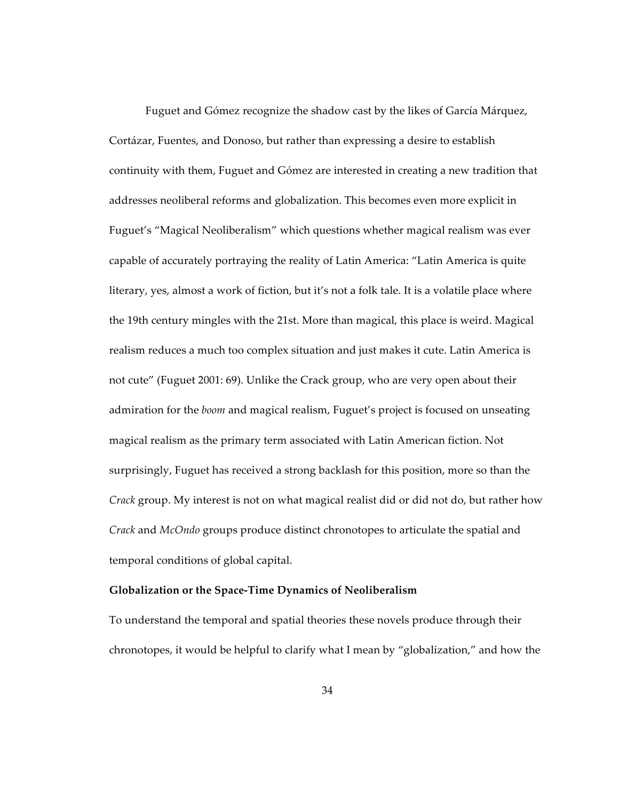Fuguet and Gómez recognize the shadow cast by the likes of García Márquez, Cortázar, Fuentes, and Donoso, but rather than expressing a desire to establish continuity with them, Fuguet and Gómez are interested in creating a new tradition that addresses neoliberal reforms and globalization. This becomes even more explicit in Fuguet's "Magical Neoliberalism" which questions whether magical realism was ever capable of accurately portraying the reality of Latin America: "Latin America is quite literary, yes, almost a work of fiction, but it's not a folk tale. It is a volatile place where the 19th century mingles with the 21st. More than magical, this place is weird. Magical realism reduces a much too complex situation and just makes it cute. Latin America is not cute" (Fuguet 2001: 69). Unlike the Crack group, who are very open about their admiration for the *boom* and magical realism, Fuguet's project is focused on unseating magical realism as the primary term associated with Latin American fiction. Not surprisingly, Fuguet has received a strong backlash for this position, more so than the *Crack* group. My interest is not on what magical realist did or did not do, but rather how *Crack* and *McOndo* groups produce distinct chronotopes to articulate the spatial and temporal conditions of global capital.

## **Globalization or the Space-Time Dynamics of Neoliberalism**

To understand the temporal and spatial theories these novels produce through their chronotopes, it would be helpful to clarify what I mean by "globalization," and how the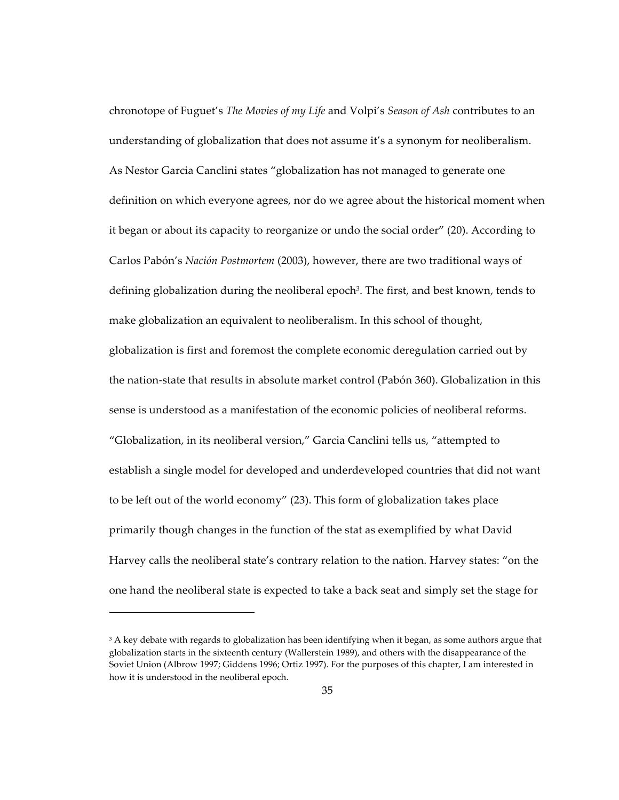chronotope of Fuguet's *The Movies of my Life* and Volpi's *Season of Ash* contributes to an understanding of globalization that does not assume it's a synonym for neoliberalism. As Nestor Garcia Canclini states "globalization has not managed to generate one definition on which everyone agrees, nor do we agree about the historical moment when it began or about its capacity to reorganize or undo the social order" (20). According to Carlos Pabón's *Nación Postmortem* (2003), however, there are two traditional ways of defining globalization during the neoliberal epoch<sup>3</sup>. The first, and best known, tends to make globalization an equivalent to neoliberalism. In this school of thought, globalization is first and foremost the complete economic deregulation carried out by the nation-state that results in absolute market control (Pabón 360). Globalization in this sense is understood as a manifestation of the economic policies of neoliberal reforms. "Globalization, in its neoliberal version," Garcia Canclini tells us, "attempted to establish a single model for developed and underdeveloped countries that did not want to be left out of the world economy" (23). This form of globalization takes place primarily though changes in the function of the stat as exemplified by what David Harvey calls the neoliberal state's contrary relation to the nation. Harvey states: "on the one hand the neoliberal state is expected to take a back seat and simply set the stage for

<sup>&</sup>lt;sup>3</sup> A key debate with regards to globalization has been identifying when it began, as some authors argue that globalization starts in the sixteenth century (Wallerstein 1989), and others with the disappearance of the Soviet Union (Albrow 1997; Giddens 1996; Ortiz 1997). For the purposes of this chapter, I am interested in how it is understood in the neoliberal epoch.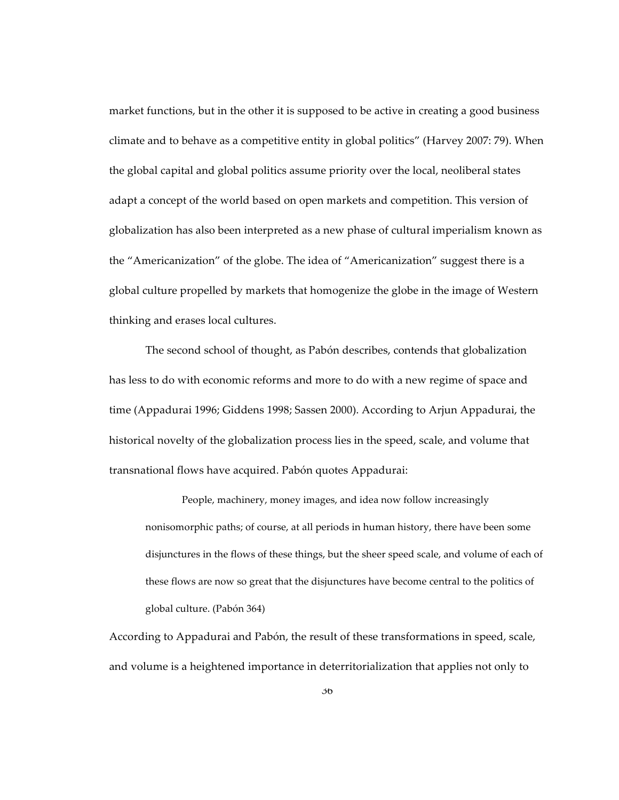market functions, but in the other it is supposed to be active in creating a good business climate and to behave as a competitive entity in global politics" (Harvey 2007: 79). When the global capital and global politics assume priority over the local, neoliberal states adapt a concept of the world based on open markets and competition. This version of globalization has also been interpreted as a new phase of cultural imperialism known as the "Americanization" of the globe. The idea of "Americanization" suggest there is a global culture propelled by markets that homogenize the globe in the image of Western thinking and erases local cultures.

The second school of thought, as Pabón describes, contends that globalization has less to do with economic reforms and more to do with a new regime of space and time (Appadurai 1996; Giddens 1998; Sassen 2000). According to Arjun Appadurai, the historical novelty of the globalization process lies in the speed, scale, and volume that transnational flows have acquired. Pabón quotes Appadurai:

People, machinery, money images, and idea now follow increasingly nonisomorphic paths; of course, at all periods in human history, there have been some disjunctures in the flows of these things, but the sheer speed scale, and volume of each of these flows are now so great that the disjunctures have become central to the politics of global culture. (Pabón 364)

According to Appadurai and Pabón, the result of these transformations in speed, scale, and volume is a heightened importance in deterritorialization that applies not only to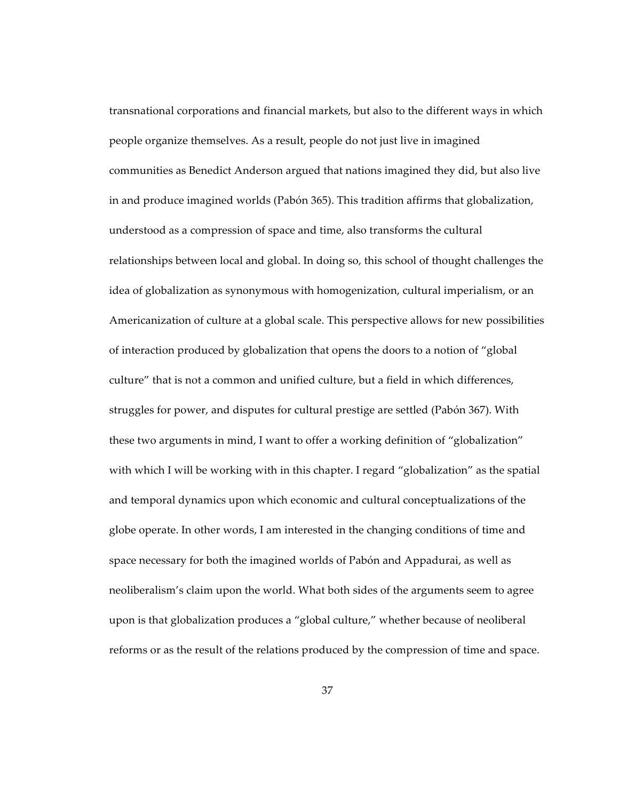transnational corporations and financial markets, but also to the different ways in which people organize themselves. As a result, people do not just live in imagined communities as Benedict Anderson argued that nations imagined they did, but also live in and produce imagined worlds (Pabón 365). This tradition affirms that globalization, understood as a compression of space and time, also transforms the cultural relationships between local and global. In doing so, this school of thought challenges the idea of globalization as synonymous with homogenization, cultural imperialism, or an Americanization of culture at a global scale. This perspective allows for new possibilities of interaction produced by globalization that opens the doors to a notion of "global culture" that is not a common and unified culture, but a field in which differences, struggles for power, and disputes for cultural prestige are settled (Pabón 367). With these two arguments in mind, I want to offer a working definition of "globalization" with which I will be working with in this chapter. I regard "globalization" as the spatial and temporal dynamics upon which economic and cultural conceptualizations of the globe operate. In other words, I am interested in the changing conditions of time and space necessary for both the imagined worlds of Pabón and Appadurai, as well as neoliberalism's claim upon the world. What both sides of the arguments seem to agree upon is that globalization produces a "global culture," whether because of neoliberal reforms or as the result of the relations produced by the compression of time and space.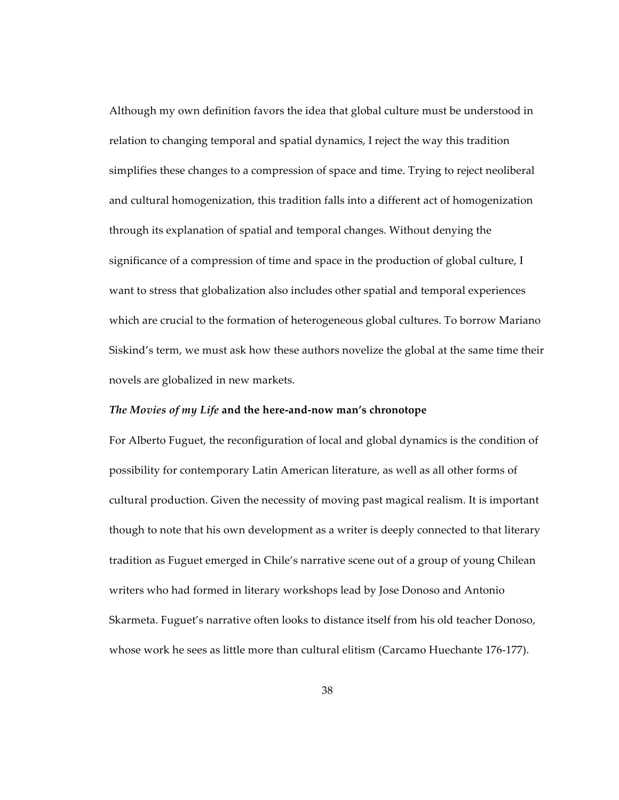Although my own definition favors the idea that global culture must be understood in relation to changing temporal and spatial dynamics, I reject the way this tradition simplifies these changes to a compression of space and time. Trying to reject neoliberal and cultural homogenization, this tradition falls into a different act of homogenization through its explanation of spatial and temporal changes. Without denying the significance of a compression of time and space in the production of global culture, I want to stress that globalization also includes other spatial and temporal experiences which are crucial to the formation of heterogeneous global cultures. To borrow Mariano Siskind's term, we must ask how these authors novelize the global at the same time their novels are globalized in new markets.

### *The Movies of my Life* **and the here-and-now man's chronotope**

For Alberto Fuguet, the reconfiguration of local and global dynamics is the condition of possibility for contemporary Latin American literature, as well as all other forms of cultural production. Given the necessity of moving past magical realism. It is important though to note that his own development as a writer is deeply connected to that literary tradition as Fuguet emerged in Chile's narrative scene out of a group of young Chilean writers who had formed in literary workshops lead by Jose Donoso and Antonio Skarmeta. Fuguet's narrative often looks to distance itself from his old teacher Donoso, whose work he sees as little more than cultural elitism (Carcamo Huechante 176-177).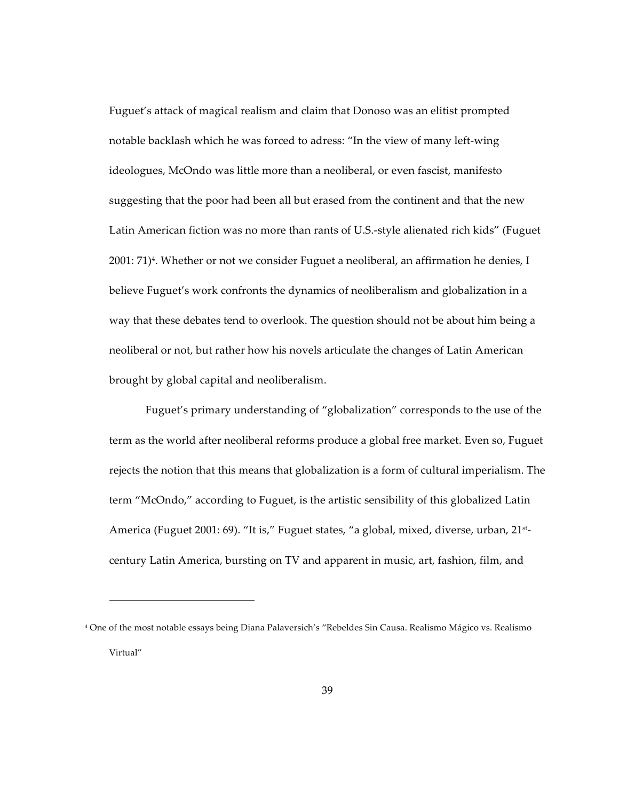Fuguet's attack of magical realism and claim that Donoso was an elitist prompted notable backlash which he was forced to adress: "In the view of many left-wing ideologues, McOndo was little more than a neoliberal, or even fascist, manifesto suggesting that the poor had been all but erased from the continent and that the new Latin American fiction was no more than rants of U.S.-style alienated rich kids" (Fuguet 2001: 71)<sup>4</sup>. Whether or not we consider Fuguet a neoliberal, an affirmation he denies, I believe Fuguet's work confronts the dynamics of neoliberalism and globalization in a way that these debates tend to overlook. The question should not be about him being a neoliberal or not, but rather how his novels articulate the changes of Latin American brought by global capital and neoliberalism.

Fuguet's primary understanding of "globalization" corresponds to the use of the term as the world after neoliberal reforms produce a global free market. Even so, Fuguet rejects the notion that this means that globalization is a form of cultural imperialism. The term "McOndo," according to Fuguet, is the artistic sensibility of this globalized Latin America (Fuguet 2001: 69). "It is," Fuguet states, "a global, mixed, diverse, urban, 21<sup>st</sup>century Latin America, bursting on TV and apparent in music, art, fashion, film, and

<sup>4</sup> One of the most notable essays being Diana Palaversich's "Rebeldes Sin Causa. Realismo Mágico vs. Realismo Virtual"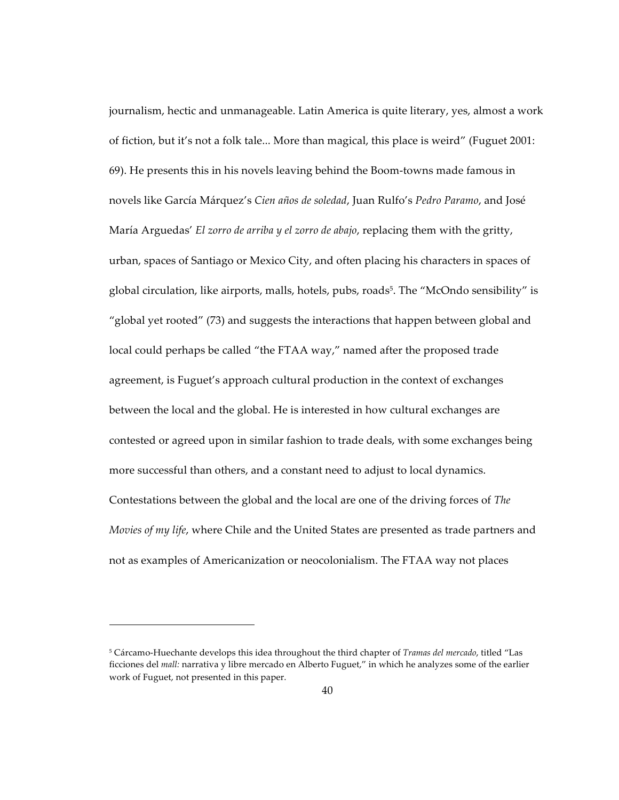journalism, hectic and unmanageable. Latin America is quite literary, yes, almost a work of fiction, but it's not a folk tale... More than magical, this place is weird" (Fuguet 2001: 69). He presents this in his novels leaving behind the Boom-towns made famous in novels like García Márquez's *Cien años de soledad*, Juan Rulfo's *Pedro Paramo*, and José María Arguedas' *El zorro de arriba y el zorro de abajo*, replacing them with the gritty, urban, spaces of Santiago or Mexico City, and often placing his characters in spaces of global circulation, like airports, malls, hotels, pubs, roads<sup>5</sup>. The "McOndo sensibility" is "global yet rooted" (73) and suggests the interactions that happen between global and local could perhaps be called "the FTAA way," named after the proposed trade agreement, is Fuguet's approach cultural production in the context of exchanges between the local and the global. He is interested in how cultural exchanges are contested or agreed upon in similar fashion to trade deals, with some exchanges being more successful than others, and a constant need to adjust to local dynamics. Contestations between the global and the local are one of the driving forces of *The Movies of my life*, where Chile and the United States are presented as trade partners and not as examples of Americanization or neocolonialism. The FTAA way not places

<sup>5</sup> Cárcamo-Huechante develops this idea throughout the third chapter of *Tramas del mercado*, titled "Las ficciones del *mall:* narrativa y libre mercado en Alberto Fuguet," in which he analyzes some of the earlier work of Fuguet, not presented in this paper.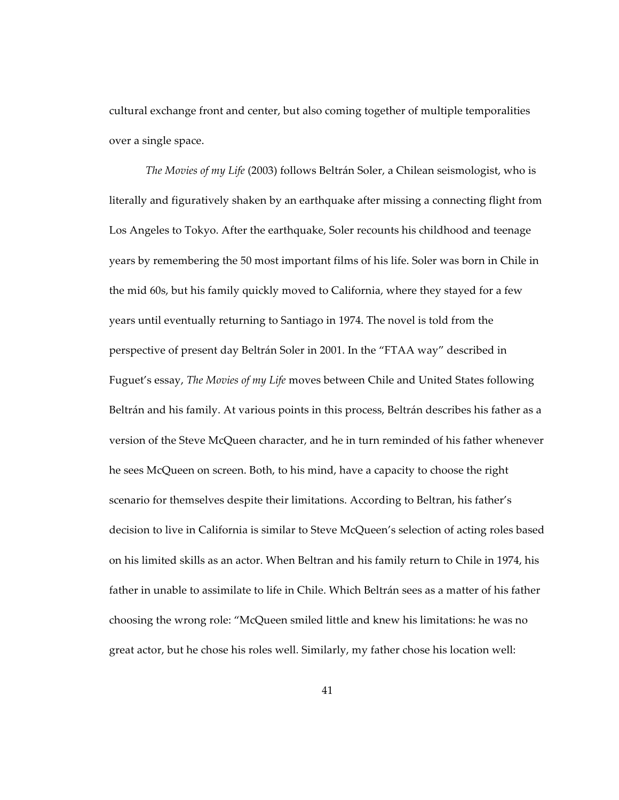cultural exchange front and center, but also coming together of multiple temporalities over a single space.

*The Movies of my Life* (2003) follows Beltrán Soler, a Chilean seismologist, who is literally and figuratively shaken by an earthquake after missing a connecting flight from Los Angeles to Tokyo. After the earthquake, Soler recounts his childhood and teenage years by remembering the 50 most important films of his life. Soler was born in Chile in the mid 60s, but his family quickly moved to California, where they stayed for a few years until eventually returning to Santiago in 1974. The novel is told from the perspective of present day Beltrán Soler in 2001. In the "FTAA way" described in Fuguet's essay, *The Movies of my Life* moves between Chile and United States following Beltrán and his family. At various points in this process, Beltrán describes his father as a version of the Steve McQueen character, and he in turn reminded of his father whenever he sees McQueen on screen. Both, to his mind, have a capacity to choose the right scenario for themselves despite their limitations. According to Beltran, his father's decision to live in California is similar to Steve McQueen's selection of acting roles based on his limited skills as an actor. When Beltran and his family return to Chile in 1974, his father in unable to assimilate to life in Chile. Which Beltrán sees as a matter of his father choosing the wrong role: "McQueen smiled little and knew his limitations: he was no great actor, but he chose his roles well. Similarly, my father chose his location well: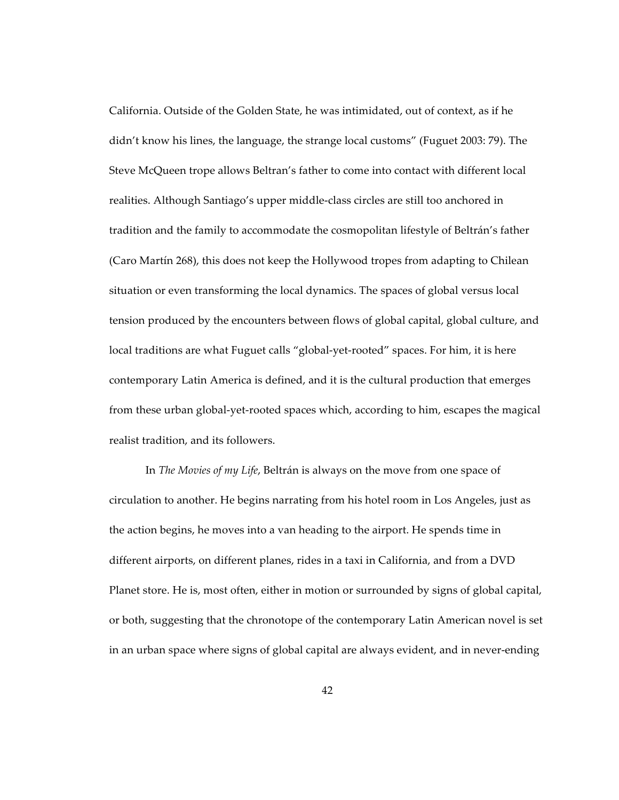California. Outside of the Golden State, he was intimidated, out of context, as if he didn't know his lines, the language, the strange local customs" (Fuguet 2003: 79). The Steve McQueen trope allows Beltran's father to come into contact with different local realities. Although Santiago's upper middle-class circles are still too anchored in tradition and the family to accommodate the cosmopolitan lifestyle of Beltrán's father (Caro Martín 268), this does not keep the Hollywood tropes from adapting to Chilean situation or even transforming the local dynamics. The spaces of global versus local tension produced by the encounters between flows of global capital, global culture, and local traditions are what Fuguet calls "global-yet-rooted" spaces. For him, it is here contemporary Latin America is defined, and it is the cultural production that emerges from these urban global-yet-rooted spaces which, according to him, escapes the magical realist tradition, and its followers.

In *The Movies of my Life*, Beltrán is always on the move from one space of circulation to another. He begins narrating from his hotel room in Los Angeles, just as the action begins, he moves into a van heading to the airport. He spends time in different airports, on different planes, rides in a taxi in California, and from a DVD Planet store. He is, most often, either in motion or surrounded by signs of global capital, or both, suggesting that the chronotope of the contemporary Latin American novel is set in an urban space where signs of global capital are always evident, and in never-ending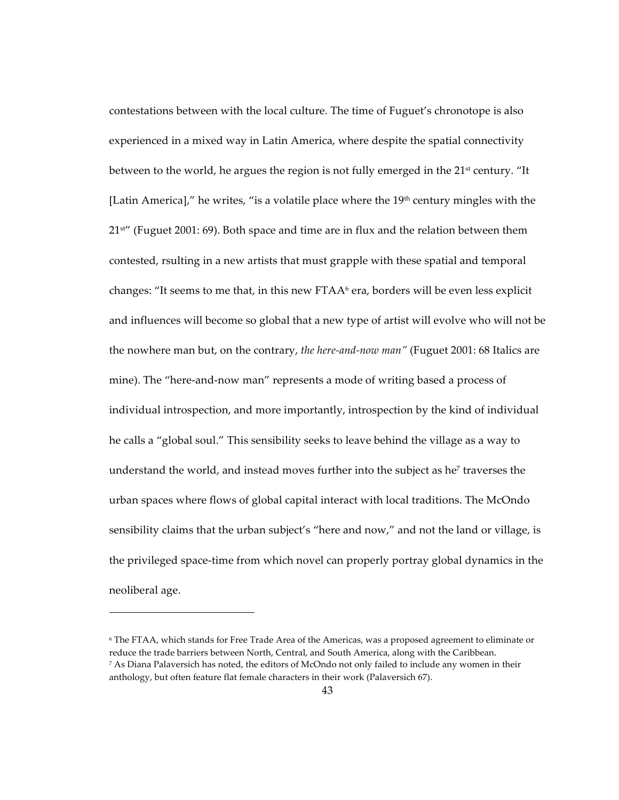contestations between with the local culture. The time of Fuguet's chronotope is also experienced in a mixed way in Latin America, where despite the spatial connectivity between to the world, he argues the region is not fully emerged in the  $21^{st}$  century. "It [Latin America]," he writes, "is a volatile place where the  $19<sup>th</sup>$  century mingles with the  $21<sup>str</sup>$  (Fuguet 2001: 69). Both space and time are in flux and the relation between them contested, rsulting in a new artists that must grapple with these spatial and temporal changes: "It seems to me that, in this new  $\text{FTAA}^6$  era, borders will be even less explicit and influences will become so global that a new type of artist will evolve who will not be the nowhere man but, on the contrary, *the here-and-now man"* (Fuguet 2001: 68 Italics are mine). The "here-and-now man" represents a mode of writing based a process of individual introspection, and more importantly, introspection by the kind of individual he calls a "global soul." This sensibility seeks to leave behind the village as a way to understand the world, and instead moves further into the subject as he<sup> $7$ </sup> traverses the urban spaces where flows of global capital interact with local traditions. The McOndo sensibility claims that the urban subject's "here and now," and not the land or village, is the privileged space-time from which novel can properly portray global dynamics in the neoliberal age.

<sup>6</sup> The FTAA, which stands for Free Trade Area of the Americas, was a proposed agreement to eliminate or reduce the trade barriers between North, Central, and South America, along with the Caribbean.  $7$  As Diana Palaversich has noted, the editors of McOndo not only failed to include any women in their anthology, but often feature flat female characters in their work (Palaversich 67).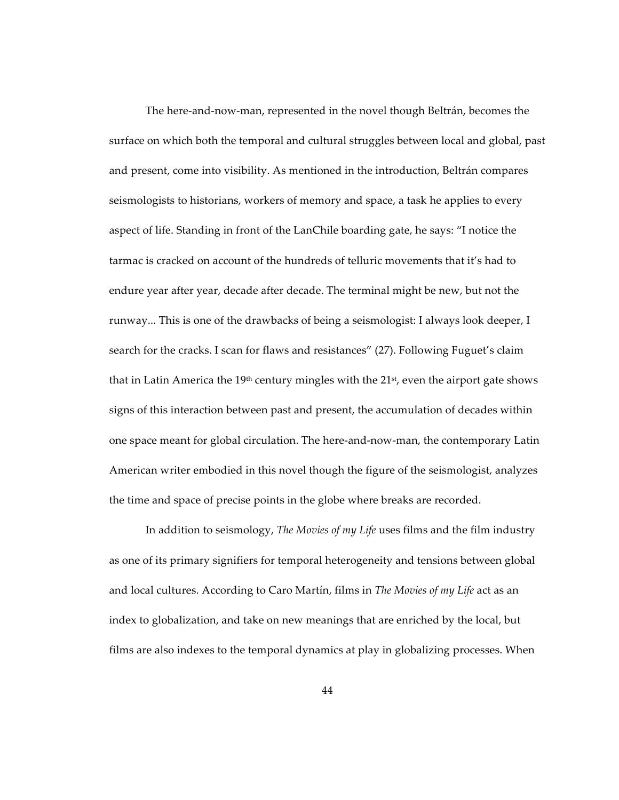The here-and-now-man, represented in the novel though Beltrán, becomes the surface on which both the temporal and cultural struggles between local and global, past and present, come into visibility. As mentioned in the introduction, Beltrán compares seismologists to historians, workers of memory and space, a task he applies to every aspect of life. Standing in front of the LanChile boarding gate, he says: "I notice the tarmac is cracked on account of the hundreds of telluric movements that it's had to endure year after year, decade after decade. The terminal might be new, but not the runway... This is one of the drawbacks of being a seismologist: I always look deeper, I search for the cracks. I scan for flaws and resistances" (27). Following Fuguet's claim that in Latin America the 19<sup>th</sup> century mingles with the  $21<sup>st</sup>$ , even the airport gate shows signs of this interaction between past and present, the accumulation of decades within one space meant for global circulation. The here-and-now-man, the contemporary Latin American writer embodied in this novel though the figure of the seismologist, analyzes the time and space of precise points in the globe where breaks are recorded.

In addition to seismology, *The Movies of my Life* uses films and the film industry as one of its primary signifiers for temporal heterogeneity and tensions between global and local cultures. According to Caro Martín, films in *The Movies of my Life* act as an index to globalization, and take on new meanings that are enriched by the local, but films are also indexes to the temporal dynamics at play in globalizing processes. When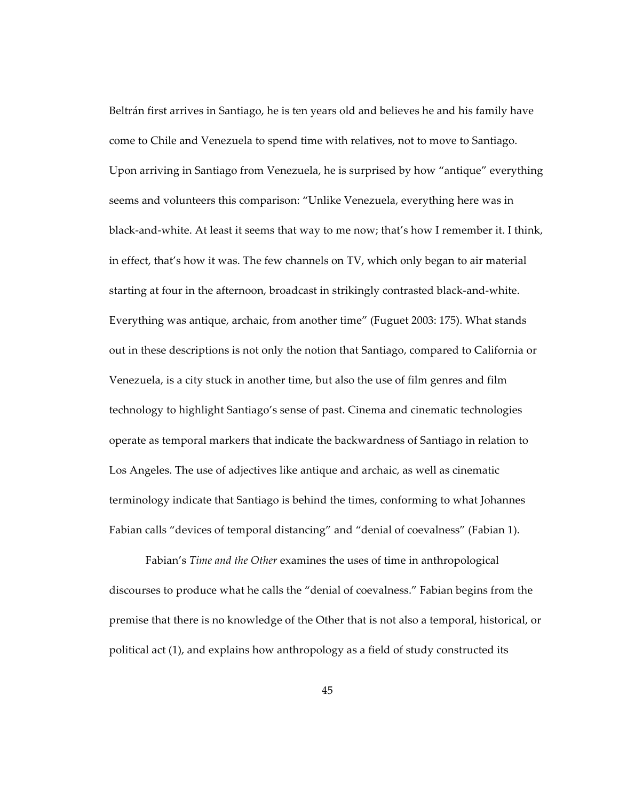Beltrán first arrives in Santiago, he is ten years old and believes he and his family have come to Chile and Venezuela to spend time with relatives, not to move to Santiago. Upon arriving in Santiago from Venezuela, he is surprised by how "antique" everything seems and volunteers this comparison: "Unlike Venezuela, everything here was in black-and-white. At least it seems that way to me now; that's how I remember it. I think, in effect, that's how it was. The few channels on TV, which only began to air material starting at four in the afternoon, broadcast in strikingly contrasted black-and-white. Everything was antique, archaic, from another time" (Fuguet 2003: 175). What stands out in these descriptions is not only the notion that Santiago, compared to California or Venezuela, is a city stuck in another time, but also the use of film genres and film technology to highlight Santiago's sense of past. Cinema and cinematic technologies operate as temporal markers that indicate the backwardness of Santiago in relation to Los Angeles. The use of adjectives like antique and archaic, as well as cinematic terminology indicate that Santiago is behind the times, conforming to what Johannes Fabian calls "devices of temporal distancing" and "denial of coevalness" (Fabian 1).

Fabian's *Time and the Other* examines the uses of time in anthropological discourses to produce what he calls the "denial of coevalness." Fabian begins from the premise that there is no knowledge of the Other that is not also a temporal, historical, or political act (1), and explains how anthropology as a field of study constructed its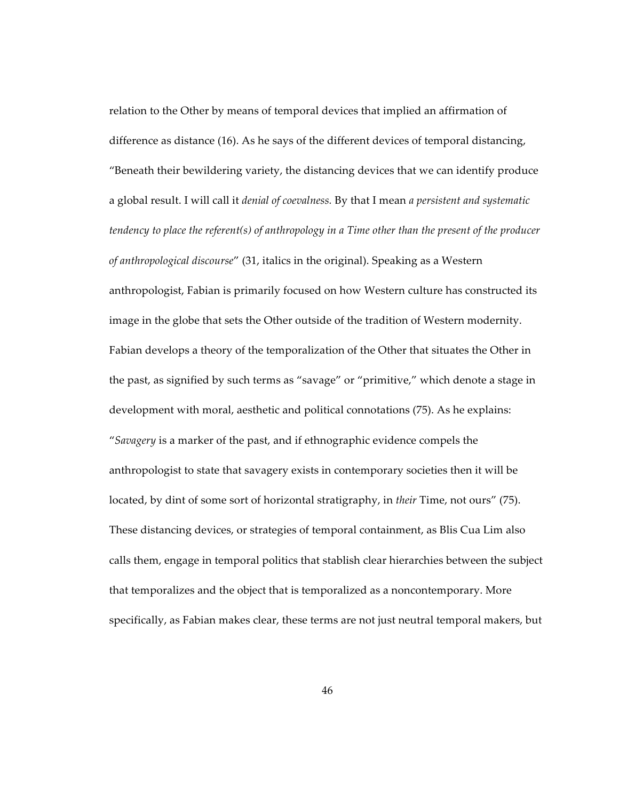relation to the Other by means of temporal devices that implied an affirmation of difference as distance (16). As he says of the different devices of temporal distancing, "Beneath their bewildering variety, the distancing devices that we can identify produce a global result. I will call it *denial of coevalness.* By that I mean *a persistent and systematic tendency to place the referent(s) of anthropology in a Time other than the present of the producer of anthropological discourse*" (31, italics in the original). Speaking as a Western anthropologist, Fabian is primarily focused on how Western culture has constructed its image in the globe that sets the Other outside of the tradition of Western modernity. Fabian develops a theory of the temporalization of the Other that situates the Other in the past, as signified by such terms as "savage" or "primitive," which denote a stage in development with moral, aesthetic and political connotations (75). As he explains: "*Savagery* is a marker of the past, and if ethnographic evidence compels the anthropologist to state that savagery exists in contemporary societies then it will be located, by dint of some sort of horizontal stratigraphy, in *their* Time, not ours" (75). These distancing devices, or strategies of temporal containment, as Blis Cua Lim also calls them, engage in temporal politics that stablish clear hierarchies between the subject that temporalizes and the object that is temporalized as a noncontemporary. More specifically, as Fabian makes clear, these terms are not just neutral temporal makers, but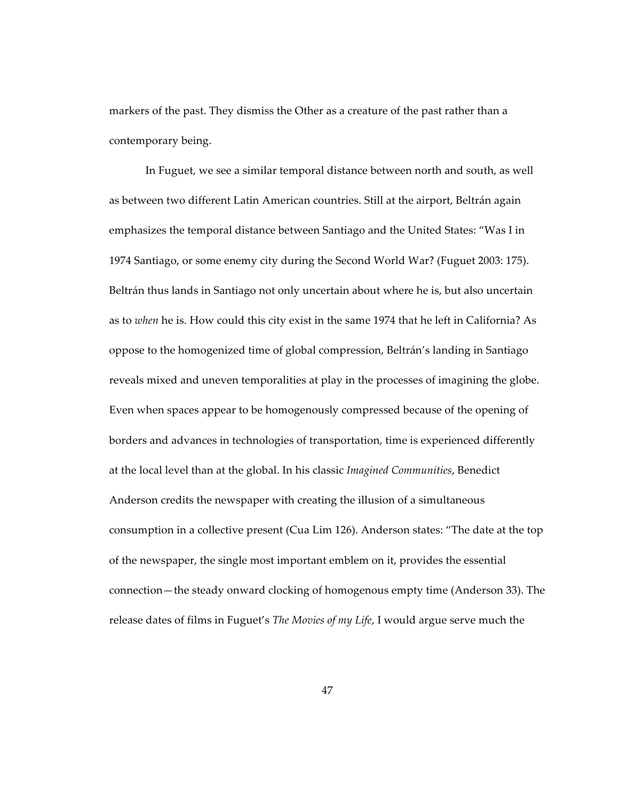markers of the past. They dismiss the Other as a creature of the past rather than a contemporary being.

In Fuguet, we see a similar temporal distance between north and south, as well as between two different Latin American countries. Still at the airport, Beltrán again emphasizes the temporal distance between Santiago and the United States: "Was I in 1974 Santiago, or some enemy city during the Second World War? (Fuguet 2003: 175). Beltrán thus lands in Santiago not only uncertain about where he is, but also uncertain as to *when* he is. How could this city exist in the same 1974 that he left in California? As oppose to the homogenized time of global compression, Beltrán's landing in Santiago reveals mixed and uneven temporalities at play in the processes of imagining the globe. Even when spaces appear to be homogenously compressed because of the opening of borders and advances in technologies of transportation, time is experienced differently at the local level than at the global. In his classic *Imagined Communities*, Benedict Anderson credits the newspaper with creating the illusion of a simultaneous consumption in a collective present (Cua Lim 126). Anderson states: "The date at the top of the newspaper, the single most important emblem on it, provides the essential connection—the steady onward clocking of homogenous empty time (Anderson 33). The release dates of films in Fuguet's *The Movies of my Life*, I would argue serve much the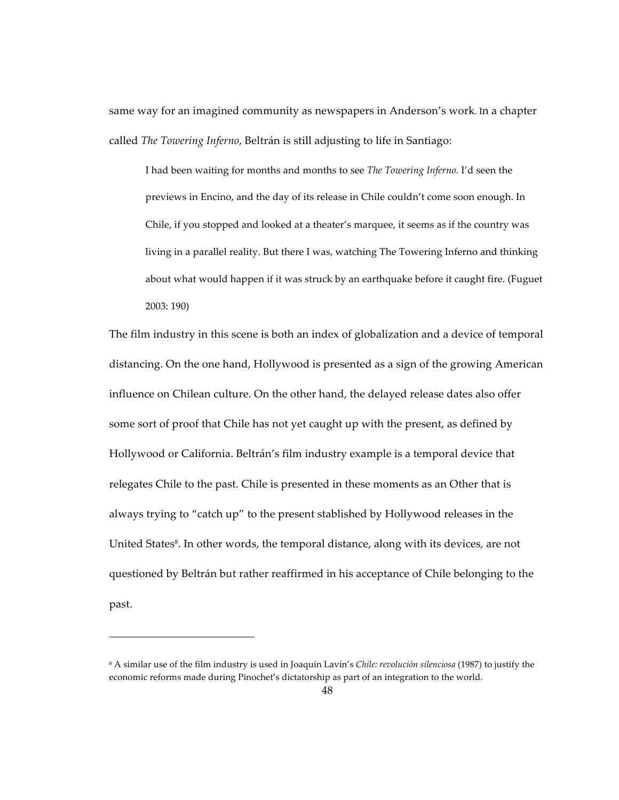same way for an imagined community as newspapers in Anderson's work. In a chapter called *The Towering Inferno*, Beltrán is still adjusting to life in Santiago:

I had been waiting for months and months to see *The Towering Inferno.* I'd seen the previews in Encino, and the day of its release in Chile couldn't come soon enough. In Chile, if you stopped and looked at a theater's marquee, it seems as if the country was living in a parallel reality. But there I was, watching The Towering Inferno and thinking about what would happen if it was struck by an earthquake before it caught fire. (Fuguet 2003: 190)

The film industry in this scene is both an index of globalization and a device of temporal distancing. On the one hand, Hollywood is presented as a sign of the growing American influence on Chilean culture. On the other hand, the delayed release dates also offer some sort of proof that Chile has not yet caught up with the present, as defined by Hollywood or California. Beltrán's film industry example is a temporal device that relegates Chile to the past. Chile is presented in these moments as an Other that is always trying to "catch up" to the present stablished by Hollywood releases in the United States<sup>8</sup>. In other words, the temporal distance, along with its devices, are not questioned by Beltrán but rather reaffirmed in his acceptance of Chile belonging to the past.

<sup>8</sup> A similar use of the film industry is used in Joaquín Lavín's *Chile: revolución silenciosa* (1987) to justify the economic reforms made during Pinochet's dictatorship as part of an integration to the world.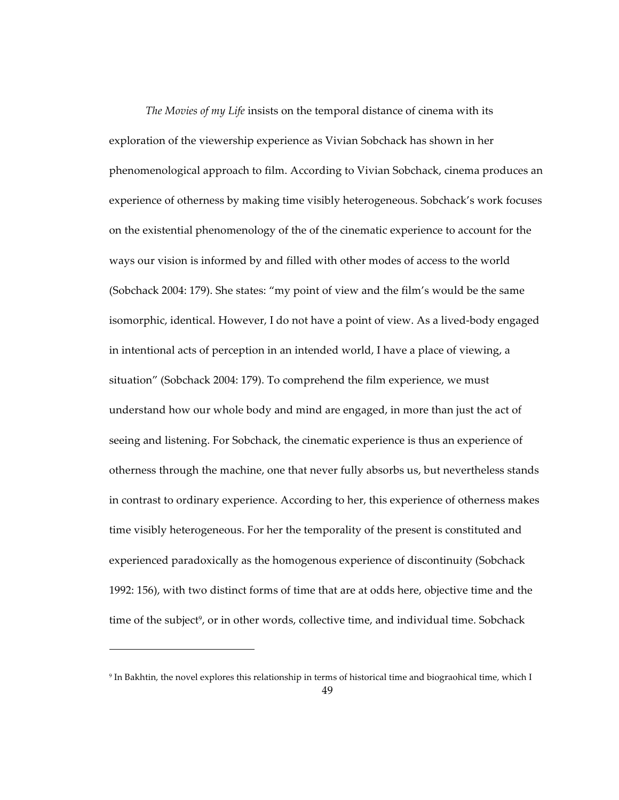*The Movies of my Life* insists on the temporal distance of cinema with its exploration of the viewership experience as Vivian Sobchack has shown in her phenomenological approach to film. According to Vivian Sobchack, cinema produces an experience of otherness by making time visibly heterogeneous. Sobchack's work focuses on the existential phenomenology of the of the cinematic experience to account for the ways our vision is informed by and filled with other modes of access to the world (Sobchack 2004: 179). She states: "my point of view and the film's would be the same isomorphic, identical. However, I do not have a point of view. As a lived-body engaged in intentional acts of perception in an intended world, I have a place of viewing, a situation" (Sobchack 2004: 179). To comprehend the film experience, we must understand how our whole body and mind are engaged, in more than just the act of seeing and listening. For Sobchack, the cinematic experience is thus an experience of otherness through the machine, one that never fully absorbs us, but nevertheless stands in contrast to ordinary experience. According to her, this experience of otherness makes time visibly heterogeneous. For her the temporality of the present is constituted and experienced paradoxically as the homogenous experience of discontinuity (Sobchack 1992: 156), with two distinct forms of time that are at odds here, objective time and the time of the subject<sup>9</sup>, or in other words, collective time, and individual time. Sobchack

<sup>9</sup> In Bakhtin, the novel explores this relationship in terms of historical time and biograohical time, which I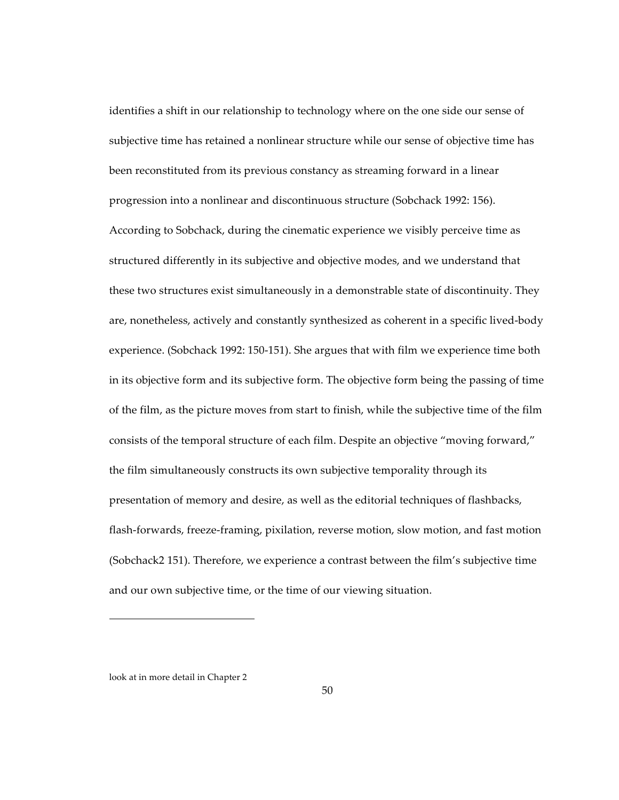identifies a shift in our relationship to technology where on the one side our sense of subjective time has retained a nonlinear structure while our sense of objective time has been reconstituted from its previous constancy as streaming forward in a linear progression into a nonlinear and discontinuous structure (Sobchack 1992: 156). According to Sobchack, during the cinematic experience we visibly perceive time as structured differently in its subjective and objective modes, and we understand that these two structures exist simultaneously in a demonstrable state of discontinuity. They are, nonetheless, actively and constantly synthesized as coherent in a specific lived-body experience. (Sobchack 1992: 150-151). She argues that with film we experience time both in its objective form and its subjective form. The objective form being the passing of time of the film, as the picture moves from start to finish, while the subjective time of the film consists of the temporal structure of each film. Despite an objective "moving forward," the film simultaneously constructs its own subjective temporality through its presentation of memory and desire, as well as the editorial techniques of flashbacks, flash-forwards, freeze-framing, pixilation, reverse motion, slow motion, and fast motion (Sobchack2 151). Therefore, we experience a contrast between the film's subjective time and our own subjective time, or the time of our viewing situation.

look at in more detail in Chapter 2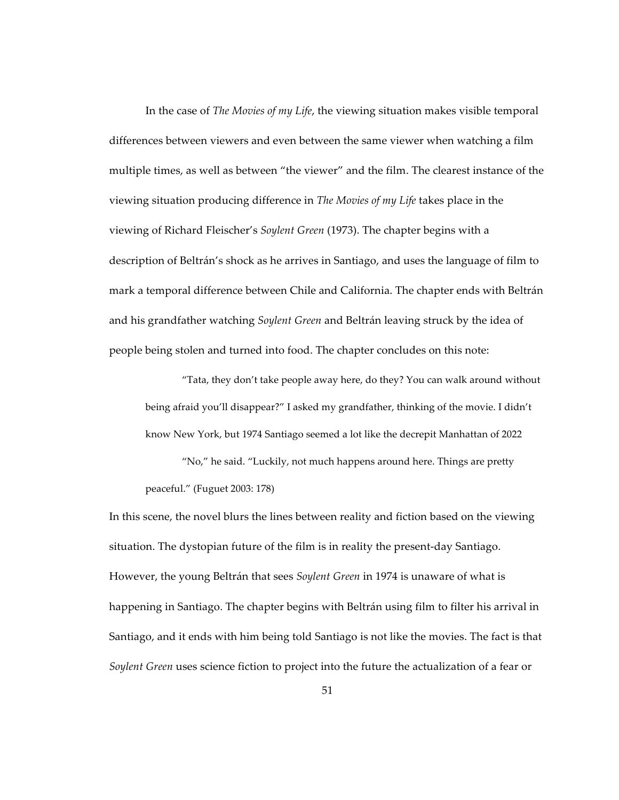In the case of *The Movies of my Life*, the viewing situation makes visible temporal differences between viewers and even between the same viewer when watching a film multiple times, as well as between "the viewer" and the film. The clearest instance of the viewing situation producing difference in *The Movies of my Life* takes place in the viewing of Richard Fleischer's *Soylent Green* (1973). The chapter begins with a description of Beltrán's shock as he arrives in Santiago, and uses the language of film to mark a temporal difference between Chile and California. The chapter ends with Beltrán and his grandfather watching *Soylent Green* and Beltrán leaving struck by the idea of people being stolen and turned into food. The chapter concludes on this note:

"Tata, they don't take people away here, do they? You can walk around without being afraid you'll disappear?" I asked my grandfather, thinking of the movie. I didn't know New York, but 1974 Santiago seemed a lot like the decrepit Manhattan of 2022

"No," he said. "Luckily, not much happens around here. Things are pretty peaceful." (Fuguet 2003: 178)

In this scene, the novel blurs the lines between reality and fiction based on the viewing situation. The dystopian future of the film is in reality the present-day Santiago. However, the young Beltrán that sees *Soylent Green* in 1974 is unaware of what is happening in Santiago. The chapter begins with Beltrán using film to filter his arrival in Santiago, and it ends with him being told Santiago is not like the movies. The fact is that *Soylent Green* uses science fiction to project into the future the actualization of a fear or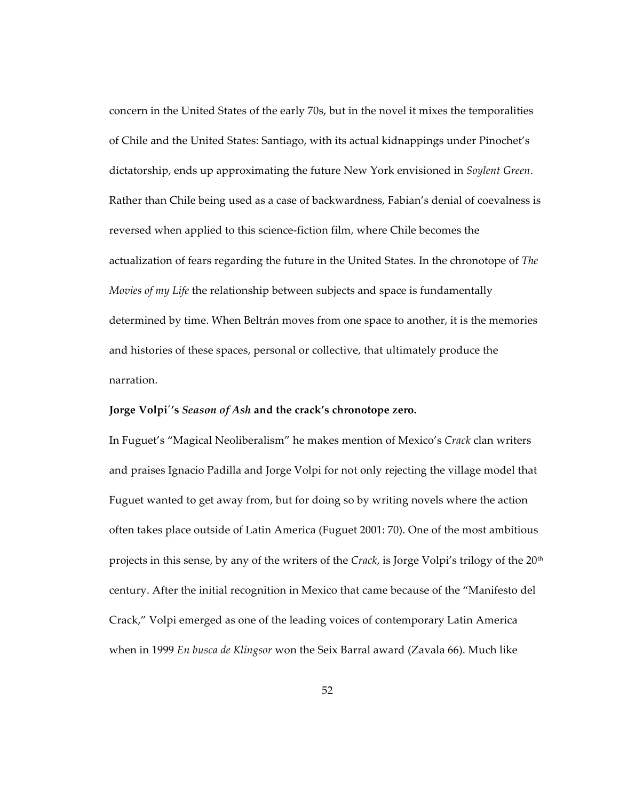concern in the United States of the early 70s, but in the novel it mixes the temporalities of Chile and the United States: Santiago, with its actual kidnappings under Pinochet's dictatorship, ends up approximating the future New York envisioned in *Soylent Green*. Rather than Chile being used as a case of backwardness, Fabian's denial of coevalness is reversed when applied to this science-fiction film, where Chile becomes the actualization of fears regarding the future in the United States. In the chronotope of *The Movies of my Life* the relationship between subjects and space is fundamentally determined by time. When Beltrán moves from one space to another, it is the memories and histories of these spaces, personal or collective, that ultimately produce the narration.

### **Jorge Volpi´'s** *Season of Ash* **and the crack's chronotope zero.**

In Fuguet's "Magical Neoliberalism" he makes mention of Mexico's *Crack* clan writers and praises Ignacio Padilla and Jorge Volpi for not only rejecting the village model that Fuguet wanted to get away from, but for doing so by writing novels where the action often takes place outside of Latin America (Fuguet 2001: 70). One of the most ambitious projects in this sense, by any of the writers of the *Crack*, is Jorge Volpi's trilogy of the 20<sup>th</sup> century. After the initial recognition in Mexico that came because of the "Manifesto del Crack," Volpi emerged as one of the leading voices of contemporary Latin America when in 1999 *En busca de Klingsor* won the Seix Barral award (Zavala 66). Much like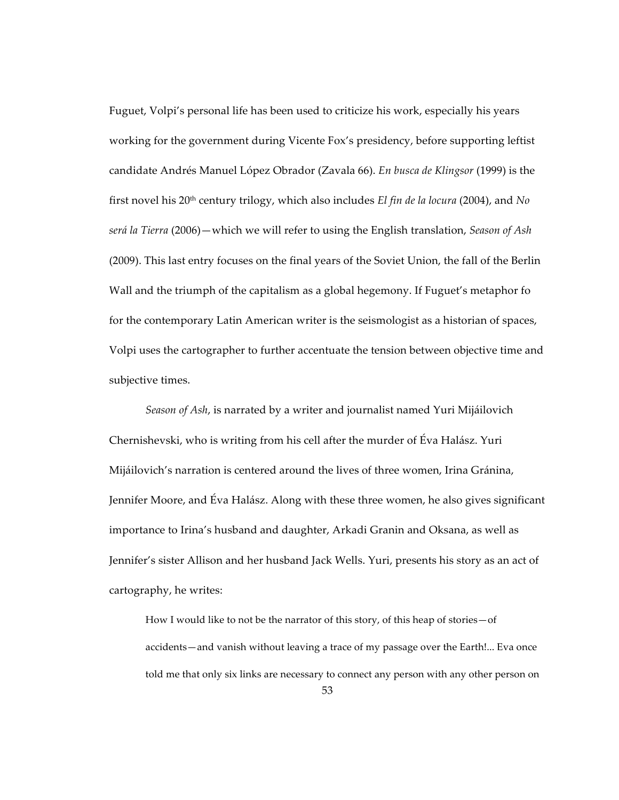Fuguet, Volpi's personal life has been used to criticize his work, especially his years working for the government during Vicente Fox's presidency, before supporting leftist candidate Andrés Manuel López Obrador (Zavala 66). *En busca de Klingsor* (1999) is the first novel his 20th century trilogy, which also includes *El fin de la locura* (2004), and *No será la Tierra* (2006)—which we will refer to using the English translation, *Season of Ash* (2009). This last entry focuses on the final years of the Soviet Union, the fall of the Berlin Wall and the triumph of the capitalism as a global hegemony. If Fuguet's metaphor fo for the contemporary Latin American writer is the seismologist as a historian of spaces, Volpi uses the cartographer to further accentuate the tension between objective time and subjective times.

*Season of Ash*, is narrated by a writer and journalist named Yuri Mijáilovich Chernishevski, who is writing from his cell after the murder of Éva Halász. Yuri Mijáilovich's narration is centered around the lives of three women, Irina Gránina, Jennifer Moore, and Éva Halász. Along with these three women, he also gives significant importance to Irina's husband and daughter, Arkadi Granin and Oksana, as well as Jennifer's sister Allison and her husband Jack Wells. Yuri, presents his story as an act of cartography, he writes:

How I would like to not be the narrator of this story, of this heap of stories—of accidents—and vanish without leaving a trace of my passage over the Earth!... Eva once told me that only six links are necessary to connect any person with any other person on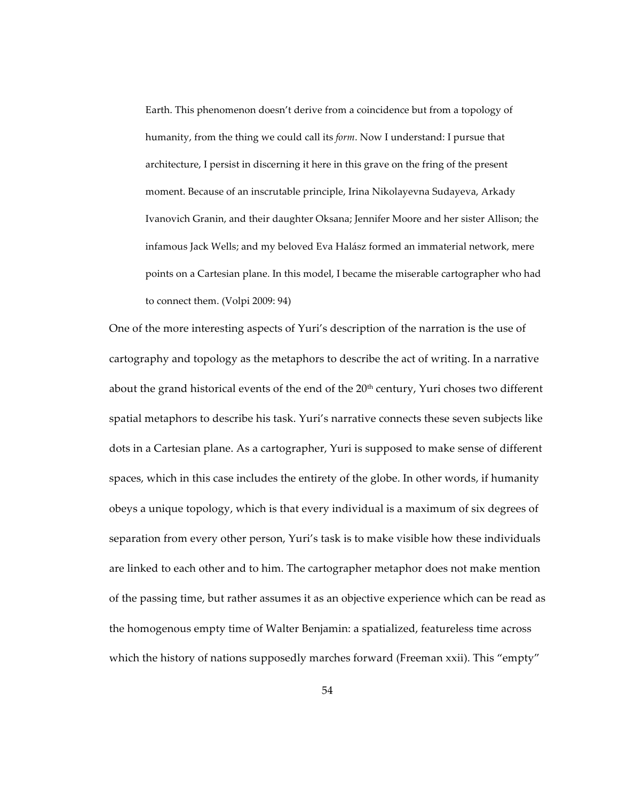Earth. This phenomenon doesn't derive from a coincidence but from a topology of humanity, from the thing we could call its *form*. Now I understand: I pursue that architecture, I persist in discerning it here in this grave on the fring of the present moment. Because of an inscrutable principle, Irina Nikolayevna Sudayeva, Arkady Ivanovich Granin, and their daughter Oksana; Jennifer Moore and her sister Allison; the infamous Jack Wells; and my beloved Eva Halász formed an immaterial network, mere points on a Cartesian plane. In this model, I became the miserable cartographer who had to connect them. (Volpi 2009: 94)

One of the more interesting aspects of Yuri's description of the narration is the use of cartography and topology as the metaphors to describe the act of writing. In a narrative about the grand historical events of the end of the 20<sup>th</sup> century, Yuri choses two different spatial metaphors to describe his task. Yuri's narrative connects these seven subjects like dots in a Cartesian plane. As a cartographer, Yuri is supposed to make sense of different spaces, which in this case includes the entirety of the globe. In other words, if humanity obeys a unique topology, which is that every individual is a maximum of six degrees of separation from every other person, Yuri's task is to make visible how these individuals are linked to each other and to him. The cartographer metaphor does not make mention of the passing time, but rather assumes it as an objective experience which can be read as the homogenous empty time of Walter Benjamin: a spatialized, featureless time across which the history of nations supposedly marches forward (Freeman xxii). This "empty"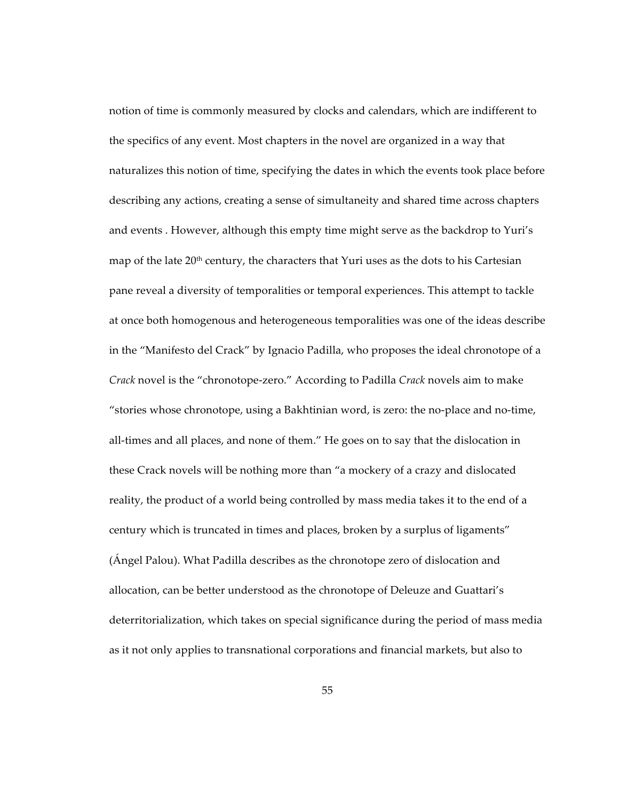notion of time is commonly measured by clocks and calendars, which are indifferent to the specifics of any event. Most chapters in the novel are organized in a way that naturalizes this notion of time, specifying the dates in which the events took place before describing any actions, creating a sense of simultaneity and shared time across chapters and events . However, although this empty time might serve as the backdrop to Yuri's map of the late 20<sup>th</sup> century, the characters that Yuri uses as the dots to his Cartesian pane reveal a diversity of temporalities or temporal experiences. This attempt to tackle at once both homogenous and heterogeneous temporalities was one of the ideas describe in the "Manifesto del Crack" by Ignacio Padilla, who proposes the ideal chronotope of a *Crack* novel is the "chronotope-zero." According to Padilla *Crack* novels aim to make "stories whose chronotope, using a Bakhtinian word, is zero: the no-place and no-time, all-times and all places, and none of them." He goes on to say that the dislocation in these Crack novels will be nothing more than "a mockery of a crazy and dislocated reality, the product of a world being controlled by mass media takes it to the end of a century which is truncated in times and places, broken by a surplus of ligaments" (Ángel Palou). What Padilla describes as the chronotope zero of dislocation and allocation, can be better understood as the chronotope of Deleuze and Guattari's deterritorialization, which takes on special significance during the period of mass media as it not only applies to transnational corporations and financial markets, but also to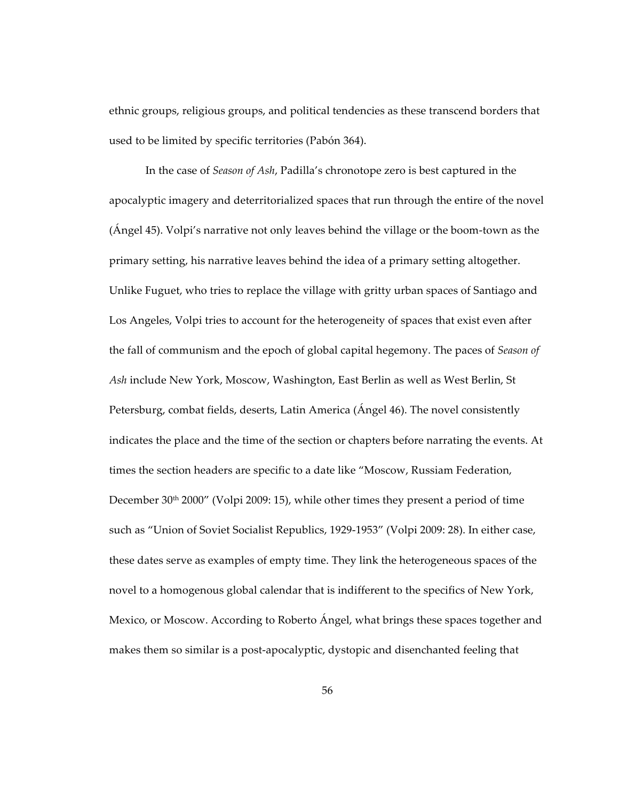ethnic groups, religious groups, and political tendencies as these transcend borders that used to be limited by specific territories (Pabón 364).

In the case of *Season of Ash*, Padilla's chronotope zero is best captured in the apocalyptic imagery and deterritorialized spaces that run through the entire of the novel (Ángel 45). Volpi's narrative not only leaves behind the village or the boom-town as the primary setting, his narrative leaves behind the idea of a primary setting altogether. Unlike Fuguet, who tries to replace the village with gritty urban spaces of Santiago and Los Angeles, Volpi tries to account for the heterogeneity of spaces that exist even after the fall of communism and the epoch of global capital hegemony. The paces of *Season of Ash* include New York, Moscow, Washington, East Berlin as well as West Berlin, St Petersburg, combat fields, deserts, Latin America (Ángel 46). The novel consistently indicates the place and the time of the section or chapters before narrating the events. At times the section headers are specific to a date like "Moscow, Russiam Federation, December 30<sup>th</sup> 2000" (Volpi 2009: 15), while other times they present a period of time such as "Union of Soviet Socialist Republics, 1929-1953" (Volpi 2009: 28). In either case, these dates serve as examples of empty time. They link the heterogeneous spaces of the novel to a homogenous global calendar that is indifferent to the specifics of New York, Mexico, or Moscow. According to Roberto Ángel, what brings these spaces together and makes them so similar is a post-apocalyptic, dystopic and disenchanted feeling that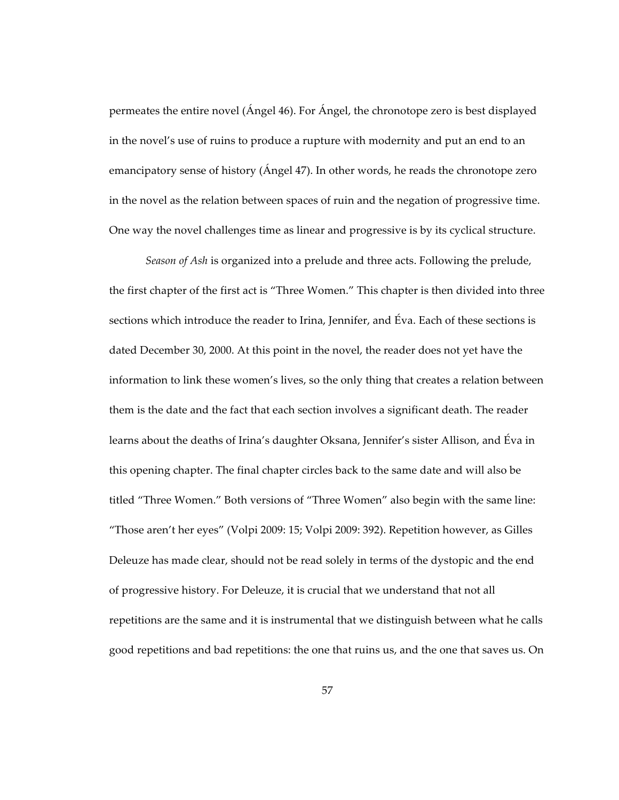permeates the entire novel (Ángel 46). For Ángel, the chronotope zero is best displayed in the novel's use of ruins to produce a rupture with modernity and put an end to an emancipatory sense of history (Ángel 47). In other words, he reads the chronotope zero in the novel as the relation between spaces of ruin and the negation of progressive time. One way the novel challenges time as linear and progressive is by its cyclical structure.

*Season of Ash* is organized into a prelude and three acts. Following the prelude, the first chapter of the first act is "Three Women." This chapter is then divided into three sections which introduce the reader to Irina, Jennifer, and Éva. Each of these sections is dated December 30, 2000. At this point in the novel, the reader does not yet have the information to link these women's lives, so the only thing that creates a relation between them is the date and the fact that each section involves a significant death. The reader learns about the deaths of Irina's daughter Oksana, Jennifer's sister Allison, and Éva in this opening chapter. The final chapter circles back to the same date and will also be titled "Three Women." Both versions of "Three Women" also begin with the same line: "Those aren't her eyes" (Volpi 2009: 15; Volpi 2009: 392). Repetition however, as Gilles Deleuze has made clear, should not be read solely in terms of the dystopic and the end of progressive history. For Deleuze, it is crucial that we understand that not all repetitions are the same and it is instrumental that we distinguish between what he calls good repetitions and bad repetitions: the one that ruins us, and the one that saves us. On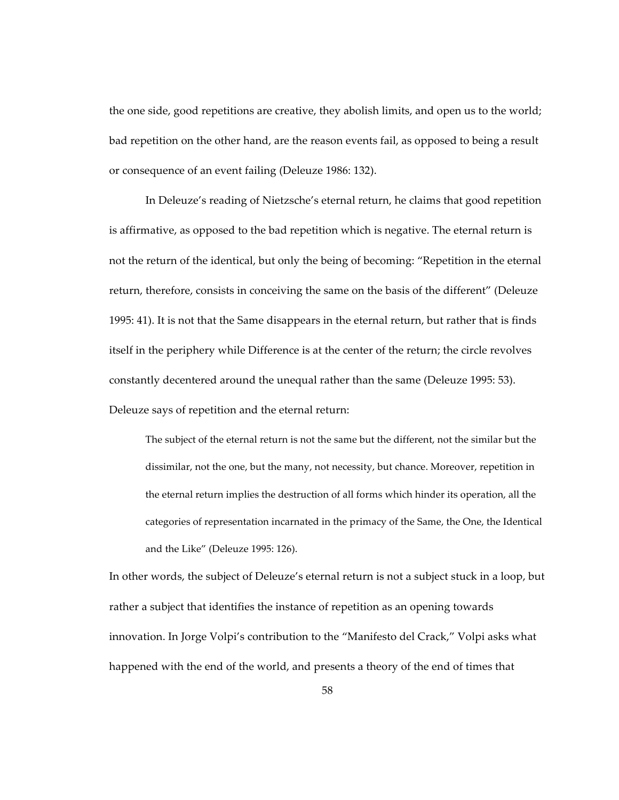the one side, good repetitions are creative, they abolish limits, and open us to the world; bad repetition on the other hand, are the reason events fail, as opposed to being a result or consequence of an event failing (Deleuze 1986: 132).

In Deleuze's reading of Nietzsche's eternal return, he claims that good repetition is affirmative, as opposed to the bad repetition which is negative. The eternal return is not the return of the identical, but only the being of becoming: "Repetition in the eternal return, therefore, consists in conceiving the same on the basis of the different" (Deleuze 1995: 41). It is not that the Same disappears in the eternal return, but rather that is finds itself in the periphery while Difference is at the center of the return; the circle revolves constantly decentered around the unequal rather than the same (Deleuze 1995: 53). Deleuze says of repetition and the eternal return:

The subject of the eternal return is not the same but the different, not the similar but the dissimilar, not the one, but the many, not necessity, but chance. Moreover, repetition in the eternal return implies the destruction of all forms which hinder its operation, all the categories of representation incarnated in the primacy of the Same, the One, the Identical and the Like" (Deleuze 1995: 126).

In other words, the subject of Deleuze's eternal return is not a subject stuck in a loop, but rather a subject that identifies the instance of repetition as an opening towards innovation. In Jorge Volpi's contribution to the "Manifesto del Crack," Volpi asks what happened with the end of the world, and presents a theory of the end of times that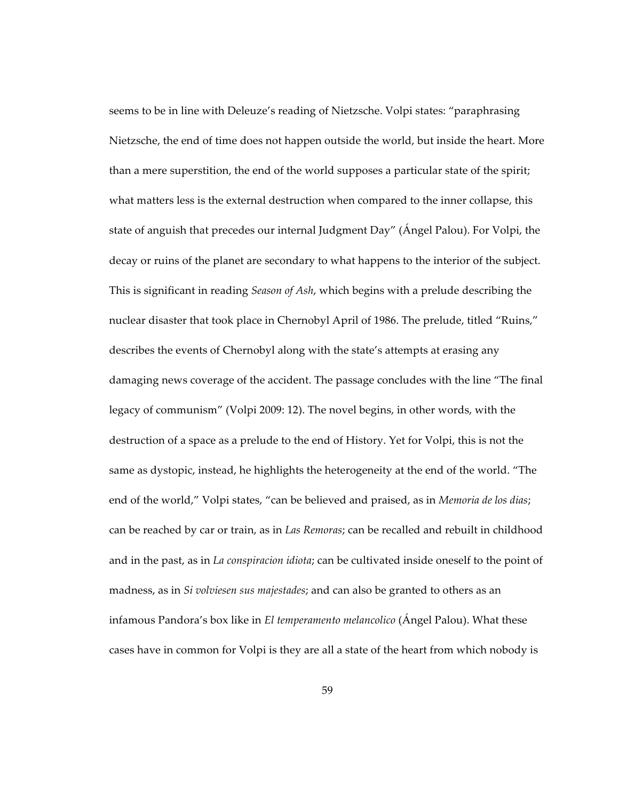seems to be in line with Deleuze's reading of Nietzsche. Volpi states: "paraphrasing Nietzsche, the end of time does not happen outside the world, but inside the heart. More than a mere superstition, the end of the world supposes a particular state of the spirit; what matters less is the external destruction when compared to the inner collapse, this state of anguish that precedes our internal Judgment Day" (Ángel Palou). For Volpi, the decay or ruins of the planet are secondary to what happens to the interior of the subject. This is significant in reading *Season of Ash*, which begins with a prelude describing the nuclear disaster that took place in Chernobyl April of 1986. The prelude, titled "Ruins," describes the events of Chernobyl along with the state's attempts at erasing any damaging news coverage of the accident. The passage concludes with the line "The final legacy of communism" (Volpi 2009: 12). The novel begins, in other words, with the destruction of a space as a prelude to the end of History. Yet for Volpi, this is not the same as dystopic, instead, he highlights the heterogeneity at the end of the world. "The end of the world," Volpi states, "can be believed and praised, as in *Memoria de los dias*; can be reached by car or train, as in *Las Remoras*; can be recalled and rebuilt in childhood and in the past, as in *La conspiracion idiota*; can be cultivated inside oneself to the point of madness, as in *Si volviesen sus majestades*; and can also be granted to others as an infamous Pandora's box like in *El temperamento melancolico* (Ángel Palou). What these cases have in common for Volpi is they are all a state of the heart from which nobody is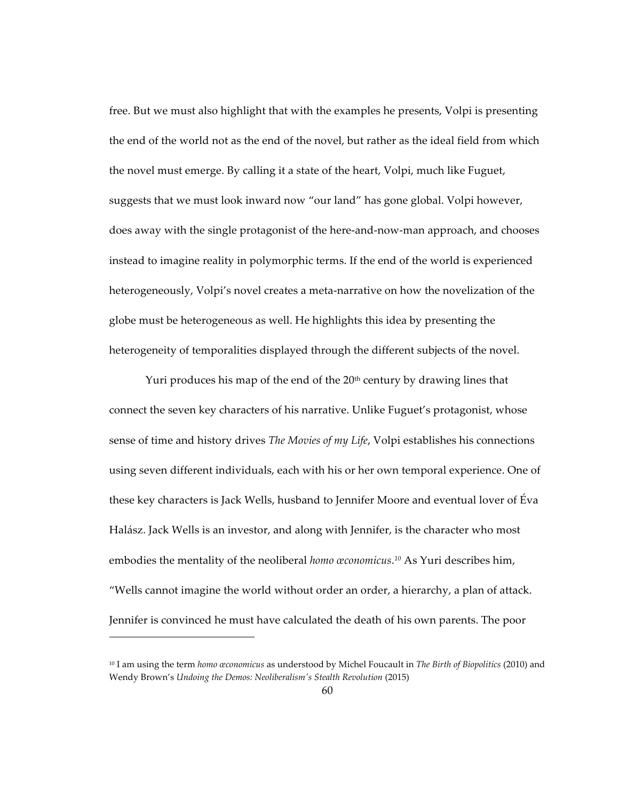free. But we must also highlight that with the examples he presents, Volpi is presenting the end of the world not as the end of the novel, but rather as the ideal field from which the novel must emerge. By calling it a state of the heart, Volpi, much like Fuguet, suggests that we must look inward now "our land" has gone global. Volpi however, does away with the single protagonist of the here-and-now-man approach, and chooses instead to imagine reality in polymorphic terms. If the end of the world is experienced heterogeneously, Volpi's novel creates a meta-narrative on how the novelization of the globe must be heterogeneous as well. He highlights this idea by presenting the heterogeneity of temporalities displayed through the different subjects of the novel.

Yuri produces his map of the end of the  $20<sup>th</sup>$  century by drawing lines that connect the seven key characters of his narrative. Unlike Fuguet's protagonist, whose sense of time and history drives *The Movies of my Life*, Volpi establishes his connections using seven different individuals, each with his or her own temporal experience. One of these key characters is Jack Wells, husband to Jennifer Moore and eventual lover of Éva Halász. Jack Wells is an investor, and along with Jennifer, is the character who most embodies the mentality of the neoliberal *homo œconomicus*. *<sup>10</sup>* As Yuri describes him, "Wells cannot imagine the world without order an order, a hierarchy, a plan of attack. Jennifer is convinced he must have calculated the death of his own parents. The poor

<sup>10</sup> I am using the term *homo œconomicus* as understood by Michel Foucault in *The Birth of Biopolitics* (2010) and Wendy Brown's *Undoing the Demos: Neoliberalism's Stealth Revolution* (2015)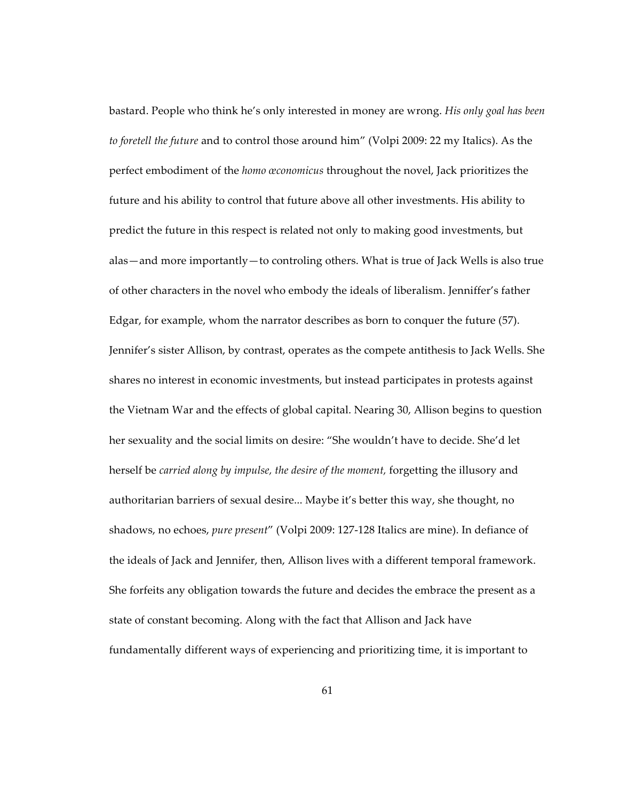bastard. People who think he's only interested in money are wrong. *His only goal has been to foretell the future* and to control those around him" (Volpi 2009: 22 my Italics). As the perfect embodiment of the *homo œconomicus* throughout the novel, Jack prioritizes the future and his ability to control that future above all other investments. His ability to predict the future in this respect is related not only to making good investments, but alas—and more importantly—to controling others. What is true of Jack Wells is also true of other characters in the novel who embody the ideals of liberalism. Jenniffer's father Edgar, for example, whom the narrator describes as born to conquer the future (57). Jennifer's sister Allison, by contrast, operates as the compete antithesis to Jack Wells. She shares no interest in economic investments, but instead participates in protests against the Vietnam War and the effects of global capital. Nearing 30, Allison begins to question her sexuality and the social limits on desire: "She wouldn't have to decide. She'd let herself be *carried along by impulse, the desire of the moment,* forgetting the illusory and authoritarian barriers of sexual desire... Maybe it's better this way, she thought, no shadows, no echoes, *pure present*" (Volpi 2009: 127-128 Italics are mine). In defiance of the ideals of Jack and Jennifer, then, Allison lives with a different temporal framework. She forfeits any obligation towards the future and decides the embrace the present as a state of constant becoming. Along with the fact that Allison and Jack have fundamentally different ways of experiencing and prioritizing time, it is important to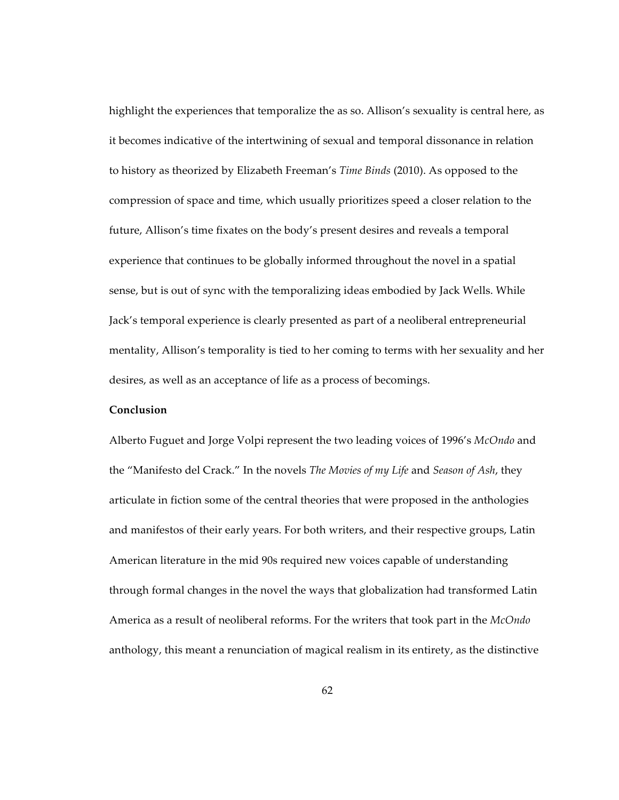highlight the experiences that temporalize the as so. Allison's sexuality is central here, as it becomes indicative of the intertwining of sexual and temporal dissonance in relation to history as theorized by Elizabeth Freeman's *Time Binds* (2010). As opposed to the compression of space and time, which usually prioritizes speed a closer relation to the future, Allison's time fixates on the body's present desires and reveals a temporal experience that continues to be globally informed throughout the novel in a spatial sense, but is out of sync with the temporalizing ideas embodied by Jack Wells. While Jack's temporal experience is clearly presented as part of a neoliberal entrepreneurial mentality, Allison's temporality is tied to her coming to terms with her sexuality and her desires, as well as an acceptance of life as a process of becomings.

### **Conclusion**

Alberto Fuguet and Jorge Volpi represent the two leading voices of 1996's *McOndo* and the "Manifesto del Crack." In the novels *The Movies of my Life* and *Season of Ash*, they articulate in fiction some of the central theories that were proposed in the anthologies and manifestos of their early years. For both writers, and their respective groups, Latin American literature in the mid 90s required new voices capable of understanding through formal changes in the novel the ways that globalization had transformed Latin America as a result of neoliberal reforms. For the writers that took part in the *McOndo* anthology, this meant a renunciation of magical realism in its entirety, as the distinctive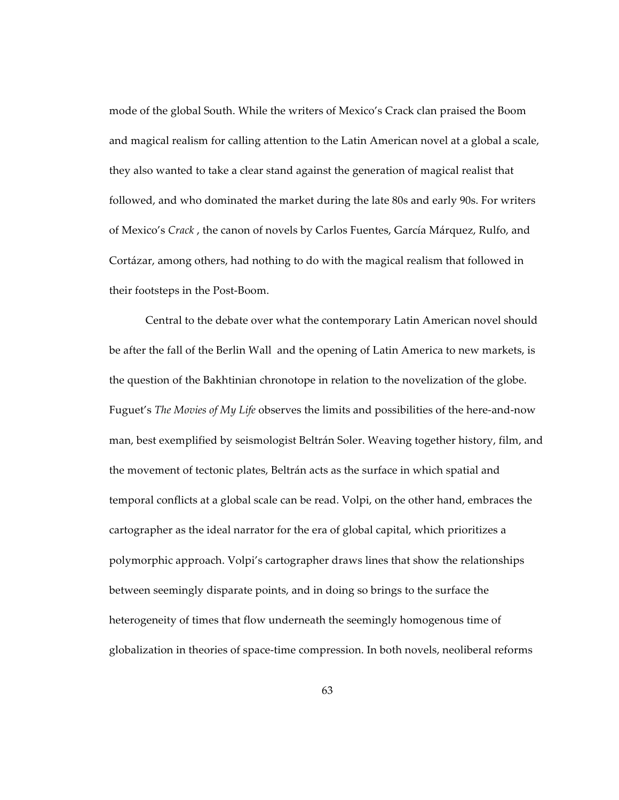mode of the global South. While the writers of Mexico's Crack clan praised the Boom and magical realism for calling attention to the Latin American novel at a global a scale, they also wanted to take a clear stand against the generation of magical realist that followed, and who dominated the market during the late 80s and early 90s. For writers of Mexico's *Crack* , the canon of novels by Carlos Fuentes, García Márquez, Rulfo, and Cortázar, among others, had nothing to do with the magical realism that followed in their footsteps in the Post-Boom.

Central to the debate over what the contemporary Latin American novel should be after the fall of the Berlin Wall and the opening of Latin America to new markets, is the question of the Bakhtinian chronotope in relation to the novelization of the globe. Fuguet's *The Movies of My Life* observes the limits and possibilities of the here-and-now man, best exemplified by seismologist Beltrán Soler. Weaving together history, film, and the movement of tectonic plates, Beltrán acts as the surface in which spatial and temporal conflicts at a global scale can be read. Volpi, on the other hand, embraces the cartographer as the ideal narrator for the era of global capital, which prioritizes a polymorphic approach. Volpi's cartographer draws lines that show the relationships between seemingly disparate points, and in doing so brings to the surface the heterogeneity of times that flow underneath the seemingly homogenous time of globalization in theories of space-time compression. In both novels, neoliberal reforms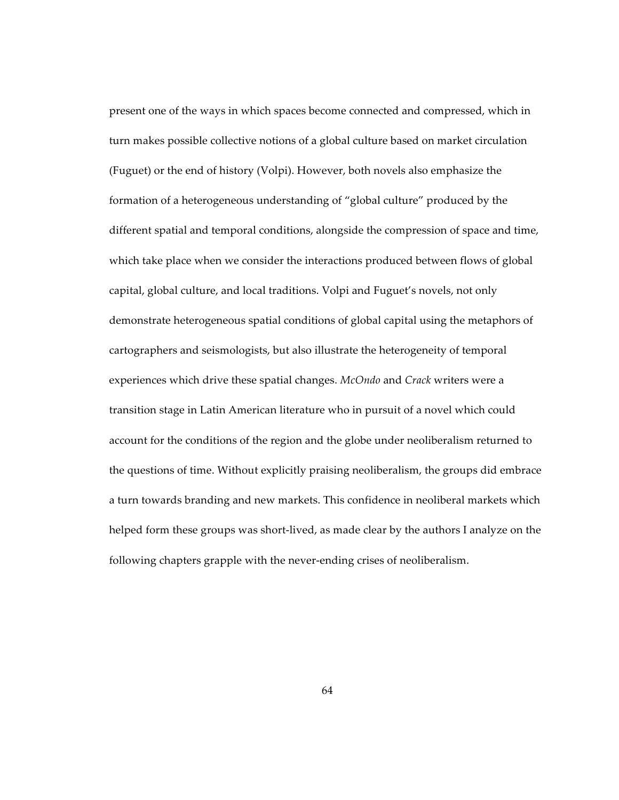present one of the ways in which spaces become connected and compressed, which in turn makes possible collective notions of a global culture based on market circulation (Fuguet) or the end of history (Volpi). However, both novels also emphasize the formation of a heterogeneous understanding of "global culture" produced by the different spatial and temporal conditions, alongside the compression of space and time, which take place when we consider the interactions produced between flows of global capital, global culture, and local traditions. Volpi and Fuguet's novels, not only demonstrate heterogeneous spatial conditions of global capital using the metaphors of cartographers and seismologists, but also illustrate the heterogeneity of temporal experiences which drive these spatial changes. *McOndo* and *Crack* writers were a transition stage in Latin American literature who in pursuit of a novel which could account for the conditions of the region and the globe under neoliberalism returned to the questions of time. Without explicitly praising neoliberalism, the groups did embrace a turn towards branding and new markets. This confidence in neoliberal markets which helped form these groups was short-lived, as made clear by the authors I analyze on the following chapters grapple with the never-ending crises of neoliberalism.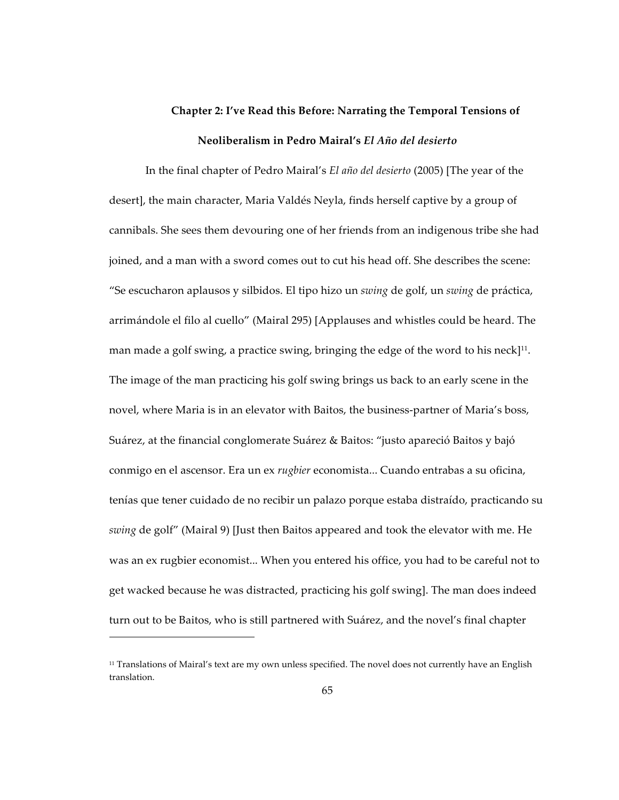# **Chapter 2: I've Read this Before: Narrating the Temporal Tensions of Neoliberalism in Pedro Mairal's** *El Año del desierto*

In the final chapter of Pedro Mairal's *El año del desierto* (2005) [The year of the desert], the main character, Maria Valdés Neyla, finds herself captive by a group of cannibals. She sees them devouring one of her friends from an indigenous tribe she had joined, and a man with a sword comes out to cut his head off. She describes the scene: "Se escucharon aplausos y silbidos. El tipo hizo un *swing* de golf, un *swing* de práctica, arrimándole el filo al cuello" (Mairal 295) [Applauses and whistles could be heard. The man made a golf swing, a practice swing, bringing the edge of the word to his neck $]$ <sup>11</sup>. The image of the man practicing his golf swing brings us back to an early scene in the novel, where Maria is in an elevator with Baitos, the business-partner of Maria's boss, Suárez, at the financial conglomerate Suárez & Baitos: "justo apareció Baitos y bajó conmigo en el ascensor. Era un ex *rugbier* economista... Cuando entrabas a su oficina, tenías que tener cuidado de no recibir un palazo porque estaba distraído, practicando su *swing* de golf" (Mairal 9) [Just then Baitos appeared and took the elevator with me. He was an ex rugbier economist... When you entered his office, you had to be careful not to get wacked because he was distracted, practicing his golf swing]. The man does indeed turn out to be Baitos, who is still partnered with Suárez, and the novel's final chapter

 $11$  Translations of Mairal's text are my own unless specified. The novel does not currently have an English translation.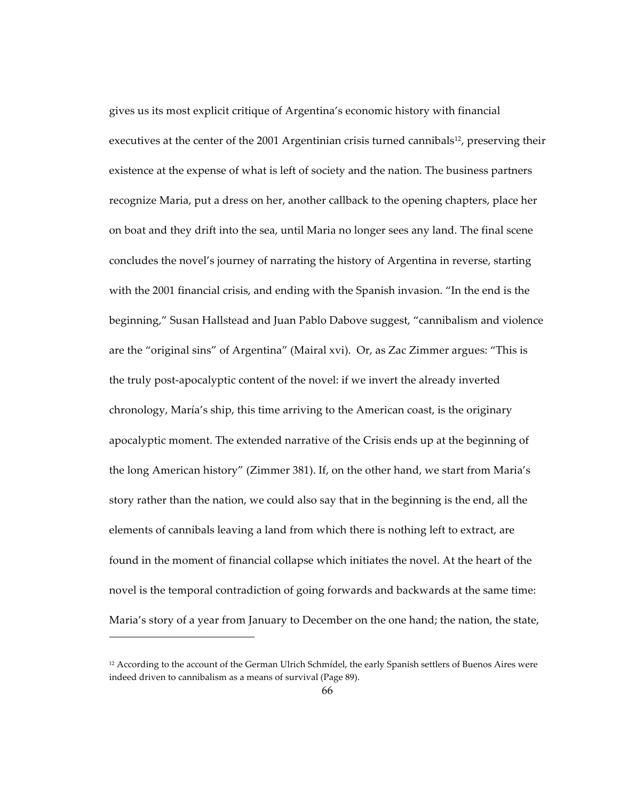gives us its most explicit critique of Argentina's economic history with financial executives at the center of the 2001 Argentinian crisis turned cannibals<sup>12</sup>, preserving their existence at the expense of what is left of society and the nation. The business partners recognize Maria, put a dress on her, another callback to the opening chapters, place her on boat and they drift into the sea, until Maria no longer sees any land. The final scene concludes the novel's journey of narrating the history of Argentina in reverse, starting with the 2001 financial crisis, and ending with the Spanish invasion. "In the end is the beginning," Susan Hallstead and Juan Pablo Dabove suggest, "cannibalism and violence are the "original sins" of Argentina" (Mairal xvi). Or, as Zac Zimmer argues: "This is the truly post-apocalyptic content of the novel: if we invert the already inverted chronology, María's ship, this time arriving to the American coast, is the originary apocalyptic moment. The extended narrative of the Crisis ends up at the beginning of the long American history" (Zimmer 381). If, on the other hand, we start from Maria's story rather than the nation, we could also say that in the beginning is the end, all the elements of cannibals leaving a land from which there is nothing left to extract, are found in the moment of financial collapse which initiates the novel. At the heart of the novel is the temporal contradiction of going forwards and backwards at the same time: Maria's story of a year from January to December on the one hand; the nation, the state,

 $12$  According to the account of the German Ulrich Schmídel, the early Spanish settlers of Buenos Aires were indeed driven to cannibalism as a means of survival (Page 89).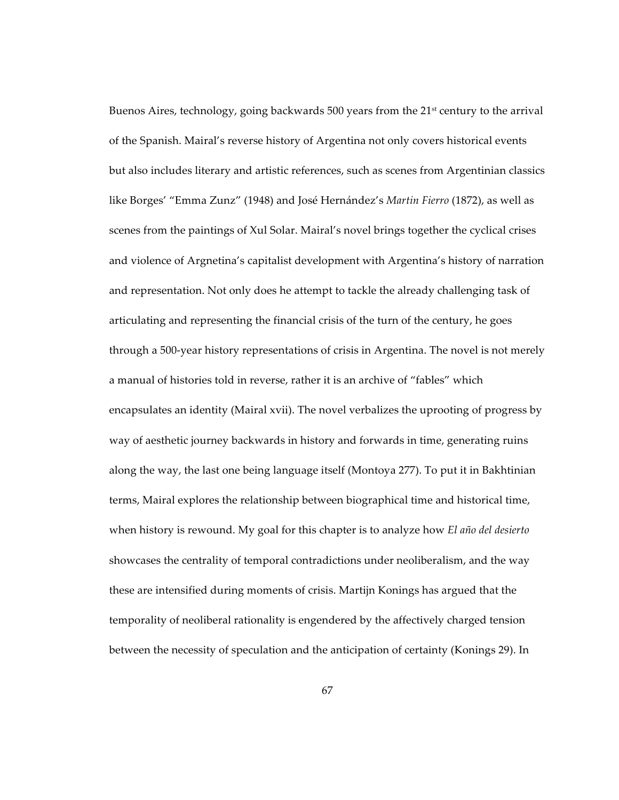Buenos Aires, technology, going backwards 500 years from the 21<sup>st</sup> century to the arrival of the Spanish. Mairal's reverse history of Argentina not only covers historical events but also includes literary and artistic references, such as scenes from Argentinian classics like Borges' "Emma Zunz" (1948) and José Hernández's *Martin Fierro* (1872), as well as scenes from the paintings of Xul Solar. Mairal's novel brings together the cyclical crises and violence of Argnetina's capitalist development with Argentina's history of narration and representation. Not only does he attempt to tackle the already challenging task of articulating and representing the financial crisis of the turn of the century, he goes through a 500-year history representations of crisis in Argentina. The novel is not merely a manual of histories told in reverse, rather it is an archive of "fables" which encapsulates an identity (Mairal xvii). The novel verbalizes the uprooting of progress by way of aesthetic journey backwards in history and forwards in time, generating ruins along the way, the last one being language itself (Montoya 277). To put it in Bakhtinian terms, Mairal explores the relationship between biographical time and historical time, when history is rewound. My goal for this chapter is to analyze how *El año del desierto*  showcases the centrality of temporal contradictions under neoliberalism, and the way these are intensified during moments of crisis. Martijn Konings has argued that the temporality of neoliberal rationality is engendered by the affectively charged tension between the necessity of speculation and the anticipation of certainty (Konings 29). In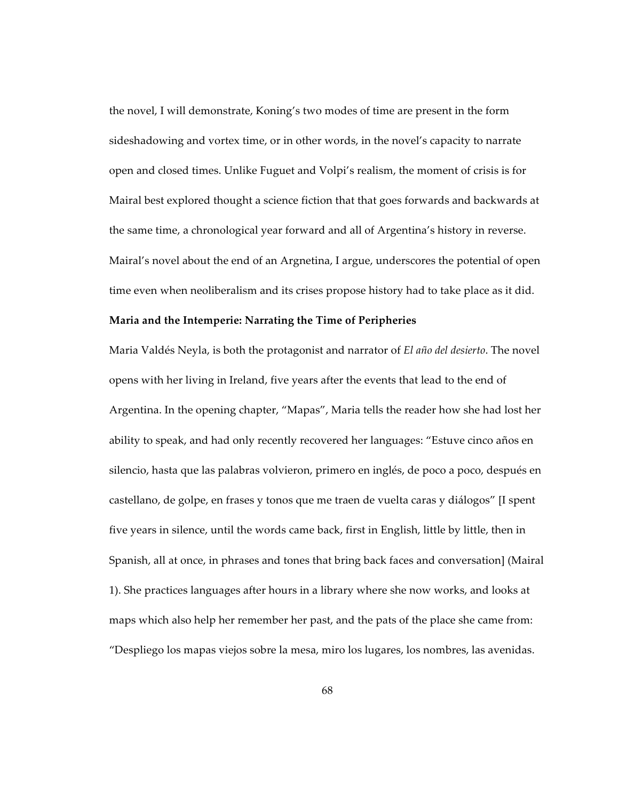the novel, I will demonstrate, Koning's two modes of time are present in the form sideshadowing and vortex time, or in other words, in the novel's capacity to narrate open and closed times. Unlike Fuguet and Volpi's realism, the moment of crisis is for Mairal best explored thought a science fiction that that goes forwards and backwards at the same time, a chronological year forward and all of Argentina's history in reverse. Mairal's novel about the end of an Argnetina, I argue, underscores the potential of open time even when neoliberalism and its crises propose history had to take place as it did.

## **Maria and the Intemperie: Narrating the Time of Peripheries**

Maria Valdés Neyla, is both the protagonist and narrator of *El año del desierto*. The novel opens with her living in Ireland, five years after the events that lead to the end of Argentina. In the opening chapter, "Mapas", Maria tells the reader how she had lost her ability to speak, and had only recently recovered her languages: "Estuve cinco años en silencio, hasta que las palabras volvieron, primero en inglés, de poco a poco, después en castellano, de golpe, en frases y tonos que me traen de vuelta caras y diálogos" [I spent five years in silence, until the words came back, first in English, little by little, then in Spanish, all at once, in phrases and tones that bring back faces and conversation] (Mairal 1). She practices languages after hours in a library where she now works, and looks at maps which also help her remember her past, and the pats of the place she came from: "Despliego los mapas viejos sobre la mesa, miro los lugares, los nombres, las avenidas.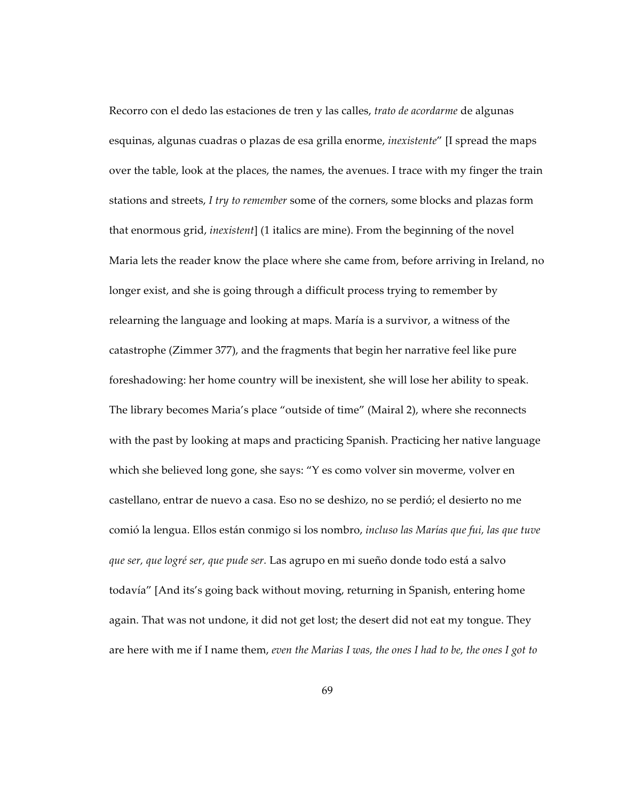Recorro con el dedo las estaciones de tren y las calles, *trato de acordarme* de algunas esquinas, algunas cuadras o plazas de esa grilla enorme, *inexistente*" [I spread the maps over the table, look at the places, the names, the avenues. I trace with my finger the train stations and streets, *I try to remember* some of the corners, some blocks and plazas form that enormous grid, *inexistent*] (1 italics are mine). From the beginning of the novel Maria lets the reader know the place where she came from, before arriving in Ireland, no longer exist, and she is going through a difficult process trying to remember by relearning the language and looking at maps. María is a survivor, a witness of the catastrophe (Zimmer 377), and the fragments that begin her narrative feel like pure foreshadowing: her home country will be inexistent, she will lose her ability to speak. The library becomes Maria's place "outside of time" (Mairal 2), where she reconnects with the past by looking at maps and practicing Spanish. Practicing her native language which she believed long gone, she says: "Y es como volver sin moverme, volver en castellano, entrar de nuevo a casa. Eso no se deshizo, no se perdió; el desierto no me comió la lengua. Ellos están conmigo si los nombro, *incluso las Marías que fui, las que tuve que ser, que logré ser, que pude ser.* Las agrupo en mi sueño donde todo está a salvo todavía" [And its's going back without moving, returning in Spanish, entering home again. That was not undone, it did not get lost; the desert did not eat my tongue. They are here with me if I name them, *even the Marias I was, the ones I had to be, the ones I got to*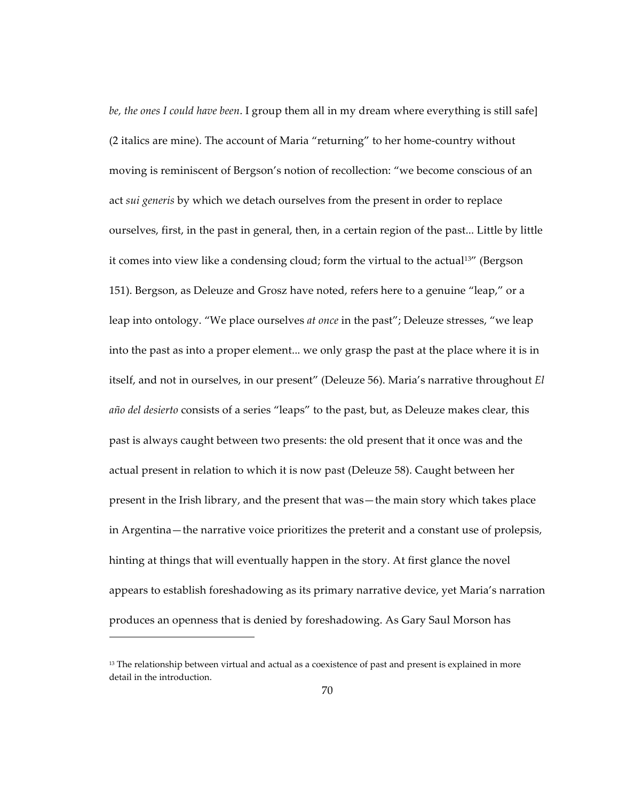*be, the ones I could have been*. I group them all in my dream where everything is still safe] (2 italics are mine). The account of Maria "returning" to her home-country without moving is reminiscent of Bergson's notion of recollection: "we become conscious of an act *sui generis* by which we detach ourselves from the present in order to replace ourselves, first, in the past in general, then, in a certain region of the past... Little by little it comes into view like a condensing cloud; form the virtual to the actual<sup>13"</sup> (Bergson 151). Bergson, as Deleuze and Grosz have noted, refers here to a genuine "leap," or a leap into ontology. "We place ourselves *at once* in the past"; Deleuze stresses, "we leap into the past as into a proper element... we only grasp the past at the place where it is in itself, and not in ourselves, in our present" (Deleuze 56). Maria's narrative throughout *El año del desierto* consists of a series "leaps" to the past, but, as Deleuze makes clear, this past is always caught between two presents: the old present that it once was and the actual present in relation to which it is now past (Deleuze 58). Caught between her present in the Irish library, and the present that was—the main story which takes place in Argentina—the narrative voice prioritizes the preterit and a constant use of prolepsis, hinting at things that will eventually happen in the story. At first glance the novel appears to establish foreshadowing as its primary narrative device, yet Maria's narration produces an openness that is denied by foreshadowing. As Gary Saul Morson has

 $\overline{a}$ 

 $13$  The relationship between virtual and actual as a coexistence of past and present is explained in more detail in the introduction.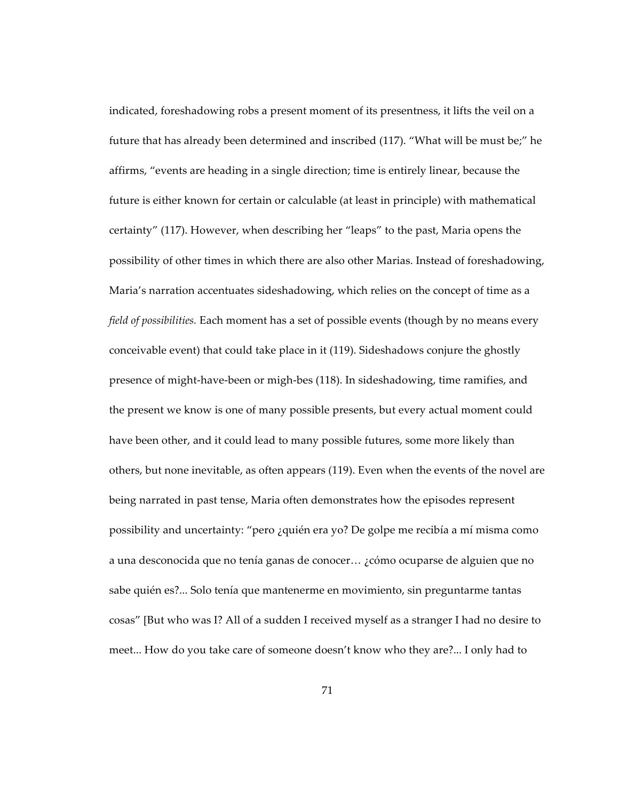indicated, foreshadowing robs a present moment of its presentness, it lifts the veil on a future that has already been determined and inscribed (117). "What will be must be;" he affirms, "events are heading in a single direction; time is entirely linear, because the future is either known for certain or calculable (at least in principle) with mathematical certainty" (117). However, when describing her "leaps" to the past, Maria opens the possibility of other times in which there are also other Marias. Instead of foreshadowing, Maria's narration accentuates sideshadowing, which relies on the concept of time as a *field of possibilities.* Each moment has a set of possible events (though by no means every conceivable event) that could take place in it (119). Sideshadows conjure the ghostly presence of might-have-been or migh-bes (118). In sideshadowing, time ramifies, and the present we know is one of many possible presents, but every actual moment could have been other, and it could lead to many possible futures, some more likely than others, but none inevitable, as often appears (119). Even when the events of the novel are being narrated in past tense, Maria often demonstrates how the episodes represent possibility and uncertainty: "pero ¿quién era yo? De golpe me recibía a mí misma como a una desconocida que no tenía ganas de conocer… ¿cómo ocuparse de alguien que no sabe quién es?... Solo tenía que mantenerme en movimiento, sin preguntarme tantas cosas" [But who was I? All of a sudden I received myself as a stranger I had no desire to meet... How do you take care of someone doesn't know who they are?... I only had to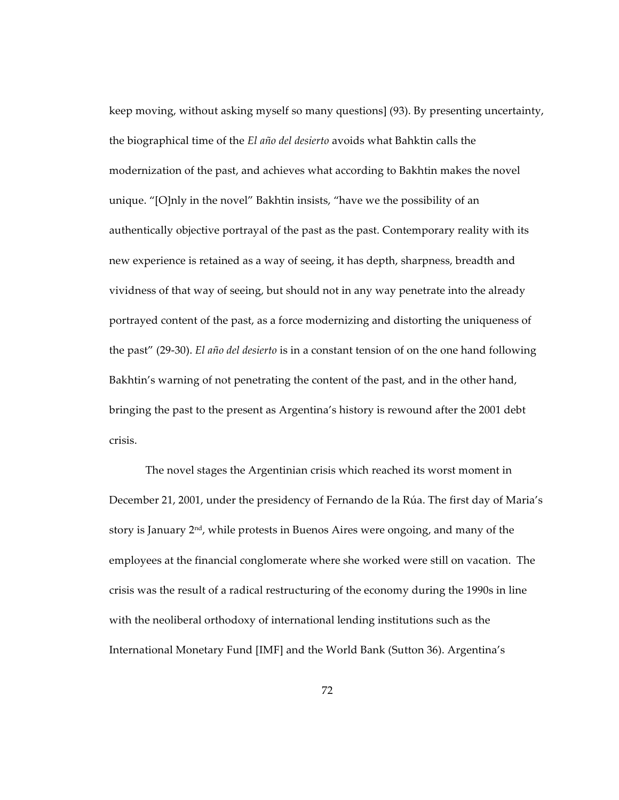keep moving, without asking myself so many questions] (93). By presenting uncertainty, the biographical time of the *El año del desierto* avoids what Bahktin calls the modernization of the past, and achieves what according to Bakhtin makes the novel unique. "[O]nly in the novel" Bakhtin insists, "have we the possibility of an authentically objective portrayal of the past as the past. Contemporary reality with its new experience is retained as a way of seeing, it has depth, sharpness, breadth and vividness of that way of seeing, but should not in any way penetrate into the already portrayed content of the past, as a force modernizing and distorting the uniqueness of the past" (29-30). *El año del desierto* is in a constant tension of on the one hand following Bakhtin's warning of not penetrating the content of the past, and in the other hand, bringing the past to the present as Argentina's history is rewound after the 2001 debt crisis.

The novel stages the Argentinian crisis which reached its worst moment in December 21, 2001, under the presidency of Fernando de la Rúa. The first day of Maria's story is January  $2<sup>nd</sup>$ , while protests in Buenos Aires were ongoing, and many of the employees at the financial conglomerate where she worked were still on vacation. The crisis was the result of a radical restructuring of the economy during the 1990s in line with the neoliberal orthodoxy of international lending institutions such as the International Monetary Fund [IMF] and the World Bank (Sutton 36). Argentina's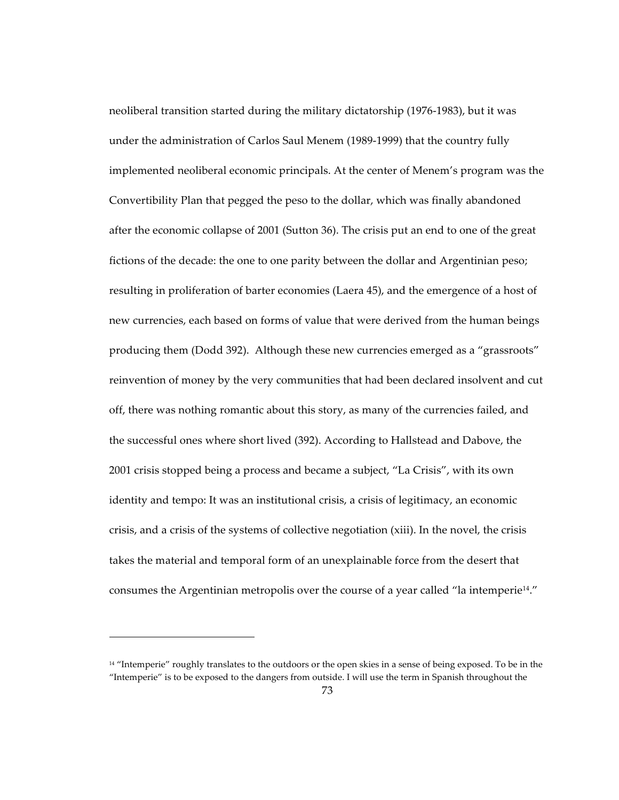neoliberal transition started during the military dictatorship (1976-1983), but it was under the administration of Carlos Saul Menem (1989-1999) that the country fully implemented neoliberal economic principals. At the center of Menem's program was the Convertibility Plan that pegged the peso to the dollar, which was finally abandoned after the economic collapse of 2001 (Sutton 36). The crisis put an end to one of the great fictions of the decade: the one to one parity between the dollar and Argentinian peso; resulting in proliferation of barter economies (Laera 45), and the emergence of a host of new currencies, each based on forms of value that were derived from the human beings producing them (Dodd 392). Although these new currencies emerged as a "grassroots" reinvention of money by the very communities that had been declared insolvent and cut off, there was nothing romantic about this story, as many of the currencies failed, and the successful ones where short lived (392). According to Hallstead and Dabove, the 2001 crisis stopped being a process and became a subject, "La Crisis", with its own identity and tempo: It was an institutional crisis, a crisis of legitimacy, an economic crisis, and a crisis of the systems of collective negotiation (xiii). In the novel, the crisis takes the material and temporal form of an unexplainable force from the desert that consumes the Argentinian metropolis over the course of a year called "la intemperie14."

 $\overline{a}$ 

<sup>&</sup>lt;sup>14</sup> "Intemperie" roughly translates to the outdoors or the open skies in a sense of being exposed. To be in the "Intemperie" is to be exposed to the dangers from outside. I will use the term in Spanish throughout the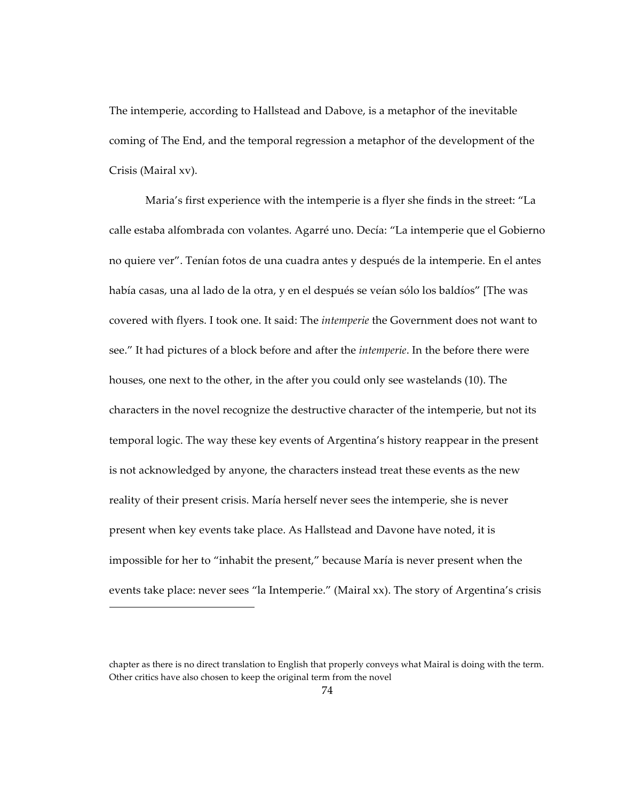The intemperie, according to Hallstead and Dabove, is a metaphor of the inevitable coming of The End, and the temporal regression a metaphor of the development of the Crisis (Mairal xv).

Maria's first experience with the intemperie is a flyer she finds in the street: "La calle estaba alfombrada con volantes. Agarré uno. Decía: "La intemperie que el Gobierno no quiere ver". Tenían fotos de una cuadra antes y después de la intemperie. En el antes había casas, una al lado de la otra, y en el después se veían sólo los baldíos" [The was covered with flyers. I took one. It said: The *intemperie* the Government does not want to see." It had pictures of a block before and after the *intemperie*. In the before there were houses, one next to the other, in the after you could only see wastelands (10). The characters in the novel recognize the destructive character of the intemperie, but not its temporal logic. The way these key events of Argentina's history reappear in the present is not acknowledged by anyone, the characters instead treat these events as the new reality of their present crisis. María herself never sees the intemperie, she is never present when key events take place. As Hallstead and Davone have noted, it is impossible for her to "inhabit the present," because María is never present when the events take place: never sees "la Intemperie." (Mairal xx). The story of Argentina's crisis

 $\overline{a}$ 

chapter as there is no direct translation to English that properly conveys what Mairal is doing with the term. Other critics have also chosen to keep the original term from the novel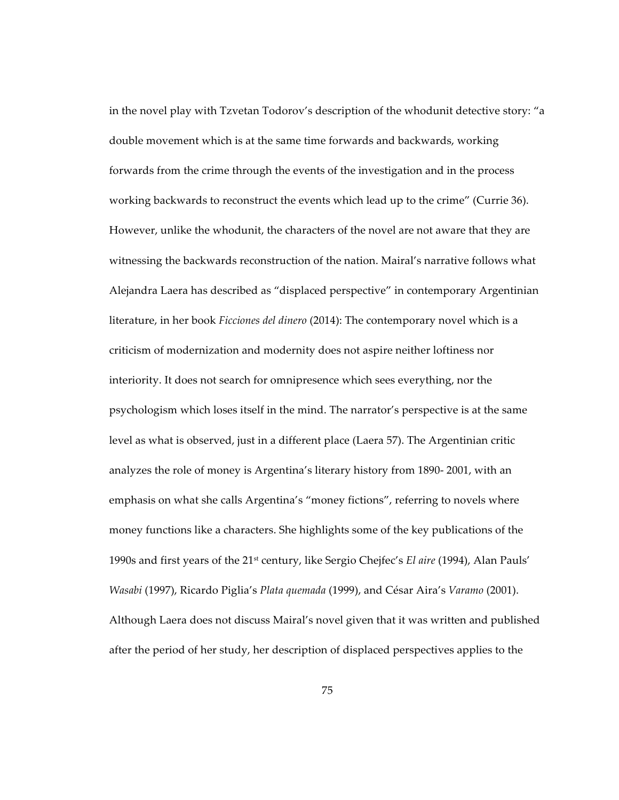in the novel play with Tzvetan Todorov's description of the whodunit detective story: "a double movement which is at the same time forwards and backwards, working forwards from the crime through the events of the investigation and in the process working backwards to reconstruct the events which lead up to the crime" (Currie 36). However, unlike the whodunit, the characters of the novel are not aware that they are witnessing the backwards reconstruction of the nation. Mairal's narrative follows what Alejandra Laera has described as "displaced perspective" in contemporary Argentinian literature, in her book *Ficciones del dinero* (2014): The contemporary novel which is a criticism of modernization and modernity does not aspire neither loftiness nor interiority. It does not search for omnipresence which sees everything, nor the psychologism which loses itself in the mind. The narrator's perspective is at the same level as what is observed, just in a different place (Laera 57). The Argentinian critic analyzes the role of money is Argentina's literary history from 1890- 2001, with an emphasis on what she calls Argentina's "money fictions", referring to novels where money functions like a characters. She highlights some of the key publications of the 1990s and first years of the 21st century, like Sergio Chejfec's *El aire* (1994), Alan Pauls' *Wasabi* (1997), Ricardo Piglia's *Plata quemada* (1999), and César Aira's *Varamo* (2001). Although Laera does not discuss Mairal's novel given that it was written and published after the period of her study, her description of displaced perspectives applies to the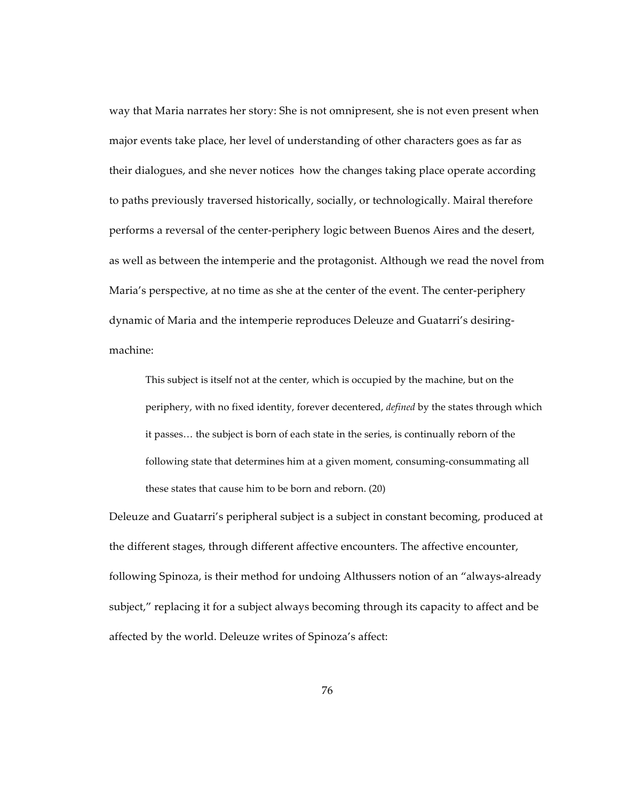way that Maria narrates her story: She is not omnipresent, she is not even present when major events take place, her level of understanding of other characters goes as far as their dialogues, and she never notices how the changes taking place operate according to paths previously traversed historically, socially, or technologically. Mairal therefore performs a reversal of the center-periphery logic between Buenos Aires and the desert, as well as between the intemperie and the protagonist. Although we read the novel from Maria's perspective, at no time as she at the center of the event. The center-periphery dynamic of Maria and the intemperie reproduces Deleuze and Guatarri's desiringmachine:

This subject is itself not at the center, which is occupied by the machine, but on the periphery, with no fixed identity, forever decentered, *defined* by the states through which it passes… the subject is born of each state in the series, is continually reborn of the following state that determines him at a given moment, consuming-consummating all these states that cause him to be born and reborn. (20)

Deleuze and Guatarri's peripheral subject is a subject in constant becoming, produced at the different stages, through different affective encounters. The affective encounter, following Spinoza, is their method for undoing Althussers notion of an "always-already subject," replacing it for a subject always becoming through its capacity to affect and be affected by the world. Deleuze writes of Spinoza's affect: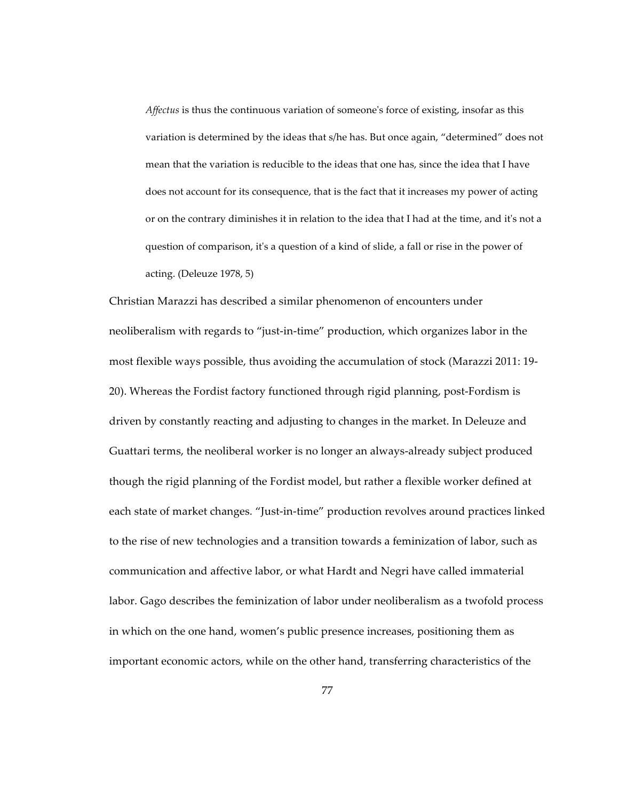*Affectus* is thus the continuous variation of someone's force of existing, insofar as this variation is determined by the ideas that s/he has. But once again, "determined" does not mean that the variation is reducible to the ideas that one has, since the idea that I have does not account for its consequence, that is the fact that it increases my power of acting or on the contrary diminishes it in relation to the idea that I had at the time, and it's not a question of comparison, it's a question of a kind of slide, a fall or rise in the power of acting. (Deleuze 1978, 5)

Christian Marazzi has described a similar phenomenon of encounters under neoliberalism with regards to "just-in-time" production, which organizes labor in the most flexible ways possible, thus avoiding the accumulation of stock (Marazzi 2011: 19- 20). Whereas the Fordist factory functioned through rigid planning, post-Fordism is driven by constantly reacting and adjusting to changes in the market. In Deleuze and Guattari terms, the neoliberal worker is no longer an always-already subject produced though the rigid planning of the Fordist model, but rather a flexible worker defined at each state of market changes. "Just-in-time" production revolves around practices linked to the rise of new technologies and a transition towards a feminization of labor, such as communication and affective labor, or what Hardt and Negri have called immaterial labor. Gago describes the feminization of labor under neoliberalism as a twofold process in which on the one hand, women's public presence increases, positioning them as important economic actors, while on the other hand, transferring characteristics of the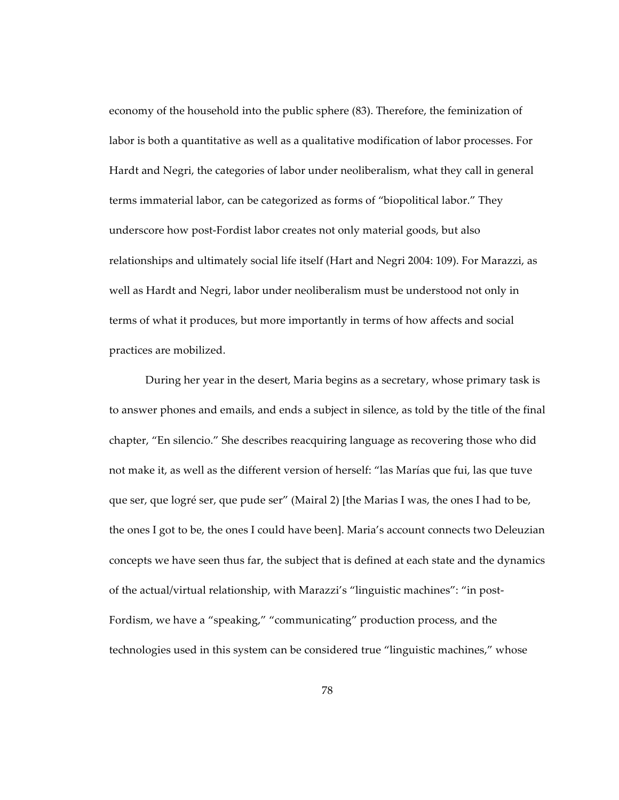economy of the household into the public sphere (83). Therefore, the feminization of labor is both a quantitative as well as a qualitative modification of labor processes. For Hardt and Negri, the categories of labor under neoliberalism, what they call in general terms immaterial labor, can be categorized as forms of "biopolitical labor." They underscore how post-Fordist labor creates not only material goods, but also relationships and ultimately social life itself (Hart and Negri 2004: 109). For Marazzi, as well as Hardt and Negri, labor under neoliberalism must be understood not only in terms of what it produces, but more importantly in terms of how affects and social practices are mobilized.

During her year in the desert, Maria begins as a secretary, whose primary task is to answer phones and emails, and ends a subject in silence, as told by the title of the final chapter, "En silencio." She describes reacquiring language as recovering those who did not make it, as well as the different version of herself: "las Marías que fui, las que tuve que ser, que logré ser, que pude ser" (Mairal 2) [the Marias I was, the ones I had to be, the ones I got to be, the ones I could have been]. Maria's account connects two Deleuzian concepts we have seen thus far, the subject that is defined at each state and the dynamics of the actual/virtual relationship, with Marazzi's "linguistic machines": "in post-Fordism, we have a "speaking," "communicating" production process, and the technologies used in this system can be considered true "linguistic machines," whose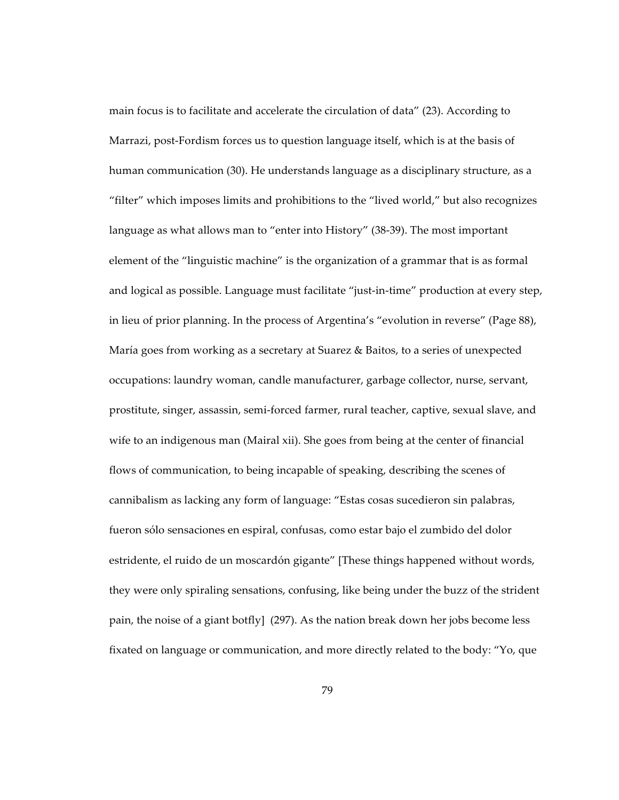main focus is to facilitate and accelerate the circulation of data" (23). According to Marrazi, post-Fordism forces us to question language itself, which is at the basis of human communication (30). He understands language as a disciplinary structure, as a "filter" which imposes limits and prohibitions to the "lived world," but also recognizes language as what allows man to "enter into History" (38-39). The most important element of the "linguistic machine" is the organization of a grammar that is as formal and logical as possible. Language must facilitate "just-in-time" production at every step, in lieu of prior planning. In the process of Argentina's "evolution in reverse" (Page 88), María goes from working as a secretary at Suarez & Baitos, to a series of unexpected occupations: laundry woman, candle manufacturer, garbage collector, nurse, servant, prostitute, singer, assassin, semi-forced farmer, rural teacher, captive, sexual slave, and wife to an indigenous man (Mairal xii). She goes from being at the center of financial flows of communication, to being incapable of speaking, describing the scenes of cannibalism as lacking any form of language: "Estas cosas sucedieron sin palabras, fueron sólo sensaciones en espiral, confusas, como estar bajo el zumbido del dolor estridente, el ruido de un moscardón gigante" [These things happened without words, they were only spiraling sensations, confusing, like being under the buzz of the strident pain, the noise of a giant botfly] (297). As the nation break down her jobs become less fixated on language or communication, and more directly related to the body: "Yo, que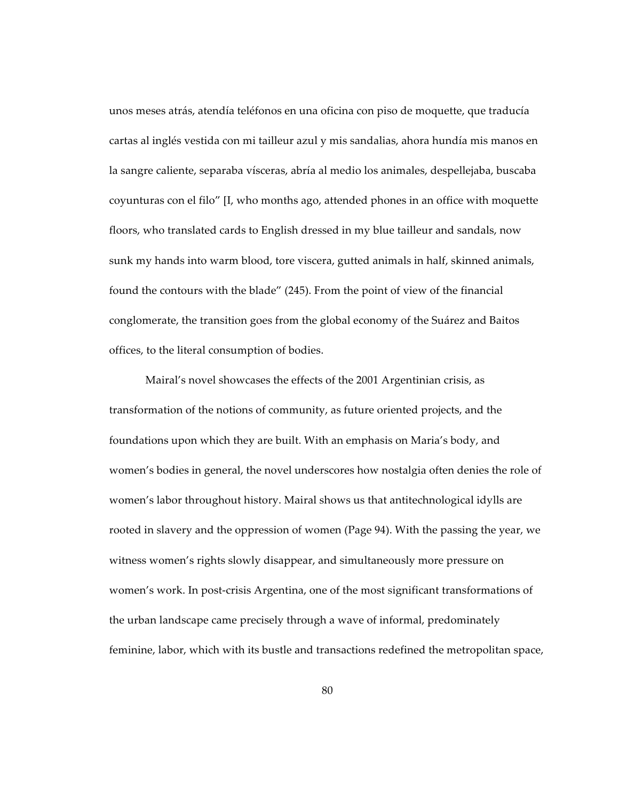unos meses atrás, atendía teléfonos en una oficina con piso de moquette, que traducía cartas al inglés vestida con mi tailleur azul y mis sandalias, ahora hundía mis manos en la sangre caliente, separaba vísceras, abría al medio los animales, despellejaba, buscaba coyunturas con el filo" [I, who months ago, attended phones in an office with moquette floors, who translated cards to English dressed in my blue tailleur and sandals, now sunk my hands into warm blood, tore viscera, gutted animals in half, skinned animals, found the contours with the blade" (245). From the point of view of the financial conglomerate, the transition goes from the global economy of the Suárez and Baitos offices, to the literal consumption of bodies.

Mairal's novel showcases the effects of the 2001 Argentinian crisis, as transformation of the notions of community, as future oriented projects, and the foundations upon which they are built. With an emphasis on Maria's body, and women's bodies in general, the novel underscores how nostalgia often denies the role of women's labor throughout history. Mairal shows us that antitechnological idylls are rooted in slavery and the oppression of women (Page 94). With the passing the year, we witness women's rights slowly disappear, and simultaneously more pressure on women's work. In post-crisis Argentina, one of the most significant transformations of the urban landscape came precisely through a wave of informal, predominately feminine, labor, which with its bustle and transactions redefined the metropolitan space,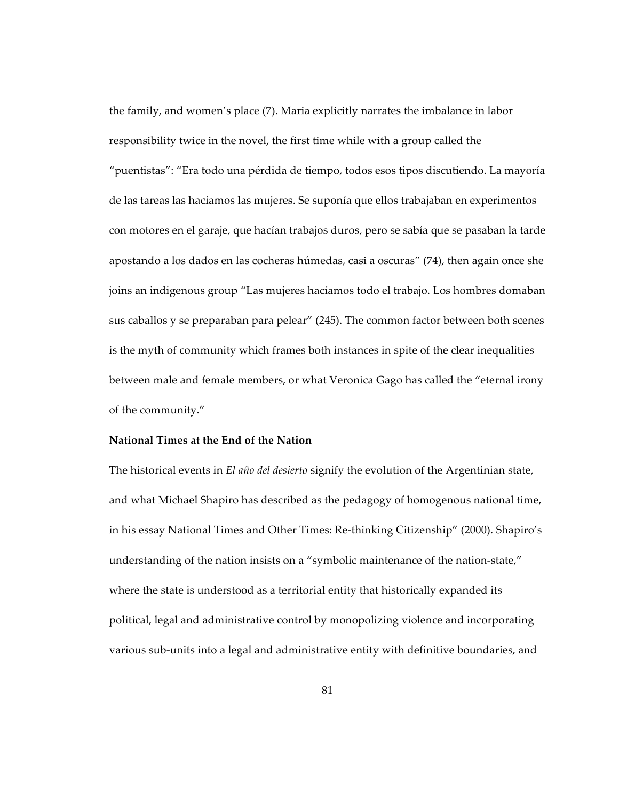the family, and women's place (7). Maria explicitly narrates the imbalance in labor responsibility twice in the novel, the first time while with a group called the "puentistas": "Era todo una pérdida de tiempo, todos esos tipos discutiendo. La mayoría de las tareas las hacíamos las mujeres. Se suponía que ellos trabajaban en experimentos con motores en el garaje, que hacían trabajos duros, pero se sabía que se pasaban la tarde apostando a los dados en las cocheras húmedas, casi a oscuras" (74), then again once she joins an indigenous group "Las mujeres hacíamos todo el trabajo. Los hombres domaban sus caballos y se preparaban para pelear" (245). The common factor between both scenes is the myth of community which frames both instances in spite of the clear inequalities between male and female members, or what Veronica Gago has called the "eternal irony of the community."

## **National Times at the End of the Nation**

The historical events in *El año del desierto* signify the evolution of the Argentinian state, and what Michael Shapiro has described as the pedagogy of homogenous national time, in his essay National Times and Other Times: Re-thinking Citizenship" (2000). Shapiro's understanding of the nation insists on a "symbolic maintenance of the nation-state," where the state is understood as a territorial entity that historically expanded its political, legal and administrative control by monopolizing violence and incorporating various sub-units into a legal and administrative entity with definitive boundaries, and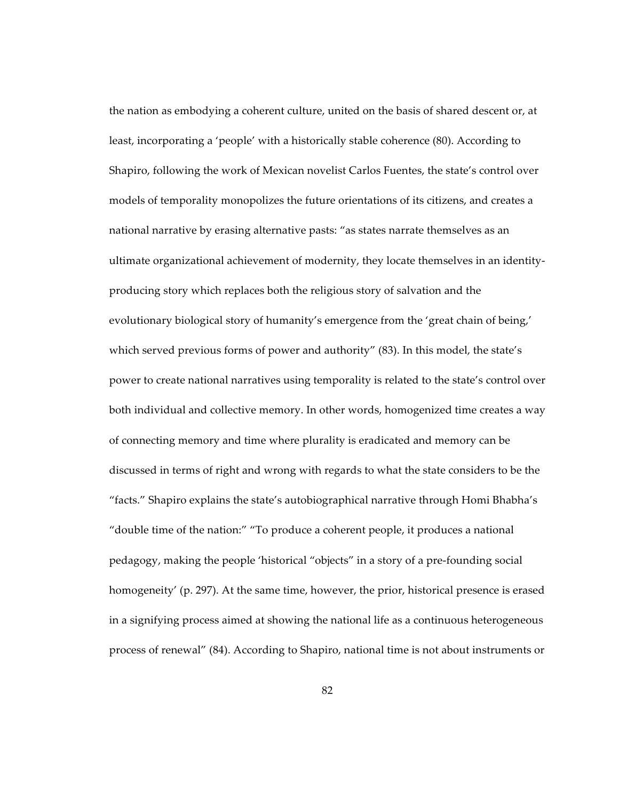the nation as embodying a coherent culture, united on the basis of shared descent or, at least, incorporating a 'people' with a historically stable coherence (80). According to Shapiro, following the work of Mexican novelist Carlos Fuentes, the state's control over models of temporality monopolizes the future orientations of its citizens, and creates a national narrative by erasing alternative pasts: "as states narrate themselves as an ultimate organizational achievement of modernity, they locate themselves in an identityproducing story which replaces both the religious story of salvation and the evolutionary biological story of humanity's emergence from the 'great chain of being,' which served previous forms of power and authority" (83). In this model, the state's power to create national narratives using temporality is related to the state's control over both individual and collective memory. In other words, homogenized time creates a way of connecting memory and time where plurality is eradicated and memory can be discussed in terms of right and wrong with regards to what the state considers to be the "facts." Shapiro explains the state's autobiographical narrative through Homi Bhabha's "double time of the nation:" "To produce a coherent people, it produces a national pedagogy, making the people 'historical "objects" in a story of a pre-founding social homogeneity' (p. 297). At the same time, however, the prior, historical presence is erased in a signifying process aimed at showing the national life as a continuous heterogeneous process of renewal" (84). According to Shapiro, national time is not about instruments or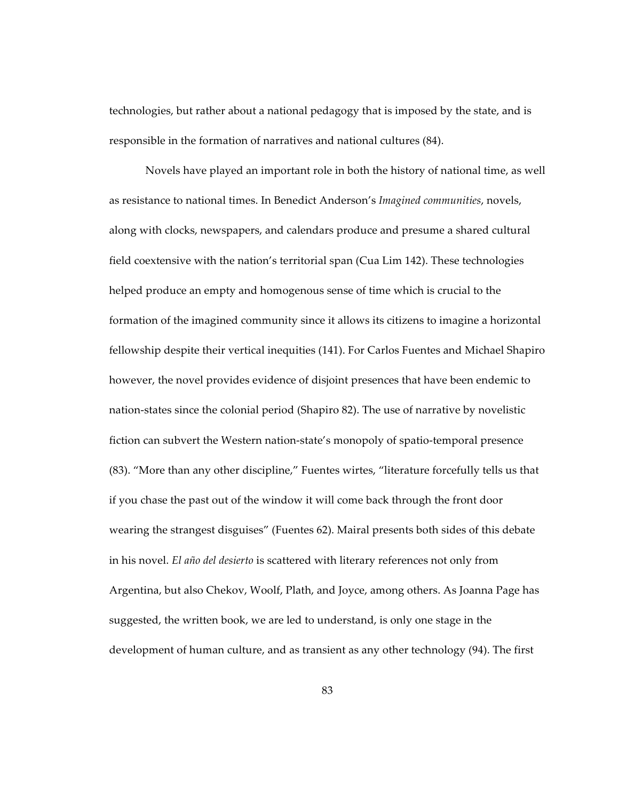technologies, but rather about a national pedagogy that is imposed by the state, and is responsible in the formation of narratives and national cultures (84).

Novels have played an important role in both the history of national time, as well as resistance to national times. In Benedict Anderson's *Imagined communities*, novels, along with clocks, newspapers, and calendars produce and presume a shared cultural field coextensive with the nation's territorial span (Cua Lim 142). These technologies helped produce an empty and homogenous sense of time which is crucial to the formation of the imagined community since it allows its citizens to imagine a horizontal fellowship despite their vertical inequities (141). For Carlos Fuentes and Michael Shapiro however, the novel provides evidence of disjoint presences that have been endemic to nation-states since the colonial period (Shapiro 82). The use of narrative by novelistic fiction can subvert the Western nation-state's monopoly of spatio-temporal presence (83). "More than any other discipline," Fuentes wirtes, "literature forcefully tells us that if you chase the past out of the window it will come back through the front door wearing the strangest disguises" (Fuentes 62). Mairal presents both sides of this debate in his novel. *El año del desierto* is scattered with literary references not only from Argentina, but also Chekov, Woolf, Plath, and Joyce, among others. As Joanna Page has suggested, the written book, we are led to understand, is only one stage in the development of human culture, and as transient as any other technology (94). The first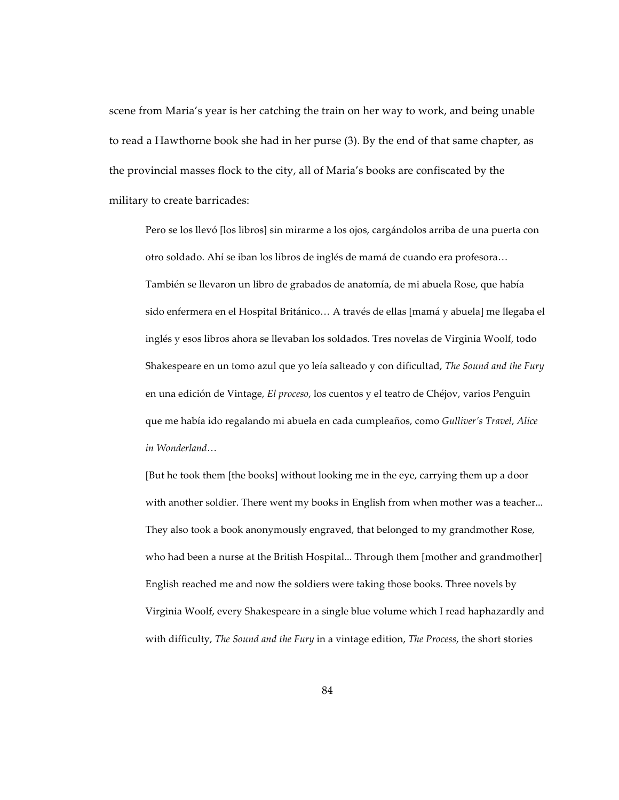scene from Maria's year is her catching the train on her way to work, and being unable to read a Hawthorne book she had in her purse (3). By the end of that same chapter, as the provincial masses flock to the city, all of Maria's books are confiscated by the military to create barricades:

Pero se los llevó [los libros] sin mirarme a los ojos, cargándolos arriba de una puerta con otro soldado. Ahí se iban los libros de inglés de mamá de cuando era profesora… También se llevaron un libro de grabados de anatomía, de mi abuela Rose, que había sido enfermera en el Hospital Británico… A través de ellas [mamá y abuela] me llegaba el inglés y esos libros ahora se llevaban los soldados. Tres novelas de Virginia Woolf, todo Shakespeare en un tomo azul que yo leía salteado y con dificultad, *The Sound and the Fury* en una edición de Vintage, *El proceso*, los cuentos y el teatro de Chéjov, varios Penguin que me había ido regalando mi abuela en cada cumpleaños, como *Gulliver's Travel*, *Alice in Wonderland*…

[But he took them [the books] without looking me in the eye, carrying them up a door with another soldier. There went my books in English from when mother was a teacher... They also took a book anonymously engraved, that belonged to my grandmother Rose, who had been a nurse at the British Hospital... Through them [mother and grandmother] English reached me and now the soldiers were taking those books. Three novels by Virginia Woolf, every Shakespeare in a single blue volume which I read haphazardly and with difficulty, *The Sound and the Fury* in a vintage edition, *The Process*, the short stories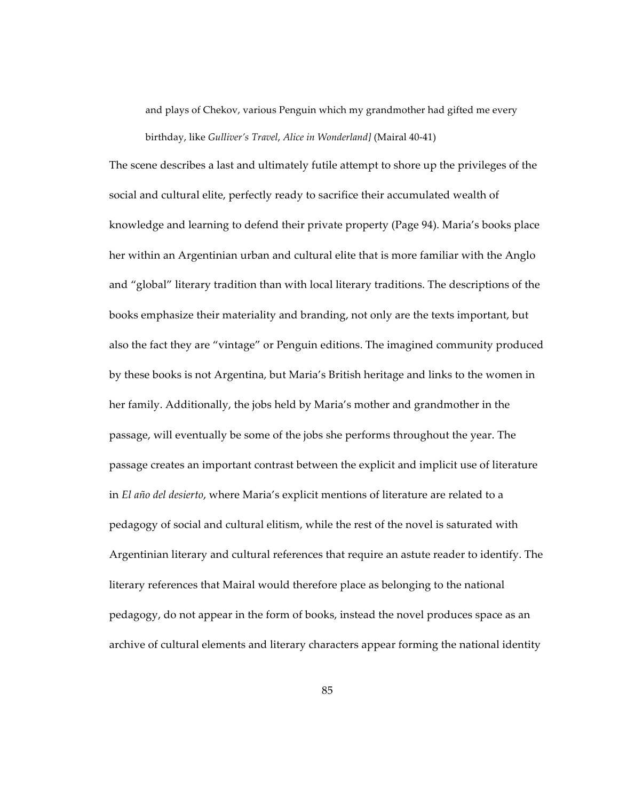and plays of Chekov, various Penguin which my grandmother had gifted me every birthday, like *Gulliver's Travel*, *Alice in Wonderland]* (Mairal 40-41)

The scene describes a last and ultimately futile attempt to shore up the privileges of the social and cultural elite, perfectly ready to sacrifice their accumulated wealth of knowledge and learning to defend their private property (Page 94). Maria's books place her within an Argentinian urban and cultural elite that is more familiar with the Anglo and "global" literary tradition than with local literary traditions. The descriptions of the books emphasize their materiality and branding, not only are the texts important, but also the fact they are "vintage" or Penguin editions. The imagined community produced by these books is not Argentina, but Maria's British heritage and links to the women in her family. Additionally, the jobs held by Maria's mother and grandmother in the passage, will eventually be some of the jobs she performs throughout the year. The passage creates an important contrast between the explicit and implicit use of literature in *El año del desierto*, where Maria's explicit mentions of literature are related to a pedagogy of social and cultural elitism, while the rest of the novel is saturated with Argentinian literary and cultural references that require an astute reader to identify. The literary references that Mairal would therefore place as belonging to the national pedagogy, do not appear in the form of books, instead the novel produces space as an archive of cultural elements and literary characters appear forming the national identity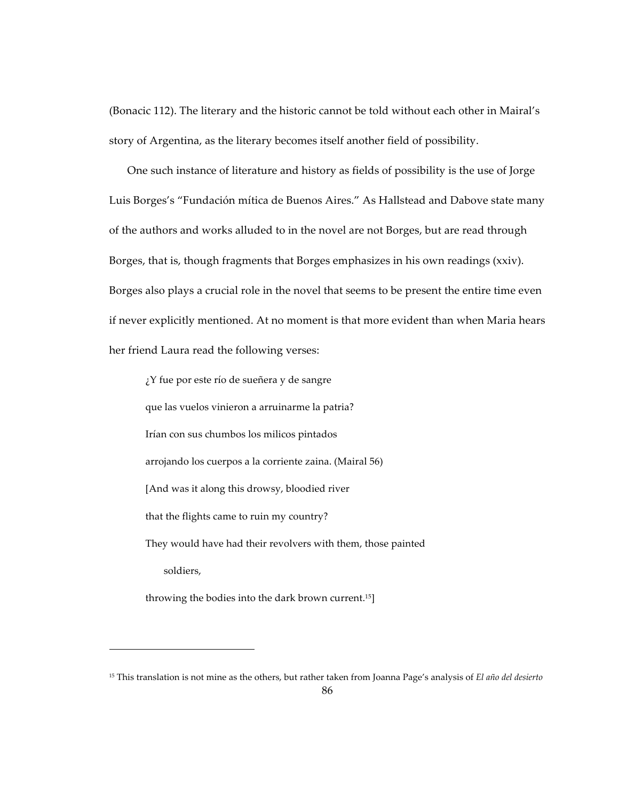(Bonacic 112). The literary and the historic cannot be told without each other in Mairal's story of Argentina, as the literary becomes itself another field of possibility.

One such instance of literature and history as fields of possibility is the use of Jorge Luis Borges's "Fundación mítica de Buenos Aires." As Hallstead and Dabove state many of the authors and works alluded to in the novel are not Borges, but are read through Borges, that is, though fragments that Borges emphasizes in his own readings (xxiv). Borges also plays a crucial role in the novel that seems to be present the entire time even if never explicitly mentioned. At no moment is that more evident than when Maria hears her friend Laura read the following verses:

¿Y fue por este río de sueñera y de sangre que las vuelos vinieron a arruinarme la patria? Irían con sus chumbos los milicos pintados arrojando los cuerpos a la corriente zaina. (Mairal 56) [And was it along this drowsy, bloodied river that the flights came to ruin my country? They would have had their revolvers with them, those painted soldiers,

throwing the bodies into the dark brown current.15]

 $\overline{a}$ 

<sup>15</sup> This translation is not mine as the others, but rather taken from Joanna Page's analysis of *El año del desierto*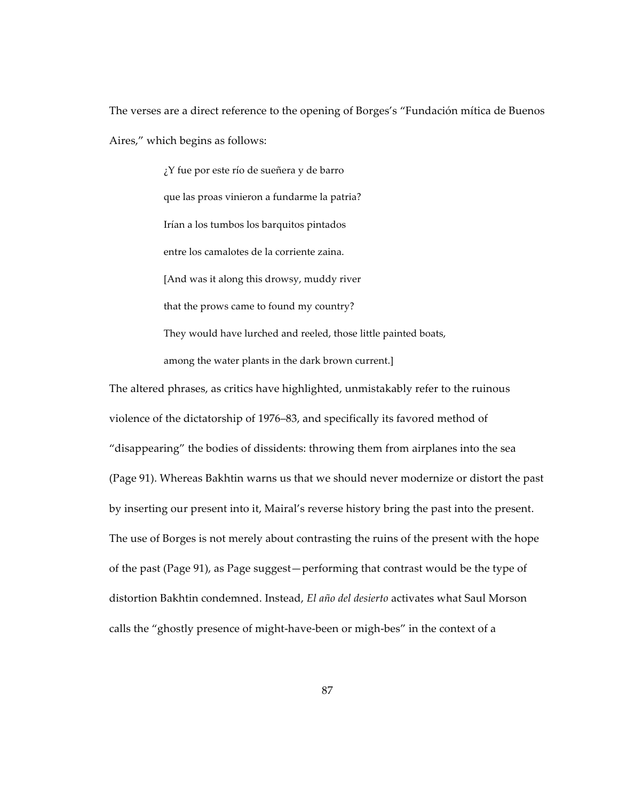The verses are a direct reference to the opening of Borges's "Fundación mítica de Buenos Aires," which begins as follows:

> ¿Y fue por este río de sueñera y de barro que las proas vinieron a fundarme la patria? Irían a los tumbos los barquitos pintados entre los camalotes de la corriente zaina. [And was it along this drowsy, muddy river that the prows came to found my country? They would have lurched and reeled, those little painted boats, among the water plants in the dark brown current.]

The altered phrases, as critics have highlighted, unmistakably refer to the ruinous violence of the dictatorship of 1976–83, and specifically its favored method of "disappearing" the bodies of dissidents: throwing them from airplanes into the sea (Page 91). Whereas Bakhtin warns us that we should never modernize or distort the past by inserting our present into it, Mairal's reverse history bring the past into the present. The use of Borges is not merely about contrasting the ruins of the present with the hope of the past (Page 91), as Page suggest—performing that contrast would be the type of distortion Bakhtin condemned. Instead, *El año del desierto* activates what Saul Morson calls the "ghostly presence of might-have-been or migh-bes" in the context of a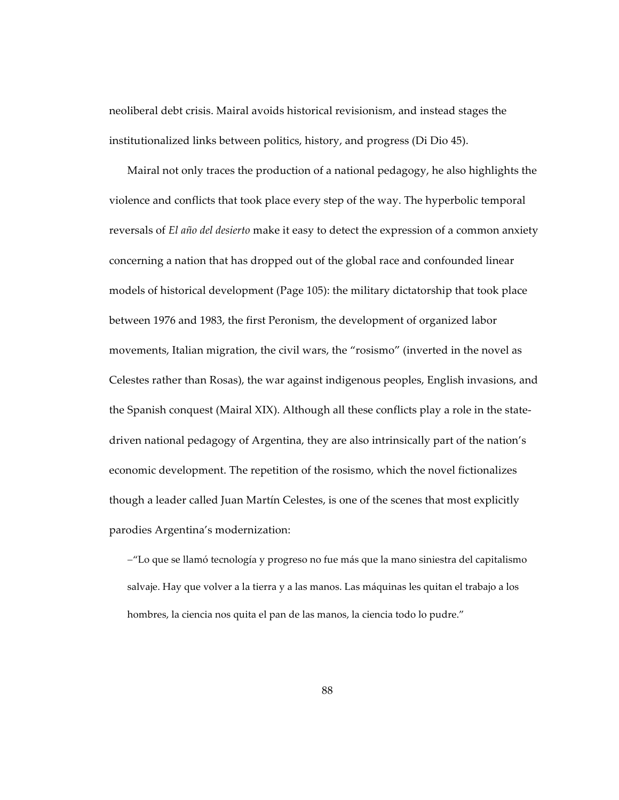neoliberal debt crisis. Mairal avoids historical revisionism, and instead stages the institutionalized links between politics, history, and progress (Di Dio 45).

Mairal not only traces the production of a national pedagogy, he also highlights the violence and conflicts that took place every step of the way. The hyperbolic temporal reversals of *El año del desierto* make it easy to detect the expression of a common anxiety concerning a nation that has dropped out of the global race and confounded linear models of historical development (Page 105): the military dictatorship that took place between 1976 and 1983, the first Peronism, the development of organized labor movements, Italian migration, the civil wars, the "rosismo" (inverted in the novel as Celestes rather than Rosas), the war against indigenous peoples, English invasions, and the Spanish conquest (Mairal XIX). Although all these conflicts play a role in the statedriven national pedagogy of Argentina, they are also intrinsically part of the nation's economic development. The repetition of the rosismo, which the novel fictionalizes though a leader called Juan Martín Celestes, is one of the scenes that most explicitly parodies Argentina's modernization:

-"Lo que se llamó tecnología y progreso no fue más que la mano siniestra del capitalismo salvaje. Hay que volver a la tierra y a las manos. Las máquinas les quitan el trabajo a los hombres, la ciencia nos quita el pan de las manos, la ciencia todo lo pudre."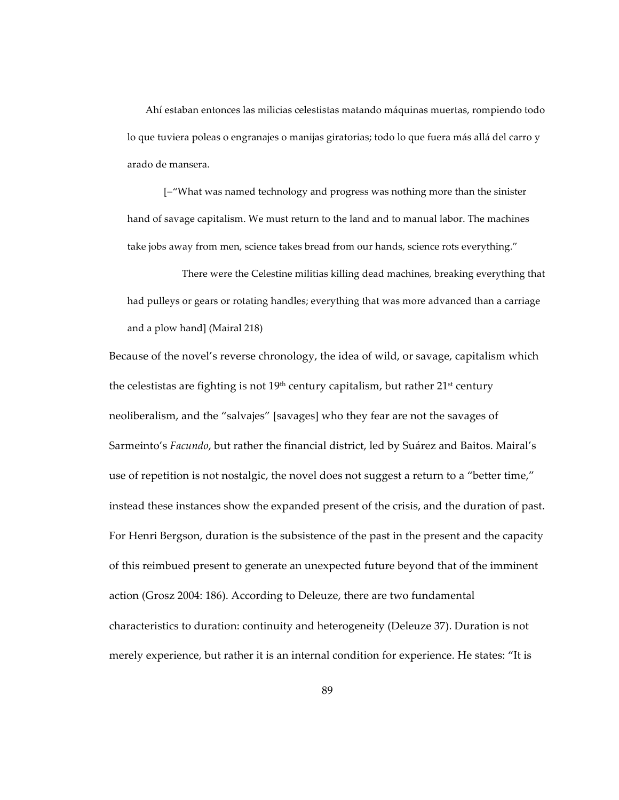Ahí estaban entonces las milicias celestistas matando máquinas muertas, rompiendo todo lo que tuviera poleas o engranajes o manijas giratorias; todo lo que fuera más allá del carro y arado de mansera.

[-"What was named technology and progress was nothing more than the sinister hand of savage capitalism. We must return to the land and to manual labor. The machines take jobs away from men, science takes bread from our hands, science rots everything."

There were the Celestine militias killing dead machines, breaking everything that had pulleys or gears or rotating handles; everything that was more advanced than a carriage and a plow hand] (Mairal 218)

Because of the novel's reverse chronology, the idea of wild, or savage, capitalism which the celestistas are fighting is not  $19<sup>th</sup>$  century capitalism, but rather  $21<sup>st</sup>$  century neoliberalism, and the "salvajes" [savages] who they fear are not the savages of Sarmeinto's *Facundo*, but rather the financial district, led by Suárez and Baitos. Mairal's use of repetition is not nostalgic, the novel does not suggest a return to a "better time," instead these instances show the expanded present of the crisis, and the duration of past. For Henri Bergson, duration is the subsistence of the past in the present and the capacity of this reimbued present to generate an unexpected future beyond that of the imminent action (Grosz 2004: 186). According to Deleuze, there are two fundamental characteristics to duration: continuity and heterogeneity (Deleuze 37). Duration is not merely experience, but rather it is an internal condition for experience. He states: "It is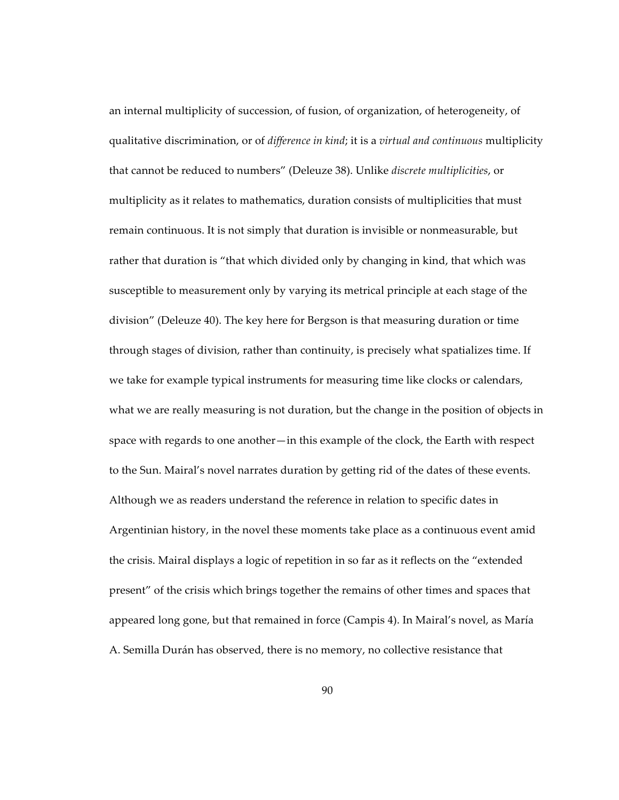an internal multiplicity of succession, of fusion, of organization, of heterogeneity, of qualitative discrimination, or of *difference in kind*; it is a *virtual and continuous* multiplicity that cannot be reduced to numbers" (Deleuze 38). Unlike *discrete multiplicities*, or multiplicity as it relates to mathematics, duration consists of multiplicities that must remain continuous. It is not simply that duration is invisible or nonmeasurable, but rather that duration is "that which divided only by changing in kind, that which was susceptible to measurement only by varying its metrical principle at each stage of the division" (Deleuze 40). The key here for Bergson is that measuring duration or time through stages of division, rather than continuity, is precisely what spatializes time. If we take for example typical instruments for measuring time like clocks or calendars, what we are really measuring is not duration, but the change in the position of objects in space with regards to one another—in this example of the clock, the Earth with respect to the Sun. Mairal's novel narrates duration by getting rid of the dates of these events. Although we as readers understand the reference in relation to specific dates in Argentinian history, in the novel these moments take place as a continuous event amid the crisis. Mairal displays a logic of repetition in so far as it reflects on the "extended present" of the crisis which brings together the remains of other times and spaces that appeared long gone, but that remained in force (Campis 4). In Mairal's novel, as María A. Semilla Durán has observed, there is no memory, no collective resistance that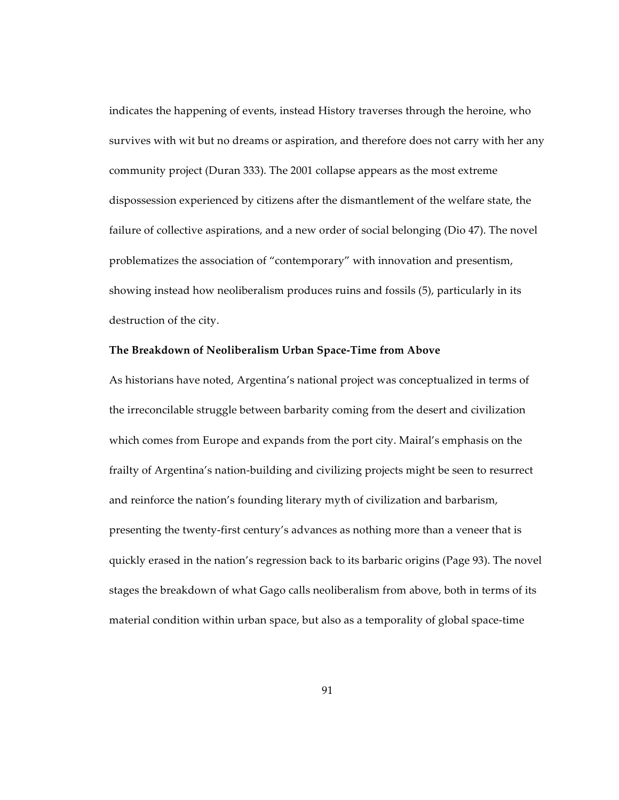indicates the happening of events, instead History traverses through the heroine, who survives with wit but no dreams or aspiration, and therefore does not carry with her any community project (Duran 333). The 2001 collapse appears as the most extreme dispossession experienced by citizens after the dismantlement of the welfare state, the failure of collective aspirations, and a new order of social belonging (Dio 47). The novel problematizes the association of "contemporary" with innovation and presentism, showing instead how neoliberalism produces ruins and fossils (5), particularly in its destruction of the city.

## **The Breakdown of Neoliberalism Urban Space-Time from Above**

As historians have noted, Argentina's national project was conceptualized in terms of the irreconcilable struggle between barbarity coming from the desert and civilization which comes from Europe and expands from the port city. Mairal's emphasis on the frailty of Argentina's nation-building and civilizing projects might be seen to resurrect and reinforce the nation's founding literary myth of civilization and barbarism, presenting the twenty-first century's advances as nothing more than a veneer that is quickly erased in the nation's regression back to its barbaric origins (Page 93). The novel stages the breakdown of what Gago calls neoliberalism from above, both in terms of its material condition within urban space, but also as a temporality of global space-time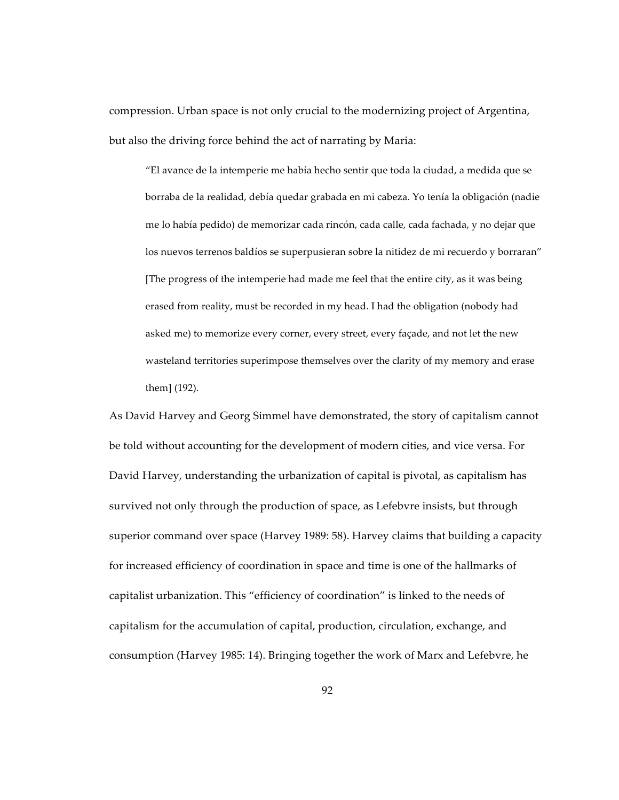compression. Urban space is not only crucial to the modernizing project of Argentina, but also the driving force behind the act of narrating by Maria:

"El avance de la intemperie me había hecho sentir que toda la ciudad, a medida que se borraba de la realidad, debía quedar grabada en mi cabeza. Yo tenía la obligación (nadie me lo había pedido) de memorizar cada rincón, cada calle, cada fachada, y no dejar que los nuevos terrenos baldíos se superpusieran sobre la nitidez de mi recuerdo y borraran" [The progress of the intemperie had made me feel that the entire city, as it was being erased from reality, must be recorded in my head. I had the obligation (nobody had asked me) to memorize every corner, every street, every façade, and not let the new wasteland territories superimpose themselves over the clarity of my memory and erase them] (192).

As David Harvey and Georg Simmel have demonstrated, the story of capitalism cannot be told without accounting for the development of modern cities, and vice versa. For David Harvey, understanding the urbanization of capital is pivotal, as capitalism has survived not only through the production of space, as Lefebvre insists, but through superior command over space (Harvey 1989: 58). Harvey claims that building a capacity for increased efficiency of coordination in space and time is one of the hallmarks of capitalist urbanization. This "efficiency of coordination" is linked to the needs of capitalism for the accumulation of capital, production, circulation, exchange, and consumption (Harvey 1985: 14). Bringing together the work of Marx and Lefebvre, he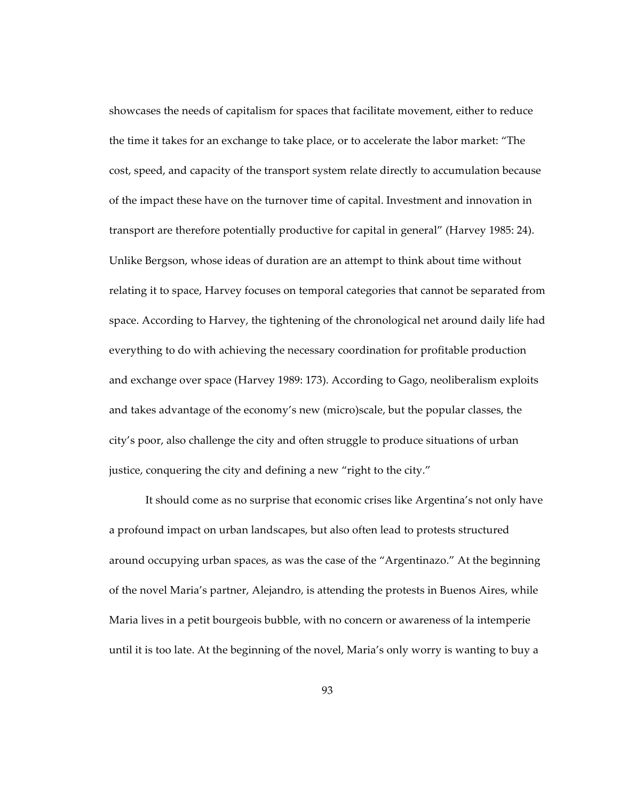showcases the needs of capitalism for spaces that facilitate movement, either to reduce the time it takes for an exchange to take place, or to accelerate the labor market: "The cost, speed, and capacity of the transport system relate directly to accumulation because of the impact these have on the turnover time of capital. Investment and innovation in transport are therefore potentially productive for capital in general" (Harvey 1985: 24). Unlike Bergson, whose ideas of duration are an attempt to think about time without relating it to space, Harvey focuses on temporal categories that cannot be separated from space. According to Harvey, the tightening of the chronological net around daily life had everything to do with achieving the necessary coordination for profitable production and exchange over space (Harvey 1989: 173). According to Gago, neoliberalism exploits and takes advantage of the economy's new (micro)scale, but the popular classes, the city's poor, also challenge the city and often struggle to produce situations of urban justice, conquering the city and defining a new "right to the city."

It should come as no surprise that economic crises like Argentina's not only have a profound impact on urban landscapes, but also often lead to protests structured around occupying urban spaces, as was the case of the "Argentinazo." At the beginning of the novel Maria's partner, Alejandro, is attending the protests in Buenos Aires, while Maria lives in a petit bourgeois bubble, with no concern or awareness of la intemperie until it is too late. At the beginning of the novel, Maria's only worry is wanting to buy a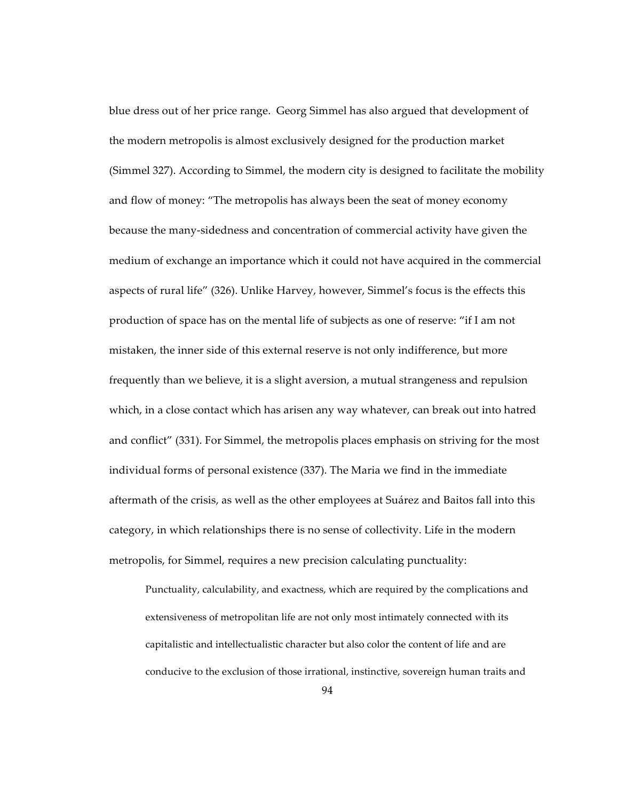blue dress out of her price range. Georg Simmel has also argued that development of the modern metropolis is almost exclusively designed for the production market (Simmel 327). According to Simmel, the modern city is designed to facilitate the mobility and flow of money: "The metropolis has always been the seat of money economy because the many-sidedness and concentration of commercial activity have given the medium of exchange an importance which it could not have acquired in the commercial aspects of rural life" (326). Unlike Harvey, however, Simmel's focus is the effects this production of space has on the mental life of subjects as one of reserve: "if I am not mistaken, the inner side of this external reserve is not only indifference, but more frequently than we believe, it is a slight aversion, a mutual strangeness and repulsion which, in a close contact which has arisen any way whatever, can break out into hatred and conflict" (331). For Simmel, the metropolis places emphasis on striving for the most individual forms of personal existence (337). The Maria we find in the immediate aftermath of the crisis, as well as the other employees at Suárez and Baitos fall into this category, in which relationships there is no sense of collectivity. Life in the modern metropolis, for Simmel, requires a new precision calculating punctuality:

Punctuality, calculability, and exactness, which are required by the complications and extensiveness of metropolitan life are not only most intimately connected with its capitalistic and intellectualistic character but also color the content of life and are conducive to the exclusion of those irrational, instinctive, sovereign human traits and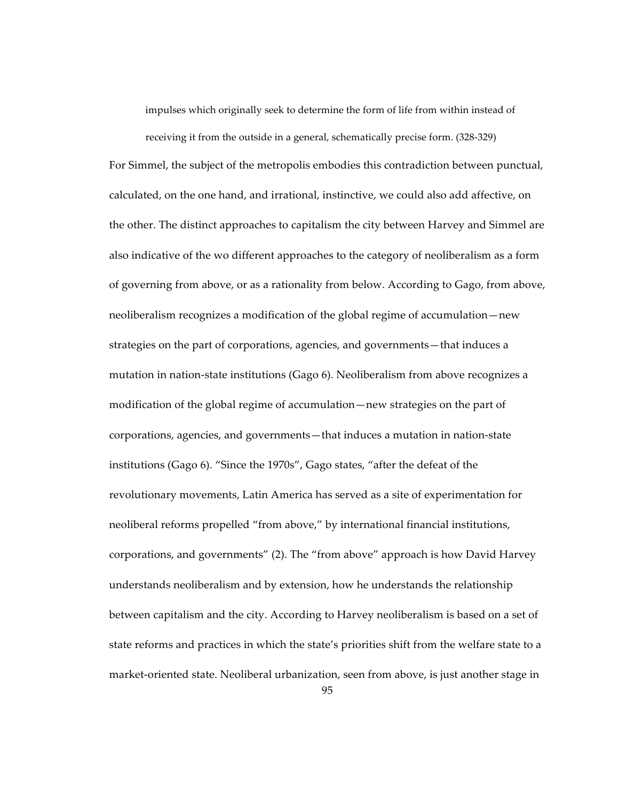impulses which originally seek to determine the form of life from within instead of receiving it from the outside in a general, schematically precise form. (328-329)

For Simmel, the subject of the metropolis embodies this contradiction between punctual, calculated, on the one hand, and irrational, instinctive, we could also add affective, on the other. The distinct approaches to capitalism the city between Harvey and Simmel are also indicative of the wo different approaches to the category of neoliberalism as a form of governing from above, or as a rationality from below. According to Gago, from above, neoliberalism recognizes a modification of the global regime of accumulation—new strategies on the part of corporations, agencies, and governments—that induces a mutation in nation-state institutions (Gago 6). Neoliberalism from above recognizes a modification of the global regime of accumulation—new strategies on the part of corporations, agencies, and governments—that induces a mutation in nation-state institutions (Gago 6). "Since the 1970s", Gago states, "after the defeat of the revolutionary movements, Latin America has served as a site of experimentation for neoliberal reforms propelled "from above," by international financial institutions, corporations, and governments" (2). The "from above" approach is how David Harvey understands neoliberalism and by extension, how he understands the relationship between capitalism and the city. According to Harvey neoliberalism is based on a set of state reforms and practices in which the state's priorities shift from the welfare state to a market-oriented state. Neoliberal urbanization, seen from above, is just another stage in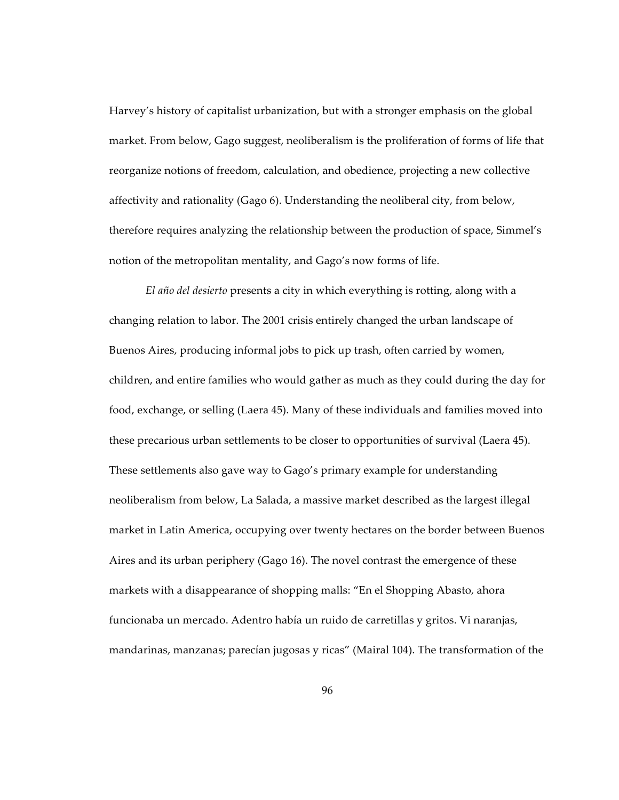Harvey's history of capitalist urbanization, but with a stronger emphasis on the global market. From below, Gago suggest, neoliberalism is the proliferation of forms of life that reorganize notions of freedom, calculation, and obedience, projecting a new collective affectivity and rationality (Gago 6). Understanding the neoliberal city, from below, therefore requires analyzing the relationship between the production of space, Simmel's notion of the metropolitan mentality, and Gago's now forms of life.

*El año del desierto* presents a city in which everything is rotting, along with a changing relation to labor. The 2001 crisis entirely changed the urban landscape of Buenos Aires, producing informal jobs to pick up trash, often carried by women, children, and entire families who would gather as much as they could during the day for food, exchange, or selling (Laera 45). Many of these individuals and families moved into these precarious urban settlements to be closer to opportunities of survival (Laera 45). These settlements also gave way to Gago's primary example for understanding neoliberalism from below, La Salada, a massive market described as the largest illegal market in Latin America, occupying over twenty hectares on the border between Buenos Aires and its urban periphery (Gago 16). The novel contrast the emergence of these markets with a disappearance of shopping malls: "En el Shopping Abasto, ahora funcionaba un mercado. Adentro había un ruido de carretillas y gritos. Vi naranjas, mandarinas, manzanas; parecían jugosas y ricas" (Mairal 104). The transformation of the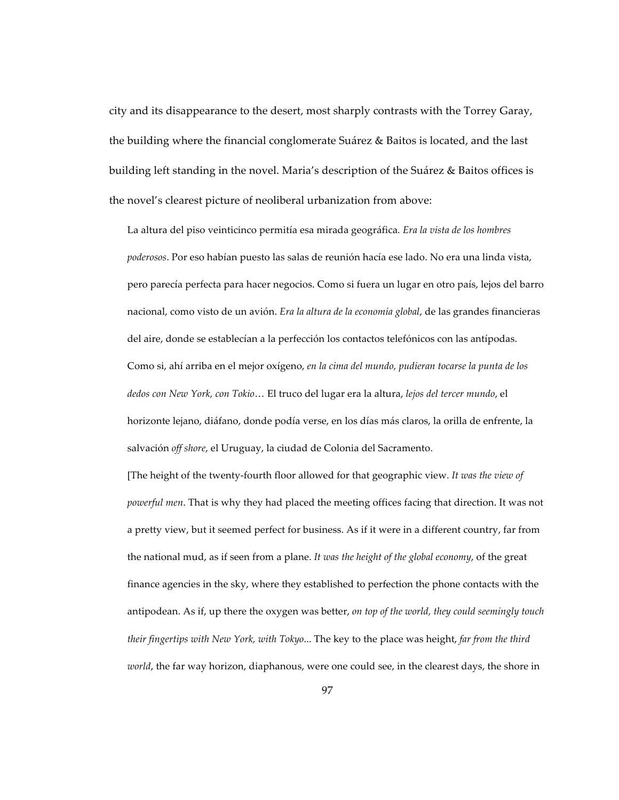city and its disappearance to the desert, most sharply contrasts with the Torrey Garay, the building where the financial conglomerate Suárez & Baitos is located, and the last building left standing in the novel. Maria's description of the Suárez & Baitos offices is the novel's clearest picture of neoliberal urbanization from above:

La altura del piso veinticinco permitía esa mirada geográfica*. Era la vista de los hombres poderosos*. Por eso habían puesto las salas de reunión hacía ese lado. No era una linda vista, pero parecía perfecta para hacer negocios. Como si fuera un lugar en otro país, lejos del barro nacional, como visto de un avión. *Era la altura de la economía global*, de las grandes financieras del aire, donde se establecían a la perfección los contactos telefónicos con las antípodas. Como si, ahí arriba en el mejor oxígeno, *en la cima del mundo, pudieran tocarse la punta de los dedos con New York, con Tokio*… El truco del lugar era la altura, *lejos del tercer mundo*, el horizonte lejano, diáfano, donde podía verse, en los días más claros, la orilla de enfrente, la salvación *off shore*, el Uruguay, la ciudad de Colonia del Sacramento.

[The height of the twenty-fourth floor allowed for that geographic view. *It was the view of powerful men*. That is why they had placed the meeting offices facing that direction. It was not a pretty view, but it seemed perfect for business. As if it were in a different country, far from the national mud, as if seen from a plane. *It was the height of the global economy*, of the great finance agencies in the sky, where they established to perfection the phone contacts with the antipodean. As if, up there the oxygen was better, *on top of the world, they could seemingly touch their fingertips with New York, with Tokyo*... The key to the place was height, *far from the third world*, the far way horizon, diaphanous, were one could see, in the clearest days, the shore in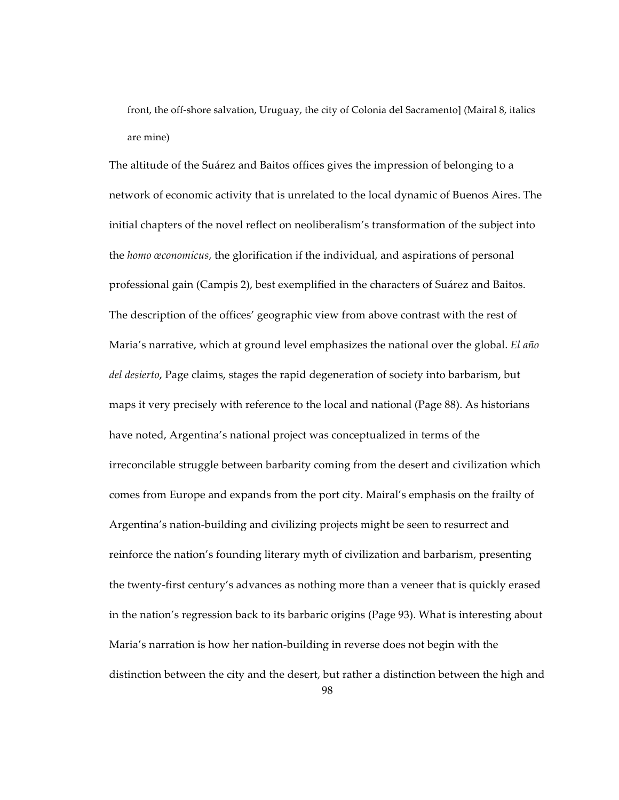front, the off-shore salvation, Uruguay, the city of Colonia del Sacramento] (Mairal 8, italics are mine)

The altitude of the Suárez and Baitos offices gives the impression of belonging to a network of economic activity that is unrelated to the local dynamic of Buenos Aires. The initial chapters of the novel reflect on neoliberalism's transformation of the subject into the *homo œconomicus*, the glorification if the individual, and aspirations of personal professional gain (Campis 2), best exemplified in the characters of Suárez and Baitos. The description of the offices' geographic view from above contrast with the rest of Maria's narrative, which at ground level emphasizes the national over the global. *El año del desierto*, Page claims, stages the rapid degeneration of society into barbarism, but maps it very precisely with reference to the local and national (Page 88). As historians have noted, Argentina's national project was conceptualized in terms of the irreconcilable struggle between barbarity coming from the desert and civilization which comes from Europe and expands from the port city. Mairal's emphasis on the frailty of Argentina's nation-building and civilizing projects might be seen to resurrect and reinforce the nation's founding literary myth of civilization and barbarism, presenting the twenty-first century's advances as nothing more than a veneer that is quickly erased in the nation's regression back to its barbaric origins (Page 93). What is interesting about Maria's narration is how her nation-building in reverse does not begin with the distinction between the city and the desert, but rather a distinction between the high and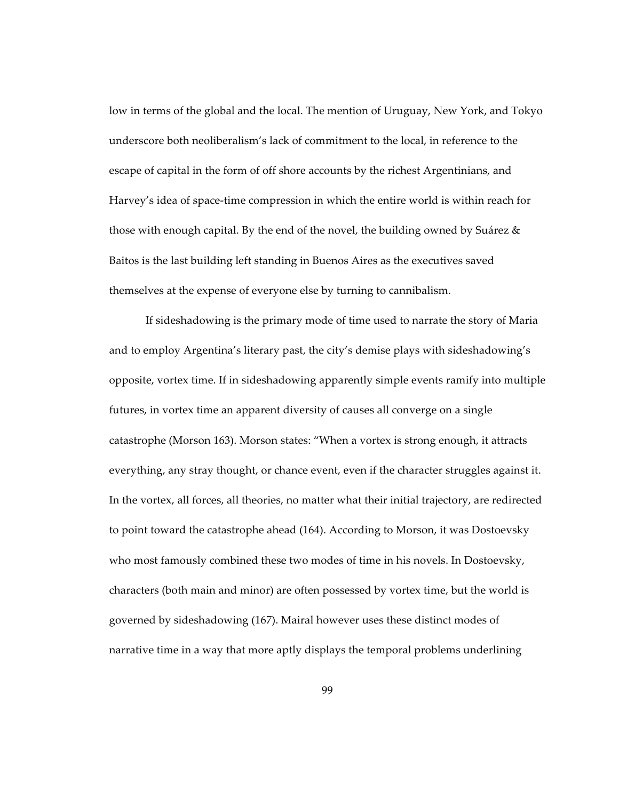low in terms of the global and the local. The mention of Uruguay, New York, and Tokyo underscore both neoliberalism's lack of commitment to the local, in reference to the escape of capital in the form of off shore accounts by the richest Argentinians, and Harvey's idea of space-time compression in which the entire world is within reach for those with enough capital. By the end of the novel, the building owned by Suárez  $\&$ Baitos is the last building left standing in Buenos Aires as the executives saved themselves at the expense of everyone else by turning to cannibalism.

If sideshadowing is the primary mode of time used to narrate the story of Maria and to employ Argentina's literary past, the city's demise plays with sideshadowing's opposite, vortex time. If in sideshadowing apparently simple events ramify into multiple futures, in vortex time an apparent diversity of causes all converge on a single catastrophe (Morson 163). Morson states: "When a vortex is strong enough, it attracts everything, any stray thought, or chance event, even if the character struggles against it. In the vortex, all forces, all theories, no matter what their initial trajectory, are redirected to point toward the catastrophe ahead (164). According to Morson, it was Dostoevsky who most famously combined these two modes of time in his novels. In Dostoevsky, characters (both main and minor) are often possessed by vortex time, but the world is governed by sideshadowing (167). Mairal however uses these distinct modes of narrative time in a way that more aptly displays the temporal problems underlining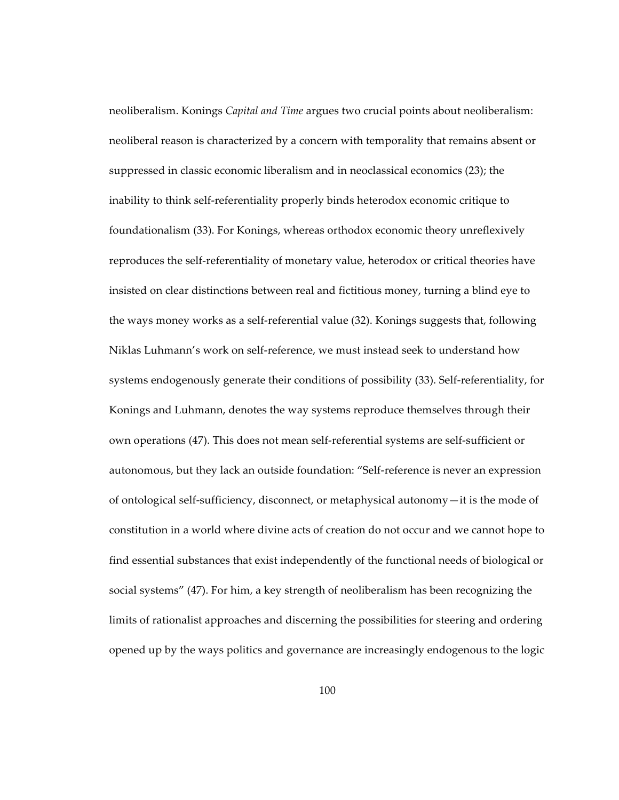neoliberalism. Konings *Capital and Time* argues two crucial points about neoliberalism: neoliberal reason is characterized by a concern with temporality that remains absent or suppressed in classic economic liberalism and in neoclassical economics (23); the inability to think self-referentiality properly binds heterodox economic critique to foundationalism (33). For Konings, whereas orthodox economic theory unreflexively reproduces the self-referentiality of monetary value, heterodox or critical theories have insisted on clear distinctions between real and fictitious money, turning a blind eye to the ways money works as a self-referential value (32). Konings suggests that, following Niklas Luhmann's work on self-reference, we must instead seek to understand how systems endogenously generate their conditions of possibility (33). Self-referentiality, for Konings and Luhmann, denotes the way systems reproduce themselves through their own operations (47). This does not mean self-referential systems are self-sufficient or autonomous, but they lack an outside foundation: "Self-reference is never an expression of ontological self-sufficiency, disconnect, or metaphysical autonomy—it is the mode of constitution in a world where divine acts of creation do not occur and we cannot hope to find essential substances that exist independently of the functional needs of biological or social systems" (47). For him, a key strength of neoliberalism has been recognizing the limits of rationalist approaches and discerning the possibilities for steering and ordering opened up by the ways politics and governance are increasingly endogenous to the logic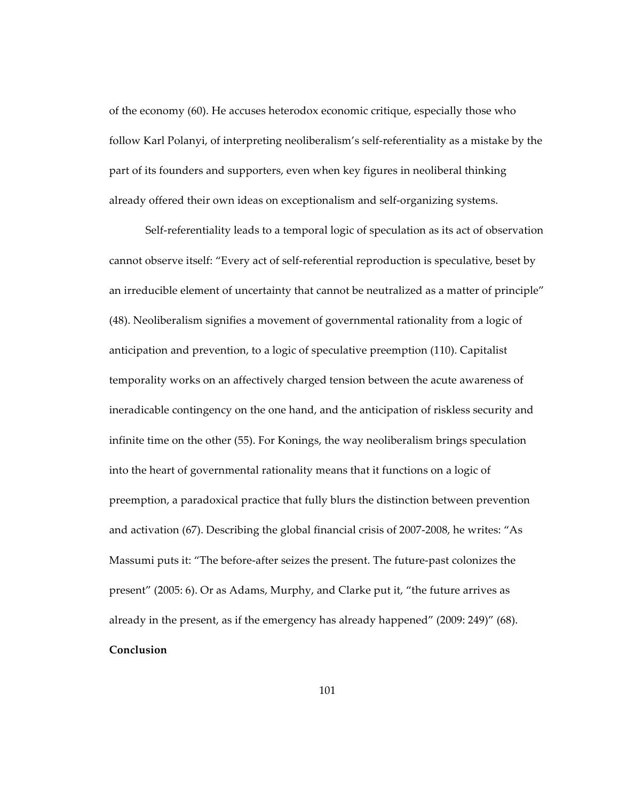of the economy (60). He accuses heterodox economic critique, especially those who follow Karl Polanyi, of interpreting neoliberalism's self-referentiality as a mistake by the part of its founders and supporters, even when key figures in neoliberal thinking already offered their own ideas on exceptionalism and self-organizing systems.

Self-referentiality leads to a temporal logic of speculation as its act of observation cannot observe itself: "Every act of self-referential reproduction is speculative, beset by an irreducible element of uncertainty that cannot be neutralized as a matter of principle" (48). Neoliberalism signifies a movement of governmental rationality from a logic of anticipation and prevention, to a logic of speculative preemption (110). Capitalist temporality works on an affectively charged tension between the acute awareness of ineradicable contingency on the one hand, and the anticipation of riskless security and infinite time on the other (55). For Konings, the way neoliberalism brings speculation into the heart of governmental rationality means that it functions on a logic of preemption, a paradoxical practice that fully blurs the distinction between prevention and activation (67). Describing the global financial crisis of 2007-2008, he writes: "As Massumi puts it: "The before-after seizes the present. The future-past colonizes the present" (2005: 6). Or as Adams, Murphy, and Clarke put it, "the future arrives as already in the present, as if the emergency has already happened" (2009: 249)" (68). **Conclusion**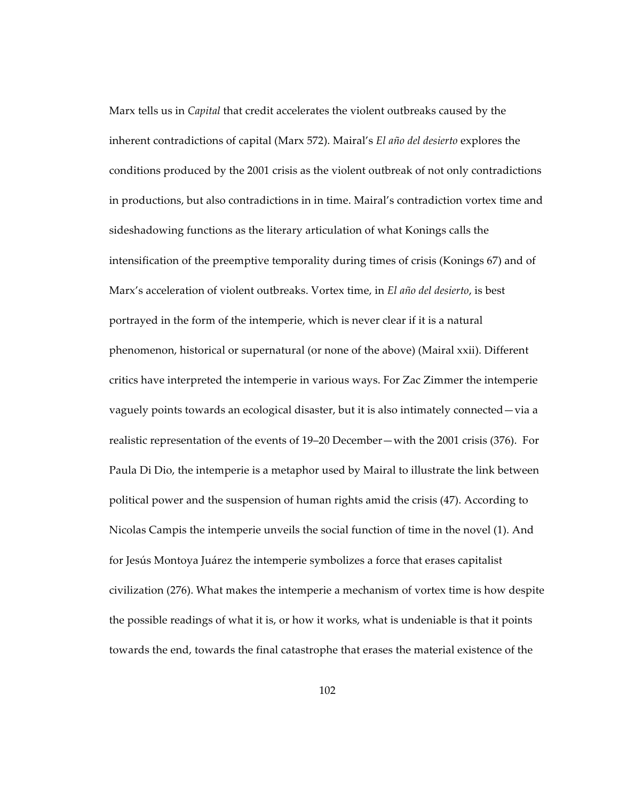Marx tells us in *Capital* that credit accelerates the violent outbreaks caused by the inherent contradictions of capital (Marx 572). Mairal's *El año del desierto* explores the conditions produced by the 2001 crisis as the violent outbreak of not only contradictions in productions, but also contradictions in in time. Mairal's contradiction vortex time and sideshadowing functions as the literary articulation of what Konings calls the intensification of the preemptive temporality during times of crisis (Konings 67) and of Marx's acceleration of violent outbreaks. Vortex time, in *El año del desierto*, is best portrayed in the form of the intemperie, which is never clear if it is a natural phenomenon, historical or supernatural (or none of the above) (Mairal xxii). Different critics have interpreted the intemperie in various ways. For Zac Zimmer the intemperie vaguely points towards an ecological disaster, but it is also intimately connected—via a realistic representation of the events of 19–20 December—with the 2001 crisis (376). For Paula Di Dio, the intemperie is a metaphor used by Mairal to illustrate the link between political power and the suspension of human rights amid the crisis (47). According to Nicolas Campis the intemperie unveils the social function of time in the novel (1). And for Jesús Montoya Juárez the intemperie symbolizes a force that erases capitalist civilization (276). What makes the intemperie a mechanism of vortex time is how despite the possible readings of what it is, or how it works, what is undeniable is that it points towards the end, towards the final catastrophe that erases the material existence of the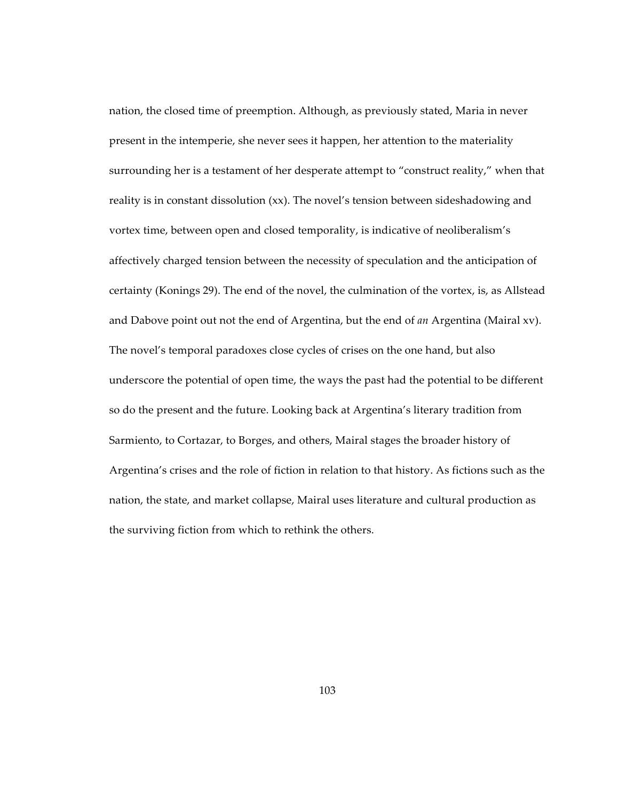nation, the closed time of preemption. Although, as previously stated, Maria in never present in the intemperie, she never sees it happen, her attention to the materiality surrounding her is a testament of her desperate attempt to "construct reality," when that reality is in constant dissolution (xx). The novel's tension between sideshadowing and vortex time, between open and closed temporality, is indicative of neoliberalism's affectively charged tension between the necessity of speculation and the anticipation of certainty (Konings 29). The end of the novel, the culmination of the vortex, is, as Allstead and Dabove point out not the end of Argentina, but the end of *an* Argentina (Mairal xv). The novel's temporal paradoxes close cycles of crises on the one hand, but also underscore the potential of open time, the ways the past had the potential to be different so do the present and the future. Looking back at Argentina's literary tradition from Sarmiento, to Cortazar, to Borges, and others, Mairal stages the broader history of Argentina's crises and the role of fiction in relation to that history. As fictions such as the nation, the state, and market collapse, Mairal uses literature and cultural production as the surviving fiction from which to rethink the others.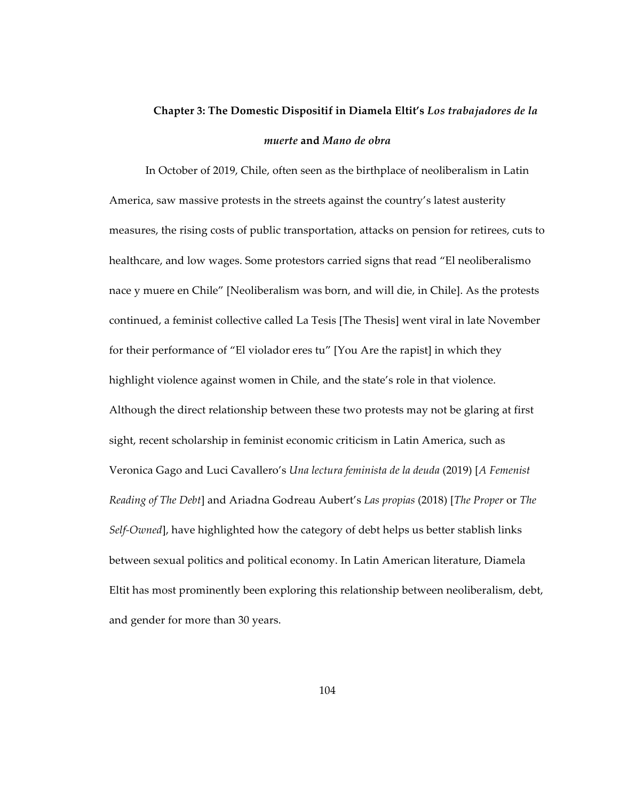## **Chapter 3: The Domestic Dispositif in Diamela Eltit's** *Los trabajadores de la muerte* **and** *Mano de obra*

In October of 2019, Chile, often seen as the birthplace of neoliberalism in Latin America, saw massive protests in the streets against the country's latest austerity measures, the rising costs of public transportation, attacks on pension for retirees, cuts to healthcare, and low wages. Some protestors carried signs that read "El neoliberalismo nace y muere en Chile" [Neoliberalism was born, and will die, in Chile]. As the protests continued, a feminist collective called La Tesis [The Thesis] went viral in late November for their performance of "El violador eres tu" [You Are the rapist] in which they highlight violence against women in Chile, and the state's role in that violence. Although the direct relationship between these two protests may not be glaring at first sight, recent scholarship in feminist economic criticism in Latin America, such as Veronica Gago and Luci Cavallero's *Una lectura feminista de la deuda* (2019) [*A Femenist Reading of The Debt*] and Ariadna Godreau Aubert's *Las propias* (2018) [*The Proper* or *The Self-Owned*], have highlighted how the category of debt helps us better stablish links between sexual politics and political economy. In Latin American literature, Diamela Eltit has most prominently been exploring this relationship between neoliberalism, debt, and gender for more than 30 years.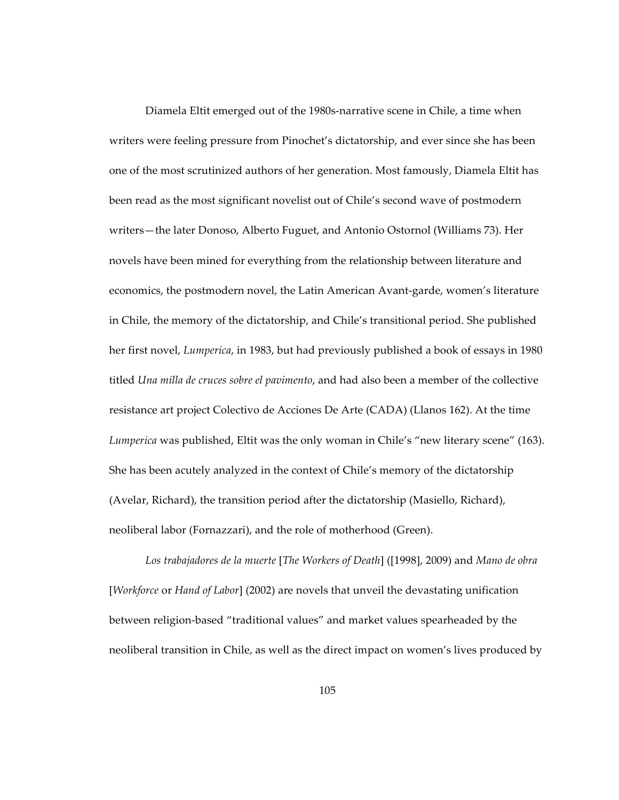Diamela Eltit emerged out of the 1980s-narrative scene in Chile, a time when writers were feeling pressure from Pinochet's dictatorship, and ever since she has been one of the most scrutinized authors of her generation. Most famously, Diamela Eltit has been read as the most significant novelist out of Chile's second wave of postmodern writers—the later Donoso, Alberto Fuguet, and Antonio Ostornol (Williams 73). Her novels have been mined for everything from the relationship between literature and economics, the postmodern novel, the Latin American Avant-garde, women's literature in Chile, the memory of the dictatorship, and Chile's transitional period. She published her first novel, *Lumperica*, in 1983, but had previously published a book of essays in 1980 titled *Una milla de cruces sobre el pavimento*, and had also been a member of the collective resistance art project Colectivo de Acciones De Arte (CADA) (Llanos 162). At the time *Lumperica* was published, Eltit was the only woman in Chile's "new literary scene" (163). She has been acutely analyzed in the context of Chile's memory of the dictatorship (Avelar, Richard), the transition period after the dictatorship (Masiello, Richard), neoliberal labor (Fornazzari), and the role of motherhood (Green).

*Los trabajadores de la muerte* [*The Workers of Death*] ([1998], 2009) and *Mano de obra* [*Workforce* or *Hand of Labor*] (2002) are novels that unveil the devastating unification between religion-based "traditional values" and market values spearheaded by the neoliberal transition in Chile, as well as the direct impact on women's lives produced by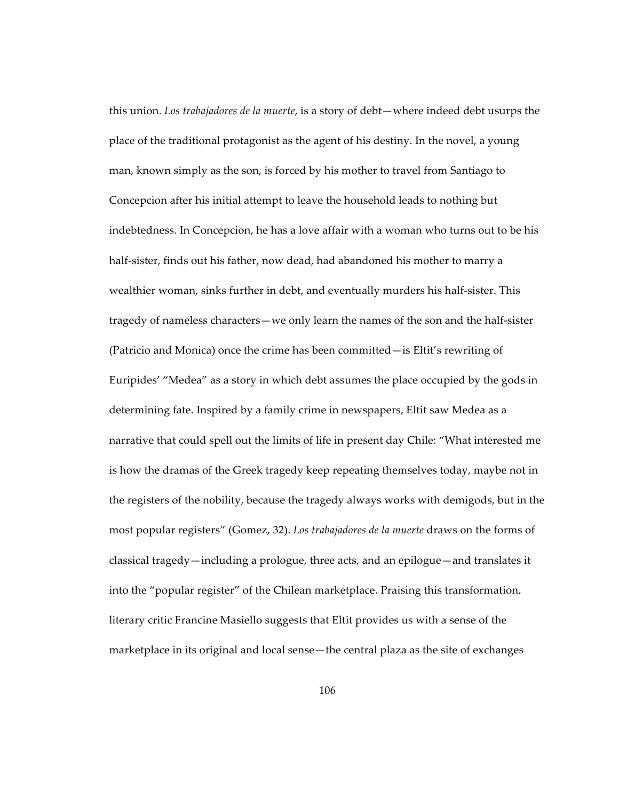this union. *Los trabajadores de la muerte*, is a story of debt—where indeed debt usurps the place of the traditional protagonist as the agent of his destiny. In the novel, a young man, known simply as the son, is forced by his mother to travel from Santiago to Concepcion after his initial attempt to leave the household leads to nothing but indebtedness. In Concepcion, he has a love affair with a woman who turns out to be his half-sister, finds out his father, now dead, had abandoned his mother to marry a wealthier woman, sinks further in debt, and eventually murders his half-sister. This tragedy of nameless characters—we only learn the names of the son and the half-sister (Patricio and Monica) once the crime has been committed—is Eltit's rewriting of Euripides' "Medea" as a story in which debt assumes the place occupied by the gods in determining fate. Inspired by a family crime in newspapers, Eltit saw Medea as a narrative that could spell out the limits of life in present day Chile: "What interested me is how the dramas of the Greek tragedy keep repeating themselves today, maybe not in the registers of the nobility, because the tragedy always works with demigods, but in the most popular registers" (Gomez, 32). *Los trabajadores de la muerte* draws on the forms of classical tragedy—including a prologue, three acts, and an epilogue—and translates it into the "popular register" of the Chilean marketplace. Praising this transformation, literary critic Francine Masiello suggests that Eltit provides us with a sense of the marketplace in its original and local sense—the central plaza as the site of exchanges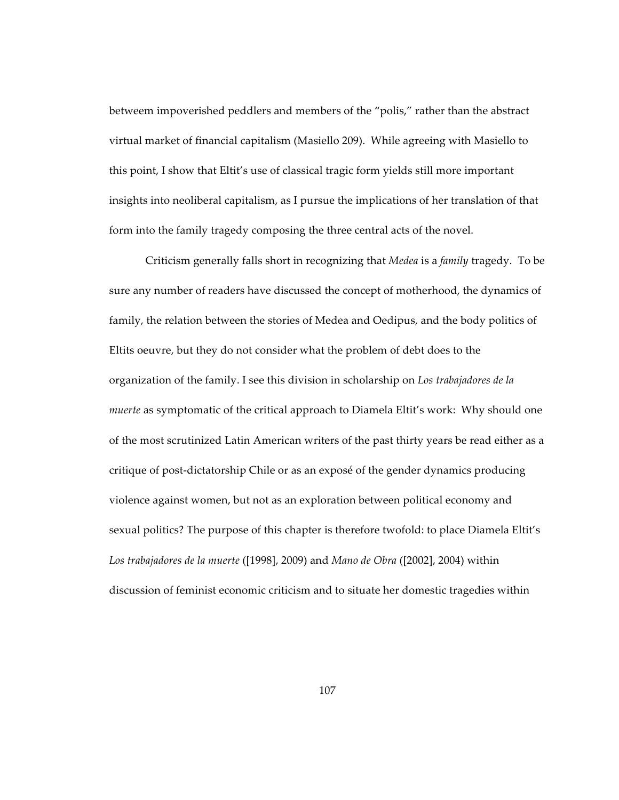betweem impoverished peddlers and members of the "polis," rather than the abstract virtual market of financial capitalism (Masiello 209). While agreeing with Masiello to this point, I show that Eltit's use of classical tragic form yields still more important insights into neoliberal capitalism, as I pursue the implications of her translation of that form into the family tragedy composing the three central acts of the novel.

Criticism generally falls short in recognizing that *Medea* is a *family* tragedy. To be sure any number of readers have discussed the concept of motherhood, the dynamics of family, the relation between the stories of Medea and Oedipus, and the body politics of Eltits oeuvre, but they do not consider what the problem of debt does to the organization of the family. I see this division in scholarship on *Los trabajadores de la muerte* as symptomatic of the critical approach to Diamela Eltit's work: Why should one of the most scrutinized Latin American writers of the past thirty years be read either as a critique of post-dictatorship Chile or as an exposé of the gender dynamics producing violence against women, but not as an exploration between political economy and sexual politics? The purpose of this chapter is therefore twofold: to place Diamela Eltit's *Los trabajadores de la muerte* ([1998], 2009) and *Mano de Obra* ([2002], 2004) within discussion of feminist economic criticism and to situate her domestic tragedies within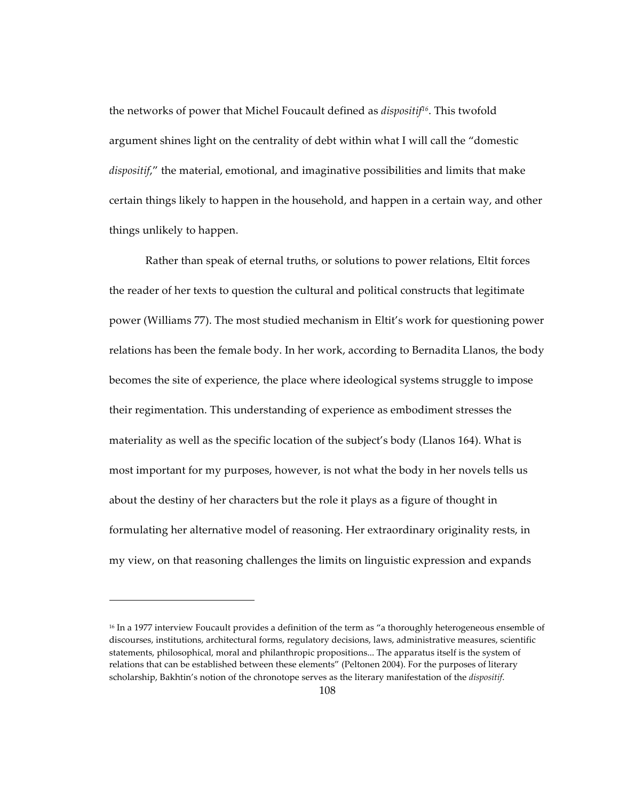the networks of power that Michel Foucault defined as *dispositif16*. This twofold argument shines light on the centrality of debt within what I will call the "domestic *dispositif*," the material, emotional, and imaginative possibilities and limits that make certain things likely to happen in the household, and happen in a certain way, and other things unlikely to happen.

Rather than speak of eternal truths, or solutions to power relations, Eltit forces the reader of her texts to question the cultural and political constructs that legitimate power (Williams 77). The most studied mechanism in Eltit's work for questioning power relations has been the female body. In her work, according to Bernadita Llanos, the body becomes the site of experience, the place where ideological systems struggle to impose their regimentation. This understanding of experience as embodiment stresses the materiality as well as the specific location of the subject's body (Llanos 164). What is most important for my purposes, however, is not what the body in her novels tells us about the destiny of her characters but the role it plays as a figure of thought in formulating her alternative model of reasoning. Her extraordinary originality rests, in my view, on that reasoning challenges the limits on linguistic expression and expands

 $\overline{a}$ 

<sup>&</sup>lt;sup>16</sup> In a 1977 interview Foucault provides a definition of the term as "a thoroughly heterogeneous ensemble of discourses, institutions, architectural forms, regulatory decisions, laws, administrative measures, scientific statements, philosophical, moral and philanthropic propositions... The apparatus itself is the system of relations that can be established between these elements" (Peltonen 2004). For the purposes of literary scholarship, Bakhtin's notion of the chronotope serves as the literary manifestation of the *dispositif*.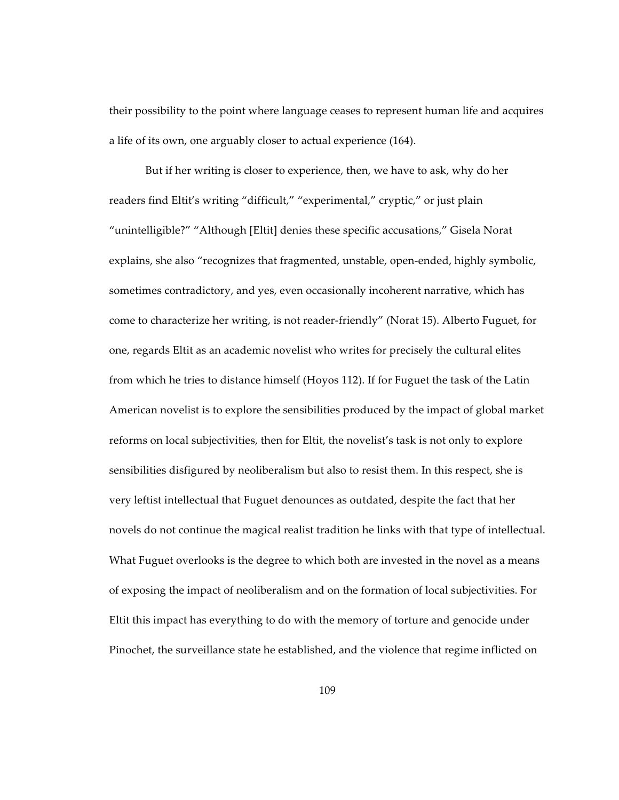their possibility to the point where language ceases to represent human life and acquires a life of its own, one arguably closer to actual experience (164).

But if her writing is closer to experience, then, we have to ask, why do her readers find Eltit's writing "difficult," "experimental," cryptic," or just plain "unintelligible?" "Although [Eltit] denies these specific accusations," Gisela Norat explains, she also "recognizes that fragmented, unstable, open-ended, highly symbolic, sometimes contradictory, and yes, even occasionally incoherent narrative, which has come to characterize her writing, is not reader-friendly" (Norat 15). Alberto Fuguet, for one, regards Eltit as an academic novelist who writes for precisely the cultural elites from which he tries to distance himself (Hoyos 112). If for Fuguet the task of the Latin American novelist is to explore the sensibilities produced by the impact of global market reforms on local subjectivities, then for Eltit, the novelist's task is not only to explore sensibilities disfigured by neoliberalism but also to resist them. In this respect, she is very leftist intellectual that Fuguet denounces as outdated, despite the fact that her novels do not continue the magical realist tradition he links with that type of intellectual. What Fuguet overlooks is the degree to which both are invested in the novel as a means of exposing the impact of neoliberalism and on the formation of local subjectivities. For Eltit this impact has everything to do with the memory of torture and genocide under Pinochet, the surveillance state he established, and the violence that regime inflicted on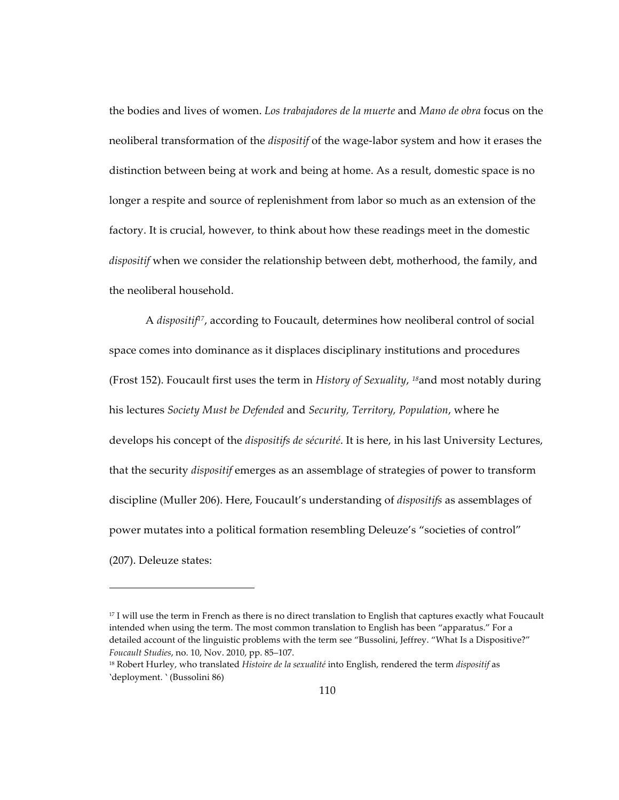the bodies and lives of women. *Los trabajadores de la muerte* and *Mano de obra* focus on the neoliberal transformation of the *dispositif* of the wage-labor system and how it erases the distinction between being at work and being at home. As a result, domestic space is no longer a respite and source of replenishment from labor so much as an extension of the factory. It is crucial, however, to think about how these readings meet in the domestic *dispositif* when we consider the relationship between debt, motherhood, the family, and the neoliberal household.

A *dispositif17*, according to Foucault, determines how neoliberal control of social space comes into dominance as it displaces disciplinary institutions and procedures (Frost 152). Foucault first uses the term in *History of Sexuality*, *<sup>18</sup>*and most notably during his lectures *Society Must be Defended* and *Security, Territory, Population*, where he develops his concept of the *dispositifs de sécurité*. It is here, in his last University Lectures, that the security *dispositif* emerges as an assemblage of strategies of power to transform discipline (Muller 206). Here, Foucault's understanding of *dispositifs* as assemblages of power mutates into a political formation resembling Deleuze's "societies of control" (207). Deleuze states:

 $\overline{a}$ 

<sup>&</sup>lt;sup>17</sup> I will use the term in French as there is no direct translation to English that captures exactly what Foucault intended when using the term. The most common translation to English has been "apparatus." For a detailed account of the linguistic problems with the term see "Bussolini, Jeffrey. "What Is a Dispositive?" *Foucault Studies*, no. 10, Nov. 2010, pp. 85–107.

<sup>18</sup> Robert Hurley, who translated *Histoire de la sexualité* into English, rendered the term *dispositif* as 'deployment. ' (Bussolini 86)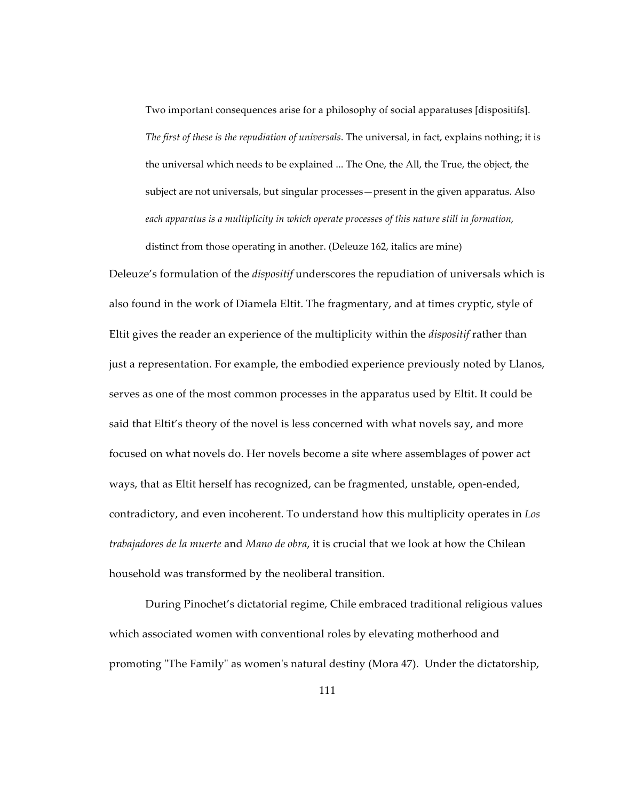Two important consequences arise for a philosophy of social apparatuses [dispositifs]. *The first of these is the repudiation of universals*. The universal, in fact, explains nothing; it is the universal which needs to be explained ... The One, the All, the True, the object, the subject are not universals, but singular processes—present in the given apparatus. Also *each apparatus is a multiplicity in which operate processes of this nature still in formation*,

distinct from those operating in another. (Deleuze 162, italics are mine)

Deleuze's formulation of the *dispositif* underscores the repudiation of universals which is also found in the work of Diamela Eltit. The fragmentary, and at times cryptic, style of Eltit gives the reader an experience of the multiplicity within the *dispositif* rather than just a representation. For example, the embodied experience previously noted by Llanos, serves as one of the most common processes in the apparatus used by Eltit. It could be said that Eltit's theory of the novel is less concerned with what novels say, and more focused on what novels do. Her novels become a site where assemblages of power act ways, that as Eltit herself has recognized, can be fragmented, unstable, open-ended, contradictory, and even incoherent. To understand how this multiplicity operates in *Los trabajadores de la muerte* and *Mano de obra*, it is crucial that we look at how the Chilean household was transformed by the neoliberal transition.

During Pinochet's dictatorial regime, Chile embraced traditional religious values which associated women with conventional roles by elevating motherhood and promoting "The Family" as women's natural destiny (Mora 47). Under the dictatorship,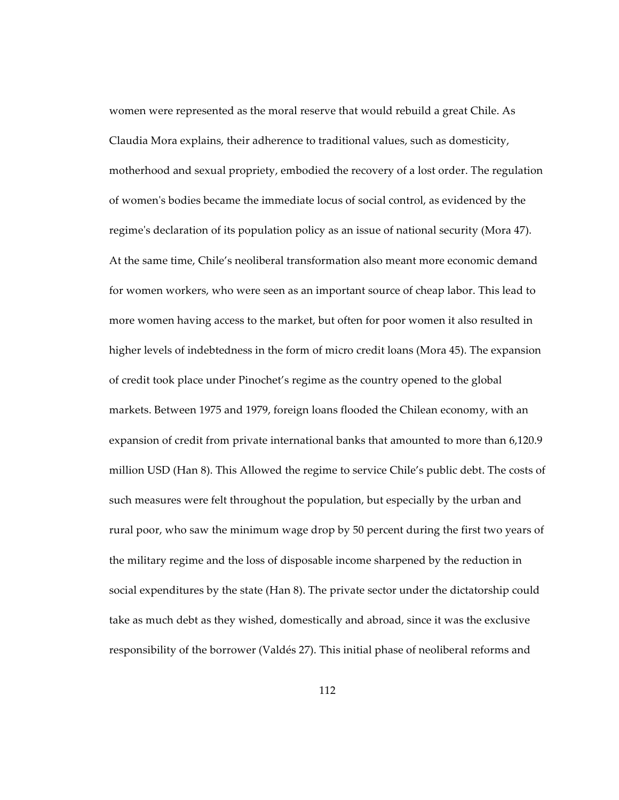women were represented as the moral reserve that would rebuild a great Chile. As Claudia Mora explains, their adherence to traditional values, such as domesticity, motherhood and sexual propriety, embodied the recovery of a lost order. The regulation of women's bodies became the immediate locus of social control, as evidenced by the regime's declaration of its population policy as an issue of national security (Mora 47). At the same time, Chile's neoliberal transformation also meant more economic demand for women workers, who were seen as an important source of cheap labor. This lead to more women having access to the market, but often for poor women it also resulted in higher levels of indebtedness in the form of micro credit loans (Mora 45). The expansion of credit took place under Pinochet's regime as the country opened to the global markets. Between 1975 and 1979, foreign loans flooded the Chilean economy, with an expansion of credit from private international banks that amounted to more than 6,120.9 million USD (Han 8). This Allowed the regime to service Chile's public debt. The costs of such measures were felt throughout the population, but especially by the urban and rural poor, who saw the minimum wage drop by 50 percent during the first two years of the military regime and the loss of disposable income sharpened by the reduction in social expenditures by the state (Han 8). The private sector under the dictatorship could take as much debt as they wished, domestically and abroad, since it was the exclusive responsibility of the borrower (Valdés 27). This initial phase of neoliberal reforms and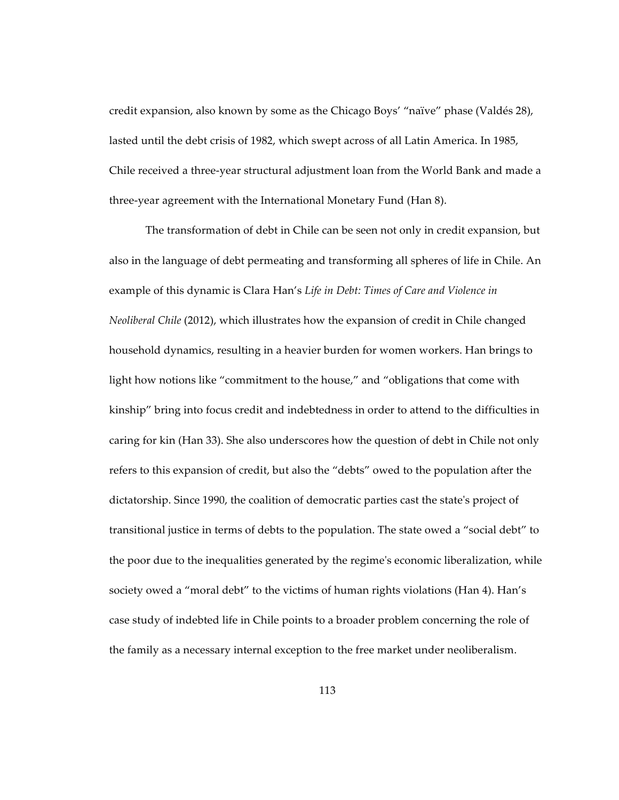credit expansion, also known by some as the Chicago Boys' "naïve" phase (Valdés 28), lasted until the debt crisis of 1982, which swept across of all Latin America. In 1985, Chile received a three-year structural adjustment loan from the World Bank and made a three-year agreement with the International Monetary Fund (Han 8).

The transformation of debt in Chile can be seen not only in credit expansion, but also in the language of debt permeating and transforming all spheres of life in Chile. An example of this dynamic is Clara Han's *Life in Debt: Times of Care and Violence in Neoliberal Chile* (2012), which illustrates how the expansion of credit in Chile changed household dynamics, resulting in a heavier burden for women workers. Han brings to light how notions like "commitment to the house," and "obligations that come with kinship" bring into focus credit and indebtedness in order to attend to the difficulties in caring for kin (Han 33). She also underscores how the question of debt in Chile not only refers to this expansion of credit, but also the "debts" owed to the population after the dictatorship. Since 1990, the coalition of democratic parties cast the state's project of transitional justice in terms of debts to the population. The state owed a "social debt" to the poor due to the inequalities generated by the regime's economic liberalization, while society owed a "moral debt" to the victims of human rights violations (Han 4). Han's case study of indebted life in Chile points to a broader problem concerning the role of the family as a necessary internal exception to the free market under neoliberalism.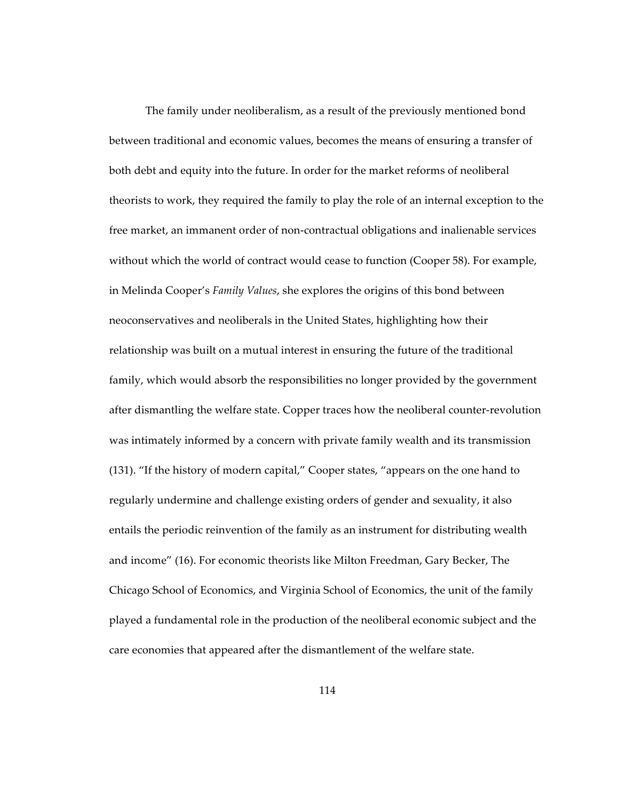The family under neoliberalism, as a result of the previously mentioned bond between traditional and economic values, becomes the means of ensuring a transfer of both debt and equity into the future. In order for the market reforms of neoliberal theorists to work, they required the family to play the role of an internal exception to the free market, an immanent order of non-contractual obligations and inalienable services without which the world of contract would cease to function (Cooper 58). For example, in Melinda Cooper's *Family Values*, she explores the origins of this bond between neoconservatives and neoliberals in the United States, highlighting how their relationship was built on a mutual interest in ensuring the future of the traditional family, which would absorb the responsibilities no longer provided by the government after dismantling the welfare state. Copper traces how the neoliberal counter-revolution was intimately informed by a concern with private family wealth and its transmission (131). "If the history of modern capital," Cooper states, "appears on the one hand to regularly undermine and challenge existing orders of gender and sexuality, it also entails the periodic reinvention of the family as an instrument for distributing wealth and income" (16). For economic theorists like Milton Freedman, Gary Becker, The Chicago School of Economics, and Virginia School of Economics, the unit of the family played a fundamental role in the production of the neoliberal economic subject and the care economies that appeared after the dismantlement of the welfare state.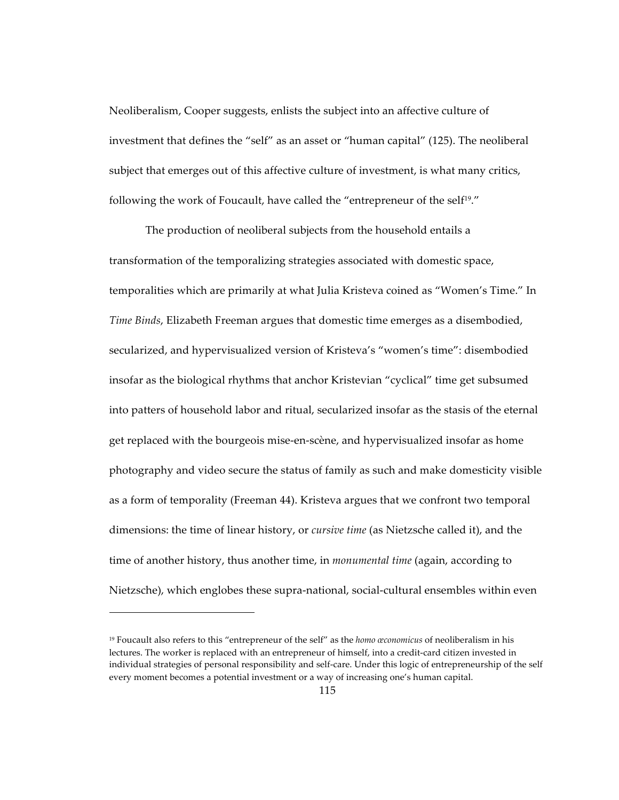Neoliberalism, Cooper suggests, enlists the subject into an affective culture of investment that defines the "self" as an asset or "human capital" (125). The neoliberal subject that emerges out of this affective culture of investment, is what many critics, following the work of Foucault, have called the "entrepreneur of the self<sup>19</sup>."

The production of neoliberal subjects from the household entails a transformation of the temporalizing strategies associated with domestic space, temporalities which are primarily at what Julia Kristeva coined as "Women's Time." In *Time Binds*, Elizabeth Freeman argues that domestic time emerges as a disembodied, secularized, and hypervisualized version of Kristeva's "women's time": disembodied insofar as the biological rhythms that anchor Kristevian "cyclical" time get subsumed into patters of household labor and ritual, secularized insofar as the stasis of the eternal get replaced with the bourgeois mise-en-scène, and hypervisualized insofar as home photography and video secure the status of family as such and make domesticity visible as a form of temporality (Freeman 44). Kristeva argues that we confront two temporal dimensions: the time of linear history, or *cursive time* (as Nietzsche called it), and the time of another history, thus another time, in *monumental time* (again, according to Nietzsche), which englobes these supra-national, social-cultural ensembles within even

 $\overline{a}$ 

<sup>19</sup> Foucault also refers to this "entrepreneur of the self" as the *homo œconomicus* of neoliberalism in his lectures. The worker is replaced with an entrepreneur of himself, into a credit-card citizen invested in individual strategies of personal responsibility and self-care. Under this logic of entrepreneurship of the self every moment becomes a potential investment or a way of increasing one's human capital.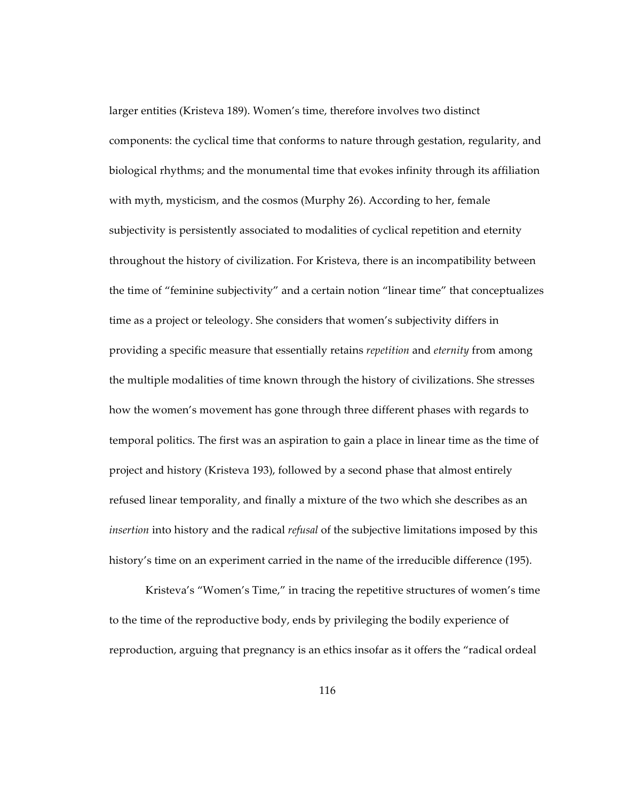larger entities (Kristeva 189). Women's time, therefore involves two distinct components: the cyclical time that conforms to nature through gestation, regularity, and biological rhythms; and the monumental time that evokes infinity through its affiliation with myth, mysticism, and the cosmos (Murphy 26). According to her, female subjectivity is persistently associated to modalities of cyclical repetition and eternity throughout the history of civilization. For Kristeva, there is an incompatibility between the time of "feminine subjectivity" and a certain notion "linear time" that conceptualizes time as a project or teleology. She considers that women's subjectivity differs in providing a specific measure that essentially retains *repetition* and *eternity* from among the multiple modalities of time known through the history of civilizations. She stresses how the women's movement has gone through three different phases with regards to temporal politics. The first was an aspiration to gain a place in linear time as the time of project and history (Kristeva 193), followed by a second phase that almost entirely refused linear temporality, and finally a mixture of the two which she describes as an *insertion* into history and the radical *refusal* of the subjective limitations imposed by this history's time on an experiment carried in the name of the irreducible difference (195).

Kristeva's "Women's Time," in tracing the repetitive structures of women's time to the time of the reproductive body, ends by privileging the bodily experience of reproduction, arguing that pregnancy is an ethics insofar as it offers the "radical ordeal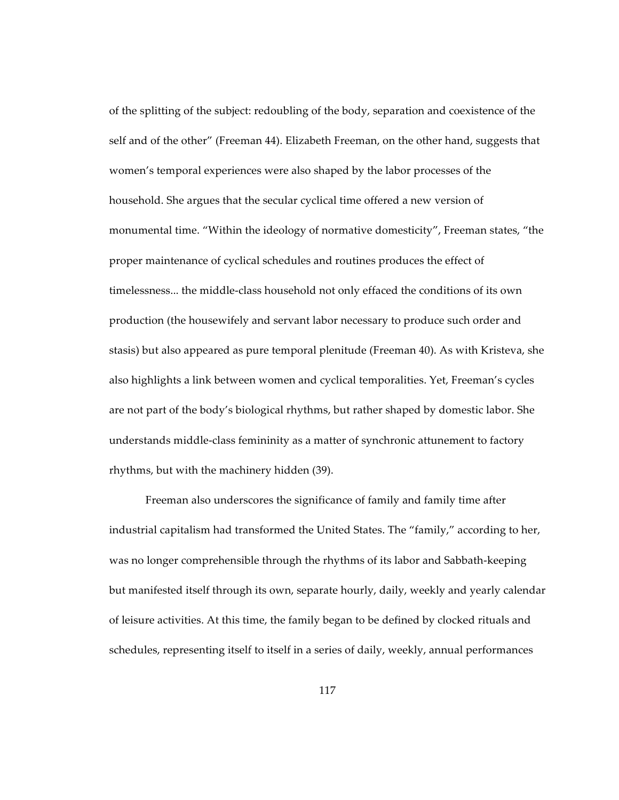of the splitting of the subject: redoubling of the body, separation and coexistence of the self and of the other" (Freeman 44). Elizabeth Freeman, on the other hand, suggests that women's temporal experiences were also shaped by the labor processes of the household. She argues that the secular cyclical time offered a new version of monumental time. "Within the ideology of normative domesticity", Freeman states, "the proper maintenance of cyclical schedules and routines produces the effect of timelessness... the middle-class household not only effaced the conditions of its own production (the housewifely and servant labor necessary to produce such order and stasis) but also appeared as pure temporal plenitude (Freeman 40). As with Kristeva, she also highlights a link between women and cyclical temporalities. Yet, Freeman's cycles are not part of the body's biological rhythms, but rather shaped by domestic labor. She understands middle-class femininity as a matter of synchronic attunement to factory rhythms, but with the machinery hidden (39).

Freeman also underscores the significance of family and family time after industrial capitalism had transformed the United States. The "family," according to her, was no longer comprehensible through the rhythms of its labor and Sabbath-keeping but manifested itself through its own, separate hourly, daily, weekly and yearly calendar of leisure activities. At this time, the family began to be defined by clocked rituals and schedules, representing itself to itself in a series of daily, weekly, annual performances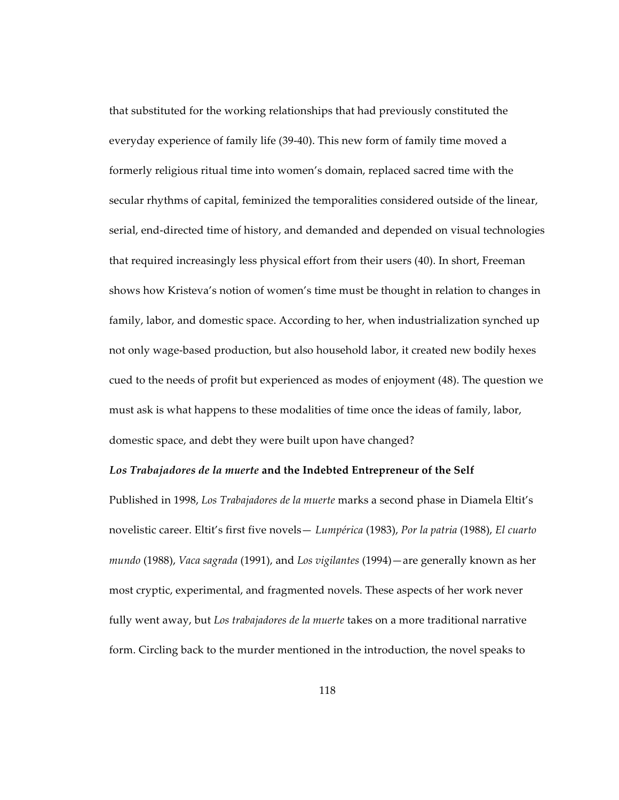that substituted for the working relationships that had previously constituted the everyday experience of family life (39-40). This new form of family time moved a formerly religious ritual time into women's domain, replaced sacred time with the secular rhythms of capital, feminized the temporalities considered outside of the linear, serial, end-directed time of history, and demanded and depended on visual technologies that required increasingly less physical effort from their users (40). In short, Freeman shows how Kristeva's notion of women's time must be thought in relation to changes in family, labor, and domestic space. According to her, when industrialization synched up not only wage-based production, but also household labor, it created new bodily hexes cued to the needs of profit but experienced as modes of enjoyment (48). The question we must ask is what happens to these modalities of time once the ideas of family, labor, domestic space, and debt they were built upon have changed?

## *Los Trabajadores de la muerte* **and the Indebted Entrepreneur of the Self**

Published in 1998, *Los Trabajadores de la muerte* marks a second phase in Diamela Eltit's novelistic career. Eltit's first five novels— *Lumpérica* (1983), *Por la patria* (1988), *El cuarto mundo* (1988), *Vaca sagrada* (1991), and *Los vigilantes* (1994)—are generally known as her most cryptic, experimental, and fragmented novels. These aspects of her work never fully went away, but *Los trabajadores de la muerte* takes on a more traditional narrative form. Circling back to the murder mentioned in the introduction, the novel speaks to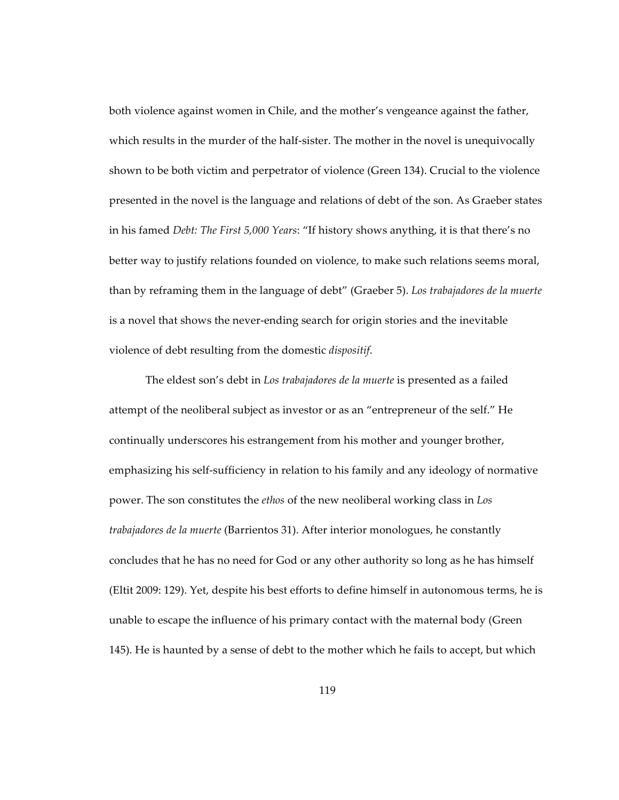both violence against women in Chile, and the mother's vengeance against the father, which results in the murder of the half-sister. The mother in the novel is unequivocally shown to be both victim and perpetrator of violence (Green 134). Crucial to the violence presented in the novel is the language and relations of debt of the son. As Graeber states in his famed *Debt: The First 5,000 Years*: "If history shows anything, it is that there's no better way to justify relations founded on violence, to make such relations seems moral, than by reframing them in the language of debt" (Graeber 5). *Los trabajadores de la muerte*  is a novel that shows the never-ending search for origin stories and the inevitable violence of debt resulting from the domestic *dispositif*.

The eldest son's debt in *Los trabajadores de la muerte* is presented as a failed attempt of the neoliberal subject as investor or as an "entrepreneur of the self." He continually underscores his estrangement from his mother and younger brother, emphasizing his self-sufficiency in relation to his family and any ideology of normative power. The son constitutes the *ethos* of the new neoliberal working class in *Los trabajadores de la muerte* (Barrientos 31). After interior monologues, he constantly concludes that he has no need for God or any other authority so long as he has himself (Eltit 2009: 129). Yet, despite his best efforts to define himself in autonomous terms, he is unable to escape the influence of his primary contact with the maternal body (Green 145). He is haunted by a sense of debt to the mother which he fails to accept, but which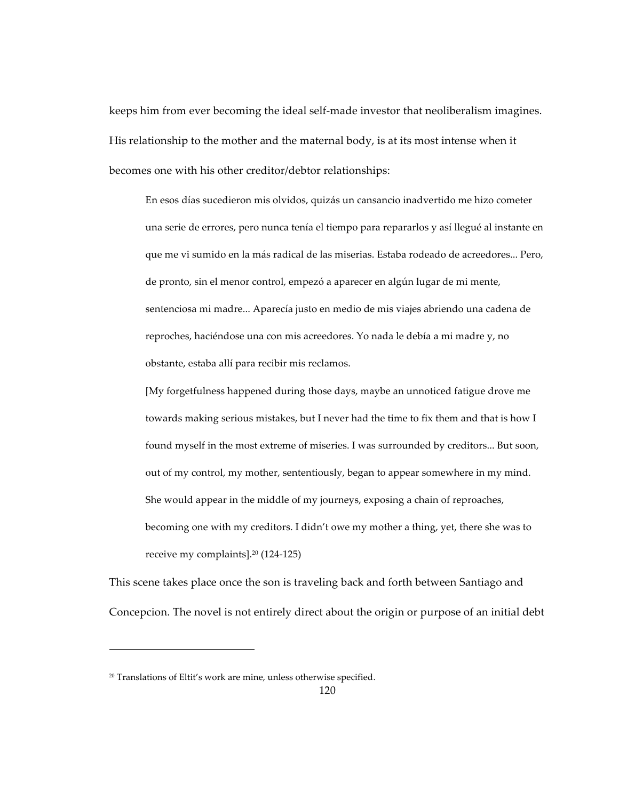keeps him from ever becoming the ideal self-made investor that neoliberalism imagines. His relationship to the mother and the maternal body, is at its most intense when it becomes one with his other creditor/debtor relationships:

En esos días sucedieron mis olvidos, quizás un cansancio inadvertido me hizo cometer una serie de errores, pero nunca tenía el tiempo para repararlos y así llegué al instante en que me vi sumido en la más radical de las miserias. Estaba rodeado de acreedores... Pero, de pronto, sin el menor control, empezó a aparecer en algún lugar de mi mente, sentenciosa mi madre... Aparecía justo en medio de mis viajes abriendo una cadena de reproches, haciéndose una con mis acreedores. Yo nada le debía a mi madre y, no obstante, estaba allí para recibir mis reclamos.

[My forgetfulness happened during those days, maybe an unnoticed fatigue drove me towards making serious mistakes, but I never had the time to fix them and that is how I found myself in the most extreme of miseries. I was surrounded by creditors... But soon, out of my control, my mother, sententiously, began to appear somewhere in my mind. She would appear in the middle of my journeys, exposing a chain of reproaches, becoming one with my creditors. I didn't owe my mother a thing, yet, there she was to receive my complaints].20 (124-125)

This scene takes place once the son is traveling back and forth between Santiago and Concepcion. The novel is not entirely direct about the origin or purpose of an initial debt

 $\overline{a}$ 

<sup>&</sup>lt;sup>20</sup> Translations of Eltit's work are mine, unless otherwise specified.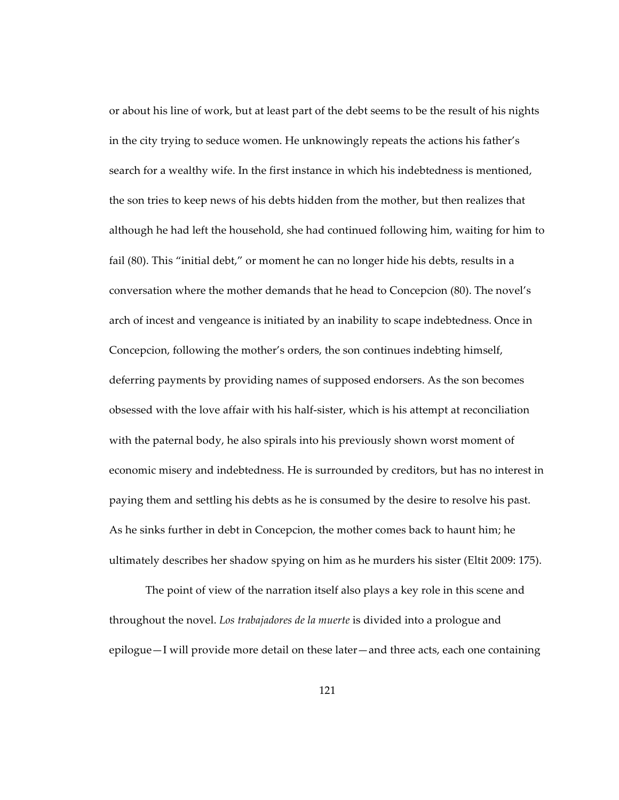or about his line of work, but at least part of the debt seems to be the result of his nights in the city trying to seduce women. He unknowingly repeats the actions his father's search for a wealthy wife. In the first instance in which his indebtedness is mentioned, the son tries to keep news of his debts hidden from the mother, but then realizes that although he had left the household, she had continued following him, waiting for him to fail (80). This "initial debt," or moment he can no longer hide his debts, results in a conversation where the mother demands that he head to Concepcion (80). The novel's arch of incest and vengeance is initiated by an inability to scape indebtedness. Once in Concepcion, following the mother's orders, the son continues indebting himself, deferring payments by providing names of supposed endorsers. As the son becomes obsessed with the love affair with his half-sister, which is his attempt at reconciliation with the paternal body, he also spirals into his previously shown worst moment of economic misery and indebtedness. He is surrounded by creditors, but has no interest in paying them and settling his debts as he is consumed by the desire to resolve his past. As he sinks further in debt in Concepcion, the mother comes back to haunt him; he ultimately describes her shadow spying on him as he murders his sister (Eltit 2009: 175).

The point of view of the narration itself also plays a key role in this scene and throughout the novel. *Los trabajadores de la muerte* is divided into a prologue and epilogue—I will provide more detail on these later—and three acts, each one containing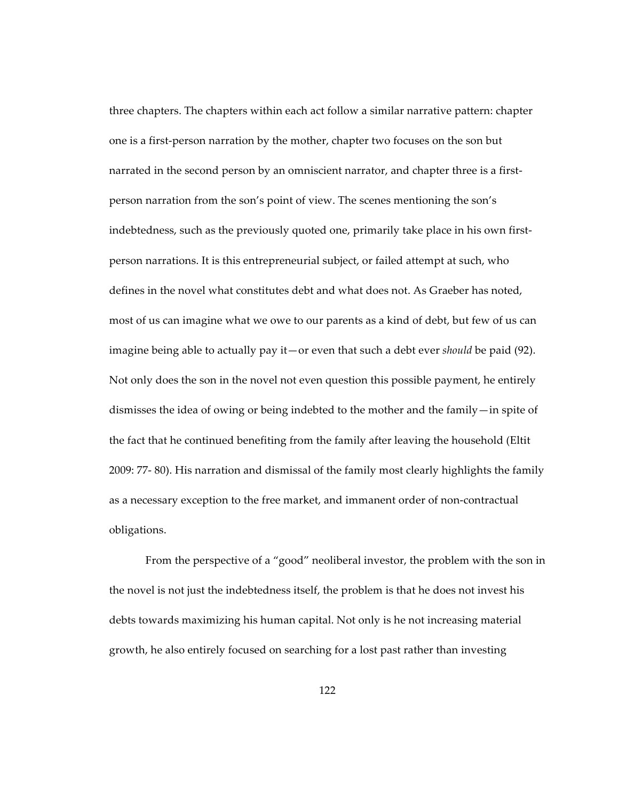three chapters. The chapters within each act follow a similar narrative pattern: chapter one is a first-person narration by the mother, chapter two focuses on the son but narrated in the second person by an omniscient narrator, and chapter three is a firstperson narration from the son's point of view. The scenes mentioning the son's indebtedness, such as the previously quoted one, primarily take place in his own firstperson narrations. It is this entrepreneurial subject, or failed attempt at such, who defines in the novel what constitutes debt and what does not. As Graeber has noted, most of us can imagine what we owe to our parents as a kind of debt, but few of us can imagine being able to actually pay it—or even that such a debt ever *should* be paid (92). Not only does the son in the novel not even question this possible payment, he entirely dismisses the idea of owing or being indebted to the mother and the family—in spite of the fact that he continued benefiting from the family after leaving the household (Eltit 2009: 77- 80). His narration and dismissal of the family most clearly highlights the family as a necessary exception to the free market, and immanent order of non-contractual obligations.

From the perspective of a "good" neoliberal investor, the problem with the son in the novel is not just the indebtedness itself, the problem is that he does not invest his debts towards maximizing his human capital. Not only is he not increasing material growth, he also entirely focused on searching for a lost past rather than investing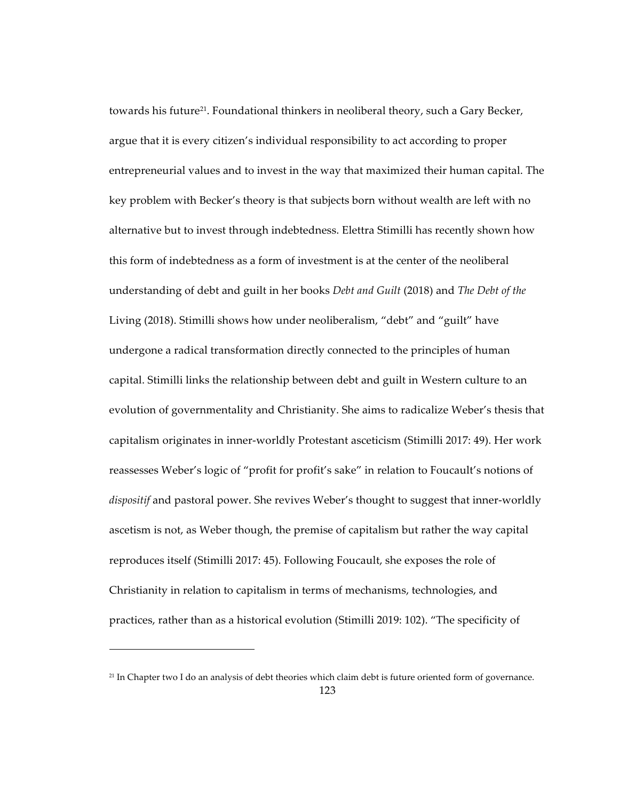towards his future<sup>21</sup>. Foundational thinkers in neoliberal theory, such a Gary Becker, argue that it is every citizen's individual responsibility to act according to proper entrepreneurial values and to invest in the way that maximized their human capital. The key problem with Becker's theory is that subjects born without wealth are left with no alternative but to invest through indebtedness. Elettra Stimilli has recently shown how this form of indebtedness as a form of investment is at the center of the neoliberal understanding of debt and guilt in her books *Debt and Guilt* (2018) and *The Debt of the*  Living (2018). Stimilli shows how under neoliberalism, "debt" and "guilt" have undergone a radical transformation directly connected to the principles of human capital. Stimilli links the relationship between debt and guilt in Western culture to an evolution of governmentality and Christianity. She aims to radicalize Weber's thesis that capitalism originates in inner-worldly Protestant asceticism (Stimilli 2017: 49). Her work reassesses Weber's logic of "profit for profit's sake" in relation to Foucault's notions of *dispositif* and pastoral power. She revives Weber's thought to suggest that inner-worldly ascetism is not, as Weber though, the premise of capitalism but rather the way capital reproduces itself (Stimilli 2017: 45). Following Foucault, she exposes the role of Christianity in relation to capitalism in terms of mechanisms, technologies, and practices, rather than as a historical evolution (Stimilli 2019: 102). "The specificity of

 $\overline{a}$ 

<sup>21</sup> In Chapter two I do an analysis of debt theories which claim debt is future oriented form of governance.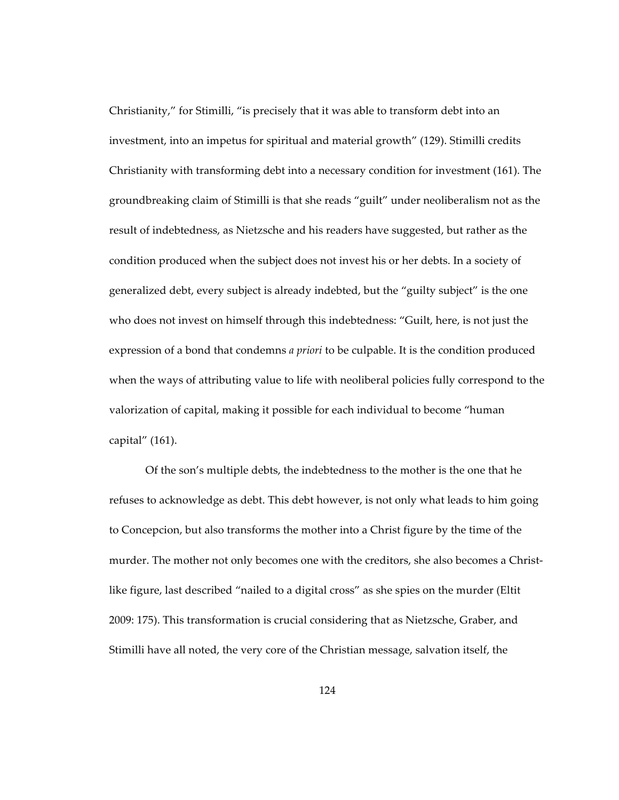Christianity," for Stimilli, "is precisely that it was able to transform debt into an investment, into an impetus for spiritual and material growth" (129). Stimilli credits Christianity with transforming debt into a necessary condition for investment (161). The groundbreaking claim of Stimilli is that she reads "guilt" under neoliberalism not as the result of indebtedness, as Nietzsche and his readers have suggested, but rather as the condition produced when the subject does not invest his or her debts. In a society of generalized debt, every subject is already indebted, but the "guilty subject" is the one who does not invest on himself through this indebtedness: "Guilt, here, is not just the expression of a bond that condemns *a priori* to be culpable. It is the condition produced when the ways of attributing value to life with neoliberal policies fully correspond to the valorization of capital, making it possible for each individual to become "human capital" (161).

Of the son's multiple debts, the indebtedness to the mother is the one that he refuses to acknowledge as debt. This debt however, is not only what leads to him going to Concepcion, but also transforms the mother into a Christ figure by the time of the murder. The mother not only becomes one with the creditors, she also becomes a Christlike figure, last described "nailed to a digital cross" as she spies on the murder (Eltit 2009: 175). This transformation is crucial considering that as Nietzsche, Graber, and Stimilli have all noted, the very core of the Christian message, salvation itself, the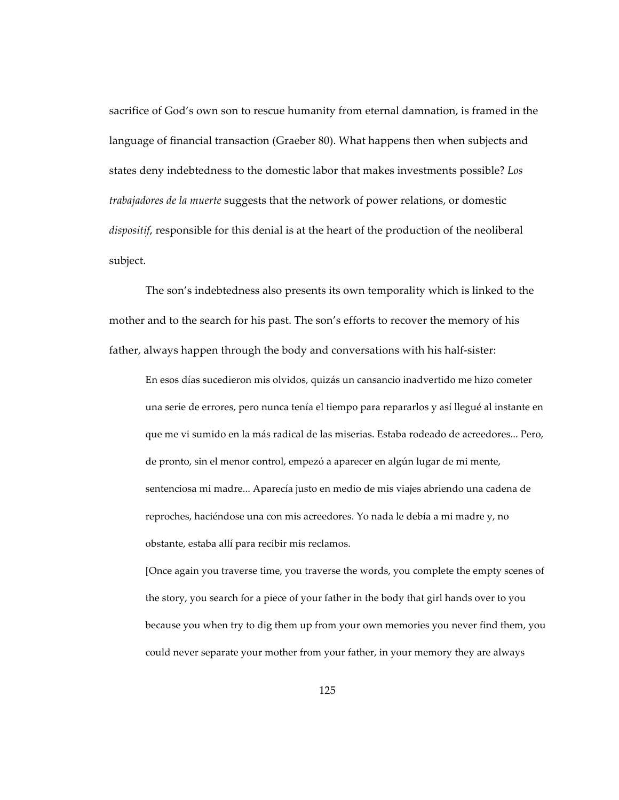sacrifice of God's own son to rescue humanity from eternal damnation, is framed in the language of financial transaction (Graeber 80). What happens then when subjects and states deny indebtedness to the domestic labor that makes investments possible? *Los trabajadores de la muerte* suggests that the network of power relations, or domestic *dispositif*, responsible for this denial is at the heart of the production of the neoliberal subject.

The son's indebtedness also presents its own temporality which is linked to the mother and to the search for his past. The son's efforts to recover the memory of his father, always happen through the body and conversations with his half-sister:

En esos días sucedieron mis olvidos, quizás un cansancio inadvertido me hizo cometer una serie de errores, pero nunca tenía el tiempo para repararlos y así llegué al instante en que me vi sumido en la más radical de las miserias. Estaba rodeado de acreedores... Pero, de pronto, sin el menor control, empezó a aparecer en algún lugar de mi mente, sentenciosa mi madre... Aparecía justo en medio de mis viajes abriendo una cadena de reproches, haciéndose una con mis acreedores. Yo nada le debía a mi madre y, no obstante, estaba allí para recibir mis reclamos.

[Once again you traverse time, you traverse the words, you complete the empty scenes of the story, you search for a piece of your father in the body that girl hands over to you because you when try to dig them up from your own memories you never find them, you could never separate your mother from your father, in your memory they are always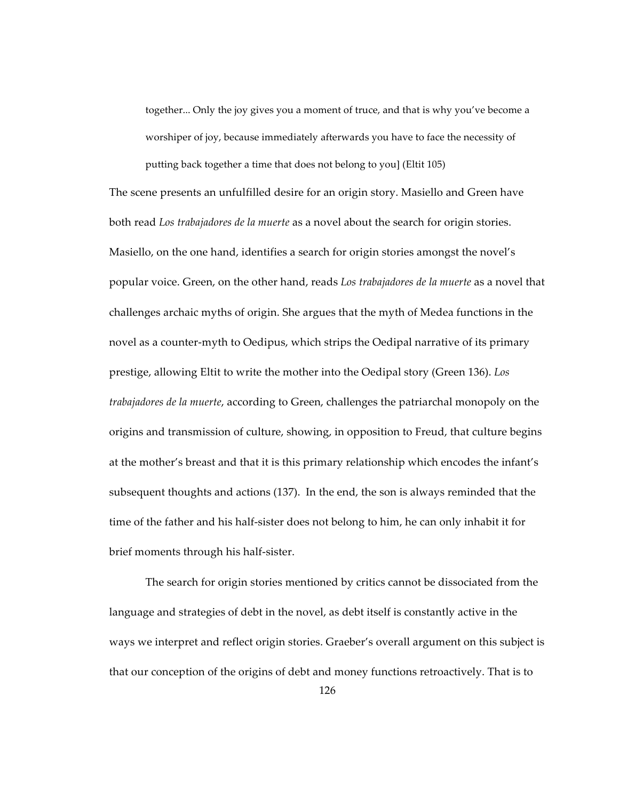together... Only the joy gives you a moment of truce, and that is why you've become a worshiper of joy, because immediately afterwards you have to face the necessity of putting back together a time that does not belong to you] (Eltit 105)

The scene presents an unfulfilled desire for an origin story. Masiello and Green have both read *Los trabajadores de la muerte* as a novel about the search for origin stories. Masiello, on the one hand, identifies a search for origin stories amongst the novel's popular voice. Green, on the other hand, reads *Los trabajadores de la muerte* as a novel that challenges archaic myths of origin. She argues that the myth of Medea functions in the novel as a counter-myth to Oedipus, which strips the Oedipal narrative of its primary prestige, allowing Eltit to write the mother into the Oedipal story (Green 136). *Los trabajadores de la muerte*, according to Green, challenges the patriarchal monopoly on the origins and transmission of culture, showing, in opposition to Freud, that culture begins at the mother's breast and that it is this primary relationship which encodes the infant's subsequent thoughts and actions (137). In the end, the son is always reminded that the time of the father and his half-sister does not belong to him, he can only inhabit it for brief moments through his half-sister.

The search for origin stories mentioned by critics cannot be dissociated from the language and strategies of debt in the novel, as debt itself is constantly active in the ways we interpret and reflect origin stories. Graeber's overall argument on this subject is that our conception of the origins of debt and money functions retroactively. That is to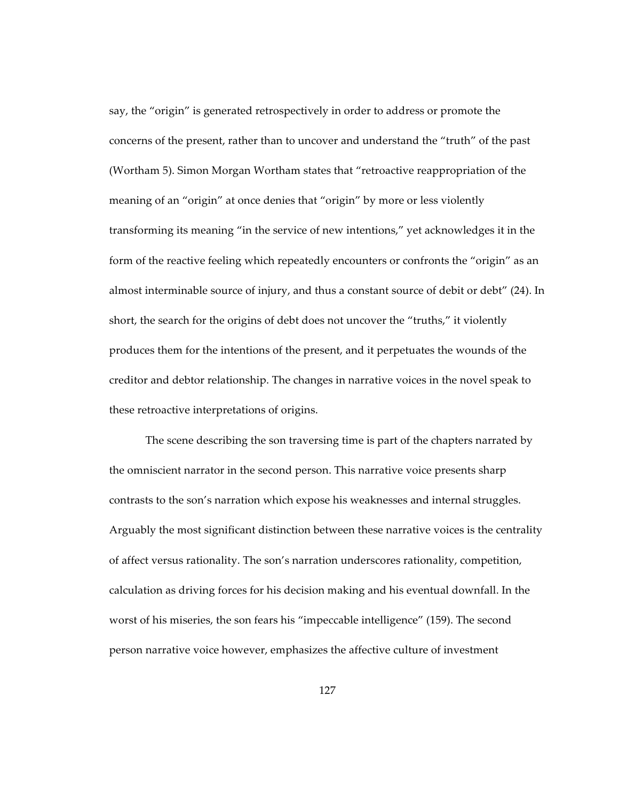say, the "origin" is generated retrospectively in order to address or promote the concerns of the present, rather than to uncover and understand the "truth" of the past (Wortham 5). Simon Morgan Wortham states that "retroactive reappropriation of the meaning of an "origin" at once denies that "origin" by more or less violently transforming its meaning "in the service of new intentions," yet acknowledges it in the form of the reactive feeling which repeatedly encounters or confronts the "origin" as an almost interminable source of injury, and thus a constant source of debit or debt" (24). In short, the search for the origins of debt does not uncover the "truths," it violently produces them for the intentions of the present, and it perpetuates the wounds of the creditor and debtor relationship. The changes in narrative voices in the novel speak to these retroactive interpretations of origins.

The scene describing the son traversing time is part of the chapters narrated by the omniscient narrator in the second person. This narrative voice presents sharp contrasts to the son's narration which expose his weaknesses and internal struggles. Arguably the most significant distinction between these narrative voices is the centrality of affect versus rationality. The son's narration underscores rationality, competition, calculation as driving forces for his decision making and his eventual downfall. In the worst of his miseries, the son fears his "impeccable intelligence" (159). The second person narrative voice however, emphasizes the affective culture of investment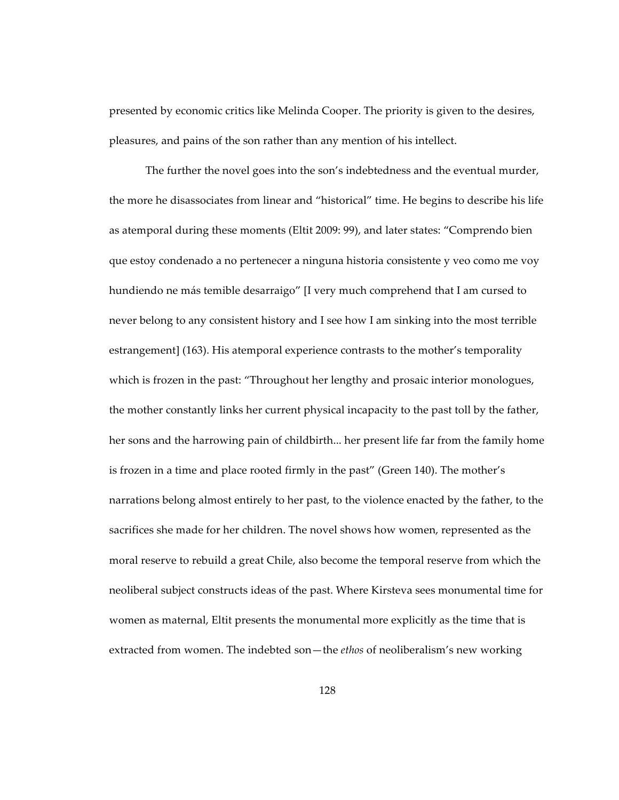presented by economic critics like Melinda Cooper. The priority is given to the desires, pleasures, and pains of the son rather than any mention of his intellect.

The further the novel goes into the son's indebtedness and the eventual murder, the more he disassociates from linear and "historical" time. He begins to describe his life as atemporal during these moments (Eltit 2009: 99), and later states: "Comprendo bien que estoy condenado a no pertenecer a ninguna historia consistente y veo como me voy hundiendo ne más temible desarraigo" [I very much comprehend that I am cursed to never belong to any consistent history and I see how I am sinking into the most terrible estrangement] (163). His atemporal experience contrasts to the mother's temporality which is frozen in the past: "Throughout her lengthy and prosaic interior monologues, the mother constantly links her current physical incapacity to the past toll by the father, her sons and the harrowing pain of childbirth... her present life far from the family home is frozen in a time and place rooted firmly in the past" (Green 140). The mother's narrations belong almost entirely to her past, to the violence enacted by the father, to the sacrifices she made for her children. The novel shows how women, represented as the moral reserve to rebuild a great Chile, also become the temporal reserve from which the neoliberal subject constructs ideas of the past. Where Kirsteva sees monumental time for women as maternal, Eltit presents the monumental more explicitly as the time that is extracted from women. The indebted son—the *ethos* of neoliberalism's new working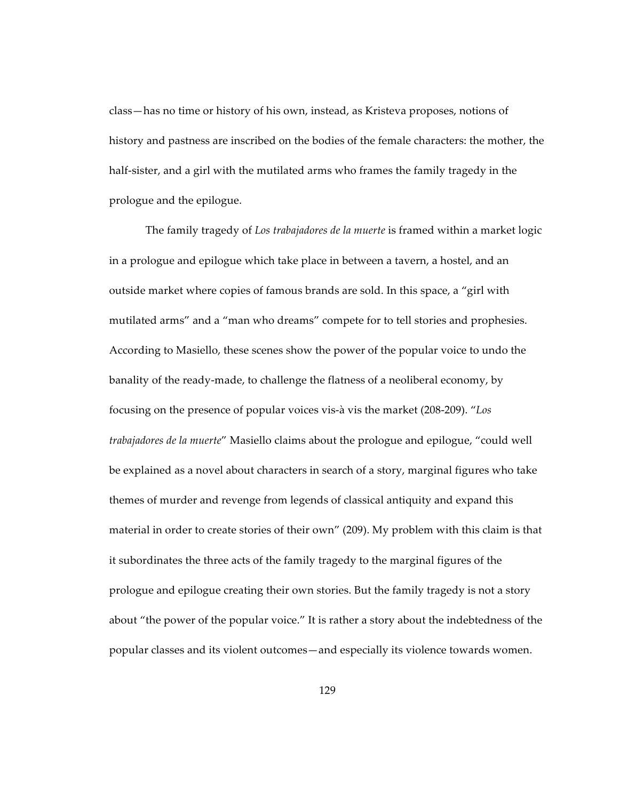class—has no time or history of his own, instead, as Kristeva proposes, notions of history and pastness are inscribed on the bodies of the female characters: the mother, the half-sister, and a girl with the mutilated arms who frames the family tragedy in the prologue and the epilogue.

The family tragedy of *Los trabajadores de la muerte* is framed within a market logic in a prologue and epilogue which take place in between a tavern, a hostel, and an outside market where copies of famous brands are sold. In this space, a "girl with mutilated arms" and a "man who dreams" compete for to tell stories and prophesies. According to Masiello, these scenes show the power of the popular voice to undo the banality of the ready-made, to challenge the flatness of a neoliberal economy, by focusing on the presence of popular voices vis-à vis the market (208-209). "*Los trabajadores de la muerte*" Masiello claims about the prologue and epilogue, "could well be explained as a novel about characters in search of a story, marginal figures who take themes of murder and revenge from legends of classical antiquity and expand this material in order to create stories of their own" (209). My problem with this claim is that it subordinates the three acts of the family tragedy to the marginal figures of the prologue and epilogue creating their own stories. But the family tragedy is not a story about "the power of the popular voice." It is rather a story about the indebtedness of the popular classes and its violent outcomes—and especially its violence towards women.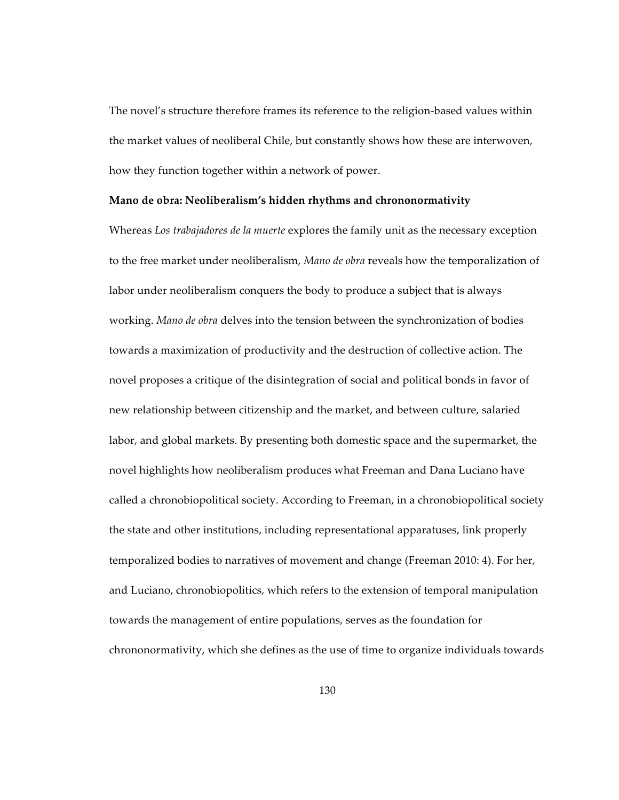The novel's structure therefore frames its reference to the religion-based values within the market values of neoliberal Chile, but constantly shows how these are interwoven, how they function together within a network of power.

## **Mano de obra: Neoliberalism's hidden rhythms and chrononormativity**

Whereas *Los trabajadores de la muerte* explores the family unit as the necessary exception to the free market under neoliberalism, *Mano de obra* reveals how the temporalization of labor under neoliberalism conquers the body to produce a subject that is always working. *Mano de obra* delves into the tension between the synchronization of bodies towards a maximization of productivity and the destruction of collective action. The novel proposes a critique of the disintegration of social and political bonds in favor of new relationship between citizenship and the market, and between culture, salaried labor, and global markets. By presenting both domestic space and the supermarket, the novel highlights how neoliberalism produces what Freeman and Dana Luciano have called a chronobiopolitical society. According to Freeman, in a chronobiopolitical society the state and other institutions, including representational apparatuses, link properly temporalized bodies to narratives of movement and change (Freeman 2010: 4). For her, and Luciano, chronobiopolitics, which refers to the extension of temporal manipulation towards the management of entire populations, serves as the foundation for chrononormativity, which she defines as the use of time to organize individuals towards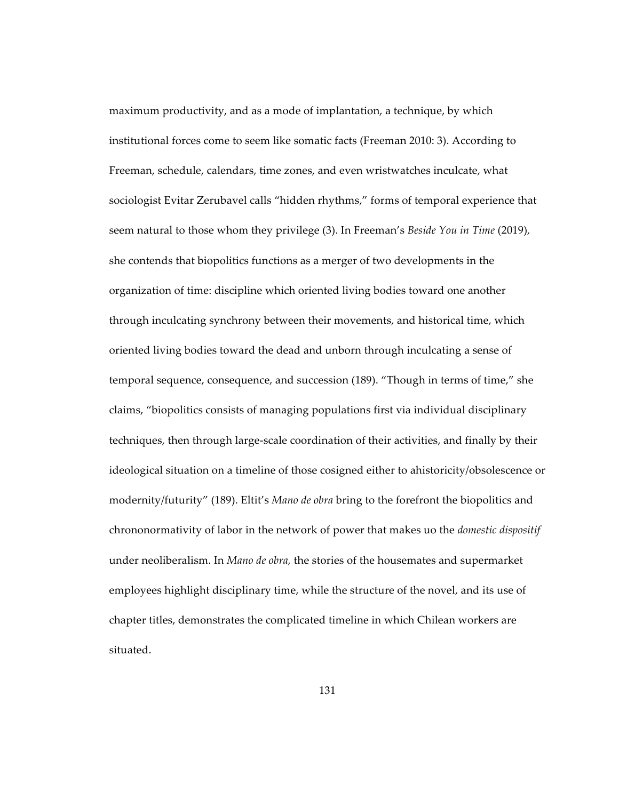maximum productivity, and as a mode of implantation, a technique, by which institutional forces come to seem like somatic facts (Freeman 2010: 3). According to Freeman, schedule, calendars, time zones, and even wristwatches inculcate, what sociologist Evitar Zerubavel calls "hidden rhythms," forms of temporal experience that seem natural to those whom they privilege (3). In Freeman's *Beside You in Time* (2019), she contends that biopolitics functions as a merger of two developments in the organization of time: discipline which oriented living bodies toward one another through inculcating synchrony between their movements, and historical time, which oriented living bodies toward the dead and unborn through inculcating a sense of temporal sequence, consequence, and succession (189). "Though in terms of time," she claims, "biopolitics consists of managing populations first via individual disciplinary techniques, then through large-scale coordination of their activities, and finally by their ideological situation on a timeline of those cosigned either to ahistoricity/obsolescence or modernity/futurity" (189). Eltit's *Mano de obra* bring to the forefront the biopolitics and chrononormativity of labor in the network of power that makes uo the *domestic dispositif* under neoliberalism. In *Mano de obra,* the stories of the housemates and supermarket employees highlight disciplinary time, while the structure of the novel, and its use of chapter titles, demonstrates the complicated timeline in which Chilean workers are situated.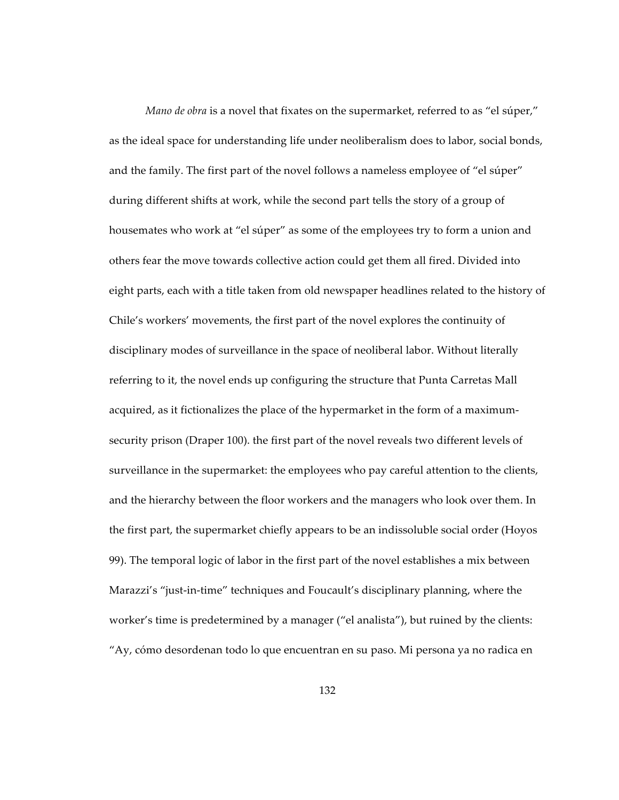*Mano de obra* is a novel that fixates on the supermarket, referred to as "el súper," as the ideal space for understanding life under neoliberalism does to labor, social bonds, and the family. The first part of the novel follows a nameless employee of "el súper" during different shifts at work, while the second part tells the story of a group of housemates who work at "el súper" as some of the employees try to form a union and others fear the move towards collective action could get them all fired. Divided into eight parts, each with a title taken from old newspaper headlines related to the history of Chile's workers' movements, the first part of the novel explores the continuity of disciplinary modes of surveillance in the space of neoliberal labor. Without literally referring to it, the novel ends up configuring the structure that Punta Carretas Mall acquired, as it fictionalizes the place of the hypermarket in the form of a maximumsecurity prison (Draper 100). the first part of the novel reveals two different levels of surveillance in the supermarket: the employees who pay careful attention to the clients, and the hierarchy between the floor workers and the managers who look over them. In the first part, the supermarket chiefly appears to be an indissoluble social order (Hoyos 99). The temporal logic of labor in the first part of the novel establishes a mix between Marazzi's "just-in-time" techniques and Foucault's disciplinary planning, where the worker's time is predetermined by a manager ("el analista"), but ruined by the clients: "Ay, cómo desordenan todo lo que encuentran en su paso. Mi persona ya no radica en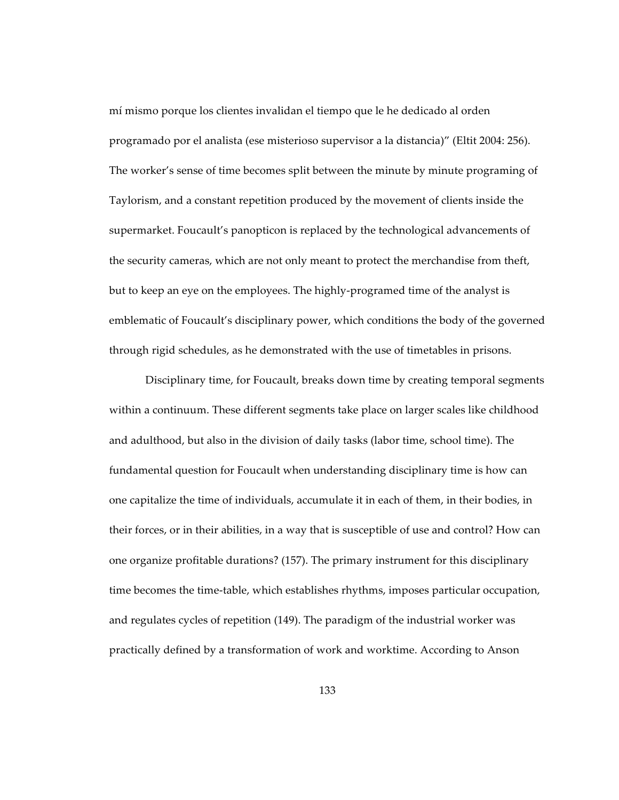mí mismo porque los clientes invalidan el tiempo que le he dedicado al orden programado por el analista (ese misterioso supervisor a la distancia)" (Eltit 2004: 256). The worker's sense of time becomes split between the minute by minute programing of Taylorism, and a constant repetition produced by the movement of clients inside the supermarket. Foucault's panopticon is replaced by the technological advancements of the security cameras, which are not only meant to protect the merchandise from theft, but to keep an eye on the employees. The highly-programed time of the analyst is emblematic of Foucault's disciplinary power, which conditions the body of the governed through rigid schedules, as he demonstrated with the use of timetables in prisons.

Disciplinary time, for Foucault, breaks down time by creating temporal segments within a continuum. These different segments take place on larger scales like childhood and adulthood, but also in the division of daily tasks (labor time, school time). The fundamental question for Foucault when understanding disciplinary time is how can one capitalize the time of individuals, accumulate it in each of them, in their bodies, in their forces, or in their abilities, in a way that is susceptible of use and control? How can one organize profitable durations? (157). The primary instrument for this disciplinary time becomes the time-table, which establishes rhythms, imposes particular occupation, and regulates cycles of repetition (149). The paradigm of the industrial worker was practically defined by a transformation of work and worktime. According to Anson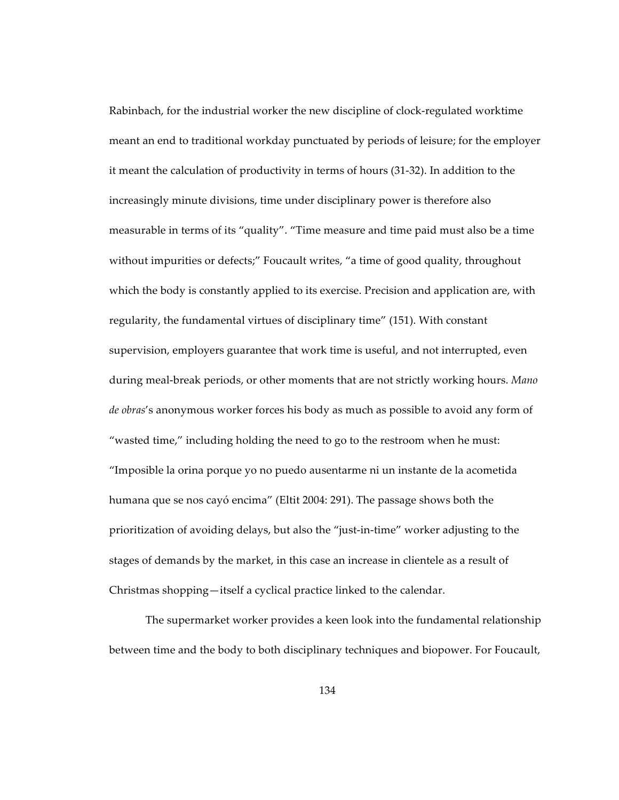Rabinbach, for the industrial worker the new discipline of clock-regulated worktime meant an end to traditional workday punctuated by periods of leisure; for the employer it meant the calculation of productivity in terms of hours (31-32). In addition to the increasingly minute divisions, time under disciplinary power is therefore also measurable in terms of its "quality". "Time measure and time paid must also be a time without impurities or defects;" Foucault writes, "a time of good quality, throughout which the body is constantly applied to its exercise. Precision and application are, with regularity, the fundamental virtues of disciplinary time" (151). With constant supervision, employers guarantee that work time is useful, and not interrupted, even during meal-break periods, or other moments that are not strictly working hours. *Mano de obras*'s anonymous worker forces his body as much as possible to avoid any form of "wasted time," including holding the need to go to the restroom when he must: "Imposible la orina porque yo no puedo ausentarme ni un instante de la acometida humana que se nos cayó encima" (Eltit 2004: 291). The passage shows both the prioritization of avoiding delays, but also the "just-in-time" worker adjusting to the stages of demands by the market, in this case an increase in clientele as a result of Christmas shopping—itself a cyclical practice linked to the calendar.

The supermarket worker provides a keen look into the fundamental relationship between time and the body to both disciplinary techniques and biopower. For Foucault,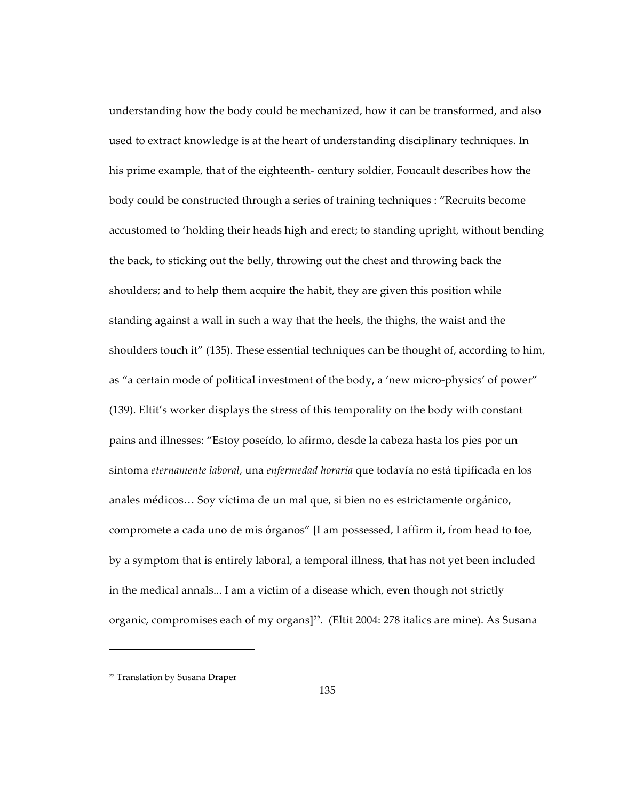understanding how the body could be mechanized, how it can be transformed, and also used to extract knowledge is at the heart of understanding disciplinary techniques. In his prime example, that of the eighteenth- century soldier, Foucault describes how the body could be constructed through a series of training techniques : "Recruits become accustomed to 'holding their heads high and erect; to standing upright, without bending the back, to sticking out the belly, throwing out the chest and throwing back the shoulders; and to help them acquire the habit, they are given this position while standing against a wall in such a way that the heels, the thighs, the waist and the shoulders touch it" (135). These essential techniques can be thought of, according to him, as "a certain mode of political investment of the body, a 'new micro-physics' of power" (139). Eltit's worker displays the stress of this temporality on the body with constant pains and illnesses: "Estoy poseído, lo afirmo, desde la cabeza hasta los pies por un síntoma *eternamente laboral*, una *enfermedad horaria* que todavía no está tipificada en los anales médicos… Soy víctima de un mal que, si bien no es estrictamente orgánico, compromete a cada uno de mis órganos" [I am possessed, I affirm it, from head to toe, by a symptom that is entirely laboral, a temporal illness, that has not yet been included in the medical annals... I am a victim of a disease which, even though not strictly organic, compromises each of my organs]<sup>22</sup>. (Eltit 2004: 278 italics are mine). As Susana

 $\overline{a}$ 

<sup>22</sup> Translation by Susana Draper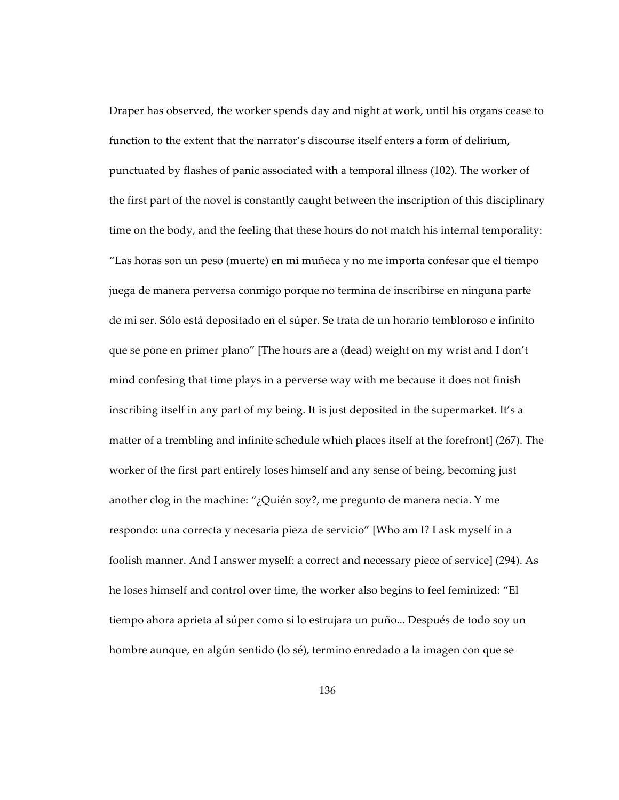Draper has observed, the worker spends day and night at work, until his organs cease to function to the extent that the narrator's discourse itself enters a form of delirium, punctuated by flashes of panic associated with a temporal illness (102). The worker of the first part of the novel is constantly caught between the inscription of this disciplinary time on the body, and the feeling that these hours do not match his internal temporality: "Las horas son un peso (muerte) en mi muñeca y no me importa confesar que el tiempo juega de manera perversa conmigo porque no termina de inscribirse en ninguna parte de mi ser. Sólo está depositado en el súper. Se trata de un horario tembloroso e infinito que se pone en primer plano" [The hours are a (dead) weight on my wrist and I don't mind confesing that time plays in a perverse way with me because it does not finish inscribing itself in any part of my being. It is just deposited in the supermarket. It's a matter of a trembling and infinite schedule which places itself at the forefront] (267). The worker of the first part entirely loses himself and any sense of being, becoming just another clog in the machine: " $\chi$ Quién soy?, me pregunto de manera necia. Y me respondo: una correcta y necesaria pieza de servicio" [Who am I? I ask myself in a foolish manner. And I answer myself: a correct and necessary piece of service] (294). As he loses himself and control over time, the worker also begins to feel feminized: "El tiempo ahora aprieta al súper como si lo estrujara un puño... Después de todo soy un hombre aunque, en algún sentido (lo sé), termino enredado a la imagen con que se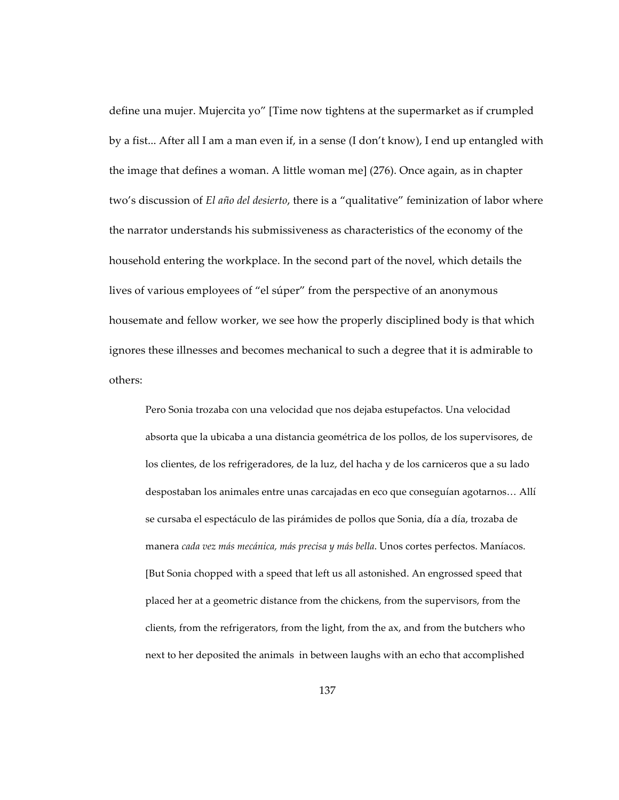define una mujer. Mujercita yo" [Time now tightens at the supermarket as if crumpled by a fist... After all I am a man even if, in a sense (I don't know), I end up entangled with the image that defines a woman. A little woman me] (276). Once again, as in chapter two's discussion of *El año del desierto*, there is a "qualitative" feminization of labor where the narrator understands his submissiveness as characteristics of the economy of the household entering the workplace. In the second part of the novel, which details the lives of various employees of "el súper" from the perspective of an anonymous housemate and fellow worker, we see how the properly disciplined body is that which ignores these illnesses and becomes mechanical to such a degree that it is admirable to others:

Pero Sonia trozaba con una velocidad que nos dejaba estupefactos. Una velocidad absorta que la ubicaba a una distancia geométrica de los pollos, de los supervisores, de los clientes, de los refrigeradores, de la luz, del hacha y de los carniceros que a su lado despostaban los animales entre unas carcajadas en eco que conseguían agotarnos… Allí se cursaba el espectáculo de las pirámides de pollos que Sonia, día a día, trozaba de manera *cada vez más mecánica, más precisa y más bella*. Unos cortes perfectos. Maníacos. [But Sonia chopped with a speed that left us all astonished. An engrossed speed that placed her at a geometric distance from the chickens, from the supervisors, from the clients, from the refrigerators, from the light, from the ax, and from the butchers who next to her deposited the animals in between laughs with an echo that accomplished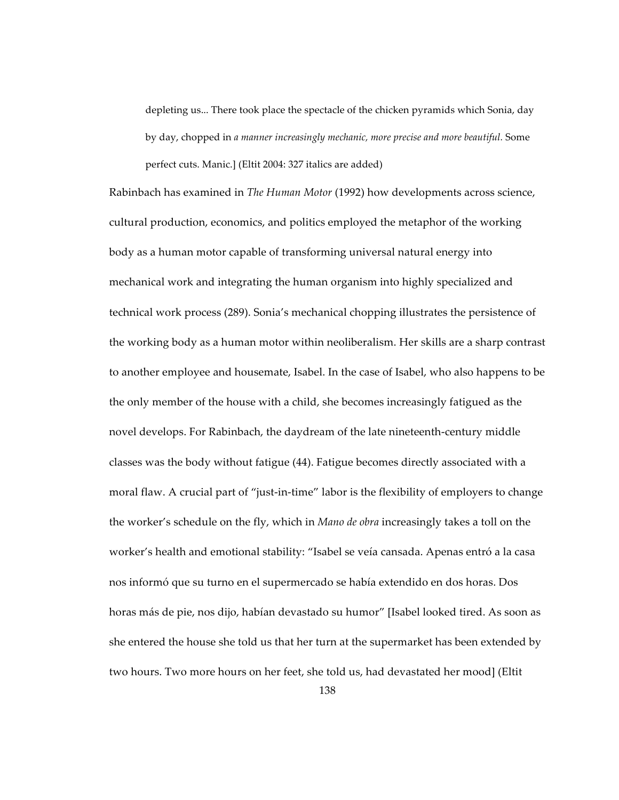depleting us... There took place the spectacle of the chicken pyramids which Sonia, day by day, chopped in *a manner increasingly mechanic, more precise and more beautiful.* Some perfect cuts. Manic.] (Eltit 2004: 327 italics are added)

Rabinbach has examined in *The Human Motor* (1992) how developments across science, cultural production, economics, and politics employed the metaphor of the working body as a human motor capable of transforming universal natural energy into mechanical work and integrating the human organism into highly specialized and technical work process (289). Sonia's mechanical chopping illustrates the persistence of the working body as a human motor within neoliberalism. Her skills are a sharp contrast to another employee and housemate, Isabel. In the case of Isabel, who also happens to be the only member of the house with a child, she becomes increasingly fatigued as the novel develops. For Rabinbach, the daydream of the late nineteenth-century middle classes was the body without fatigue (44). Fatigue becomes directly associated with a moral flaw. A crucial part of "just-in-time" labor is the flexibility of employers to change the worker's schedule on the fly, which in *Mano de obra* increasingly takes a toll on the worker's health and emotional stability: "Isabel se veía cansada. Apenas entró a la casa nos informó que su turno en el supermercado se había extendido en dos horas. Dos horas más de pie, nos dijo, habían devastado su humor" [Isabel looked tired. As soon as she entered the house she told us that her turn at the supermarket has been extended by two hours. Two more hours on her feet, she told us, had devastated her mood] (Eltit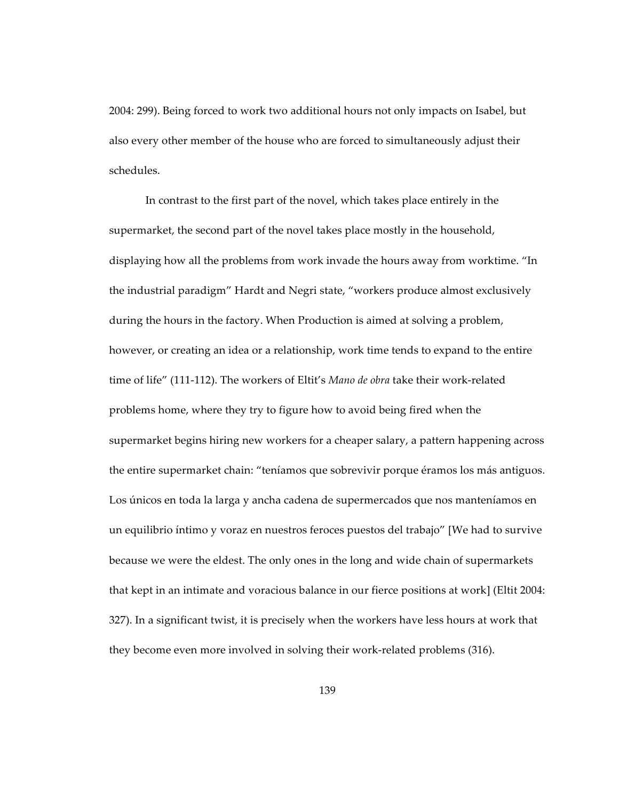2004: 299). Being forced to work two additional hours not only impacts on Isabel, but also every other member of the house who are forced to simultaneously adjust their schedules.

In contrast to the first part of the novel, which takes place entirely in the supermarket, the second part of the novel takes place mostly in the household, displaying how all the problems from work invade the hours away from worktime. "In the industrial paradigm" Hardt and Negri state, "workers produce almost exclusively during the hours in the factory. When Production is aimed at solving a problem, however, or creating an idea or a relationship, work time tends to expand to the entire time of life" (111-112). The workers of Eltit's *Mano de obra* take their work-related problems home, where they try to figure how to avoid being fired when the supermarket begins hiring new workers for a cheaper salary, a pattern happening across the entire supermarket chain: "teníamos que sobrevivir porque éramos los más antiguos. Los únicos en toda la larga y ancha cadena de supermercados que nos manteníamos en un equilibrio íntimo y voraz en nuestros feroces puestos del trabajo" [We had to survive because we were the eldest. The only ones in the long and wide chain of supermarkets that kept in an intimate and voracious balance in our fierce positions at work] (Eltit 2004: 327). In a significant twist, it is precisely when the workers have less hours at work that they become even more involved in solving their work-related problems (316).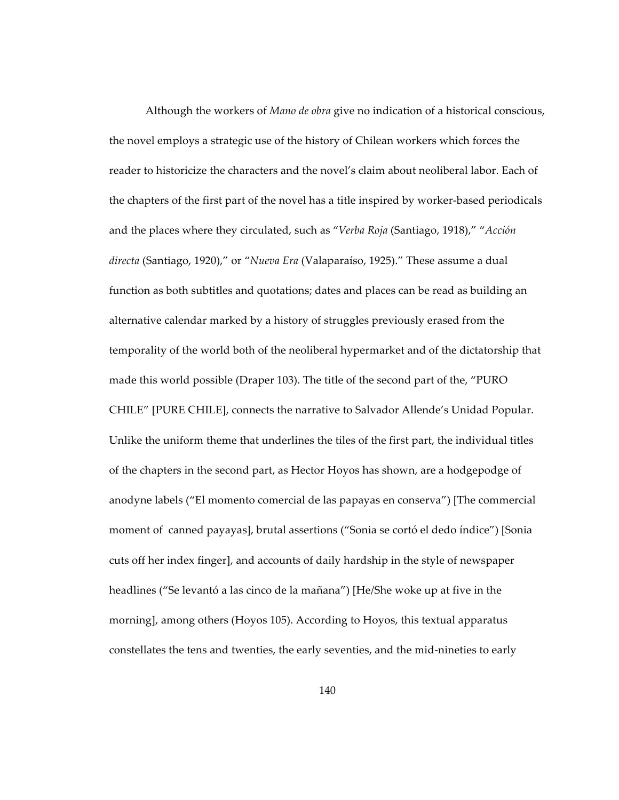Although the workers of *Mano de obra* give no indication of a historical conscious, the novel employs a strategic use of the history of Chilean workers which forces the reader to historicize the characters and the novel's claim about neoliberal labor. Each of the chapters of the first part of the novel has a title inspired by worker-based periodicals and the places where they circulated, such as "*Verba Roja* (Santiago, 1918)," "*Acción directa* (Santiago, 1920)," or "*Nueva Era* (Valaparaíso, 1925)." These assume a dual function as both subtitles and quotations; dates and places can be read as building an alternative calendar marked by a history of struggles previously erased from the temporality of the world both of the neoliberal hypermarket and of the dictatorship that made this world possible (Draper 103). The title of the second part of the, "PURO CHILE" [PURE CHILE], connects the narrative to Salvador Allende's Unidad Popular. Unlike the uniform theme that underlines the tiles of the first part, the individual titles of the chapters in the second part, as Hector Hoyos has shown, are a hodgepodge of anodyne labels ("El momento comercial de las papayas en conserva") [The commercial moment of canned payayas], brutal assertions ("Sonia se cortó el dedo índice") [Sonia cuts off her index finger], and accounts of daily hardship in the style of newspaper headlines ("Se levantó a las cinco de la mañana") [He/She woke up at five in the morning], among others (Hoyos 105). According to Hoyos, this textual apparatus constellates the tens and twenties, the early seventies, and the mid-nineties to early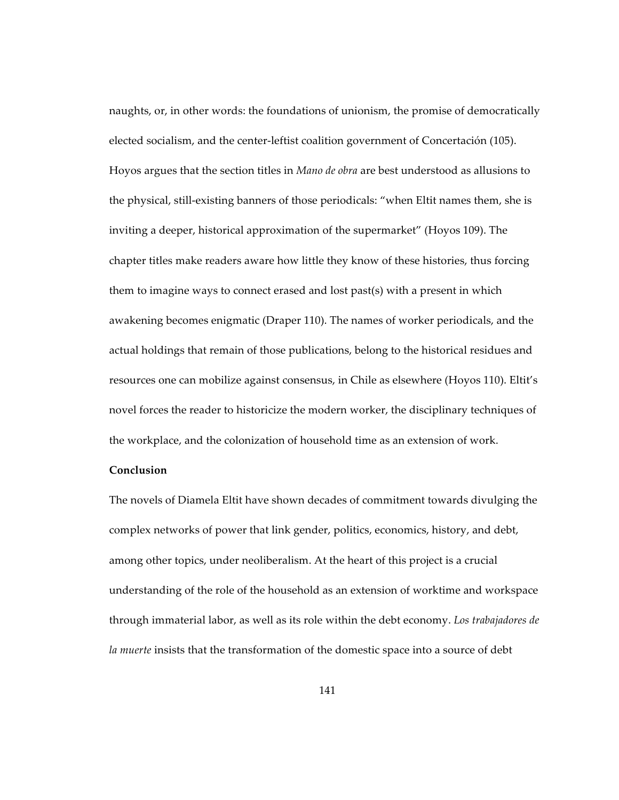naughts, or, in other words: the foundations of unionism, the promise of democratically elected socialism, and the center-leftist coalition government of Concertación (105). Hoyos argues that the section titles in *Mano de obra* are best understood as allusions to the physical, still-existing banners of those periodicals: "when Eltit names them, she is inviting a deeper, historical approximation of the supermarket" (Hoyos 109). The chapter titles make readers aware how little they know of these histories, thus forcing them to imagine ways to connect erased and lost past(s) with a present in which awakening becomes enigmatic (Draper 110). The names of worker periodicals, and the actual holdings that remain of those publications, belong to the historical residues and resources one can mobilize against consensus, in Chile as elsewhere (Hoyos 110). Eltit's novel forces the reader to historicize the modern worker, the disciplinary techniques of the workplace, and the colonization of household time as an extension of work.

## **Conclusion**

The novels of Diamela Eltit have shown decades of commitment towards divulging the complex networks of power that link gender, politics, economics, history, and debt, among other topics, under neoliberalism. At the heart of this project is a crucial understanding of the role of the household as an extension of worktime and workspace through immaterial labor, as well as its role within the debt economy. *Los trabajadores de la muerte* insists that the transformation of the domestic space into a source of debt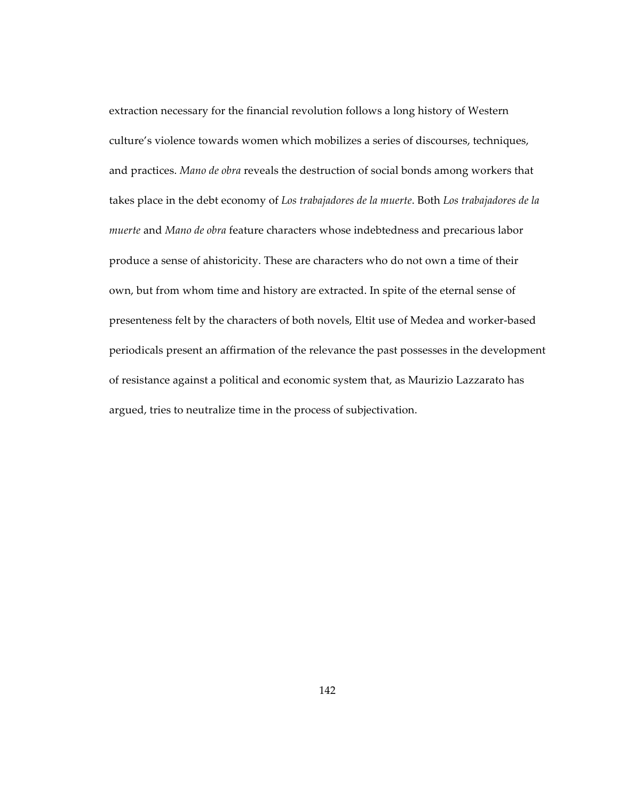extraction necessary for the financial revolution follows a long history of Western culture's violence towards women which mobilizes a series of discourses, techniques, and practices. *Mano de obra* reveals the destruction of social bonds among workers that takes place in the debt economy of *Los trabajadores de la muerte*. Both *Los trabajadores de la muerte* and *Mano de obra* feature characters whose indebtedness and precarious labor produce a sense of ahistoricity. These are characters who do not own a time of their own, but from whom time and history are extracted. In spite of the eternal sense of presenteness felt by the characters of both novels, Eltit use of Medea and worker-based periodicals present an affirmation of the relevance the past possesses in the development of resistance against a political and economic system that, as Maurizio Lazzarato has argued, tries to neutralize time in the process of subjectivation.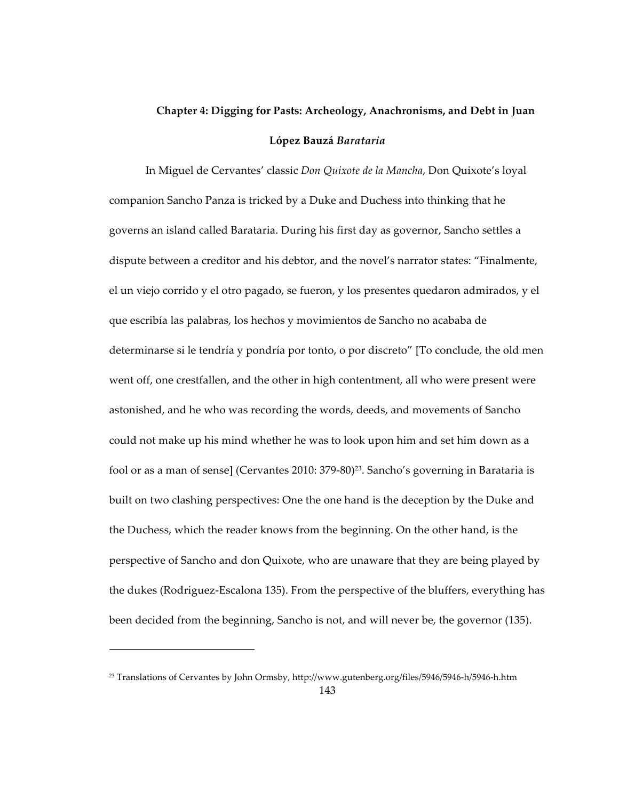## **Chapter 4: Digging for Pasts: Archeology, Anachronisms, and Debt in Juan López Bauzá** *Barataria*

In Miguel de Cervantes' classic *Don Quixote de la Mancha*, Don Quixote's loyal companion Sancho Panza is tricked by a Duke and Duchess into thinking that he governs an island called Barataria. During his first day as governor, Sancho settles a dispute between a creditor and his debtor, and the novel's narrator states: "Finalmente, el un viejo corrido y el otro pagado, se fueron, y los presentes quedaron admirados, y el que escribía las palabras, los hechos y movimientos de Sancho no acababa de determinarse si le tendría y pondría por tonto, o por discreto" [To conclude, the old men went off, one crestfallen, and the other in high contentment, all who were present were astonished, and he who was recording the words, deeds, and movements of Sancho could not make up his mind whether he was to look upon him and set him down as a fool or as a man of sense] (Cervantes 2010: 379-80)<sup>23</sup>. Sancho's governing in Barataria is built on two clashing perspectives: One the one hand is the deception by the Duke and the Duchess, which the reader knows from the beginning. On the other hand, is the perspective of Sancho and don Quixote, who are unaware that they are being played by the dukes (Rodriguez-Escalona 135). From the perspective of the bluffers, everything has been decided from the beginning, Sancho is not, and will never be, the governor (135).

 $\overline{a}$ 

<sup>23</sup> Translations of Cervantes by John Ormsby, http://www.gutenberg.org/files/5946/5946-h/5946-h.htm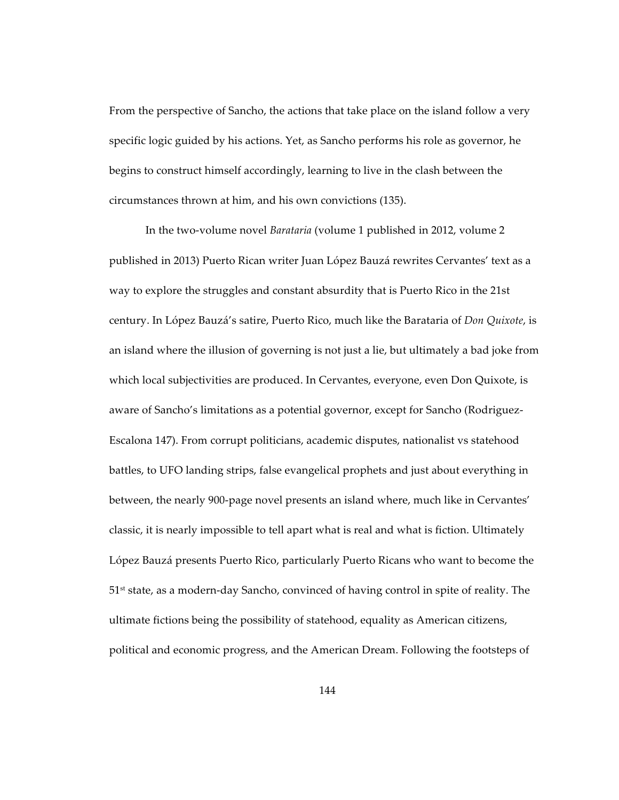From the perspective of Sancho, the actions that take place on the island follow a very specific logic guided by his actions. Yet, as Sancho performs his role as governor, he begins to construct himself accordingly, learning to live in the clash between the circumstances thrown at him, and his own convictions (135).

In the two-volume novel *Barataria* (volume 1 published in 2012, volume 2 published in 2013) Puerto Rican writer Juan López Bauzá rewrites Cervantes' text as a way to explore the struggles and constant absurdity that is Puerto Rico in the 21st century. In López Bauzá's satire, Puerto Rico, much like the Barataria of *Don Quixote*, is an island where the illusion of governing is not just a lie, but ultimately a bad joke from which local subjectivities are produced. In Cervantes, everyone, even Don Quixote, is aware of Sancho's limitations as a potential governor, except for Sancho (Rodriguez-Escalona 147). From corrupt politicians, academic disputes, nationalist vs statehood battles, to UFO landing strips, false evangelical prophets and just about everything in between, the nearly 900-page novel presents an island where, much like in Cervantes' classic, it is nearly impossible to tell apart what is real and what is fiction. Ultimately López Bauzá presents Puerto Rico, particularly Puerto Ricans who want to become the  $51<sup>st</sup>$  state, as a modern-day Sancho, convinced of having control in spite of reality. The ultimate fictions being the possibility of statehood, equality as American citizens, political and economic progress, and the American Dream. Following the footsteps of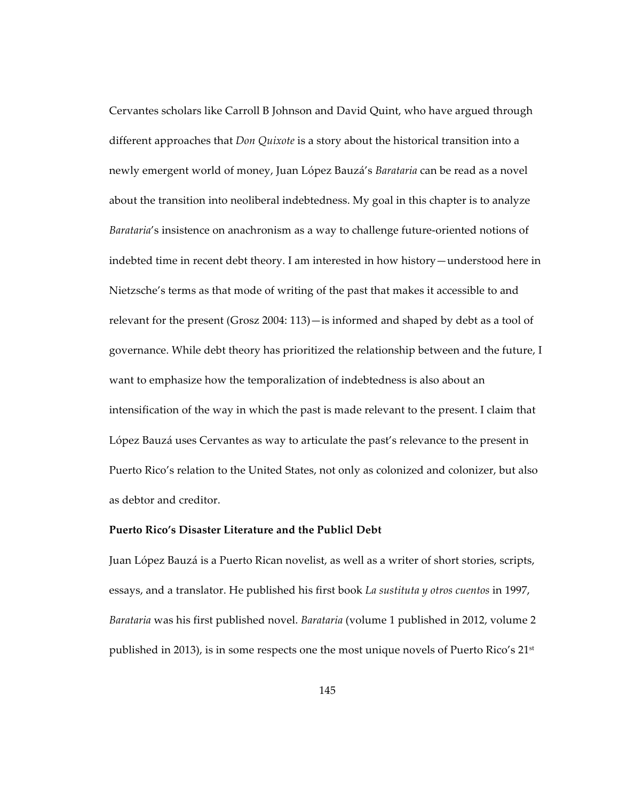Cervantes scholars like Carroll B Johnson and David Quint, who have argued through different approaches that *Don Quixote* is a story about the historical transition into a newly emergent world of money, Juan López Bauzá's *Barataria* can be read as a novel about the transition into neoliberal indebtedness. My goal in this chapter is to analyze *Barataria*'s insistence on anachronism as a way to challenge future-oriented notions of indebted time in recent debt theory. I am interested in how history—understood here in Nietzsche's terms as that mode of writing of the past that makes it accessible to and relevant for the present (Grosz 2004: 113)—is informed and shaped by debt as a tool of governance. While debt theory has prioritized the relationship between and the future, I want to emphasize how the temporalization of indebtedness is also about an intensification of the way in which the past is made relevant to the present. I claim that López Bauzá uses Cervantes as way to articulate the past's relevance to the present in Puerto Rico's relation to the United States, not only as colonized and colonizer, but also as debtor and creditor.

## **Puerto Rico's Disaster Literature and the Publicl Debt**

Juan López Bauzá is a Puerto Rican novelist, as well as a writer of short stories, scripts, essays, and a translator. He published his first book *La sustituta y otros cuentos* in 1997, *Barataria* was his first published novel. *Barataria* (volume 1 published in 2012, volume 2 published in 2013), is in some respects one the most unique novels of Puerto Rico's  $21<sup>st</sup>$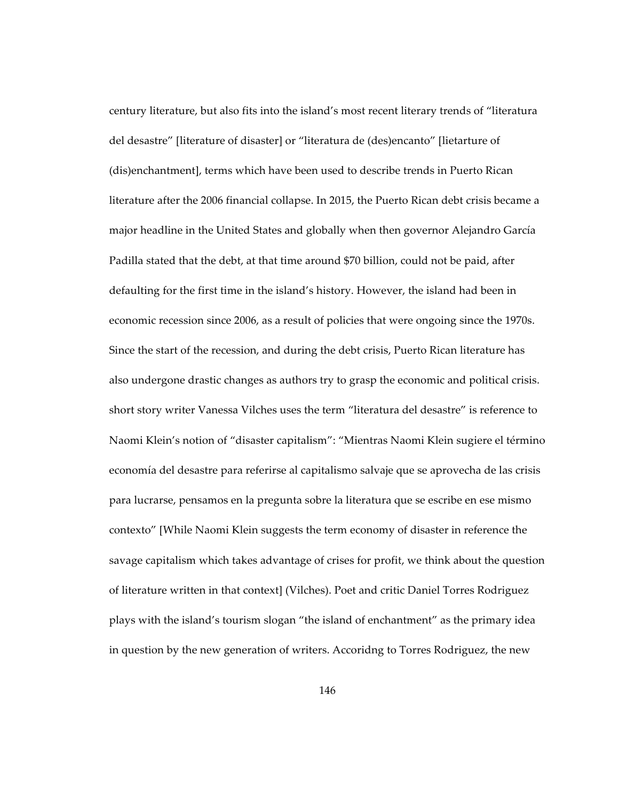century literature, but also fits into the island's most recent literary trends of "literatura del desastre" [literature of disaster] or "literatura de (des)encanto" [lietarture of (dis)enchantment], terms which have been used to describe trends in Puerto Rican literature after the 2006 financial collapse. In 2015, the Puerto Rican debt crisis became a major headline in the United States and globally when then governor Alejandro García Padilla stated that the debt, at that time around \$70 billion, could not be paid, after defaulting for the first time in the island's history. However, the island had been in economic recession since 2006, as a result of policies that were ongoing since the 1970s. Since the start of the recession, and during the debt crisis, Puerto Rican literature has also undergone drastic changes as authors try to grasp the economic and political crisis. short story writer Vanessa Vilches uses the term "literatura del desastre" is reference to Naomi Klein's notion of "disaster capitalism": "Mientras Naomi Klein sugiere el término economía del desastre para referirse al capitalismo salvaje que se aprovecha de las crisis para lucrarse, pensamos en la pregunta sobre la literatura que se escribe en ese mismo contexto" [While Naomi Klein suggests the term economy of disaster in reference the savage capitalism which takes advantage of crises for profit, we think about the question of literature written in that context] (Vilches). Poet and critic Daniel Torres Rodriguez plays with the island's tourism slogan "the island of enchantment" as the primary idea in question by the new generation of writers. Accoridng to Torres Rodriguez, the new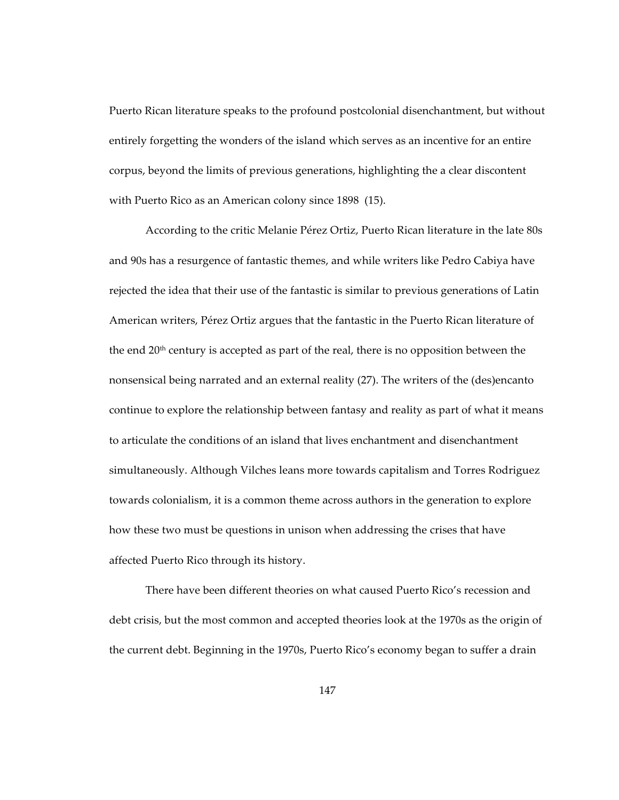Puerto Rican literature speaks to the profound postcolonial disenchantment, but without entirely forgetting the wonders of the island which serves as an incentive for an entire corpus, beyond the limits of previous generations, highlighting the a clear discontent with Puerto Rico as an American colony since 1898 (15).

According to the critic Melanie Pérez Ortiz, Puerto Rican literature in the late 80s and 90s has a resurgence of fantastic themes, and while writers like Pedro Cabiya have rejected the idea that their use of the fantastic is similar to previous generations of Latin American writers, Pérez Ortiz argues that the fantastic in the Puerto Rican literature of the end 20<sup>th</sup> century is accepted as part of the real, there is no opposition between the nonsensical being narrated and an external reality (27). The writers of the (des)encanto continue to explore the relationship between fantasy and reality as part of what it means to articulate the conditions of an island that lives enchantment and disenchantment simultaneously. Although Vilches leans more towards capitalism and Torres Rodriguez towards colonialism, it is a common theme across authors in the generation to explore how these two must be questions in unison when addressing the crises that have affected Puerto Rico through its history.

There have been different theories on what caused Puerto Rico's recession and debt crisis, but the most common and accepted theories look at the 1970s as the origin of the current debt. Beginning in the 1970s, Puerto Rico's economy began to suffer a drain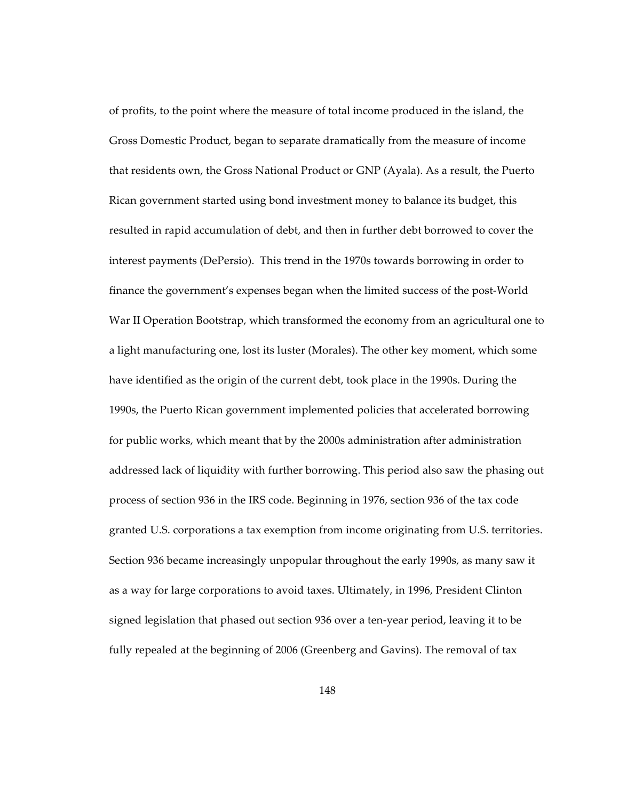of profits, to the point where the measure of total income produced in the island, the Gross Domestic Product, began to separate dramatically from the measure of income that residents own, the Gross National Product or GNP (Ayala). As a result, the Puerto Rican government started using bond investment money to balance its budget, this resulted in rapid accumulation of debt, and then in further debt borrowed to cover the interest payments (DePersio). This trend in the 1970s towards borrowing in order to finance the government's expenses began when the limited success of the post-World War II Operation Bootstrap, which transformed the economy from an agricultural one to a light manufacturing one, lost its luster (Morales). The other key moment, which some have identified as the origin of the current debt, took place in the 1990s. During the 1990s, the Puerto Rican government implemented policies that accelerated borrowing for public works, which meant that by the 2000s administration after administration addressed lack of liquidity with further borrowing. This period also saw the phasing out process of section 936 in the IRS code. Beginning in 1976, section 936 of the tax code granted U.S. corporations a tax exemption from income originating from U.S. territories. Section 936 became increasingly unpopular throughout the early 1990s, as many saw it as a way for large corporations to avoid taxes. Ultimately, in 1996, President Clinton signed legislation that phased out section 936 over a ten-year period, leaving it to be fully repealed at the beginning of 2006 (Greenberg and Gavins). The removal of tax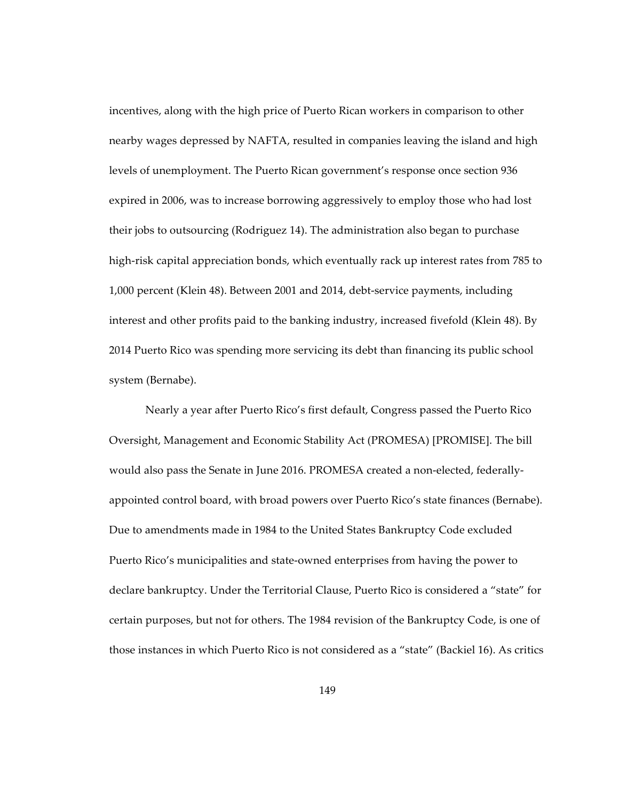incentives, along with the high price of Puerto Rican workers in comparison to other nearby wages depressed by NAFTA, resulted in companies leaving the island and high levels of unemployment. The Puerto Rican government's response once section 936 expired in 2006, was to increase borrowing aggressively to employ those who had lost their jobs to outsourcing (Rodriguez 14). The administration also began to purchase high-risk capital appreciation bonds, which eventually rack up interest rates from 785 to 1,000 percent (Klein 48). Between 2001 and 2014, debt-service payments, including interest and other profits paid to the banking industry, increased fivefold (Klein 48). By 2014 Puerto Rico was spending more servicing its debt than financing its public school system (Bernabe).

Nearly a year after Puerto Rico's first default, Congress passed the Puerto Rico Oversight, Management and Economic Stability Act (PROMESA) [PROMISE]. The bill would also pass the Senate in June 2016. PROMESA created a non-elected, federallyappointed control board, with broad powers over Puerto Rico's state finances (Bernabe). Due to amendments made in 1984 to the United States Bankruptcy Code excluded Puerto Rico's municipalities and state-owned enterprises from having the power to declare bankruptcy. Under the Territorial Clause, Puerto Rico is considered a "state" for certain purposes, but not for others. The 1984 revision of the Bankruptcy Code, is one of those instances in which Puerto Rico is not considered as a "state" (Backiel 16). As critics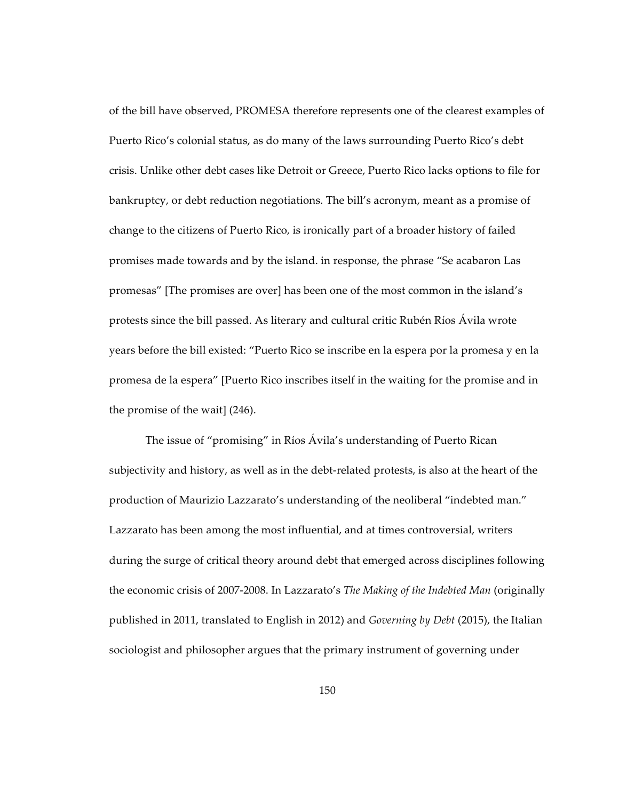of the bill have observed, PROMESA therefore represents one of the clearest examples of Puerto Rico's colonial status, as do many of the laws surrounding Puerto Rico's debt crisis. Unlike other debt cases like Detroit or Greece, Puerto Rico lacks options to file for bankruptcy, or debt reduction negotiations. The bill's acronym, meant as a promise of change to the citizens of Puerto Rico, is ironically part of a broader history of failed promises made towards and by the island. in response, the phrase "Se acabaron Las promesas" [The promises are over] has been one of the most common in the island's protests since the bill passed. As literary and cultural critic Rubén Ríos Ávila wrote years before the bill existed: "Puerto Rico se inscribe en la espera por la promesa y en la promesa de la espera" [Puerto Rico inscribes itself in the waiting for the promise and in the promise of the wait] (246).

The issue of "promising" in Ríos Ávila's understanding of Puerto Rican subjectivity and history, as well as in the debt-related protests, is also at the heart of the production of Maurizio Lazzarato's understanding of the neoliberal "indebted man." Lazzarato has been among the most influential, and at times controversial, writers during the surge of critical theory around debt that emerged across disciplines following the economic crisis of 2007-2008. In Lazzarato's *The Making of the Indebted Man* (originally published in 2011, translated to English in 2012) and *Governing by Debt* (2015), the Italian sociologist and philosopher argues that the primary instrument of governing under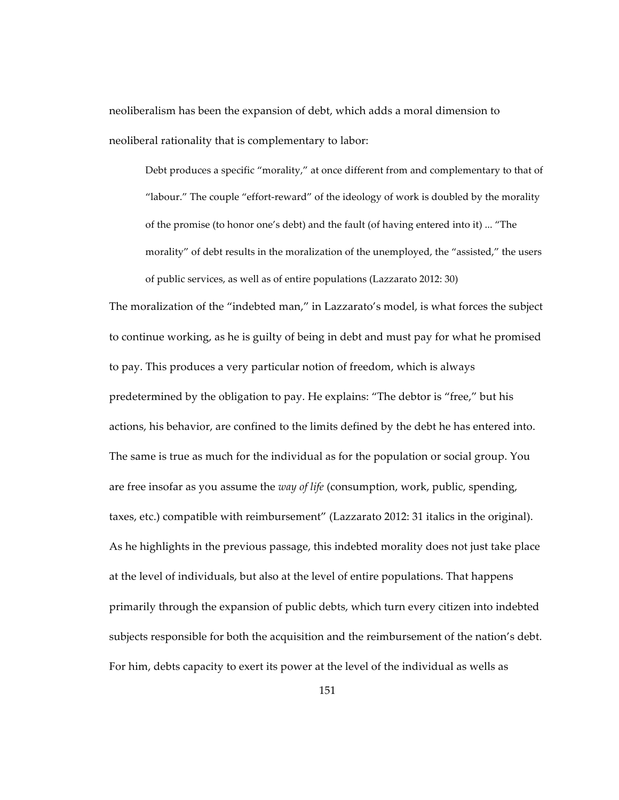neoliberalism has been the expansion of debt, which adds a moral dimension to neoliberal rationality that is complementary to labor:

Debt produces a specific "morality," at once different from and complementary to that of "labour." The couple "effort-reward" of the ideology of work is doubled by the morality of the promise (to honor one's debt) and the fault (of having entered into it) ... "The morality" of debt results in the moralization of the unemployed, the "assisted," the users of public services, as well as of entire populations (Lazzarato 2012: 30)

The moralization of the "indebted man," in Lazzarato's model, is what forces the subject to continue working, as he is guilty of being in debt and must pay for what he promised to pay. This produces a very particular notion of freedom, which is always predetermined by the obligation to pay. He explains: "The debtor is "free," but his actions, his behavior, are confined to the limits defined by the debt he has entered into. The same is true as much for the individual as for the population or social group. You are free insofar as you assume the *way of life* (consumption, work, public, spending, taxes, etc.) compatible with reimbursement" (Lazzarato 2012: 31 italics in the original). As he highlights in the previous passage, this indebted morality does not just take place at the level of individuals, but also at the level of entire populations. That happens primarily through the expansion of public debts, which turn every citizen into indebted subjects responsible for both the acquisition and the reimbursement of the nation's debt. For him, debts capacity to exert its power at the level of the individual as wells as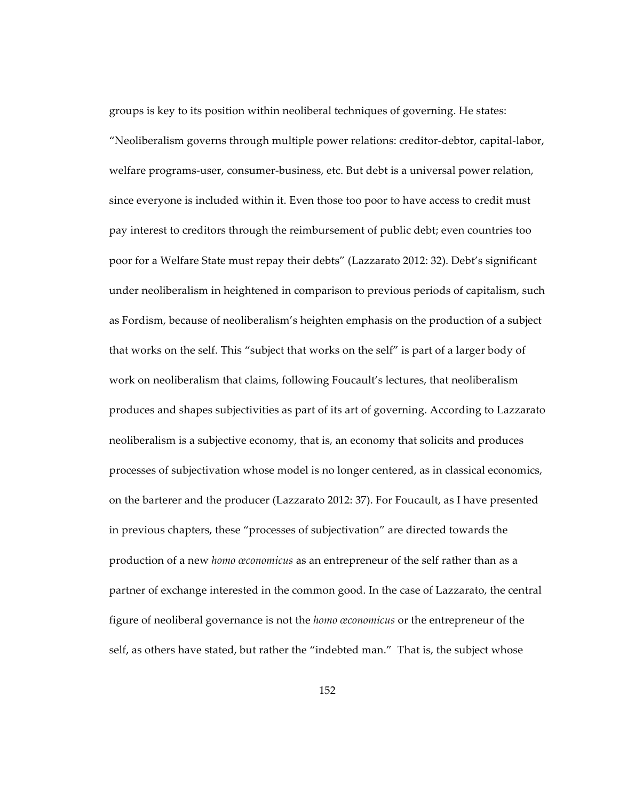groups is key to its position within neoliberal techniques of governing. He states: "Neoliberalism governs through multiple power relations: creditor-debtor, capital-labor, welfare programs-user, consumer-business, etc. But debt is a universal power relation, since everyone is included within it. Even those too poor to have access to credit must pay interest to creditors through the reimbursement of public debt; even countries too poor for a Welfare State must repay their debts" (Lazzarato 2012: 32). Debt's significant under neoliberalism in heightened in comparison to previous periods of capitalism, such as Fordism, because of neoliberalism's heighten emphasis on the production of a subject that works on the self. This "subject that works on the self" is part of a larger body of work on neoliberalism that claims, following Foucault's lectures, that neoliberalism produces and shapes subjectivities as part of its art of governing. According to Lazzarato neoliberalism is a subjective economy, that is, an economy that solicits and produces processes of subjectivation whose model is no longer centered, as in classical economics, on the barterer and the producer (Lazzarato 2012: 37). For Foucault, as I have presented in previous chapters, these "processes of subjectivation" are directed towards the production of a new *homo œconomicus* as an entrepreneur of the self rather than as a partner of exchange interested in the common good. In the case of Lazzarato, the central figure of neoliberal governance is not the *homo œconomicus* or the entrepreneur of the self, as others have stated, but rather the "indebted man." That is, the subject whose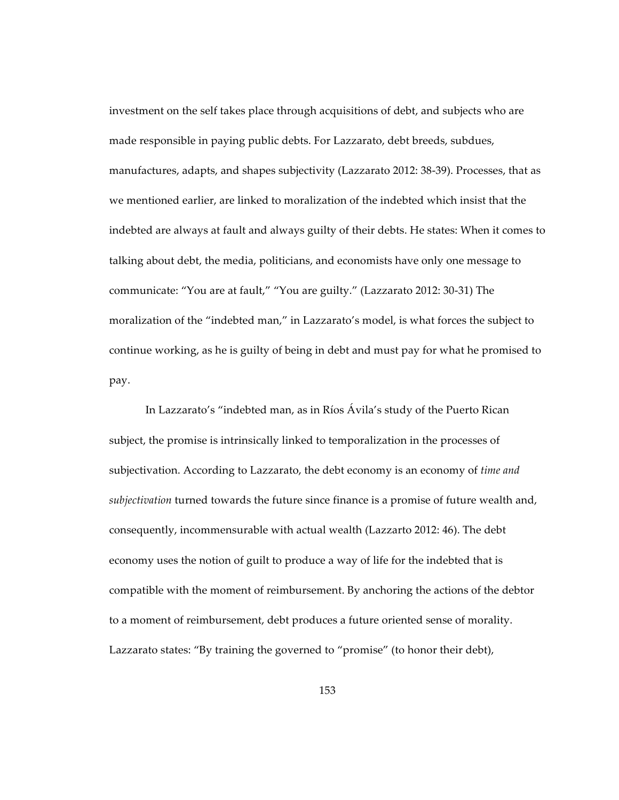investment on the self takes place through acquisitions of debt, and subjects who are made responsible in paying public debts. For Lazzarato, debt breeds, subdues, manufactures, adapts, and shapes subjectivity (Lazzarato 2012: 38-39). Processes, that as we mentioned earlier, are linked to moralization of the indebted which insist that the indebted are always at fault and always guilty of their debts. He states: When it comes to talking about debt, the media, politicians, and economists have only one message to communicate: "You are at fault," "You are guilty." (Lazzarato 2012: 30-31) The moralization of the "indebted man," in Lazzarato's model, is what forces the subject to continue working, as he is guilty of being in debt and must pay for what he promised to pay.

In Lazzarato's "indebted man, as in Ríos Ávila's study of the Puerto Rican subject, the promise is intrinsically linked to temporalization in the processes of subjectivation. According to Lazzarato, the debt economy is an economy of *time and subjectivation* turned towards the future since finance is a promise of future wealth and, consequently, incommensurable with actual wealth (Lazzarto 2012: 46). The debt economy uses the notion of guilt to produce a way of life for the indebted that is compatible with the moment of reimbursement. By anchoring the actions of the debtor to a moment of reimbursement, debt produces a future oriented sense of morality. Lazzarato states: "By training the governed to "promise" (to honor their debt),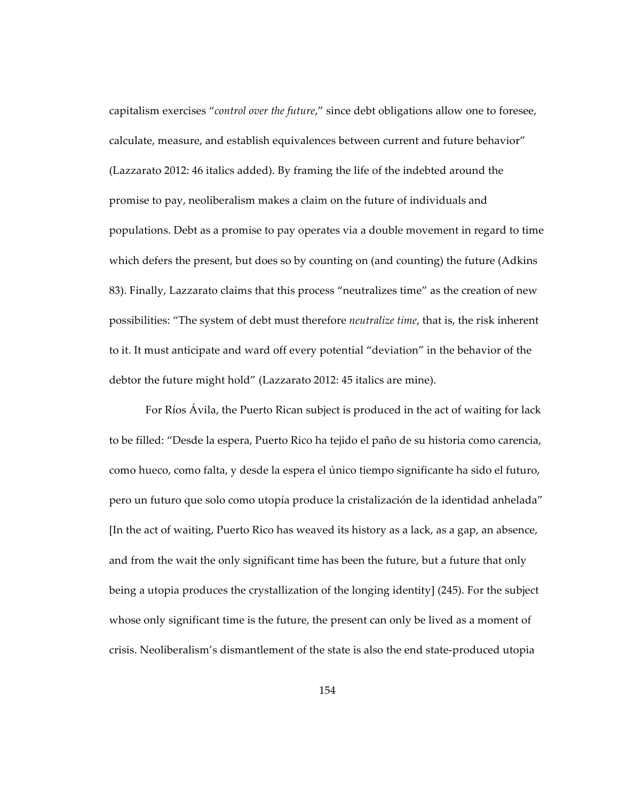capitalism exercises "*control over the future*," since debt obligations allow one to foresee, calculate, measure, and establish equivalences between current and future behavior" (Lazzarato 2012: 46 italics added). By framing the life of the indebted around the promise to pay, neoliberalism makes a claim on the future of individuals and populations. Debt as a promise to pay operates via a double movement in regard to time which defers the present, but does so by counting on (and counting) the future (Adkins 83). Finally, Lazzarato claims that this process "neutralizes time" as the creation of new possibilities: "The system of debt must therefore *neutralize time*, that is, the risk inherent to it. It must anticipate and ward off every potential "deviation" in the behavior of the debtor the future might hold" (Lazzarato 2012: 45 italics are mine).

For Ríos Ávila, the Puerto Rican subject is produced in the act of waiting for lack to be filled: "Desde la espera, Puerto Rico ha tejido el paño de su historia como carencia, como hueco, como falta, y desde la espera el único tiempo significante ha sido el futuro, pero un futuro que solo como utopía produce la cristalización de la identidad anhelada" [In the act of waiting, Puerto Rico has weaved its history as a lack, as a gap, an absence, and from the wait the only significant time has been the future, but a future that only being a utopia produces the crystallization of the longing identity] (245). For the subject whose only significant time is the future, the present can only be lived as a moment of crisis. Neoliberalism's dismantlement of the state is also the end state-produced utopia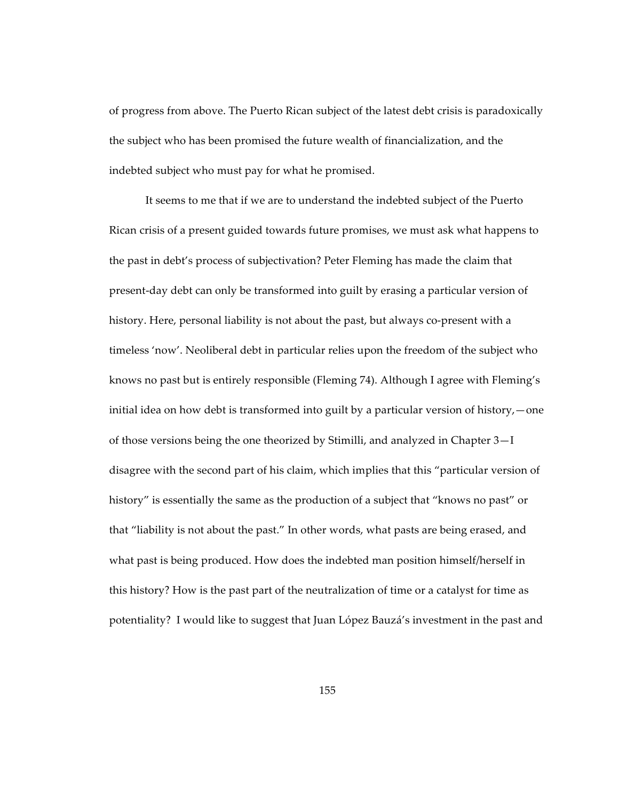of progress from above. The Puerto Rican subject of the latest debt crisis is paradoxically the subject who has been promised the future wealth of financialization, and the indebted subject who must pay for what he promised.

It seems to me that if we are to understand the indebted subject of the Puerto Rican crisis of a present guided towards future promises, we must ask what happens to the past in debt's process of subjectivation? Peter Fleming has made the claim that present-day debt can only be transformed into guilt by erasing a particular version of history. Here, personal liability is not about the past, but always co-present with a timeless 'now'. Neoliberal debt in particular relies upon the freedom of the subject who knows no past but is entirely responsible (Fleming 74). Although I agree with Fleming's initial idea on how debt is transformed into guilt by a particular version of history,—one of those versions being the one theorized by Stimilli, and analyzed in Chapter 3—I disagree with the second part of his claim, which implies that this "particular version of history" is essentially the same as the production of a subject that "knows no past" or that "liability is not about the past." In other words, what pasts are being erased, and what past is being produced. How does the indebted man position himself/herself in this history? How is the past part of the neutralization of time or a catalyst for time as potentiality? I would like to suggest that Juan López Bauzá's investment in the past and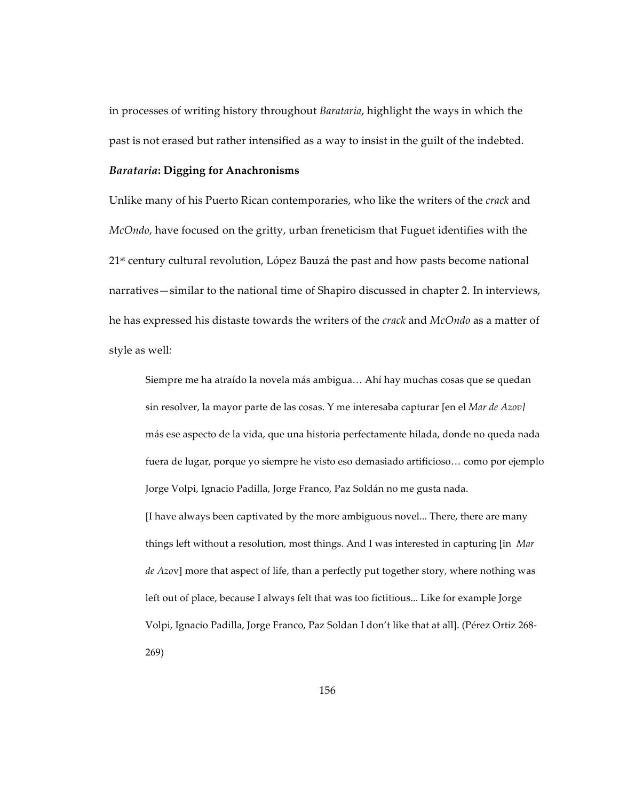in processes of writing history throughout *Barataria*, highlight the ways in which the past is not erased but rather intensified as a way to insist in the guilt of the indebted.

## *Barataria***: Digging for Anachronisms**

Unlike many of his Puerto Rican contemporaries, who like the writers of the *crack* and *McOndo*, have focused on the gritty, urban freneticism that Fuguet identifies with the 21<sup>st</sup> century cultural revolution, López Bauzá the past and how pasts become national narratives—similar to the national time of Shapiro discussed in chapter 2. In interviews, he has expressed his distaste towards the writers of the *crack* and *McOndo* as a matter of style as well*:*

Siempre me ha atraído la novela más ambigua… Ahí hay muchas cosas que se quedan sin resolver, la mayor parte de las cosas. Y me interesaba capturar [en el *Mar de Azov]*  más ese aspecto de la vida, que una historia perfectamente hilada, donde no queda nada fuera de lugar, porque yo siempre he visto eso demasiado artificioso… como por ejemplo Jorge Volpi, Ignacio Padilla, Jorge Franco, Paz Soldán no me gusta nada. [I have always been captivated by the more ambiguous novel... There, there are many things left without a resolution, most things. And I was interested in capturing [in *Mar de Azo*v] more that aspect of life, than a perfectly put together story, where nothing was left out of place, because I always felt that was too fictitious... Like for example Jorge Volpi, Ignacio Padilla, Jorge Franco, Paz Soldan I don't like that at all]. (Pérez Ortiz 268- 269)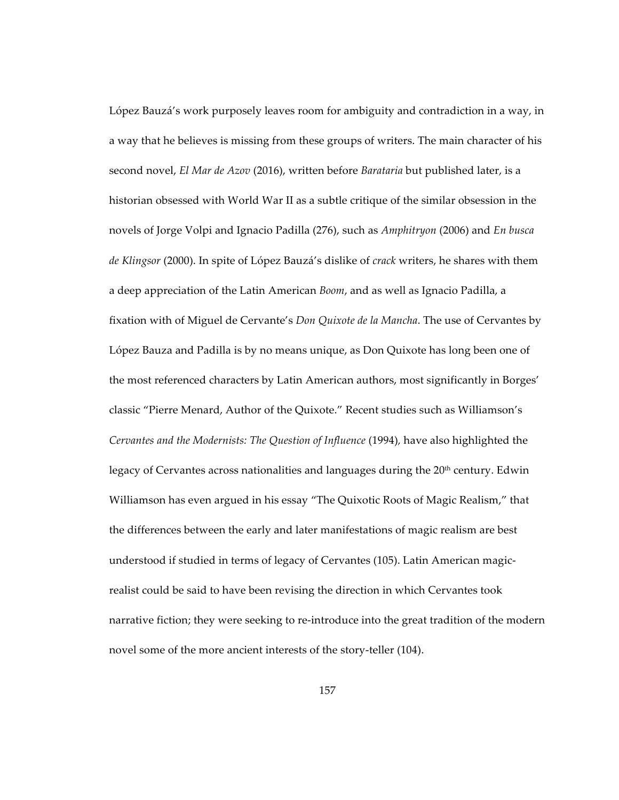López Bauzá's work purposely leaves room for ambiguity and contradiction in a way, in a way that he believes is missing from these groups of writers. The main character of his second novel, *El Mar de Azov* (2016), written before *Barataria* but published later, is a historian obsessed with World War II as a subtle critique of the similar obsession in the novels of Jorge Volpi and Ignacio Padilla (276), such as *Amphitryon* (2006) and *En busca de Klingsor* (2000). In spite of López Bauzá's dislike of *crack* writers, he shares with them a deep appreciation of the Latin American *Boom*, and as well as Ignacio Padilla, a fixation with of Miguel de Cervante's *Don Quixote de la Mancha*. The use of Cervantes by López Bauza and Padilla is by no means unique, as Don Quixote has long been one of the most referenced characters by Latin American authors, most significantly in Borges' classic "Pierre Menard, Author of the Quixote." Recent studies such as Williamson's *Cervantes and the Modernists: The Question of Influence* (1994)*,* have also highlighted the legacy of Cervantes across nationalities and languages during the  $20<sup>th</sup>$  century. Edwin Williamson has even argued in his essay "The Quixotic Roots of Magic Realism," that the differences between the early and later manifestations of magic realism are best understood if studied in terms of legacy of Cervantes (105). Latin American magicrealist could be said to have been revising the direction in which Cervantes took narrative fiction; they were seeking to re-introduce into the great tradition of the modern novel some of the more ancient interests of the story-teller (104).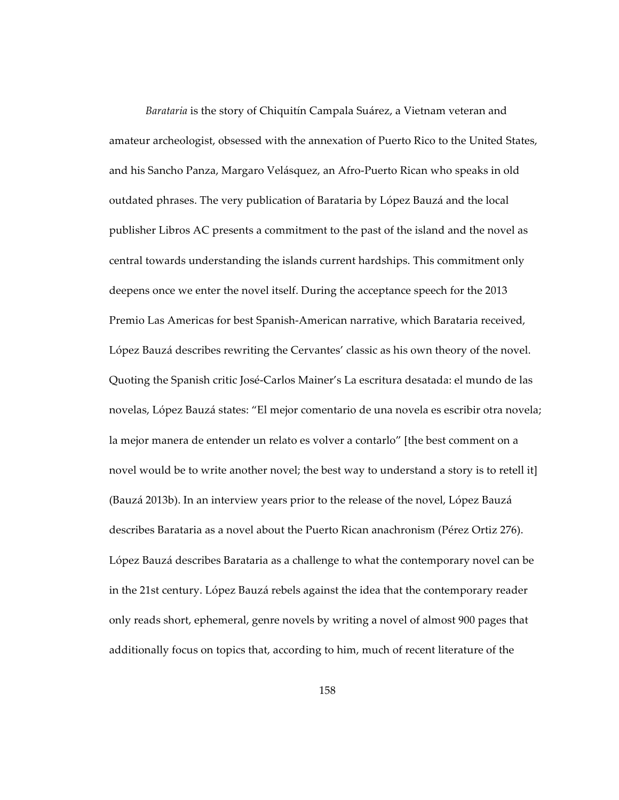*Barataria* is the story of Chiquitín Campala Suárez, a Vietnam veteran and amateur archeologist, obsessed with the annexation of Puerto Rico to the United States, and his Sancho Panza, Margaro Velásquez, an Afro-Puerto Rican who speaks in old outdated phrases. The very publication of Barataria by López Bauzá and the local publisher Libros AC presents a commitment to the past of the island and the novel as central towards understanding the islands current hardships. This commitment only deepens once we enter the novel itself. During the acceptance speech for the 2013 Premio Las Americas for best Spanish-American narrative, which Barataria received, López Bauzá describes rewriting the Cervantes' classic as his own theory of the novel. Quoting the Spanish critic José-Carlos Mainer's La escritura desatada: el mundo de las novelas, López Bauzá states: "El mejor comentario de una novela es escribir otra novela; la mejor manera de entender un relato es volver a contarlo" [the best comment on a novel would be to write another novel; the best way to understand a story is to retell it] (Bauzá 2013b). In an interview years prior to the release of the novel, López Bauzá describes Barataria as a novel about the Puerto Rican anachronism (Pérez Ortiz 276). López Bauzá describes Barataria as a challenge to what the contemporary novel can be in the 21st century. López Bauzá rebels against the idea that the contemporary reader only reads short, ephemeral, genre novels by writing a novel of almost 900 pages that additionally focus on topics that, according to him, much of recent literature of the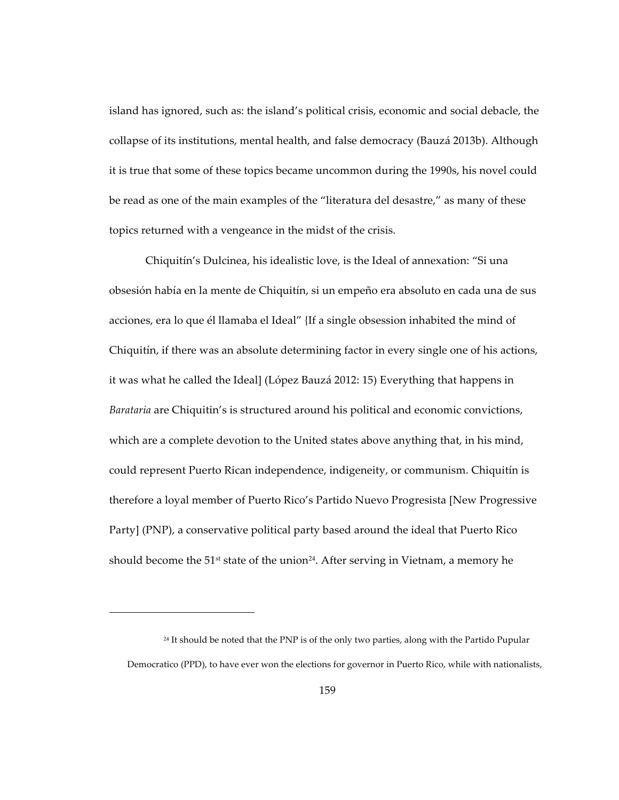island has ignored, such as: the island's political crisis, economic and social debacle, the collapse of its institutions, mental health, and false democracy (Bauzá 2013b). Although it is true that some of these topics became uncommon during the 1990s, his novel could be read as one of the main examples of the "literatura del desastre," as many of these topics returned with a vengeance in the midst of the crisis.

Chiquitín's Dulcinea, his idealistic love, is the Ideal of annexation: "Si una obsesión había en la mente de Chiquitín, si un empeño era absoluto en cada una de sus acciones, era lo que él llamaba el Ideal" {If a single obsession inhabited the mind of Chiquitín, if there was an absolute determining factor in every single one of his actions, it was what he called the Ideal] (López Bauzá 2012: 15) Everything that happens in *Barataria* are Chiquitin's is structured around his political and economic convictions, which are a complete devotion to the United states above anything that, in his mind, could represent Puerto Rican independence, indigeneity, or communism. Chiquitín is therefore a loyal member of Puerto Rico's Partido Nuevo Progresista [New Progressive Party] (PNP), a conservative political party based around the ideal that Puerto Rico should become the  $51^{st}$  state of the union<sup>24</sup>. After serving in Vietnam, a memory he

 $\overline{a}$ 

 $24$  It should be noted that the PNP is of the only two parties, along with the Partido Pupular Democratico (PPD), to have ever won the elections for governor in Puerto Rico, while with nationalists,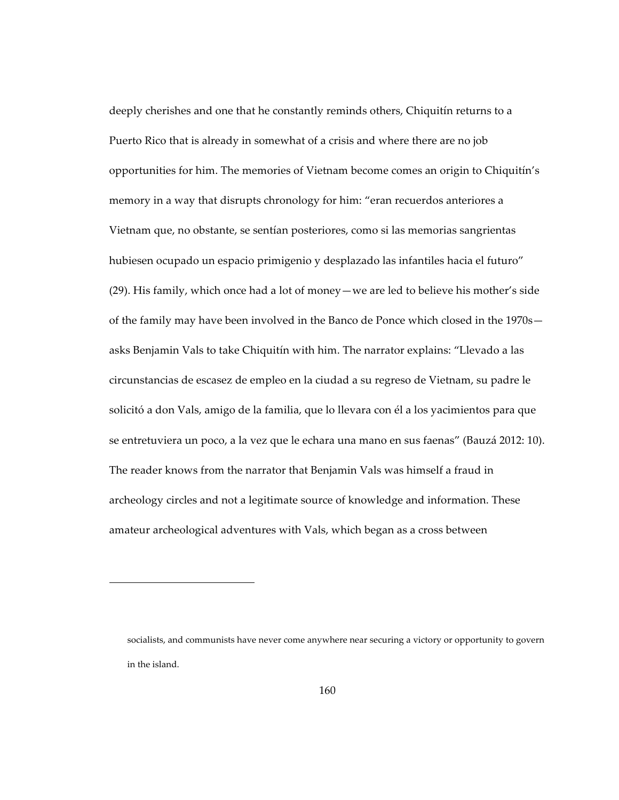deeply cherishes and one that he constantly reminds others, Chiquitín returns to a Puerto Rico that is already in somewhat of a crisis and where there are no job opportunities for him. The memories of Vietnam become comes an origin to Chiquitín's memory in a way that disrupts chronology for him: "eran recuerdos anteriores a Vietnam que, no obstante, se sentían posteriores, como si las memorias sangrientas hubiesen ocupado un espacio primigenio y desplazado las infantiles hacia el futuro" (29). His family, which once had a lot of money—we are led to believe his mother's side of the family may have been involved in the Banco de Ponce which closed in the 1970s asks Benjamin Vals to take Chiquitín with him. The narrator explains: "Llevado a las circunstancias de escasez de empleo en la ciudad a su regreso de Vietnam, su padre le solicitó a don Vals, amigo de la familia, que lo llevara con él a los yacimientos para que se entretuviera un poco, a la vez que le echara una mano en sus faenas" (Bauzá 2012: 10). The reader knows from the narrator that Benjamin Vals was himself a fraud in archeology circles and not a legitimate source of knowledge and information. These amateur archeological adventures with Vals, which began as a cross between

 $\overline{a}$ 

socialists, and communists have never come anywhere near securing a victory or opportunity to govern in the island.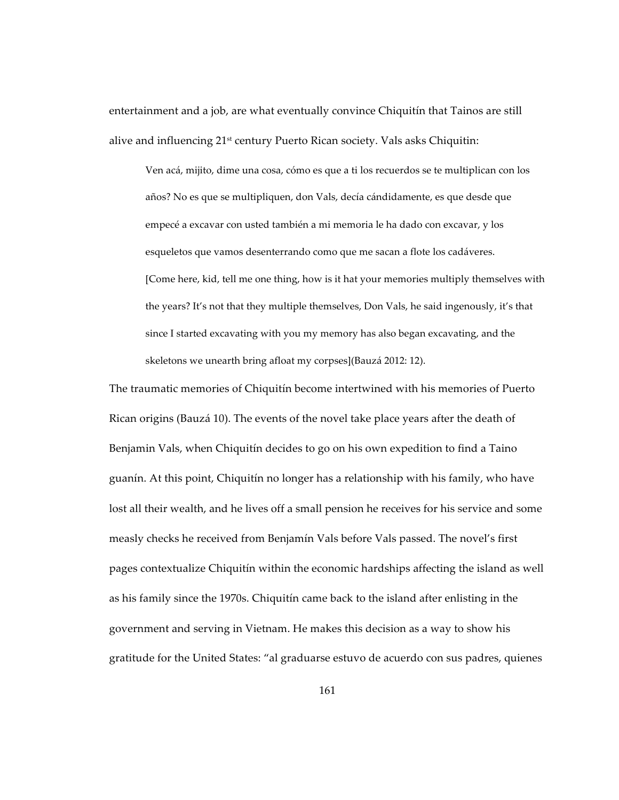entertainment and a job, are what eventually convince Chiquitín that Tainos are still alive and influencing 21st century Puerto Rican society. Vals asks Chiquitin:

Ven acá, mijito, dime una cosa, cómo es que a ti los recuerdos se te multiplican con los años? No es que se multipliquen, don Vals, decía cándidamente, es que desde que empecé a excavar con usted también a mi memoria le ha dado con excavar, y los esqueletos que vamos desenterrando como que me sacan a flote los cadáveres. [Come here, kid, tell me one thing, how is it hat your memories multiply themselves with the years? It's not that they multiple themselves, Don Vals, he said ingenously, it's that since I started excavating with you my memory has also began excavating, and the skeletons we unearth bring afloat my corpses](Bauzá 2012: 12).

The traumatic memories of Chiquitín become intertwined with his memories of Puerto Rican origins (Bauzá 10). The events of the novel take place years after the death of Benjamin Vals, when Chiquitín decides to go on his own expedition to find a Taino guanín. At this point, Chiquitín no longer has a relationship with his family, who have lost all their wealth, and he lives off a small pension he receives for his service and some measly checks he received from Benjamín Vals before Vals passed. The novel's first pages contextualize Chiquitín within the economic hardships affecting the island as well as his family since the 1970s. Chiquitín came back to the island after enlisting in the government and serving in Vietnam. He makes this decision as a way to show his gratitude for the United States: "al graduarse estuvo de acuerdo con sus padres, quienes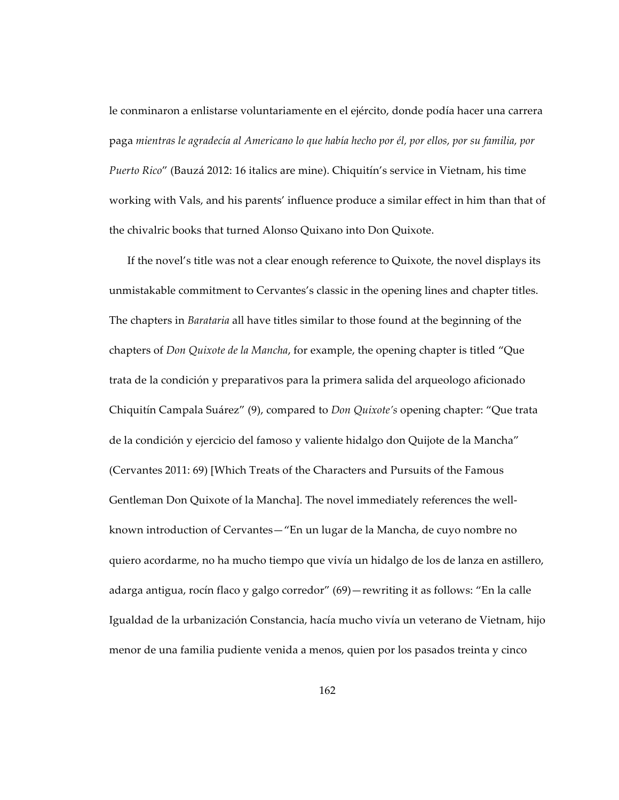le conminaron a enlistarse voluntariamente en el ejército, donde podía hacer una carrera paga *mientras le agradecía al Americano lo que había hecho por él, por ellos, por su familia, por Puerto Rico*" (Bauzá 2012: 16 italics are mine). Chiquitín's service in Vietnam, his time working with Vals, and his parents' influence produce a similar effect in him than that of the chivalric books that turned Alonso Quixano into Don Quixote.

If the novel's title was not a clear enough reference to Quixote, the novel displays its unmistakable commitment to Cervantes's classic in the opening lines and chapter titles. The chapters in *Barataria* all have titles similar to those found at the beginning of the chapters of *Don Quixote de la Mancha*, for example, the opening chapter is titled "Que trata de la condición y preparativos para la primera salida del arqueologo aficionado Chiquitín Campala Suárez" (9), compared to *Don Quixote's* opening chapter: "Que trata de la condición y ejercicio del famoso y valiente hidalgo don Quijote de la Mancha" (Cervantes 2011: 69) [Which Treats of the Characters and Pursuits of the Famous Gentleman Don Quixote of la Mancha]. The novel immediately references the wellknown introduction of Cervantes—"En un lugar de la Mancha, de cuyo nombre no quiero acordarme, no ha mucho tiempo que vivía un hidalgo de los de lanza en astillero, adarga antigua, rocín flaco y galgo corredor" (69)—rewriting it as follows: "En la calle Igualdad de la urbanización Constancia, hacía mucho vivía un veterano de Vietnam, hijo menor de una familia pudiente venida a menos, quien por los pasados treinta y cinco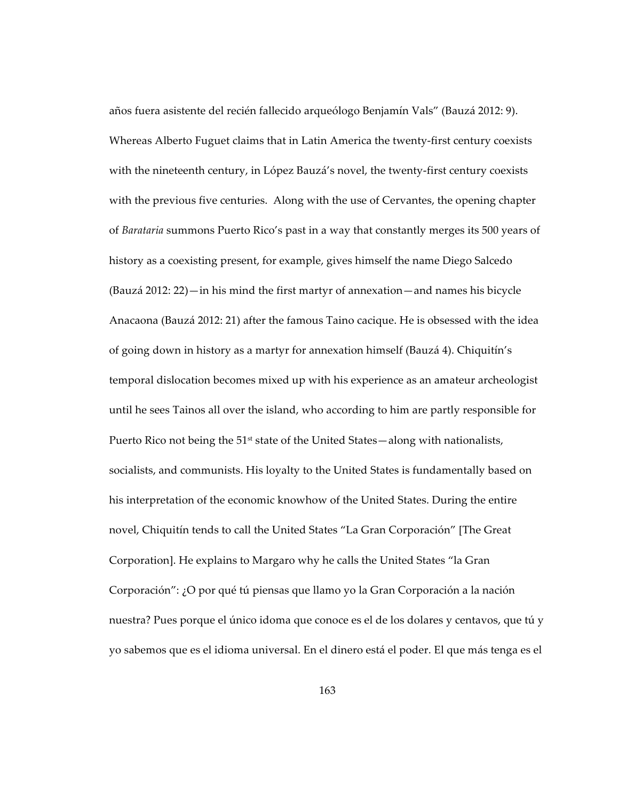años fuera asistente del recién fallecido arqueólogo Benjamín Vals" (Bauzá 2012: 9). Whereas Alberto Fuguet claims that in Latin America the twenty-first century coexists with the nineteenth century, in López Bauzá's novel, the twenty-first century coexists with the previous five centuries. Along with the use of Cervantes, the opening chapter of *Barataria* summons Puerto Rico's past in a way that constantly merges its 500 years of history as a coexisting present, for example, gives himself the name Diego Salcedo (Bauzá 2012: 22)—in his mind the first martyr of annexation—and names his bicycle Anacaona (Bauzá 2012: 21) after the famous Taino cacique. He is obsessed with the idea of going down in history as a martyr for annexation himself (Bauzá 4). Chiquitín's temporal dislocation becomes mixed up with his experience as an amateur archeologist until he sees Tainos all over the island, who according to him are partly responsible for Puerto Rico not being the  $51<sup>st</sup>$  state of the United States—along with nationalists, socialists, and communists. His loyalty to the United States is fundamentally based on his interpretation of the economic knowhow of the United States. During the entire novel, Chiquitín tends to call the United States "La Gran Corporación" [The Great Corporation]. He explains to Margaro why he calls the United States "la Gran Corporación": ¿O por qué tú piensas que llamo yo la Gran Corporación a la nación nuestra? Pues porque el único idoma que conoce es el de los dolares y centavos, que tú y yo sabemos que es el idioma universal. En el dinero está el poder. El que más tenga es el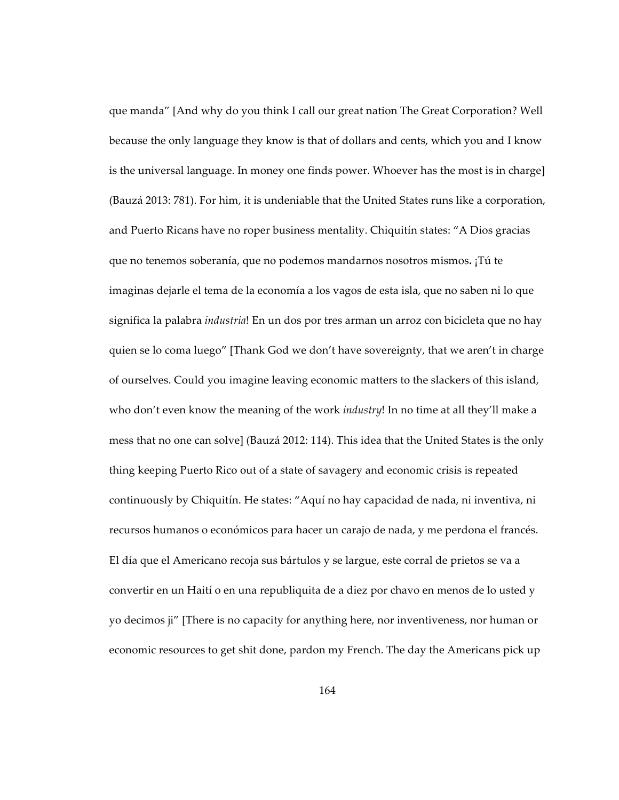que manda" [And why do you think I call our great nation The Great Corporation? Well because the only language they know is that of dollars and cents, which you and I know is the universal language. In money one finds power. Whoever has the most is in charge] (Bauzá 2013: 781). For him, it is undeniable that the United States runs like a corporation, and Puerto Ricans have no roper business mentality. Chiquitín states: "A Dios gracias que no tenemos soberanía, que no podemos mandarnos nosotros mismos**.** ¡Tú te imaginas dejarle el tema de la economía a los vagos de esta isla, que no saben ni lo que significa la palabra *industria*! En un dos por tres arman un arroz con bicicleta que no hay quien se lo coma luego" [Thank God we don't have sovereignty, that we aren't in charge of ourselves. Could you imagine leaving economic matters to the slackers of this island, who don't even know the meaning of the work *industry*! In no time at all they'll make a mess that no one can solve] (Bauzá 2012: 114). This idea that the United States is the only thing keeping Puerto Rico out of a state of savagery and economic crisis is repeated continuously by Chiquitín. He states: "Aquí no hay capacidad de nada, ni inventiva, ni recursos humanos o económicos para hacer un carajo de nada, y me perdona el francés. El día que el Americano recoja sus bártulos y se largue, este corral de prietos se va a convertir en un Haití o en una republiquita de a diez por chavo en menos de lo usted y yo decimos ji" [There is no capacity for anything here, nor inventiveness, nor human or economic resources to get shit done, pardon my French. The day the Americans pick up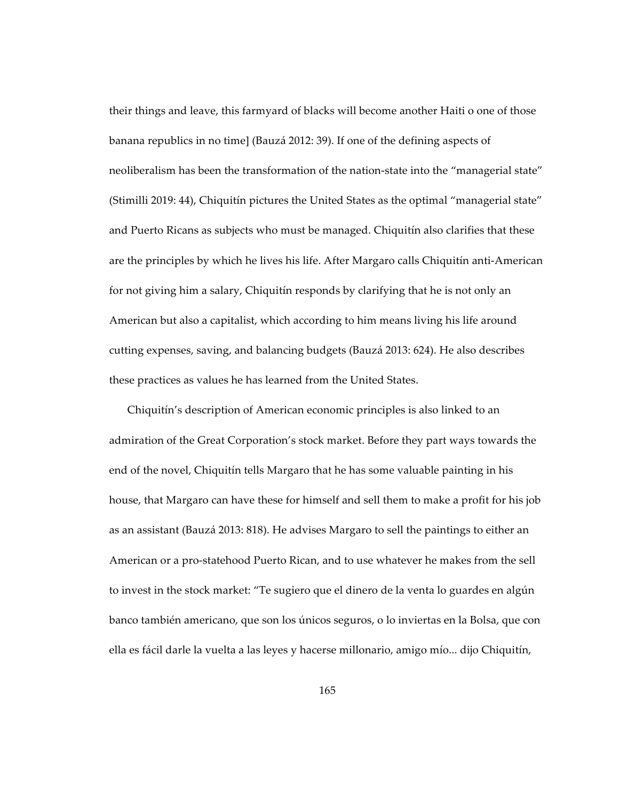their things and leave, this farmyard of blacks will become another Haiti o one of those banana republics in no time] (Bauzá 2012: 39). If one of the defining aspects of neoliberalism has been the transformation of the nation-state into the "managerial state" (Stimilli 2019: 44), Chiquitín pictures the United States as the optimal "managerial state" and Puerto Ricans as subjects who must be managed. Chiquitín also clarifies that these are the principles by which he lives his life. After Margaro calls Chiquitín anti-American for not giving him a salary, Chiquitín responds by clarifying that he is not only an American but also a capitalist, which according to him means living his life around cutting expenses, saving, and balancing budgets (Bauzá 2013: 624). He also describes these practices as values he has learned from the United States.

Chiquitín's description of American economic principles is also linked to an admiration of the Great Corporation's stock market. Before they part ways towards the end of the novel, Chiquitín tells Margaro that he has some valuable painting in his house, that Margaro can have these for himself and sell them to make a profit for his job as an assistant (Bauzá 2013: 818). He advises Margaro to sell the paintings to either an American or a pro-statehood Puerto Rican, and to use whatever he makes from the sell to invest in the stock market: "Te sugiero que el dinero de la venta lo guardes en algún banco también americano, que son los únicos seguros, o lo inviertas en la Bolsa, que con ella es fácil darle la vuelta a las leyes y hacerse millonario, amigo mío... dijo Chiquitín,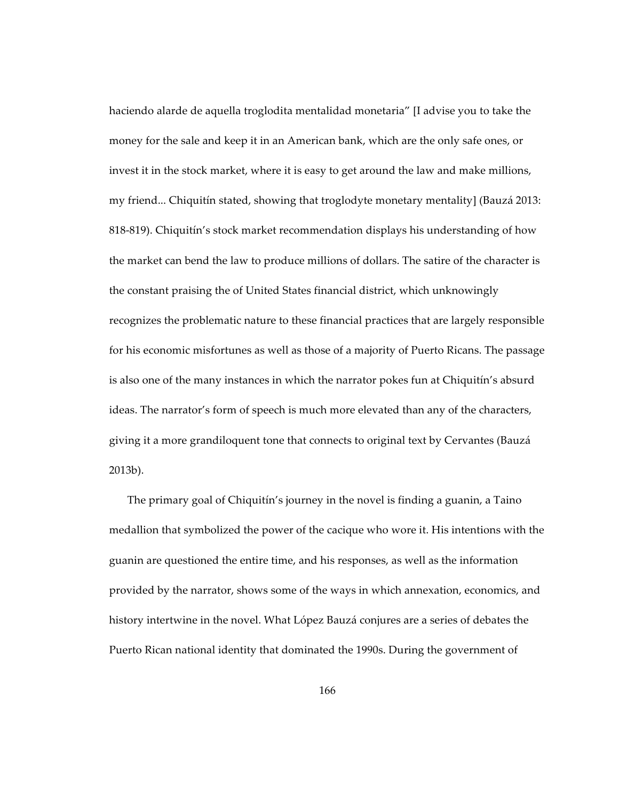haciendo alarde de aquella troglodita mentalidad monetaria" [I advise you to take the money for the sale and keep it in an American bank, which are the only safe ones, or invest it in the stock market, where it is easy to get around the law and make millions, my friend... Chiquitín stated, showing that troglodyte monetary mentality] (Bauzá 2013: 818-819). Chiquitín's stock market recommendation displays his understanding of how the market can bend the law to produce millions of dollars. The satire of the character is the constant praising the of United States financial district, which unknowingly recognizes the problematic nature to these financial practices that are largely responsible for his economic misfortunes as well as those of a majority of Puerto Ricans. The passage is also one of the many instances in which the narrator pokes fun at Chiquitín's absurd ideas. The narrator's form of speech is much more elevated than any of the characters, giving it a more grandiloquent tone that connects to original text by Cervantes (Bauzá 2013b).

The primary goal of Chiquitín's journey in the novel is finding a guanin, a Taino medallion that symbolized the power of the cacique who wore it. His intentions with the guanin are questioned the entire time, and his responses, as well as the information provided by the narrator, shows some of the ways in which annexation, economics, and history intertwine in the novel. What López Bauzá conjures are a series of debates the Puerto Rican national identity that dominated the 1990s. During the government of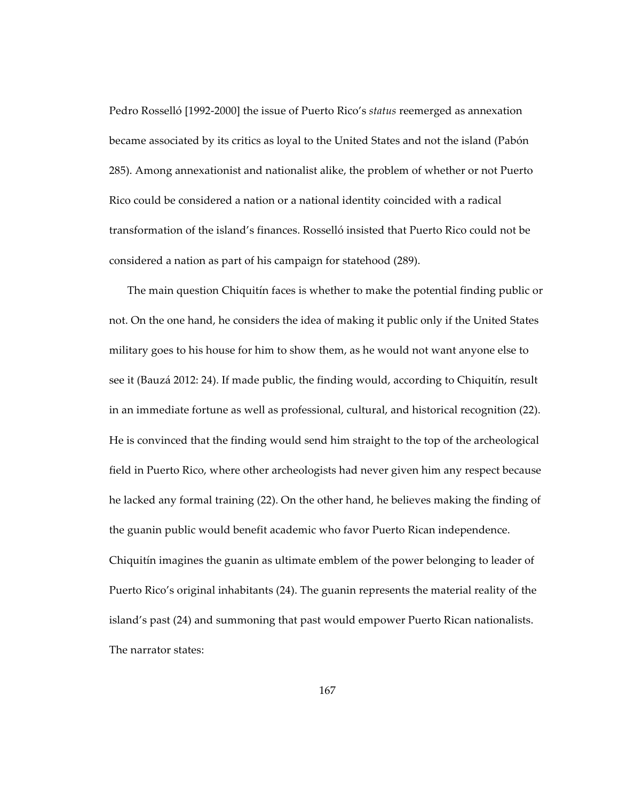Pedro Rosselló [1992-2000] the issue of Puerto Rico's *status* reemerged as annexation became associated by its critics as loyal to the United States and not the island (Pabón 285). Among annexationist and nationalist alike, the problem of whether or not Puerto Rico could be considered a nation or a national identity coincided with a radical transformation of the island's finances. Rosselló insisted that Puerto Rico could not be considered a nation as part of his campaign for statehood (289).

The main question Chiquitín faces is whether to make the potential finding public or not. On the one hand, he considers the idea of making it public only if the United States military goes to his house for him to show them, as he would not want anyone else to see it (Bauzá 2012: 24). If made public, the finding would, according to Chiquitín, result in an immediate fortune as well as professional, cultural, and historical recognition (22). He is convinced that the finding would send him straight to the top of the archeological field in Puerto Rico, where other archeologists had never given him any respect because he lacked any formal training (22). On the other hand, he believes making the finding of the guanin public would benefit academic who favor Puerto Rican independence. Chiquitín imagines the guanin as ultimate emblem of the power belonging to leader of Puerto Rico's original inhabitants (24). The guanin represents the material reality of the island's past (24) and summoning that past would empower Puerto Rican nationalists. The narrator states: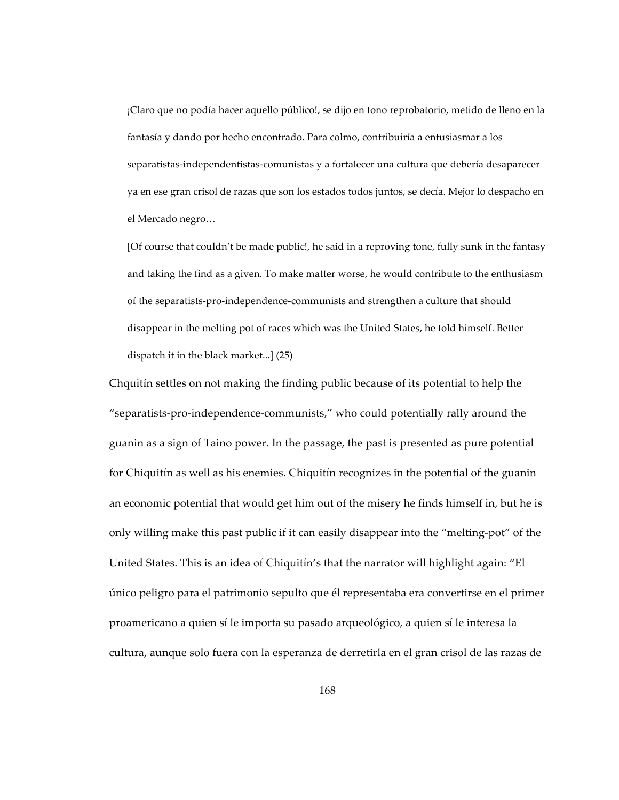¡Claro que no podía hacer aquello público!, se dijo en tono reprobatorio, metido de lleno en la fantasía y dando por hecho encontrado. Para colmo, contribuiría a entusiasmar a los separatistas-independentistas-comunistas y a fortalecer una cultura que debería desaparecer ya en ese gran crisol de razas que son los estados todos juntos, se decía. Mejor lo despacho en el Mercado negro…

[Of course that couldn't be made public!, he said in a reproving tone, fully sunk in the fantasy and taking the find as a given. To make matter worse, he would contribute to the enthusiasm of the separatists-pro-independence-communists and strengthen a culture that should disappear in the melting pot of races which was the United States, he told himself. Better dispatch it in the black market...] (25)

Chquitín settles on not making the finding public because of its potential to help the "separatists-pro-independence-communists," who could potentially rally around the guanin as a sign of Taino power. In the passage, the past is presented as pure potential for Chiquitín as well as his enemies. Chiquitín recognizes in the potential of the guanin an economic potential that would get him out of the misery he finds himself in, but he is only willing make this past public if it can easily disappear into the "melting-pot" of the United States. This is an idea of Chiquitín's that the narrator will highlight again: "El único peligro para el patrimonio sepulto que él representaba era convertirse en el primer proamericano a quien sí le importa su pasado arqueológico, a quien sí le interesa la cultura, aunque solo fuera con la esperanza de derretirla en el gran crisol de las razas de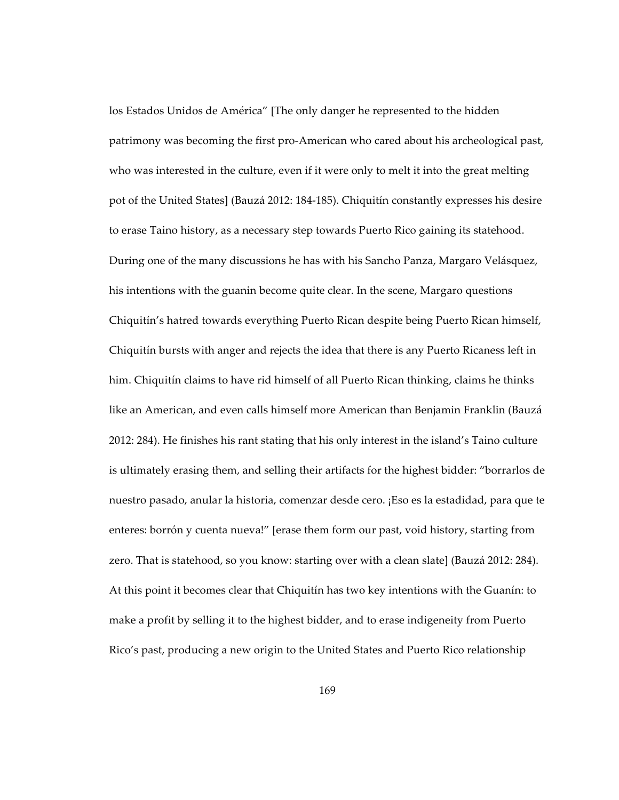los Estados Unidos de América" [The only danger he represented to the hidden patrimony was becoming the first pro-American who cared about his archeological past, who was interested in the culture, even if it were only to melt it into the great melting pot of the United States] (Bauzá 2012: 184-185). Chiquitín constantly expresses his desire to erase Taino history, as a necessary step towards Puerto Rico gaining its statehood. During one of the many discussions he has with his Sancho Panza, Margaro Velásquez, his intentions with the guanin become quite clear. In the scene, Margaro questions Chiquitín's hatred towards everything Puerto Rican despite being Puerto Rican himself, Chiquitín bursts with anger and rejects the idea that there is any Puerto Ricaness left in him. Chiquitín claims to have rid himself of all Puerto Rican thinking, claims he thinks like an American, and even calls himself more American than Benjamin Franklin (Bauzá 2012: 284). He finishes his rant stating that his only interest in the island's Taino culture is ultimately erasing them, and selling their artifacts for the highest bidder: "borrarlos de nuestro pasado, anular la historia, comenzar desde cero. ¡Eso es la estadidad, para que te enteres: borrón y cuenta nueva!" [erase them form our past, void history, starting from zero. That is statehood, so you know: starting over with a clean slate] (Bauzá 2012: 284). At this point it becomes clear that Chiquitín has two key intentions with the Guanín: to make a profit by selling it to the highest bidder, and to erase indigeneity from Puerto Rico's past, producing a new origin to the United States and Puerto Rico relationship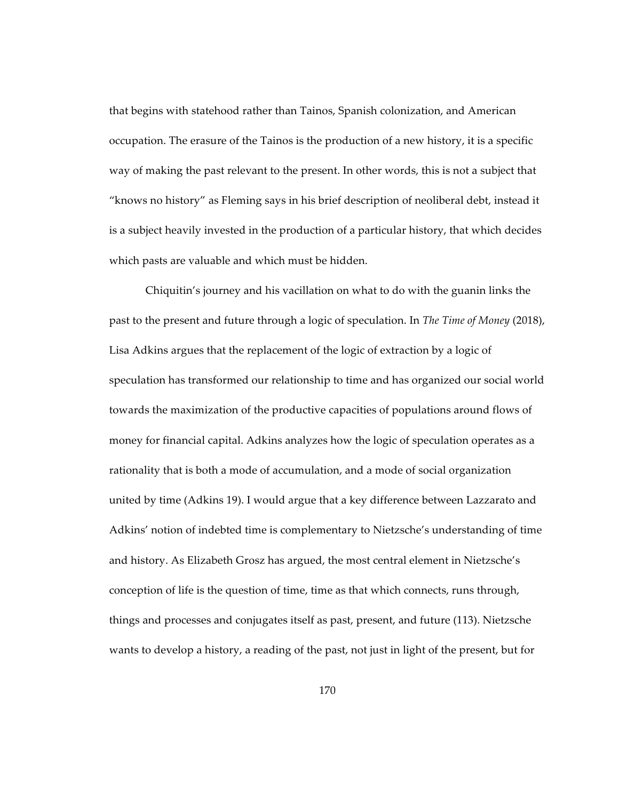that begins with statehood rather than Tainos, Spanish colonization, and American occupation. The erasure of the Tainos is the production of a new history, it is a specific way of making the past relevant to the present. In other words, this is not a subject that "knows no history" as Fleming says in his brief description of neoliberal debt, instead it is a subject heavily invested in the production of a particular history, that which decides which pasts are valuable and which must be hidden.

Chiquitin's journey and his vacillation on what to do with the guanin links the past to the present and future through a logic of speculation. In *The Time of Money* (2018), Lisa Adkins argues that the replacement of the logic of extraction by a logic of speculation has transformed our relationship to time and has organized our social world towards the maximization of the productive capacities of populations around flows of money for financial capital. Adkins analyzes how the logic of speculation operates as a rationality that is both a mode of accumulation, and a mode of social organization united by time (Adkins 19). I would argue that a key difference between Lazzarato and Adkins' notion of indebted time is complementary to Nietzsche's understanding of time and history. As Elizabeth Grosz has argued, the most central element in Nietzsche's conception of life is the question of time, time as that which connects, runs through, things and processes and conjugates itself as past, present, and future (113). Nietzsche wants to develop a history, a reading of the past, not just in light of the present, but for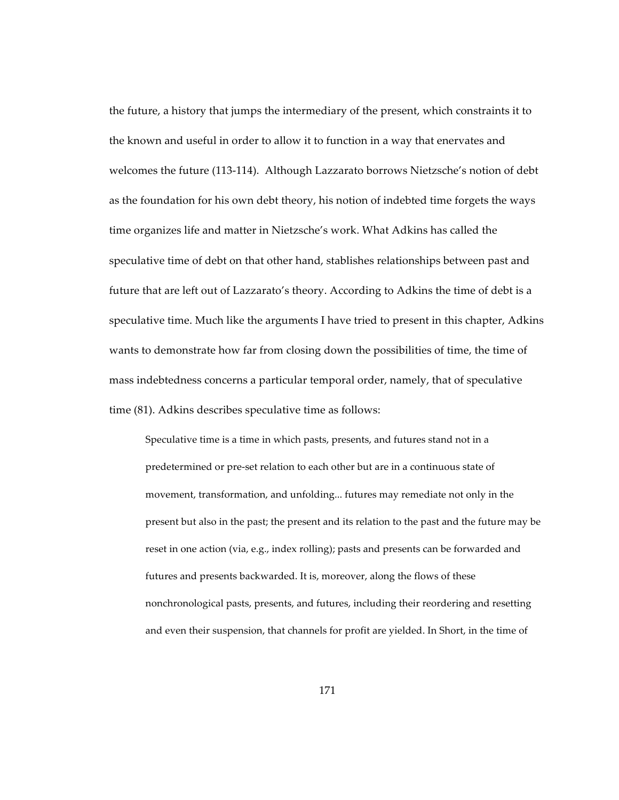the future, a history that jumps the intermediary of the present, which constraints it to the known and useful in order to allow it to function in a way that enervates and welcomes the future (113-114). Although Lazzarato borrows Nietzsche's notion of debt as the foundation for his own debt theory, his notion of indebted time forgets the ways time organizes life and matter in Nietzsche's work. What Adkins has called the speculative time of debt on that other hand, stablishes relationships between past and future that are left out of Lazzarato's theory. According to Adkins the time of debt is a speculative time. Much like the arguments I have tried to present in this chapter, Adkins wants to demonstrate how far from closing down the possibilities of time, the time of mass indebtedness concerns a particular temporal order, namely, that of speculative time (81). Adkins describes speculative time as follows:

Speculative time is a time in which pasts, presents, and futures stand not in a predetermined or pre-set relation to each other but are in a continuous state of movement, transformation, and unfolding... futures may remediate not only in the present but also in the past; the present and its relation to the past and the future may be reset in one action (via, e.g., index rolling); pasts and presents can be forwarded and futures and presents backwarded. It is, moreover, along the flows of these nonchronological pasts, presents, and futures, including their reordering and resetting and even their suspension, that channels for profit are yielded. In Short, in the time of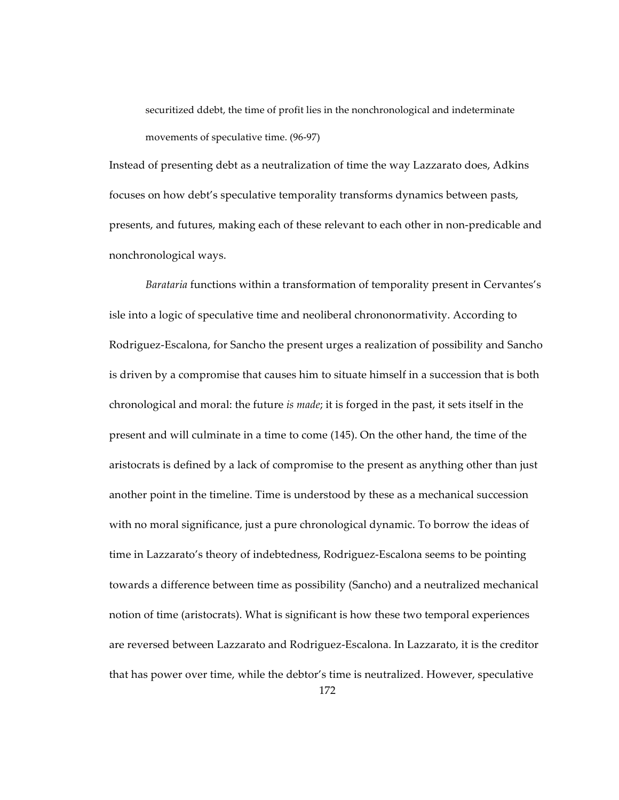securitized ddebt, the time of profit lies in the nonchronological and indeterminate movements of speculative time. (96-97)

Instead of presenting debt as a neutralization of time the way Lazzarato does, Adkins focuses on how debt's speculative temporality transforms dynamics between pasts, presents, and futures, making each of these relevant to each other in non-predicable and nonchronological ways.

*Barataria* functions within a transformation of temporality present in Cervantes's isle into a logic of speculative time and neoliberal chrononormativity. According to Rodriguez-Escalona, for Sancho the present urges a realization of possibility and Sancho is driven by a compromise that causes him to situate himself in a succession that is both chronological and moral: the future *is made*; it is forged in the past, it sets itself in the present and will culminate in a time to come (145). On the other hand, the time of the aristocrats is defined by a lack of compromise to the present as anything other than just another point in the timeline. Time is understood by these as a mechanical succession with no moral significance, just a pure chronological dynamic. To borrow the ideas of time in Lazzarato's theory of indebtedness, Rodriguez-Escalona seems to be pointing towards a difference between time as possibility (Sancho) and a neutralized mechanical notion of time (aristocrats). What is significant is how these two temporal experiences are reversed between Lazzarato and Rodriguez-Escalona. In Lazzarato, it is the creditor that has power over time, while the debtor's time is neutralized. However, speculative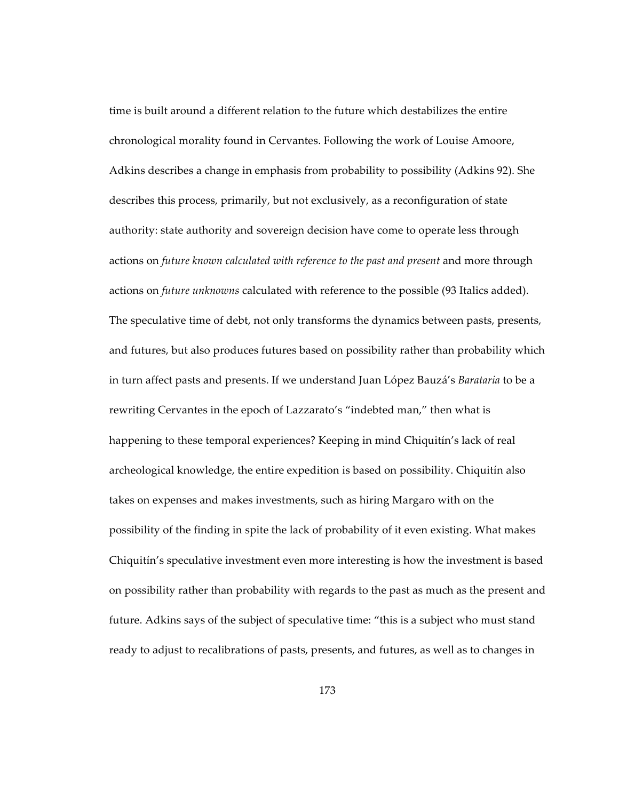time is built around a different relation to the future which destabilizes the entire chronological morality found in Cervantes. Following the work of Louise Amoore, Adkins describes a change in emphasis from probability to possibility (Adkins 92). She describes this process, primarily, but not exclusively, as a reconfiguration of state authority: state authority and sovereign decision have come to operate less through actions on *future known calculated with reference to the past and present* and more through actions on *future unknowns* calculated with reference to the possible (93 Italics added). The speculative time of debt, not only transforms the dynamics between pasts, presents, and futures, but also produces futures based on possibility rather than probability which in turn affect pasts and presents. If we understand Juan López Bauzá's *Barataria* to be a rewriting Cervantes in the epoch of Lazzarato's "indebted man," then what is happening to these temporal experiences? Keeping in mind Chiquitín's lack of real archeological knowledge, the entire expedition is based on possibility. Chiquitín also takes on expenses and makes investments, such as hiring Margaro with on the possibility of the finding in spite the lack of probability of it even existing. What makes Chiquitín's speculative investment even more interesting is how the investment is based on possibility rather than probability with regards to the past as much as the present and future. Adkins says of the subject of speculative time: "this is a subject who must stand ready to adjust to recalibrations of pasts, presents, and futures, as well as to changes in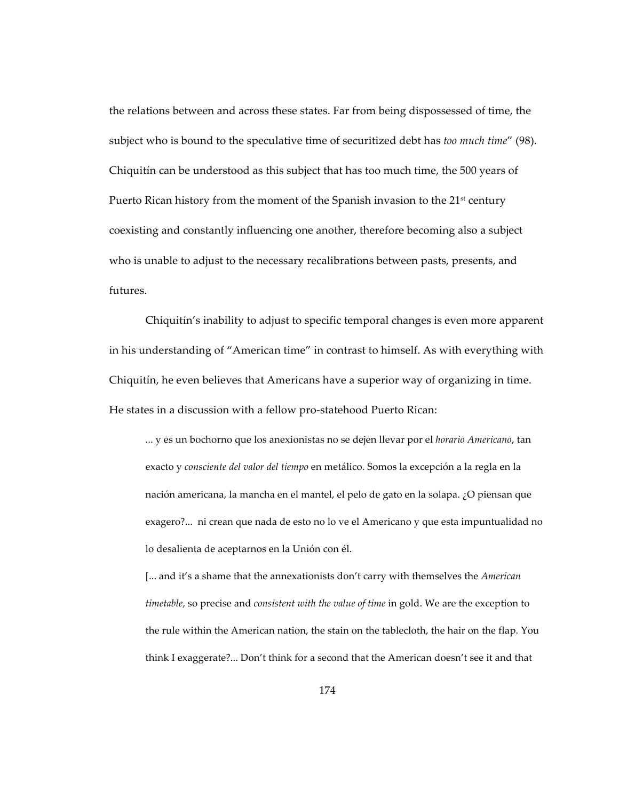the relations between and across these states. Far from being dispossessed of time, the subject who is bound to the speculative time of securitized debt has *too much time*" (98). Chiquitín can be understood as this subject that has too much time, the 500 years of Puerto Rican history from the moment of the Spanish invasion to the  $21<sup>st</sup>$  century coexisting and constantly influencing one another, therefore becoming also a subject who is unable to adjust to the necessary recalibrations between pasts, presents, and futures.

Chiquitín's inability to adjust to specific temporal changes is even more apparent in his understanding of "American time" in contrast to himself. As with everything with Chiquitín, he even believes that Americans have a superior way of organizing in time. He states in a discussion with a fellow pro-statehood Puerto Rican:

... y es un bochorno que los anexionistas no se dejen llevar por el *horario Americano*, tan exacto y *consciente del valor del tiempo* en metálico. Somos la excepción a la regla en la nación americana, la mancha en el mantel, el pelo de gato en la solapa. ¿O piensan que exagero?... ni crean que nada de esto no lo ve el Americano y que esta impuntualidad no lo desalienta de aceptarnos en la Unión con él.

[... and it's a shame that the annexationists don't carry with themselves the *American timetable*, so precise and *consistent with the value of time* in gold. We are the exception to the rule within the American nation, the stain on the tablecloth, the hair on the flap. You think I exaggerate?... Don't think for a second that the American doesn't see it and that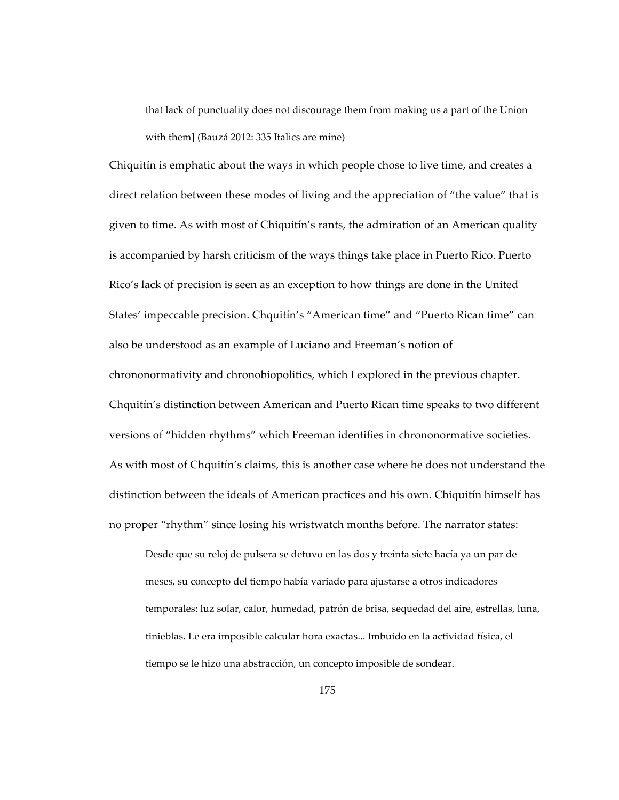that lack of punctuality does not discourage them from making us a part of the Union with them] (Bauzá 2012: 335 Italics are mine)

Chiquitín is emphatic about the ways in which people chose to live time, and creates a direct relation between these modes of living and the appreciation of "the value" that is given to time. As with most of Chiquitín's rants, the admiration of an American quality is accompanied by harsh criticism of the ways things take place in Puerto Rico. Puerto Rico's lack of precision is seen as an exception to how things are done in the United States' impeccable precision. Chquitín's "American time" and "Puerto Rican time" can also be understood as an example of Luciano and Freeman's notion of chrononormativity and chronobiopolitics, which I explored in the previous chapter. Chquitín's distinction between American and Puerto Rican time speaks to two different versions of "hidden rhythms" which Freeman identifies in chrononormative societies. As with most of Chquitín's claims, this is another case where he does not understand the distinction between the ideals of American practices and his own. Chiquitín himself has no proper "rhythm" since losing his wristwatch months before. The narrator states:

Desde que su reloj de pulsera se detuvo en las dos y treinta siete hacía ya un par de meses, su concepto del tiempo había variado para ajustarse a otros indicadores temporales: luz solar, calor, humedad, patrón de brisa, sequedad del aire, estrellas, luna, tinieblas. Le era imposible calcular hora exactas... Imbuido en la actividad física, el tiempo se le hizo una abstracción, un concepto imposible de sondear.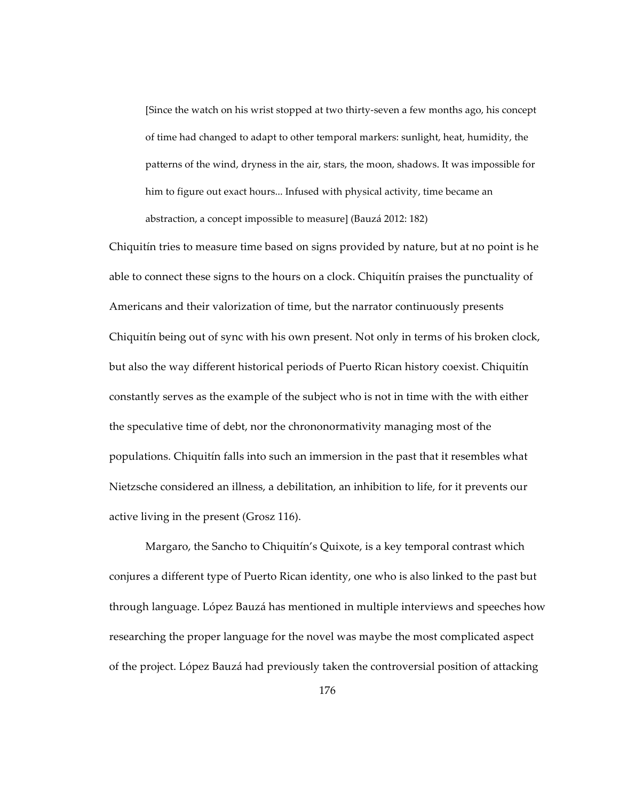[Since the watch on his wrist stopped at two thirty-seven a few months ago, his concept of time had changed to adapt to other temporal markers: sunlight, heat, humidity, the patterns of the wind, dryness in the air, stars, the moon, shadows. It was impossible for him to figure out exact hours... Infused with physical activity, time became an abstraction, a concept impossible to measure] (Bauzá 2012: 182)

Chiquitín tries to measure time based on signs provided by nature, but at no point is he able to connect these signs to the hours on a clock. Chiquitín praises the punctuality of Americans and their valorization of time, but the narrator continuously presents Chiquitín being out of sync with his own present. Not only in terms of his broken clock, but also the way different historical periods of Puerto Rican history coexist. Chiquitín constantly serves as the example of the subject who is not in time with the with either the speculative time of debt, nor the chrononormativity managing most of the populations. Chiquitín falls into such an immersion in the past that it resembles what Nietzsche considered an illness, a debilitation, an inhibition to life, for it prevents our active living in the present (Grosz 116).

Margaro, the Sancho to Chiquitín's Quixote, is a key temporal contrast which conjures a different type of Puerto Rican identity, one who is also linked to the past but through language. López Bauzá has mentioned in multiple interviews and speeches how researching the proper language for the novel was maybe the most complicated aspect of the project. López Bauzá had previously taken the controversial position of attacking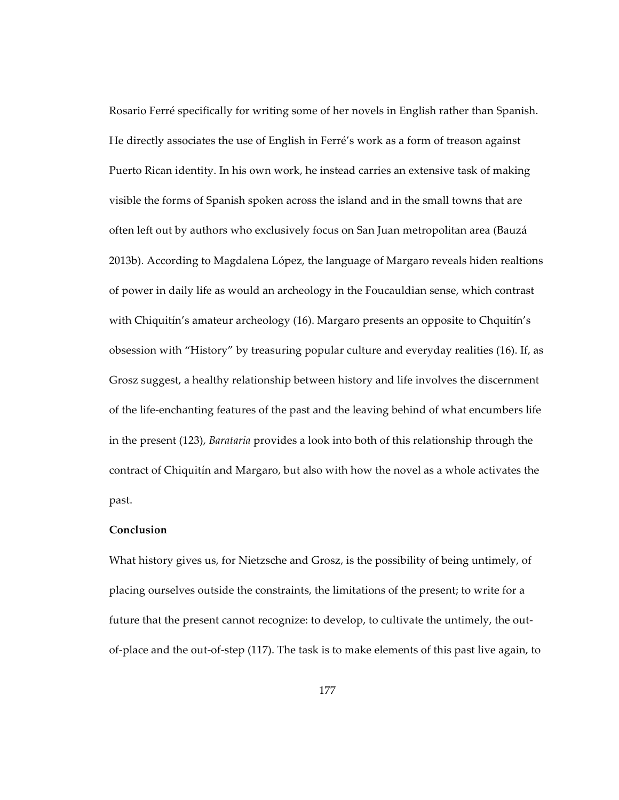Rosario Ferré specifically for writing some of her novels in English rather than Spanish. He directly associates the use of English in Ferré's work as a form of treason against Puerto Rican identity. In his own work, he instead carries an extensive task of making visible the forms of Spanish spoken across the island and in the small towns that are often left out by authors who exclusively focus on San Juan metropolitan area (Bauzá 2013b). According to Magdalena López, the language of Margaro reveals hiden realtions of power in daily life as would an archeology in the Foucauldian sense, which contrast with Chiquitín's amateur archeology (16). Margaro presents an opposite to Chquitín's obsession with "History" by treasuring popular culture and everyday realities (16). If, as Grosz suggest, a healthy relationship between history and life involves the discernment of the life-enchanting features of the past and the leaving behind of what encumbers life in the present (123), *Barataria* provides a look into both of this relationship through the contract of Chiquitín and Margaro, but also with how the novel as a whole activates the past.

## **Conclusion**

What history gives us, for Nietzsche and Grosz, is the possibility of being untimely, of placing ourselves outside the constraints, the limitations of the present; to write for a future that the present cannot recognize: to develop, to cultivate the untimely, the outof-place and the out-of-step (117). The task is to make elements of this past live again, to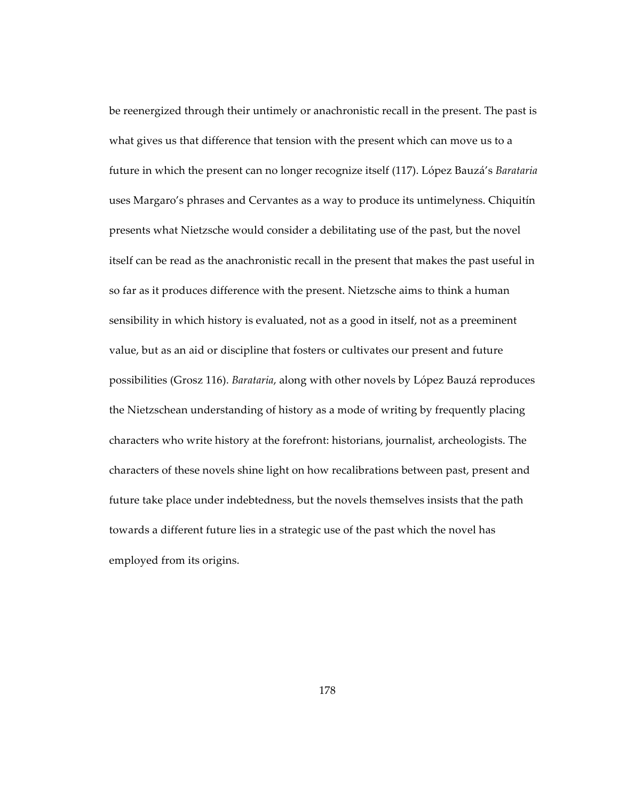be reenergized through their untimely or anachronistic recall in the present. The past is what gives us that difference that tension with the present which can move us to a future in which the present can no longer recognize itself (117). López Bauzá's *Barataria* uses Margaro's phrases and Cervantes as a way to produce its untimelyness. Chiquitín presents what Nietzsche would consider a debilitating use of the past, but the novel itself can be read as the anachronistic recall in the present that makes the past useful in so far as it produces difference with the present. Nietzsche aims to think a human sensibility in which history is evaluated, not as a good in itself, not as a preeminent value, but as an aid or discipline that fosters or cultivates our present and future possibilities (Grosz 116). *Barataria*, along with other novels by López Bauzá reproduces the Nietzschean understanding of history as a mode of writing by frequently placing characters who write history at the forefront: historians, journalist, archeologists. The characters of these novels shine light on how recalibrations between past, present and future take place under indebtedness, but the novels themselves insists that the path towards a different future lies in a strategic use of the past which the novel has employed from its origins.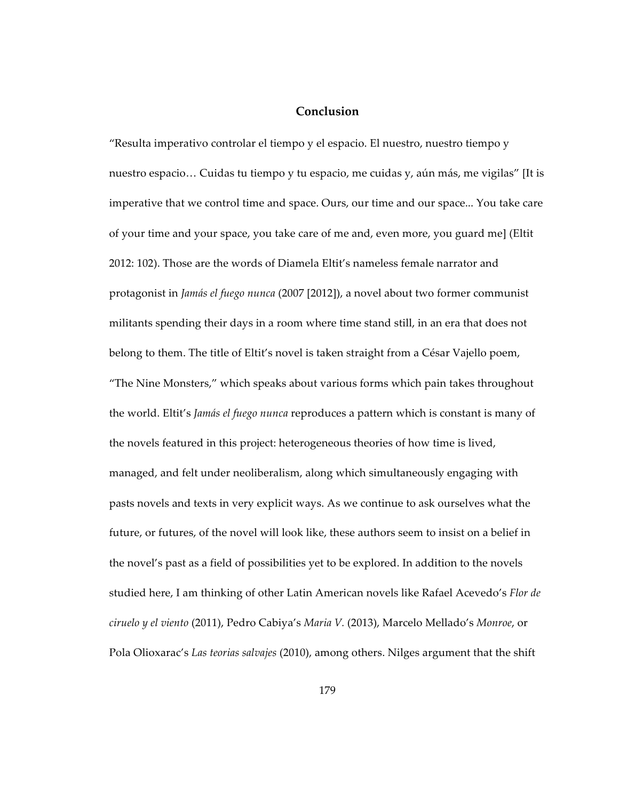## **Conclusion**

"Resulta imperativo controlar el tiempo y el espacio. El nuestro, nuestro tiempo y nuestro espacio… Cuidas tu tiempo y tu espacio, me cuidas y, aún más, me vigilas" [It is imperative that we control time and space. Ours, our time and our space... You take care of your time and your space, you take care of me and, even more, you guard me] (Eltit 2012: 102). Those are the words of Diamela Eltit's nameless female narrator and protagonist in *Jamás el fuego nunca* (2007 [2012]), a novel about two former communist militants spending their days in a room where time stand still, in an era that does not belong to them. The title of Eltit's novel is taken straight from a César Vajello poem, "The Nine Monsters," which speaks about various forms which pain takes throughout the world. Eltit's *Jamás el fuego nunca* reproduces a pattern which is constant is many of the novels featured in this project: heterogeneous theories of how time is lived, managed, and felt under neoliberalism, along which simultaneously engaging with pasts novels and texts in very explicit ways. As we continue to ask ourselves what the future, or futures, of the novel will look like, these authors seem to insist on a belief in the novel's past as a field of possibilities yet to be explored. In addition to the novels studied here, I am thinking of other Latin American novels like Rafael Acevedo's *Flor de ciruelo y el viento* (2011), Pedro Cabiya's *Maria V.* (2013), Marcelo Mellado's *Monroe*, or Pola Olioxarac's *Las teorias salvajes* (2010), among others. Nilges argument that the shift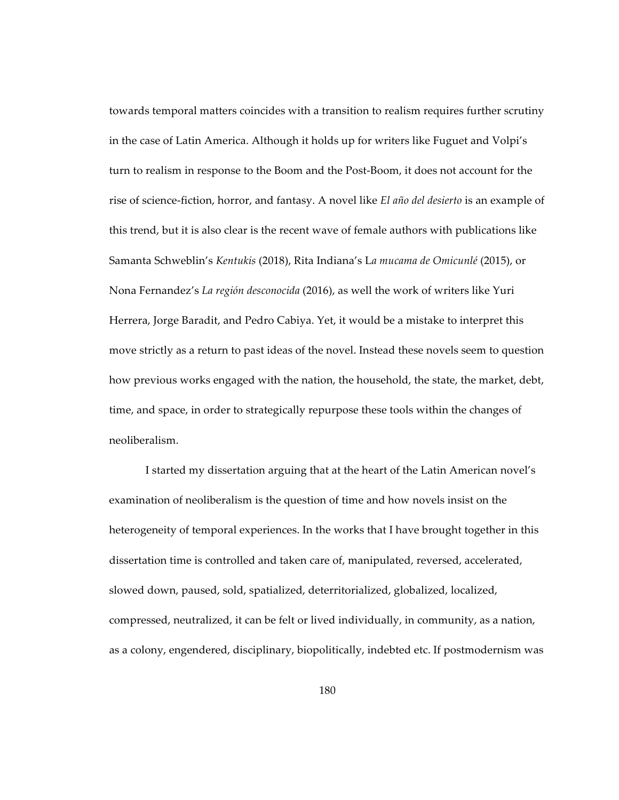towards temporal matters coincides with a transition to realism requires further scrutiny in the case of Latin America. Although it holds up for writers like Fuguet and Volpi's turn to realism in response to the Boom and the Post-Boom, it does not account for the rise of science-fiction, horror, and fantasy. A novel like *El año del desierto* is an example of this trend, but it is also clear is the recent wave of female authors with publications like Samanta Schweblin's *Kentukis* (2018), Rita Indiana's L*a mucama de Omicunlé* (2015), or Nona Fernandez's *La región desconocida* (2016), as well the work of writers like Yuri Herrera, Jorge Baradit, and Pedro Cabiya. Yet, it would be a mistake to interpret this move strictly as a return to past ideas of the novel. Instead these novels seem to question how previous works engaged with the nation, the household, the state, the market, debt, time, and space, in order to strategically repurpose these tools within the changes of neoliberalism.

I started my dissertation arguing that at the heart of the Latin American novel's examination of neoliberalism is the question of time and how novels insist on the heterogeneity of temporal experiences. In the works that I have brought together in this dissertation time is controlled and taken care of, manipulated, reversed, accelerated, slowed down, paused, sold, spatialized, deterritorialized, globalized, localized, compressed, neutralized, it can be felt or lived individually, in community, as a nation, as a colony, engendered, disciplinary, biopolitically, indebted etc. If postmodernism was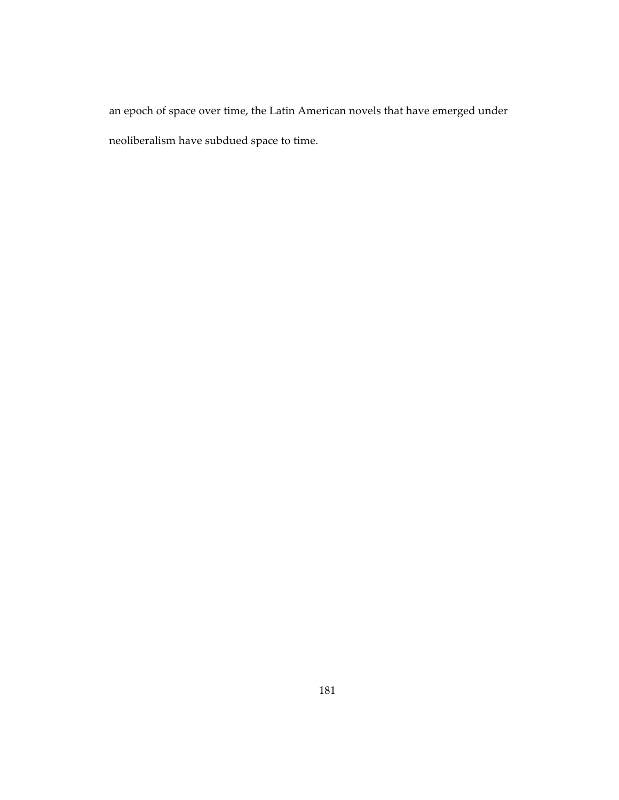an epoch of space over time, the Latin American novels that have emerged under neoliberalism have subdued space to time.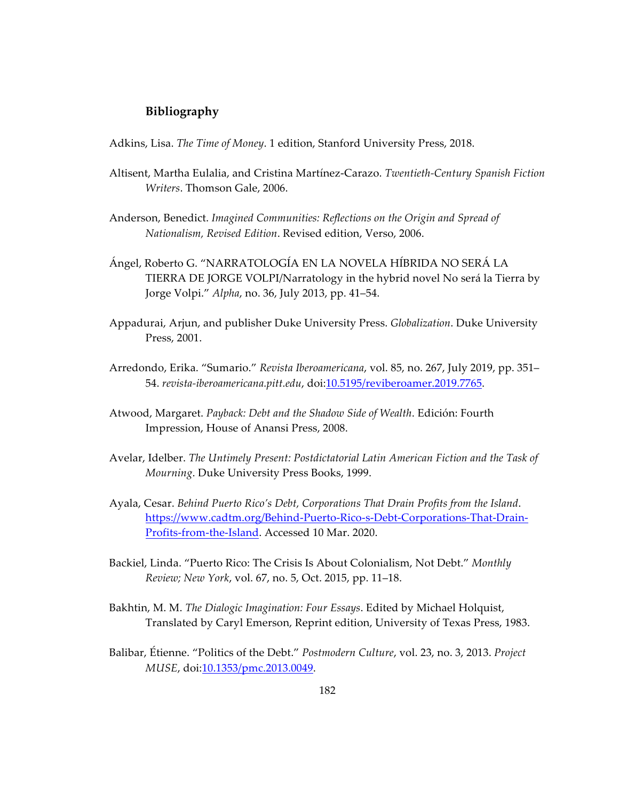## **Bibliography**

Adkins, Lisa. *The Time of Money*. 1 edition, Stanford University Press, 2018.

- Altisent, Martha Eulalia, and Cristina Martínez-Carazo. *Twentieth-Century Spanish Fiction Writers*. Thomson Gale, 2006.
- Anderson, Benedict. *Imagined Communities: Reflections on the Origin and Spread of Nationalism, Revised Edition*. Revised edition, Verso, 2006.
- Ángel, Roberto G. "NARRATOLOGÍA EN LA NOVELA HÍBRIDA NO SERÁ LA TIERRA DE JORGE VOLPI/Narratology in the hybrid novel No será la Tierra by Jorge Volpi." *Alpha*, no. 36, July 2013, pp. 41–54.
- Appadurai, Arjun, and publisher Duke University Press. *Globalization*. Duke University Press, 2001.
- Arredondo, Erika. "Sumario." *Revista Iberoamericana*, vol. 85, no. 267, July 2019, pp. 351– 54. *revista-iberoamericana.pitt.edu*, doi:10.5195/reviberoamer.2019.7765.
- Atwood, Margaret. *Payback: Debt and the Shadow Side of Wealth*. Edición: Fourth Impression, House of Anansi Press, 2008.
- Avelar, Idelber. *The Untimely Present: Postdictatorial Latin American Fiction and the Task of Mourning*. Duke University Press Books, 1999.
- Ayala, Cesar. *Behind Puerto Rico's Debt, Corporations That Drain Profits from the Island*. https://www.cadtm.org/Behind-Puerto-Rico-s-Debt-Corporations-That-Drain-Profits-from-the-Island. Accessed 10 Mar. 2020.
- Backiel, Linda. "Puerto Rico: The Crisis Is About Colonialism, Not Debt." *Monthly Review; New York*, vol. 67, no. 5, Oct. 2015, pp. 11–18.
- Bakhtin, M. M. *The Dialogic Imagination: Four Essays*. Edited by Michael Holquist, Translated by Caryl Emerson, Reprint edition, University of Texas Press, 1983.
- Balibar, Étienne. "Politics of the Debt." *Postmodern Culture*, vol. 23, no. 3, 2013. *Project MUSE*, doi: 10.1353/pmc.2013.0049.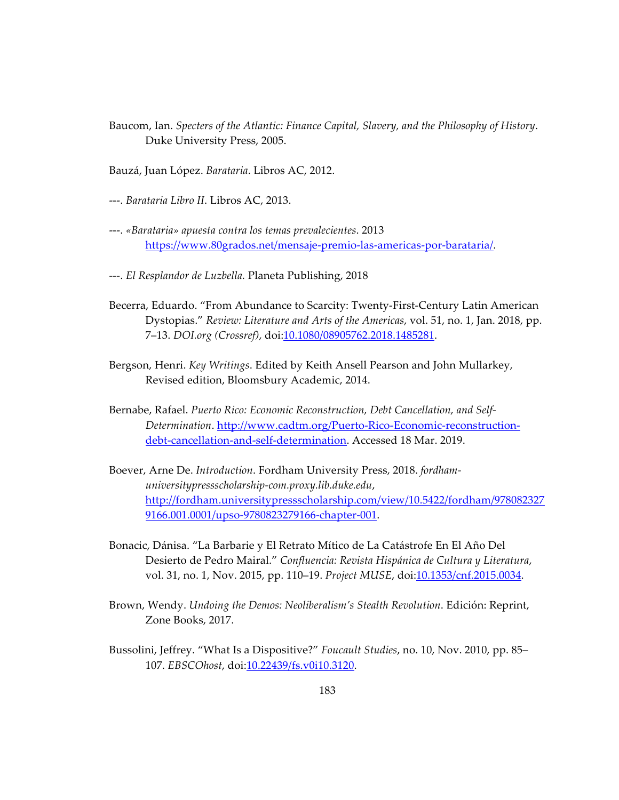- Baucom, Ian. *Specters of the Atlantic: Finance Capital, Slavery, and the Philosophy of History*. Duke University Press, 2005.
- Bauzá, Juan López. *Barataria*. Libros AC, 2012.
- ---. *Barataria Libro II*. Libros AC, 2013.
- ---. *«Barataria» apuesta contra los temas prevalecientes*. 2013 https://www.80grados.net/mensaje-premio-las-americas-por-barataria/.
- ---. *El Resplandor de Luzbella.* Planeta Publishing, 2018
- Becerra, Eduardo. "From Abundance to Scarcity: Twenty-First-Century Latin American Dystopias." *Review: Literature and Arts of the Americas*, vol. 51, no. 1, Jan. 2018, pp. 7–13. *DOI.org (Crossref)*, doi:10.1080/08905762.2018.1485281.
- Bergson, Henri. *Key Writings*. Edited by Keith Ansell Pearson and John Mullarkey, Revised edition, Bloomsbury Academic, 2014.
- Bernabe, Rafael. *Puerto Rico: Economic Reconstruction, Debt Cancellation, and Self-Determination*. http://www.cadtm.org/Puerto-Rico-Economic-reconstructiondebt-cancellation-and-self-determination. Accessed 18 Mar. 2019.
- Boever, Arne De. *Introduction*. Fordham University Press, 2018. *fordhamuniversitypressscholarship-com.proxy.lib.duke.edu*, http://fordham.universitypressscholarship.com/view/10.5422/fordham/978082327 9166.001.0001/upso-9780823279166-chapter-001.
- Bonacic, Dánisa. "La Barbarie y El Retrato Mítico de La Catástrofe En El Año Del Desierto de Pedro Mairal." *Confluencia: Revista Hispánica de Cultura y Literatura*, vol. 31, no. 1, Nov. 2015, pp. 110–19. *Project MUSE*, doi:10.1353/cnf.2015.0034.
- Brown, Wendy. *Undoing the Demos: Neoliberalism's Stealth Revolution*. Edición: Reprint, Zone Books, 2017.
- Bussolini, Jeffrey. "What Is a Dispositive?" *Foucault Studies*, no. 10, Nov. 2010, pp. 85– 107. *EBSCOhost*, doi:10.22439/fs.v0i10.3120.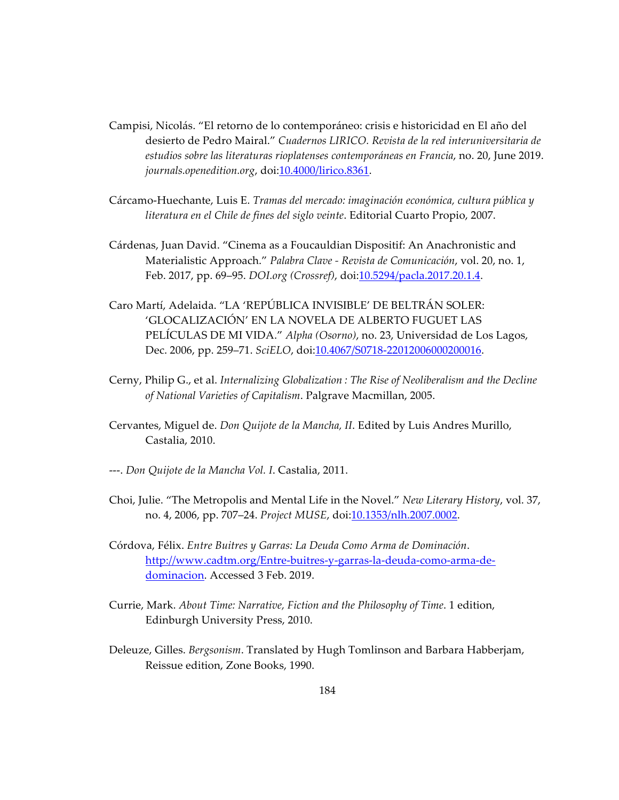- Campisi, Nicolás. "El retorno de lo contemporáneo: crisis e historicidad en El año del desierto de Pedro Mairal." *Cuadernos LIRICO. Revista de la red interuniversitaria de estudios sobre las literaturas rioplatenses contemporáneas en Francia*, no. 20, June 2019. *journals.openedition.org*, doi:10.4000/lirico.8361.
- Cárcamo-Huechante, Luis E. *Tramas del mercado: imaginación económica, cultura pública y literatura en el Chile de fines del siglo veinte*. Editorial Cuarto Propio, 2007.
- Cárdenas, Juan David. "Cinema as a Foucauldian Dispositif: An Anachronistic and Materialistic Approach." *Palabra Clave - Revista de Comunicación*, vol. 20, no. 1, Feb. 2017, pp. 69–95. *DOI.org (Crossref)*, doi:10.5294/pacla.2017.20.1.4.
- Caro Martí, Adelaida. "LA 'REPÚBLICA INVISIBLE' DE BELTRÁN SOLER: 'GLOCALIZACIÓN' EN LA NOVELA DE ALBERTO FUGUET LAS PELÍCULAS DE MI VIDA." *Alpha (Osorno)*, no. 23, Universidad de Los Lagos, Dec. 2006, pp. 259-71. *SciELO*, doi:10.4067/S0718-22012006000200016.
- Cerny, Philip G., et al. *Internalizing Globalization : The Rise of Neoliberalism and the Decline of National Varieties of Capitalism*. Palgrave Macmillan, 2005.
- Cervantes, Miguel de. *Don Quijote de la Mancha, II*. Edited by Luis Andres Murillo, Castalia, 2010.
- ---. *Don Quijote de la Mancha Vol. I*. Castalia, 2011.
- Choi, Julie. "The Metropolis and Mental Life in the Novel." *New Literary History*, vol. 37, no. 4, 2006, pp. 707–24. *Project MUSE*, doi:10.1353/nlh.2007.0002.
- Córdova, Félix. *Entre Buitres y Garras: La Deuda Como Arma de Dominación*. http://www.cadtm.org/Entre-buitres-y-garras-la-deuda-como-arma-dedominacion. Accessed 3 Feb. 2019.
- Currie, Mark. *About Time: Narrative, Fiction and the Philosophy of Time*. 1 edition, Edinburgh University Press, 2010.
- Deleuze, Gilles. *Bergsonism*. Translated by Hugh Tomlinson and Barbara Habberjam, Reissue edition, Zone Books, 1990.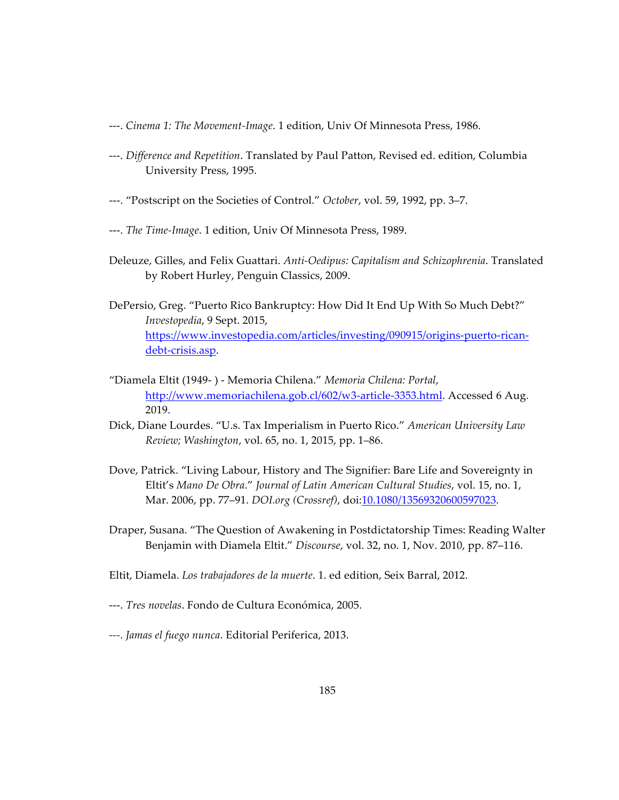- ---. *Cinema 1: The Movement-Image*. 1 edition, Univ Of Minnesota Press, 1986.
- ---. *Difference and Repetition*. Translated by Paul Patton, Revised ed. edition, Columbia University Press, 1995.
- ---. "Postscript on the Societies of Control." *October*, vol. 59, 1992, pp. 3–7.
- ---. *The Time-Image*. 1 edition, Univ Of Minnesota Press, 1989.
- Deleuze, Gilles, and Felix Guattari. *Anti-Oedipus: Capitalism and Schizophrenia*. Translated by Robert Hurley, Penguin Classics, 2009.
- DePersio, Greg. "Puerto Rico Bankruptcy: How Did It End Up With So Much Debt?" *Investopedia*, 9 Sept. 2015, https://www.investopedia.com/articles/investing/090915/origins-puerto-ricandebt-crisis.asp.
- "Diamela Eltit (1949- ) Memoria Chilena." *Memoria Chilena: Portal*, http://www.memoriachilena.gob.cl/602/w3-article-3353.html. Accessed 6 Aug. 2019.
- Dick, Diane Lourdes. "U.s. Tax Imperialism in Puerto Rico." *American University Law Review; Washington*, vol. 65, no. 1, 2015, pp. 1–86.
- Dove, Patrick. "Living Labour, History and The Signifier: Bare Life and Sovereignty in Eltit's *Mano De Obra*." *Journal of Latin American Cultural Studies*, vol. 15, no. 1, Mar. 2006, pp. 77–91. *DOI.org (Crossref)*, doi:10.1080/13569320600597023.
- Draper, Susana. "The Question of Awakening in Postdictatorship Times: Reading Walter Benjamin with Diamela Eltit." *Discourse*, vol. 32, no. 1, Nov. 2010, pp. 87–116.
- Eltit, Diamela. *Los trabajadores de la muerte*. 1. ed edition, Seix Barral, 2012.
- ---. *Tres novelas*. Fondo de Cultura Económica, 2005.
- *---*. *Jamas el fuego nunca*. Editorial Periferica, 2013.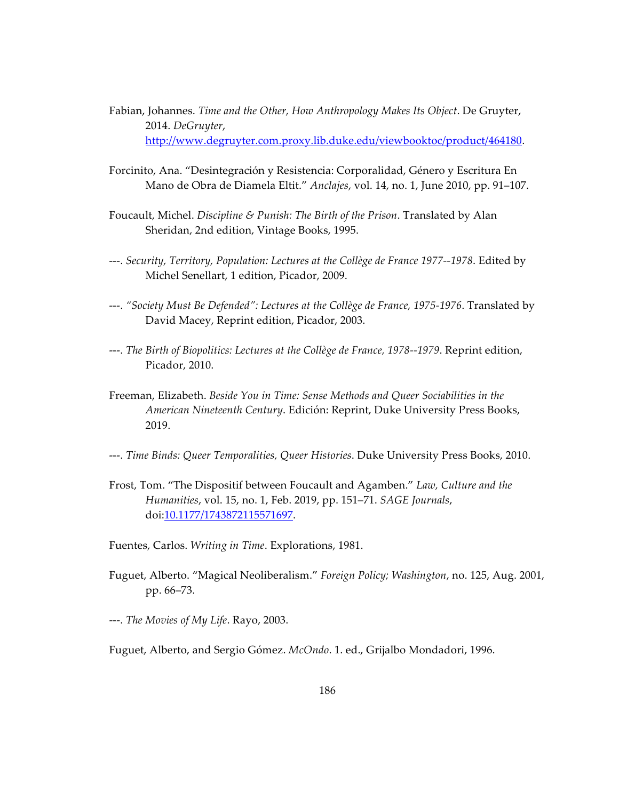- Fabian, Johannes. *Time and the Other, How Anthropology Makes Its Object*. De Gruyter, 2014. *DeGruyter*, http://www.degruyter.com.proxy.lib.duke.edu/viewbooktoc/product/464180.
- Forcinito, Ana. "Desintegración y Resistencia: Corporalidad, Género y Escritura En Mano de Obra de Diamela Eltit." *Anclajes*, vol. 14, no. 1, June 2010, pp. 91–107.
- Foucault, Michel. *Discipline & Punish: The Birth of the Prison*. Translated by Alan Sheridan, 2nd edition, Vintage Books, 1995.
- ---. *Security, Territory, Population: Lectures at the Collège de France 1977--1978*. Edited by Michel Senellart, 1 edition, Picador, 2009.
- ---. *"Society Must Be Defended": Lectures at the Collège de France, 1975-1976*. Translated by David Macey, Reprint edition, Picador, 2003.
- ---. *The Birth of Biopolitics: Lectures at the Collège de France, 1978--1979*. Reprint edition, Picador, 2010.
- Freeman, Elizabeth. *Beside You in Time: Sense Methods and Queer Sociabilities in the American Nineteenth Century*. Edición: Reprint, Duke University Press Books, 2019.
- ---. *Time Binds: Queer Temporalities, Queer Histories*. Duke University Press Books, 2010.
- Frost, Tom. "The Dispositif between Foucault and Agamben." *Law, Culture and the Humanities*, vol. 15, no. 1, Feb. 2019, pp. 151–71. *SAGE Journals*, doi:10.1177/1743872115571697.
- Fuentes, Carlos. *Writing in Time*. Explorations, 1981.
- Fuguet, Alberto. "Magical Neoliberalism." *Foreign Policy; Washington*, no. 125, Aug. 2001, pp. 66–73.
- ---. *The Movies of My Life*. Rayo, 2003.

Fuguet, Alberto, and Sergio Gómez. *McOndo*. 1. ed., Grijalbo Mondadori, 1996.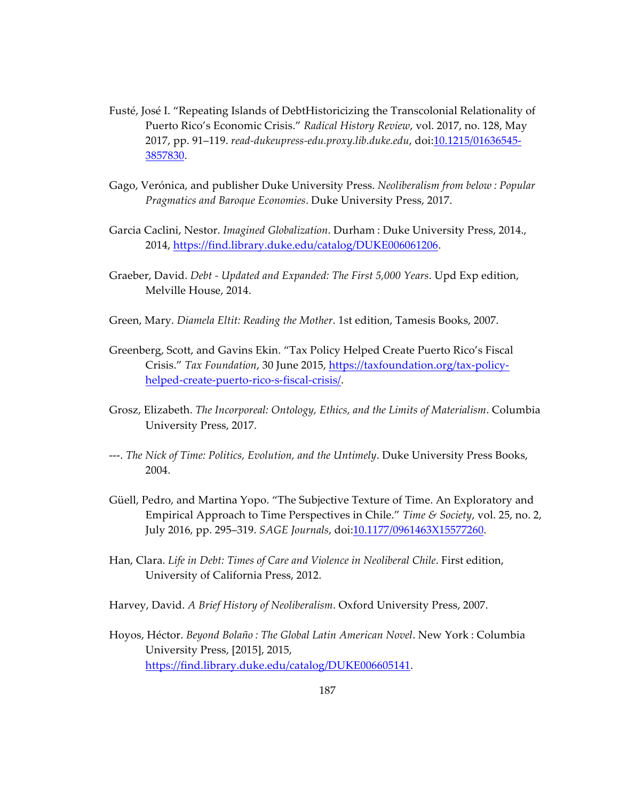- Fusté, José I. "Repeating Islands of DebtHistoricizing the Transcolonial Relationality of Puerto Rico's Economic Crisis." *Radical History Review*, vol. 2017, no. 128, May 2017, pp. 91–119. *read-dukeupress-edu.proxy.lib.duke.edu*, doi:10.1215/01636545- 3857830.
- Gago, Verónica, and publisher Duke University Press. *Neoliberalism from below : Popular Pragmatics and Baroque Economies*. Duke University Press, 2017.
- Garcia Caclini, Nestor. *Imagined Globalization*. Durham : Duke University Press, 2014., 2014, https://find.library.duke.edu/catalog/DUKE006061206.
- Graeber, David. *Debt - Updated and Expanded: The First 5,000 Years*. Upd Exp edition, Melville House, 2014.
- Green, Mary. *Diamela Eltit: Reading the Mother*. 1st edition, Tamesis Books, 2007.
- Greenberg, Scott, and Gavins Ekin. "Tax Policy Helped Create Puerto Rico's Fiscal Crisis." *Tax Foundation*, 30 June 2015, https://taxfoundation.org/tax-policyhelped-create-puerto-rico-s-fiscal-crisis/.
- Grosz, Elizabeth. *The Incorporeal: Ontology, Ethics, and the Limits of Materialism*. Columbia University Press, 2017.
- ---. *The Nick of Time: Politics, Evolution, and the Untimely*. Duke University Press Books, 2004.
- Güell, Pedro, and Martina Yopo. "The Subjective Texture of Time. An Exploratory and Empirical Approach to Time Perspectives in Chile." *Time & Society*, vol. 25, no. 2, July 2016, pp. 295–319. *SAGE Journals*, doi:10.1177/0961463X15577260.
- Han, Clara. *Life in Debt: Times of Care and Violence in Neoliberal Chile*. First edition, University of California Press, 2012.
- Harvey, David. *A Brief History of Neoliberalism*. Oxford University Press, 2007.
- Hoyos, Héctor. *Beyond Bolaño : The Global Latin American Novel*. New York : Columbia University Press, [2015], 2015, https://find.library.duke.edu/catalog/DUKE006605141.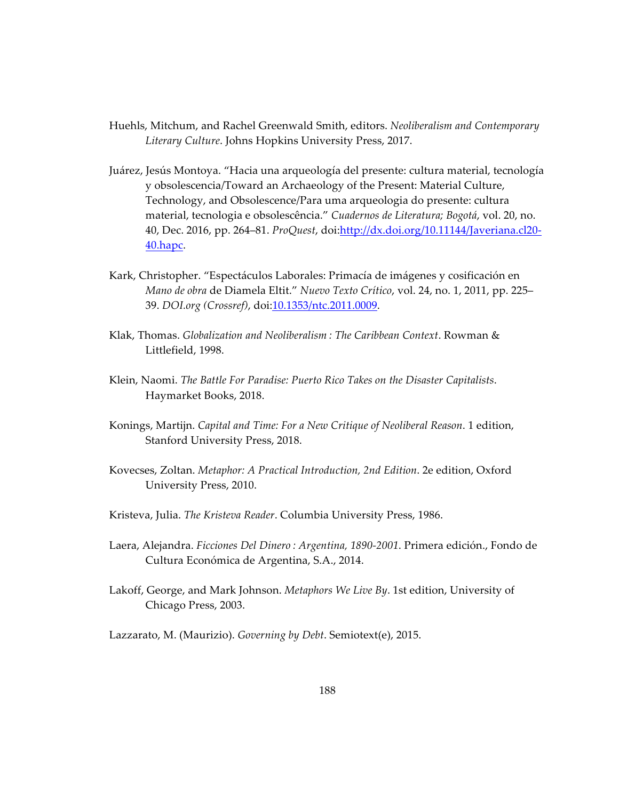- Huehls, Mitchum, and Rachel Greenwald Smith, editors. *Neoliberalism and Contemporary Literary Culture*. Johns Hopkins University Press, 2017.
- Juárez, Jesús Montoya. "Hacia una arqueología del presente: cultura material, tecnología y obsolescencia/Toward an Archaeology of the Present: Material Culture, Technology, and Obsolescence/Para uma arqueologia do presente: cultura material, tecnologia e obsolescência." *Cuadernos de Literatura; Bogotá*, vol. 20, no. 40, Dec. 2016, pp. 264–81. *ProQuest*, doi:http://dx.doi.org/10.11144/Javeriana.cl20- 40.hapc.
- Kark, Christopher. "Espectáculos Laborales: Primacía de imágenes y cosificación en *Mano de obra* de Diamela Eltit." *Nuevo Texto Crítico*, vol. 24, no. 1, 2011, pp. 225– 39. *DOI.org (Crossref)*, doi:10.1353/ntc.2011.0009.
- Klak, Thomas. *Globalization and Neoliberalism : The Caribbean Context*. Rowman & Littlefield, 1998.
- Klein, Naomi. *The Battle For Paradise: Puerto Rico Takes on the Disaster Capitalists*. Haymarket Books, 2018.
- Konings, Martijn. *Capital and Time: For a New Critique of Neoliberal Reason*. 1 edition, Stanford University Press, 2018.
- Kovecses, Zoltan. *Metaphor: A Practical Introduction, 2nd Edition*. 2e edition, Oxford University Press, 2010.
- Kristeva, Julia. *The Kristeva Reader*. Columbia University Press, 1986.
- Laera, Alejandra. *Ficciones Del Dinero : Argentina, 1890-2001*. Primera edición., Fondo de Cultura Económica de Argentina, S.A., 2014.
- Lakoff, George, and Mark Johnson. *Metaphors We Live By*. 1st edition, University of Chicago Press, 2003.
- Lazzarato, M. (Maurizio). *Governing by Debt*. Semiotext(e), 2015.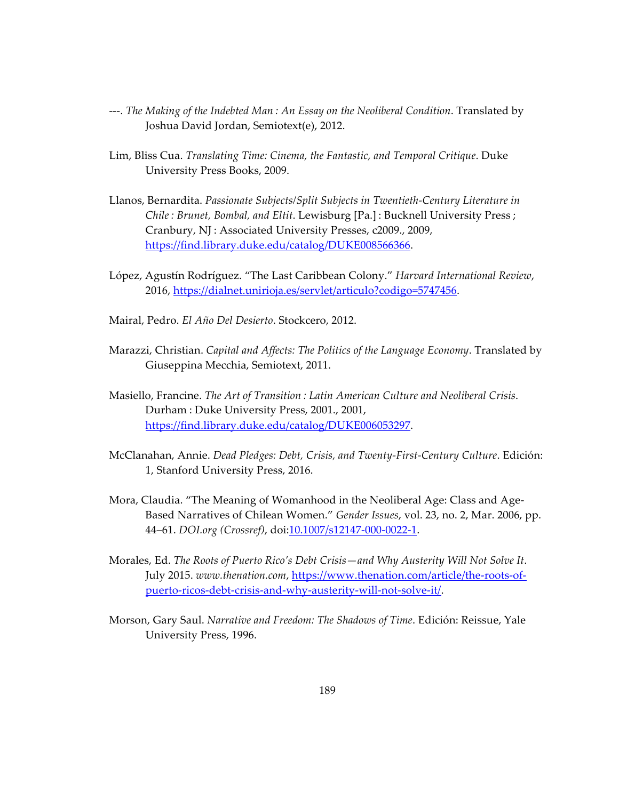- ---. *The Making of the Indebted Man : An Essay on the Neoliberal Condition*. Translated by Joshua David Jordan, Semiotext(e), 2012.
- Lim, Bliss Cua. *Translating Time: Cinema, the Fantastic, and Temporal Critique*. Duke University Press Books, 2009.
- Llanos, Bernardita. *Passionate Subjects/Split Subjects in Twentieth-Century Literature in Chile : Brunet, Bombal, and Eltit*. Lewisburg [Pa.] : Bucknell University Press ; Cranbury, NJ : Associated University Presses, c2009., 2009, https://find.library.duke.edu/catalog/DUKE008566366.
- López, Agustín Rodríguez. "The Last Caribbean Colony." *Harvard International Review*, 2016, https://dialnet.unirioja.es/servlet/articulo?codigo=5747456.
- Mairal, Pedro. *El Año Del Desierto*. Stockcero, 2012.
- Marazzi, Christian. *Capital and Affects: The Politics of the Language Economy*. Translated by Giuseppina Mecchia, Semiotext, 2011.
- Masiello, Francine. *The Art of Transition : Latin American Culture and Neoliberal Crisis*. Durham : Duke University Press, 2001., 2001, https://find.library.duke.edu/catalog/DUKE006053297.
- McClanahan, Annie. *Dead Pledges: Debt, Crisis, and Twenty-First-Century Culture*. Edición: 1, Stanford University Press, 2016.
- Mora, Claudia. "The Meaning of Womanhood in the Neoliberal Age: Class and Age-Based Narratives of Chilean Women." *Gender Issues*, vol. 23, no. 2, Mar. 2006, pp. 44–61. *DOI.org (Crossref)*, doi:10.1007/s12147-000-0022-1.
- Morales, Ed. *The Roots of Puerto Rico's Debt Crisis—and Why Austerity Will Not Solve It*. July 2015. *www.thenation.com*, https://www.thenation.com/article/the-roots-ofpuerto-ricos-debt-crisis-and-why-austerity-will-not-solve-it/.
- Morson, Gary Saul. *Narrative and Freedom: The Shadows of Time*. Edición: Reissue, Yale University Press, 1996.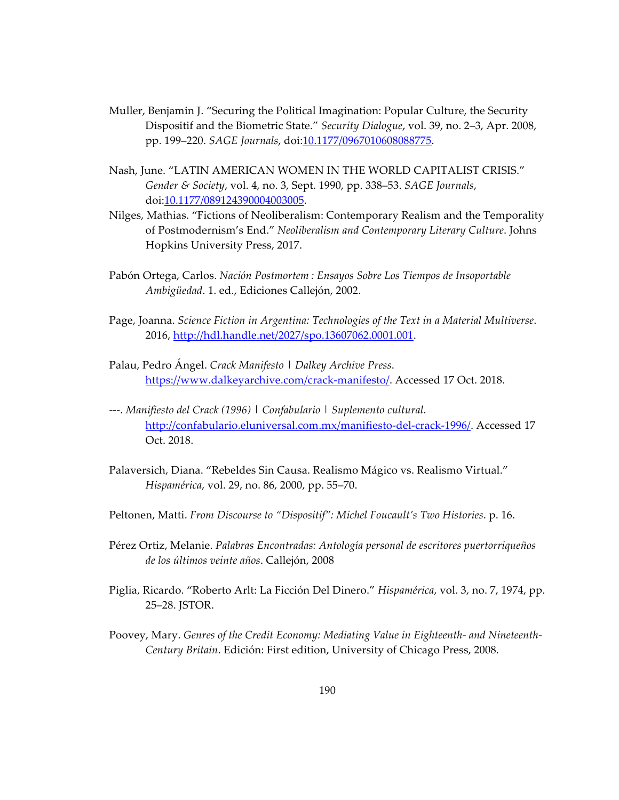- Muller, Benjamin J. "Securing the Political Imagination: Popular Culture, the Security Dispositif and the Biometric State." *Security Dialogue*, vol. 39, no. 2–3, Apr. 2008, pp. 199–220. *SAGE Journals*, doi:10.1177/0967010608088775.
- Nash, June. "LATIN AMERICAN WOMEN IN THE WORLD CAPITALIST CRISIS." *Gender & Society*, vol. 4, no. 3, Sept. 1990, pp. 338–53. *SAGE Journals*, doi:10.1177/089124390004003005.
- Nilges, Mathias. "Fictions of Neoliberalism: Contemporary Realism and the Temporality of Postmodernism's End." *Neoliberalism and Contemporary Literary Culture*. Johns Hopkins University Press, 2017.
- Pabón Ortega, Carlos. *Nación Postmortem : Ensayos Sobre Los Tiempos de Insoportable Ambigüedad*. 1. ed., Ediciones Callejón, 2002.
- Page, Joanna. *Science Fiction in Argentina: Technologies of the Text in a Material Multiverse*. 2016, http://hdl.handle.net/2027/spo.13607062.0001.001.
- Palau, Pedro Ángel. *Crack Manifesto | Dalkey Archive Press*. https://www.dalkeyarchive.com/crack-manifesto/. Accessed 17 Oct. 2018.
- ---. *Manifiesto del Crack (1996) | Confabulario | Suplemento cultural*. http://confabulario.eluniversal.com.mx/manifiesto-del-crack-1996/. Accessed 17 Oct. 2018.
- Palaversich, Diana. "Rebeldes Sin Causa. Realismo Mágico vs. Realismo Virtual." *Hispamérica*, vol. 29, no. 86, 2000, pp. 55–70.
- Peltonen, Matti. *From Discourse to "Dispositif": Michel Foucault's Two Histories*. p. 16.
- Pérez Ortiz, Melanie. *Palabras Encontradas: Antología personal de escritores puertorriqueños de los últimos veinte años*. Callejón, 2008
- Piglia, Ricardo. "Roberto Arlt: La Ficción Del Dinero." *Hispamérica*, vol. 3, no. 7, 1974, pp. 25–28. JSTOR.
- Poovey, Mary. *Genres of the Credit Economy: Mediating Value in Eighteenth- and Nineteenth-Century Britain*. Edición: First edition, University of Chicago Press, 2008.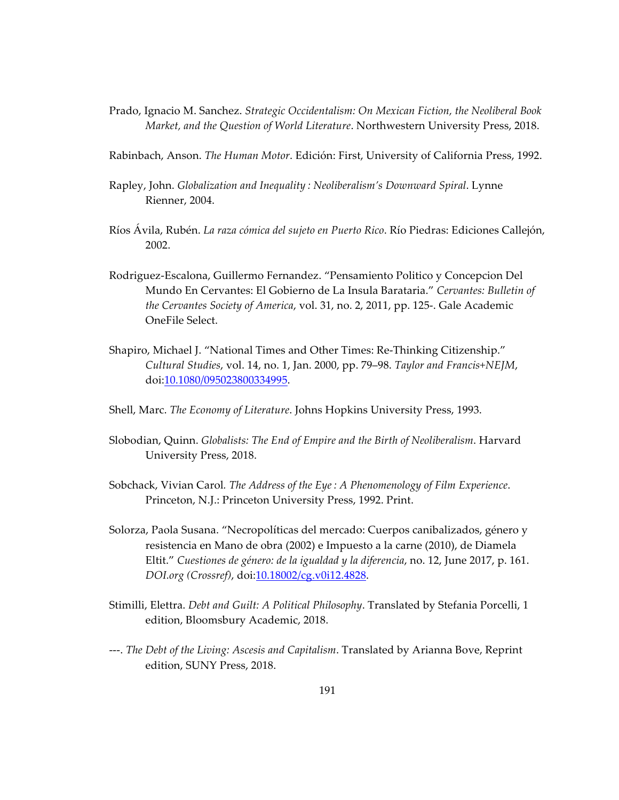- Prado, Ignacio M. Sanchez. *Strategic Occidentalism: On Mexican Fiction, the Neoliberal Book Market, and the Question of World Literature*. Northwestern University Press, 2018.
- Rabinbach, Anson. *The Human Motor*. Edición: First, University of California Press, 1992.
- Rapley, John. *Globalization and Inequality : Neoliberalism's Downward Spiral*. Lynne Rienner, 2004.
- Ríos Ávila, Rubén. *La raza cómica del sujeto en Puerto Rico*. Río Piedras: Ediciones Callejón, 2002.
- Rodriguez-Escalona, Guillermo Fernandez. "Pensamiento Politico y Concepcion Del Mundo En Cervantes: El Gobierno de La Insula Barataria." *Cervantes: Bulletin of the Cervantes Society of America*, vol. 31, no. 2, 2011, pp. 125-. Gale Academic OneFile Select.
- Shapiro, Michael J. "National Times and Other Times: Re-Thinking Citizenship." *Cultural Studies*, vol. 14, no. 1, Jan. 2000, pp. 79–98. *Taylor and Francis+NEJM*, doi:10.1080/095023800334995.
- Shell, Marc. *The Economy of Literature*. Johns Hopkins University Press, 1993.
- Slobodian, Quinn. *Globalists: The End of Empire and the Birth of Neoliberalism*. Harvard University Press, 2018.
- Sobchack, Vivian Carol*. The Address of the Eye : A Phenomenology of Film Experience*. Princeton, N.J.: Princeton University Press, 1992. Print.
- Solorza, Paola Susana. "Necropolíticas del mercado: Cuerpos canibalizados, género y resistencia en Mano de obra (2002) e Impuesto a la carne (2010), de Diamela Eltit." *Cuestiones de género: de la igualdad y la diferencia*, no. 12, June 2017, p. 161. *DOI.org (Crossref)*, doi:10.18002/cg.v0i12.4828.
- Stimilli, Elettra. *Debt and Guilt: A Political Philosophy*. Translated by Stefania Porcelli, 1 edition, Bloomsbury Academic, 2018.
- ---. *The Debt of the Living: Ascesis and Capitalism*. Translated by Arianna Bove, Reprint edition, SUNY Press, 2018.